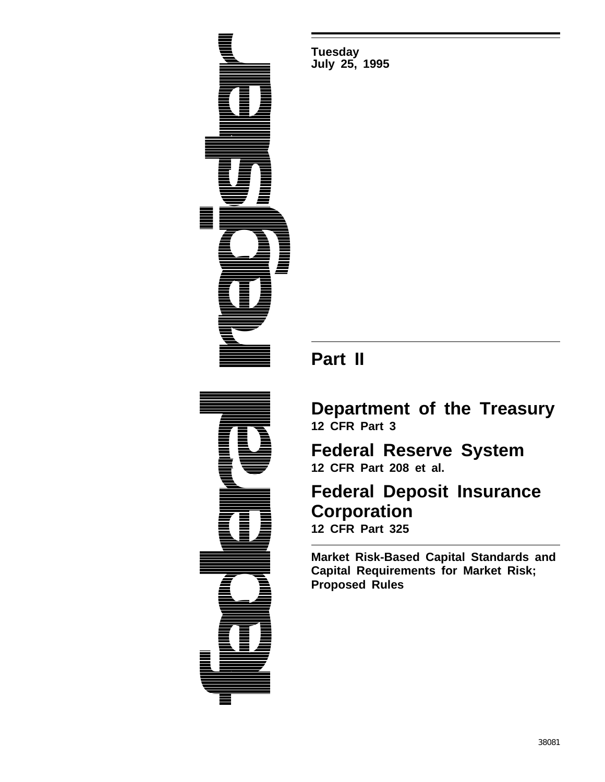

**Tuesday July 25, 1995**

# **Part II**

# **Department of the Treasury 12 CFR Part 3**

**Federal Reserve System 12 CFR Part 208 et al.**

# **Federal Deposit Insurance Corporation 12 CFR Part 325**

**Market Risk-Based Capital Standards and Capital Requirements for Market Risk; Proposed Rules**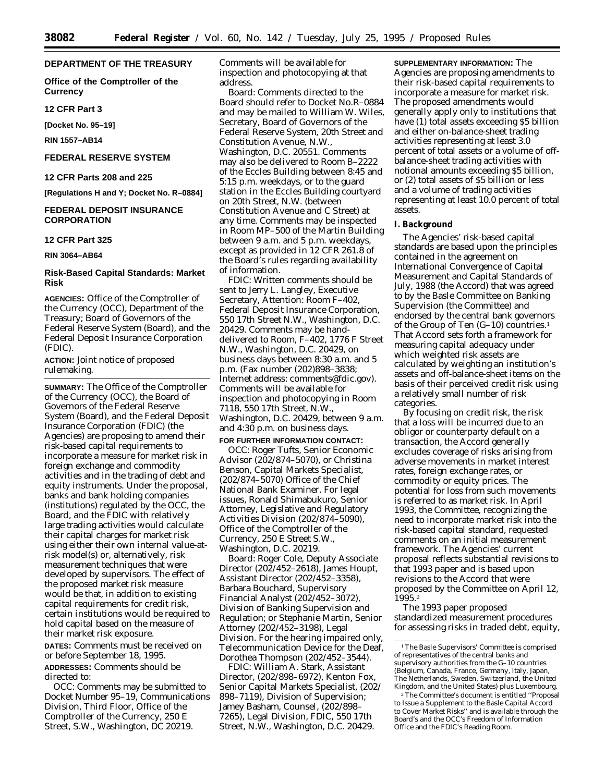# **DEPARTMENT OF THE TREASURY**

**Office of the Comptroller of the Currency**

**12 CFR Part 3**

**[Docket No. 95–19]**

**RIN 1557–AB14**

# **FEDERAL RESERVE SYSTEM**

**12 CFR Parts 208 and 225**

**[Regulations H and Y; Docket No. R–0884]**

# **FEDERAL DEPOSIT INSURANCE CORPORATION**

#### **12 CFR Part 325**

**RIN 3064–AB64**

# **Risk-Based Capital Standards: Market Risk**

**AGENCIES:** Office of the Comptroller of the Currency (OCC), Department of the Treasury; Board of Governors of the Federal Reserve System (Board), and the Federal Deposit Insurance Corporation (FDIC).

**ACTION:** Joint notice of proposed rulemaking.

**SUMMARY:** The Office of the Comptroller of the Currency (OCC), the Board of Governors of the Federal Reserve System (Board), and the Federal Deposit Insurance Corporation (FDIC) (the Agencies) are proposing to amend their risk-based capital requirements to incorporate a measure for market risk in foreign exchange and commodity activities and in the trading of debt and equity instruments. Under the proposal, banks and bank holding companies (institutions) regulated by the OCC, the Board, and the FDIC with relatively large trading activities would calculate their capital charges for market risk using either their own internal value-atrisk model(s) or, alternatively, risk measurement techniques that were developed by supervisors. The effect of the proposed market risk measure would be that, in addition to existing capital requirements for credit risk, certain institutions would be required to hold capital based on the measure of their market risk exposure.

**DATES:** Comments must be received on or before September 18, 1995.

# **ADDRESSES:** Comments should be directed to:

*OCC:* Comments may be submitted to Docket Number 95–19, Communications Division, Third Floor, Office of the Comptroller of the Currency, 250 E Street, S.W., Washington, DC 20219.

Comments will be available for inspection and photocopying at that address.

*Board:* Comments directed to the Board should refer to Docket No.R–0884 and may be mailed to William W. Wiles, Secretary, Board of Governors of the Federal Reserve System, 20th Street and Constitution Avenue, N.W., Washington, D.C. 20551. Comments may also be delivered to Room B–2222 of the Eccles Building between 8:45 and 5:15 p.m. weekdays, or to the guard station in the Eccles Building courtyard on 20th Street, N.W. (between Constitution Avenue and C Street) at any time. Comments may be inspected in Room MP–500 of the Martin Building between 9 a.m. and 5 p.m. weekdays, except as provided in 12 CFR 261.8 of the Board's rules regarding availability of information.

*FDIC:* Written comments should be sent to Jerry L. Langley, Executive Secretary, Attention: Room F–402, Federal Deposit Insurance Corporation, 550 17th Street N.W., Washington, D.C. 20429. Comments may be handdelivered to Room, F–402, 1776 F Street N.W., Washington, D.C. 20429, on business days between 8:30 a.m. and 5 p.m. (Fax number (202)898–3838; Internet address: comments@fdic.gov). Comments will be available for inspection and photocopying in Room 7118, 550 17th Street, N.W., Washington, D.C. 20429, between 9 a.m. and 4:30 p.m. on business days. **FOR FURTHER INFORMATION CONTACT:**

*OCC:* Roger Tufts, Senior Economic Advisor (202/874–5070), or Christina Benson, Capital Markets Specialist, (202/874–5070) Office of the Chief National Bank Examiner. For legal issues, Ronald Shimabukuro, Senior Attorney, Legislative and Regulatory Activities Division (202/874–5090), Office of the Comptroller of the Currency, 250 E Street S.W., Washington, D.C. 20219.

*Board:* Roger Cole, Deputy Associate Director (202/452–2618), James Houpt, Assistant Director (202/452–3358), Barbara Bouchard, Supervisory Financial Analyst (202/452–3072), Division of Banking Supervision and Regulation; or Stephanie Martin, Senior Attorney (202/452–3198), Legal Division. For the hearing impaired *only*, Telecommunication Device for the Deaf, Dorothea Thompson (202/452–3544).

*FDIC:* William A. Stark, Assistant Director, (202/898–6972), Kenton Fox, Senior Capital Markets Specialist, (202/ 898–7119), Division of Supervision; Jamey Basham, Counsel, (202/898– 7265), Legal Division, FDIC, 550 17th Street, N.W., Washington, D.C. 20429.

**SUPPLEMENTARY INFORMATION:** The Agencies are proposing amendments to their risk-based capital requirements to incorporate a measure for market risk. The proposed amendments would generally apply only to institutions that have (1) total assets exceeding \$5 billion and either on-balance-sheet trading activities representing at least 3.0 percent of total assets or a volume of offbalance-sheet trading activities with notional amounts exceeding \$5 billion, or (2) total assets of \$5 billion or less and a volume of trading activities representing at least 10.0 percent of total assets.

#### **I. Background**

The Agencies' risk-based capital standards are based upon the principles contained in the agreement on International Convergence of Capital Measurement and Capital Standards of July, 1988 (the Accord) that was agreed to by the Basle Committee on Banking Supervision (the Committee) and endorsed by the central bank governors of the Group of Ten (G–10) countries.1 That Accord sets forth a framework for measuring capital adequacy under which weighted risk assets are calculated by weighting an institution's assets and off-balance-sheet items on the basis of their perceived credit risk using a relatively small number of risk categories.

By focusing on credit risk, the risk that a loss will be incurred due to an obligor or counterparty default on a transaction, the Accord generally excludes coverage of risks arising from adverse movements in market interest rates, foreign exchange rates, or commodity or equity prices. The potential for loss from such movements is referred to as market risk. In April 1993, the Committee, recognizing the need to incorporate market risk into the risk-based capital standard, requested comments on an initial measurement framework. The Agencies' current proposal reflects substantial revisions to that 1993 paper and is based upon revisions to the Accord that were proposed by the Committee on April 12, 1995.2

The 1993 paper proposed standardized measurement procedures for assessing risks in traded debt, equity,

<sup>1</sup>The Basle Supervisors' Committee is comprised of representatives of the central banks and supervisory authorities from the G–10 countries (Belgium, Canada, France, Germany, Italy, Japan, The Netherlands, Sweden, Switzerland, the United Kingdom, and the United States) plus Luxembourg.

<sup>2</sup>The Committee's document is entitled ''Proposal to Issue a Supplement to the Basle Capital Accord to Cover Market Risks'' and is available through the Board's and the OCC's Freedom of Information Office and the FDIC's Reading Room.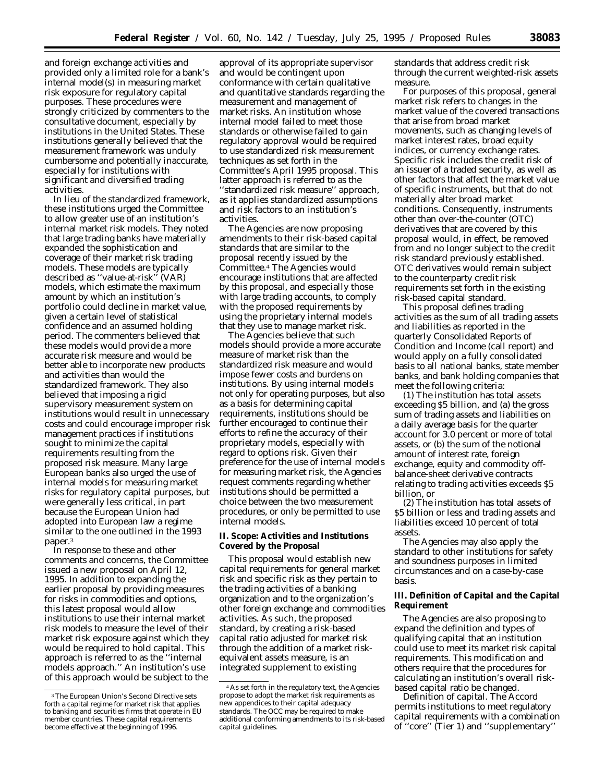and foreign exchange activities and provided only a limited role for a bank's internal model(s) in measuring market risk exposure for regulatory capital purposes. These procedures were strongly criticized by commenters to the consultative document, especially by institutions in the United States. These institutions generally believed that the measurement framework was unduly cumbersome and potentially inaccurate, especially for institutions with significant and diversified trading activities.

In lieu of the standardized framework, these institutions urged the Committee to allow greater use of an institution's internal market risk models. They noted that large trading banks have materially expanded the sophistication and coverage of their market risk trading models. These models are typically described as ''value-at-risk'' (VAR) models, which estimate the maximum amount by which an institution's portfolio could decline in market value, given a certain level of statistical confidence and an assumed holding period. The commenters believed that these models would provide a more accurate risk measure and would be better able to incorporate new products and activities than would the standardized framework. They also believed that imposing a rigid supervisory measurement system on institutions would result in unnecessary costs and could encourage improper risk management practices if institutions sought to minimize the capital requirements resulting from the proposed risk measure. Many large European banks also urged the use of internal models for measuring market risks for regulatory capital purposes, but were generally less critical, in part because the European Union had adopted into European law a regime similar to the one outlined in the 1993 paper.3

In response to these and other comments and concerns, the Committee issued a new proposal on April 12, 1995. In addition to expanding the earlier proposal by providing measures for risks in commodities and options, this latest proposal would allow institutions to use their internal market risk models to measure the level of their market risk exposure against which they would be required to hold capital. This approach is referred to as the ''internal models approach.'' An institution's use of this approach would be subject to the

approval of its appropriate supervisor and would be contingent upon conformance with certain qualitative and quantitative standards regarding the measurement and management of market risks. An institution whose internal model failed to meet those standards or otherwise failed to gain regulatory approval would be required to use standardized risk measurement techniques as set forth in the Committee's April 1995 proposal. This latter approach is referred to as the ''standardized risk measure'' approach, as it applies standardized assumptions and risk factors to an institution's activities.

The Agencies are now proposing amendments to their risk-based capital standards that are similar to the proposal recently issued by the Committee.4 The Agencies would encourage institutions that are affected by this proposal, and especially those with large trading accounts, to comply with the proposed requirements by using the proprietary internal models that they use to manage market risk.

The Agencies believe that such models should provide a more accurate measure of market risk than the standardized risk measure and would impose fewer costs and burdens on institutions. By using internal models not only for operating purposes, but also as a basis for determining capital requirements, institutions should be further encouraged to continue their efforts to refine the accuracy of their proprietary models, especially with regard to options risk. Given their preference for the use of internal models for measuring market risk, the Agencies request comments regarding whether institutions should be permitted a choice between the two measurement procedures, or only be permitted to use internal models.

# **II. Scope: Activities and Institutions Covered by the Proposal**

This proposal would establish new capital requirements for general market risk and specific risk as they pertain to the trading activities of a banking organization and to the organization's other foreign exchange and commodities activities. As such, the proposed standard, by creating a risk-based capital ratio adjusted for market risk through the addition of a market riskequivalent assets measure, is an integrated supplement to existing

standards that address credit risk through the current weighted-risk assets measure.

For purposes of this proposal, general market risk refers to changes in the market value of the covered transactions that arise from broad market movements, such as changing levels of market interest rates, broad equity indices, or currency exchange rates. Specific risk includes the credit risk of an issuer of a traded security, as well as other factors that affect the market value of specific instruments, but that do not materially alter broad market conditions. Consequently, instruments other than over-the-counter (OTC) derivatives that are covered by this proposal would, in effect, be removed from and no longer subject to the credit risk standard previously established. OTC derivatives would remain subject to the counterparty credit risk requirements set forth in the existing risk-based capital standard.

This proposal defines trading activities as the sum of all trading assets and liabilities as reported in the quarterly Consolidated Reports of Condition and Income (call report) and would apply on a fully consolidated basis to all national banks, state member banks, and bank holding companies that meet the following criteria:

(1) The institution has total assets exceeding \$5 billion, and (a) the gross sum of trading assets and liabilities on a daily average basis for the quarter account for 3.0 percent or more of total assets, or (b) the sum of the notional amount of interest rate, foreign exchange, equity and commodity offbalance-sheet derivative contracts relating to trading activities exceeds \$5 billion, or

(2) The institution has total assets of \$5 billion or less and trading assets and liabilities exceed 10 percent of total assets.

The Agencies may also apply the standard to other institutions for safety and soundness purposes in limited circumstances and on a case-by-case basis.

# **III. Definition of Capital and the Capital Requirement**

The Agencies are also proposing to expand the definition and types of qualifying capital that an institution could use to meet its market risk capital requirements. This modification and others require that the procedures for calculating an institution's overall riskbased capital ratio be changed.

*Definition of capital.* The Accord permits institutions to meet regulatory capital requirements with a combination of ''core'' (Tier 1) and ''supplementary''

<sup>3</sup>The European Union's Second Directive sets forth a capital regime for market risk that applies to banking and securities firms that operate in EU member countries. These capital requirements become effective at the beginning of 1996.

<sup>4</sup>As set forth in the regulatory text, the Agencies propose to adopt the market risk requirements as new appendices to their capital adequacy standards. The OCC may be required to make additional conforming amendments to its risk-based capital guidelines.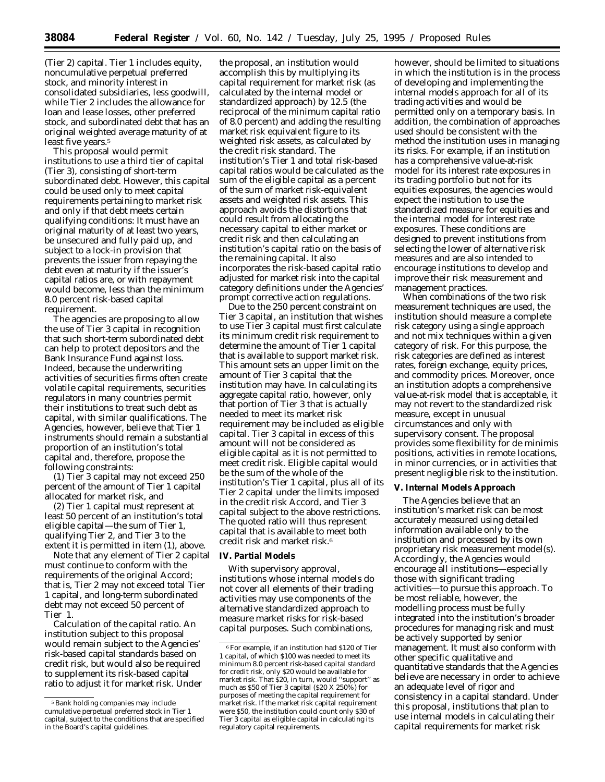**38084 Federal Register** / Vol. 60, No. 142 / Tuesday, July 25, 1995 / Proposed Rules

(Tier 2) capital. Tier 1 includes equity, noncumulative perpetual preferred stock, and minority interest in consolidated subsidiaries, less goodwill, while Tier 2 includes the allowance for loan and lease losses, other preferred stock, and subordinated debt that has an original weighted average maturity of at least five years.<sup>5</sup>

This proposal would permit institutions to use a third tier of capital (Tier 3), consisting of short-term subordinated debt. However, this capital could be used only to meet capital requirements pertaining to *market risk* and only if that debt meets certain qualifying conditions: It must have an original maturity of at least two years, be unsecured and fully paid up, and subject to a lock-in provision that prevents the issuer from repaying the debt even at maturity if the issuer's capital ratios are, or with repayment would become, less than the minimum 8.0 percent risk-based capital requirement.

The agencies are proposing to allow the use of Tier 3 capital in recognition that such short-term subordinated debt can help to protect depositors and the Bank Insurance Fund against loss. Indeed, because the underwriting activities of securities firms often create volatile capital requirements, securities regulators in many countries permit their institutions to treat such debt as capital, with similar qualifications. The Agencies, however, believe that Tier 1 instruments should remain a substantial proportion of an institution's total capital and, therefore, propose the following constraints:

(1) Tier 3 capital may not exceed 250 percent of the amount of Tier 1 capital allocated for market risk, and

(2) Tier 1 capital must represent at least 50 percent of an institution's total eligible capital—the sum of Tier 1, qualifying Tier 2, and Tier 3 to the extent it is permitted in item (1), above.

Note that any element of Tier 2 capital must continue to conform with the requirements of the original Accord; that is, Tier 2 may not exceed total Tier 1 capital, and long-term subordinated debt may not exceed 50 percent of Tier 1.

*Calculation of the capital ratio.* An institution subject to this proposal would remain subject to the Agencies' risk-based capital standards based on credit risk, but would also be required to supplement its risk-based capital ratio to adjust it for market risk. Under

the proposal, an institution would accomplish this by multiplying its capital requirement for market risk (as calculated by the internal model or standardized approach) by 12.5 (the reciprocal of the minimum capital ratio of 8.0 percent) and adding the resulting market risk equivalent figure to its weighted risk assets, as calculated by the credit risk standard. The institution's Tier 1 and total risk-based capital ratios would be calculated as the sum of the eligible capital as a percent of the sum of market risk-equivalent assets and weighted risk assets. This approach avoids the distortions that could result from allocating the necessary capital to either market or credit risk and then calculating an institution's capital ratio on the basis of the remaining capital. It also incorporates the risk-based capital ratio adjusted for market risk into the capital category definitions under the Agencies' prompt corrective action regulations.

Due to the 250 percent constraint on Tier 3 capital, an institution that wishes to use Tier 3 capital must first calculate its minimum credit risk requirement to determine the amount of Tier 1 capital that is available to support market risk. This amount sets an upper limit on the amount of Tier 3 capital that the institution may have. In calculating its aggregate capital ratio, however, only that portion of Tier 3 that is actually needed to meet its market risk requirement may be included as eligible capital. Tier 3 capital in excess of this amount will not be considered as eligible capital as it is not permitted to meet credit risk. Eligible capital would be the sum of the whole of the institution's Tier 1 capital, plus all of its Tier 2 capital under the limits imposed in the credit risk Accord, and Tier 3 capital subject to the above restrictions. The quoted ratio will thus represent capital that is available to meet both credit risk and market risk.6

# **IV. Partial Models**

With supervisory approval, institutions whose internal models do not cover all elements of their trading activities may use components of the alternative standardized approach to measure market risks for risk-based capital purposes. Such combinations,

however, should be limited to situations in which the institution is in the process of developing and implementing the internal models approach for all of its trading activities and would be permitted only on a temporary basis. In addition, the combination of approaches used should be consistent with the method the institution uses in managing its risks. For example, if an institution has a comprehensive value-at-risk model for its interest rate exposures in its trading portfolio but not for its equities exposures, the agencies would expect the institution to use the standardized measure for equities and the internal model for interest rate exposures. These conditions are designed to prevent institutions from selecting the lower of alternative risk measures and are also intended to encourage institutions to develop and improve their risk measurement and management practices.

When combinations of the two risk measurement techniques are used, the institution should measure a complete risk category using a single approach and not mix techniques within a given category of risk. For this purpose, the risk categories are defined as interest rates, foreign exchange, equity prices, and commodity prices. Moreover, once an institution adopts a comprehensive value-at-risk model that is acceptable, it may not revert to the standardized risk measure, except in unusual circumstances and only with supervisory consent. The proposal provides some flexibility for *de minimis* positions, activities in remote locations, in minor currencies, or in activities that present negligible risk to the institution.

#### **V. Internal Models Approach**

The Agencies believe that an institution's market risk can be most accurately measured using detailed information available only to the institution and processed by its own proprietary risk measurement model(s). Accordingly, the Agencies would encourage all institutions—especially those with significant trading activities—to pursue this approach. To be most reliable, however, the modelling process must be fully integrated into the institution's broader procedures for managing risk and must be actively supported by senior management. It must also conform with other specific qualitative and quantitative standards that the Agencies believe are necessary in order to achieve an adequate level of rigor and consistency in a capital standard. Under this proposal, institutions that plan to use internal models in calculating their capital requirements for market risk

<sup>5</sup>Bank holding companies may include cumulative perpetual preferred stock in Tier 1 capital, subject to the conditions that are specified in the Board's capital guidelines.

 $^6\rm{For}$  example, if an institution had  $\$120$  of Tier 1 capital, of which \$100 was needed to meet its minimum 8.0 percent risk-based capital standard for credit risk, only \$20 would be available for market risk. That \$20, in turn, would ''support'' as much as \$50 of Tier 3 capital (\$20 X 250%) for purposes of meeting the capital requirement for market risk. If the market risk capital requirement were \$50, the institution could count only \$30 of Tier 3 capital as eligible capital in calculating its regulatory capital requirements.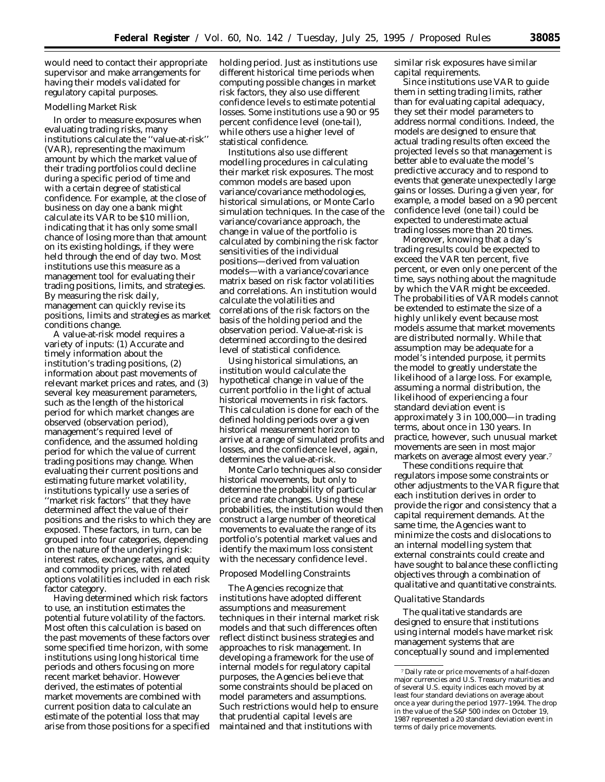would need to contact their appropriate supervisor and make arrangements for having their models validated for regulatory capital purposes.

#### *Modelling Market Risk*

In order to measure exposures when evaluating trading risks, many institutions calculate the ''value-at-risk'' (VAR), representing the maximum amount by which the market value of their trading portfolios could decline during a specific period of time and with a certain degree of statistical confidence. For example, at the close of business on day one a bank might calculate its VAR to be \$10 million, indicating that it has only some small chance of losing more than that amount on its existing holdings, if they were held through the end of day two. Most institutions use this measure as a management tool for evaluating their trading positions, limits, and strategies. By measuring the risk daily, management can quickly revise its positions, limits and strategies as market conditions change.

A value-at-risk model requires a variety of inputs: (1) Accurate and timely information about the institution's trading positions, (2) information about past movements of relevant market prices and rates, and (3) several key measurement parameters, such as the length of the historical period for which market changes are observed (observation period), management's required level of confidence, and the assumed holding period for which the value of current trading positions may change. When evaluating their current positions and estimating future market volatility, institutions typically use a series of ''market risk factors'' that they have determined affect the value of their positions and the risks to which they are exposed. These factors, in turn, can be grouped into four categories, depending on the nature of the underlying risk: interest rates, exchange rates, and equity and commodity prices, with related options volatilities included in each risk factor category.

Having determined which risk factors to use, an institution estimates the potential future volatility of the factors. Most often this calculation is based on the past movements of these factors over some specified time horizon, with some institutions using long historical time periods and others focusing on more recent market behavior. However derived, the estimates of potential market movements are combined with current position data to calculate an estimate of the potential loss that may arise from those positions for a specified

holding period. Just as institutions use different historical time periods when computing possible changes in market risk factors, they also use different confidence levels to estimate potential losses. Some institutions use a 90 or 95 percent confidence level (one-tail), while others use a higher level of statistical confidence.

Institutions also use different modelling procedures in calculating their market risk exposures. The most common models are based upon variance/covariance methodologies, historical simulations, or Monte Carlo simulation techniques. In the case of the variance/covariance approach, the change in value of the portfolio is calculated by combining the risk factor sensitivities of the individual positions—derived from valuation models—with a variance/covariance matrix based on risk factor volatilities and correlations. An institution would calculate the volatilities and correlations of the risk factors on the basis of the holding period and the observation period. Value-at-risk is determined according to the desired level of statistical confidence.

Using historical simulations, an institution would calculate the hypothetical change in value of the current portfolio in the light of actual historical movements in risk factors. This calculation is done for each of the defined holding periods over a given historical measurement horizon to arrive at a range of simulated profits and losses, and the confidence level, again, determines the value-at-risk.

Monte Carlo techniques also consider historical movements, but only to determine the probability of particular price and rate changes. Using these probabilities, the institution would then construct a large number of theoretical movements to evaluate the range of its portfolio's potential market values and identify the maximum loss consistent with the necessary confidence level.

# *Proposed Modelling Constraints*

The Agencies recognize that institutions have adopted different assumptions and measurement techniques in their internal market risk models and that such differences often reflect distinct business strategies and approaches to risk management. In developing a framework for the use of internal models for regulatory capital purposes, the Agencies believe that some constraints should be placed on model parameters and assumptions. Such restrictions would help to ensure that prudential capital levels are maintained and that institutions with

similar risk exposures have similar capital requirements.

Since institutions use VAR to guide them in setting trading limits, rather than for evaluating capital adequacy, they set their model parameters to address normal conditions. Indeed, the models are designed to ensure that actual trading results often exceed the projected levels so that management is better able to evaluate the model's predictive accuracy and to respond to events that generate unexpectedly large gains or losses. During a given year, for example, a model based on a 90 percent confidence level (one tail) could be expected to underestimate actual trading losses more than 20 times.

Moreover, knowing that a day's trading results could be expected to exceed the VAR ten percent, five percent, or even only one percent of the time, says nothing about the *magnitude* by which the VAR might be exceeded. The probabilities of VAR models cannot be extended to estimate the size of a highly unlikely event because most models assume that market movements are distributed normally. While that assumption may be adequate for a model's intended purpose, it permits the model to greatly understate the likelihood of a large loss. For example, assuming a normal distribution, the likelihood of experiencing a four standard deviation event is approximately 3 in 100,000—in trading terms, about once in 130 years. In practice, however, such unusual market movements are seen in most major markets on average almost every year.7

These conditions require that regulators impose some constraints or other adjustments to the VAR figure that each institution derives in order to provide the rigor and consistency that a capital requirement demands. At the same time, the Agencies want to minimize the costs and dislocations to an internal modelling system that external constraints could create and have sought to balance these conflicting objectives through a combination of qualitative and quantitative constraints.

#### *Qualitative Standards*

The qualitative standards are designed to ensure that institutions using internal models have market risk management systems that are conceptually sound and implemented

<sup>7</sup> Daily rate or price movements of a half-dozen major currencies and U.S. Treasury maturities and of several U.S. equity indices each moved by at least four standard deviations on average about once a year during the period 1977–1994. The drop in the value of the S&P 500 index on October 19, 1987 represented a 20 standard deviation event in terms of daily price movements.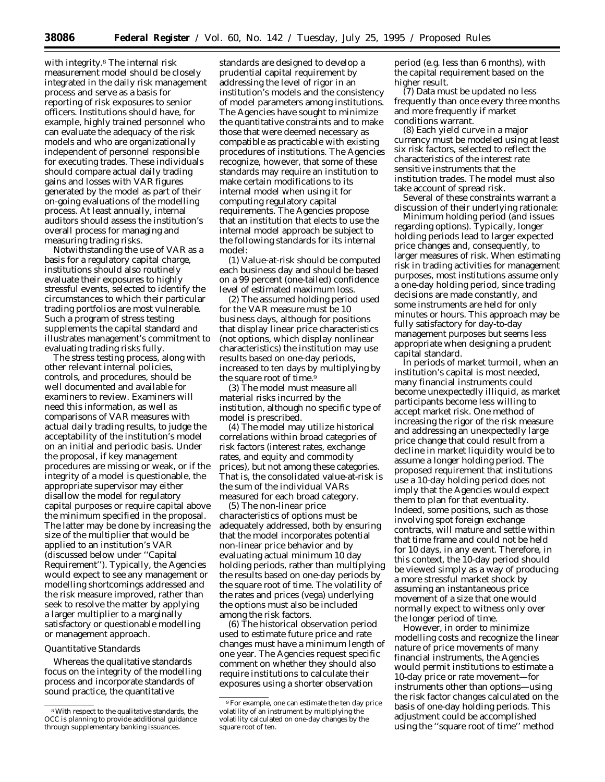with integrity.8 The internal risk measurement model should be closely integrated in the daily risk management process and serve as a basis for reporting of risk exposures to senior officers. Institutions should have, for example, highly trained personnel who can evaluate the adequacy of the risk models and who are organizationally independent of personnel responsible for executing trades. These individuals should compare actual daily trading gains and losses with VAR figures generated by the model as part of their on-going evaluations of the modelling process. At least annually, internal auditors should assess the institution's overall process for managing and measuring trading risks.

Notwithstanding the use of VAR as a basis for a regulatory capital charge, institutions should also routinely evaluate their exposures to highly stressful events, selected to identify the circumstances to which their particular trading portfolios are most vulnerable. Such a program of stress testing supplements the capital standard and illustrates management's commitment to evaluating trading risks fully.

The stress testing process, along with other relevant internal policies, controls, and procedures, should be well documented and available for examiners to review. Examiners will need this information, as well as comparisons of VAR measures with actual daily trading results, to judge the acceptability of the institution's model on an initial and periodic basis. Under the proposal, if key management procedures are missing or weak, or if the integrity of a model is questionable, the appropriate supervisor may either disallow the model for regulatory capital purposes or require capital above the minimum specified in the proposal. The latter may be done by increasing the size of the multiplier that would be applied to an institution's VAR (discussed below under ''Capital Requirement''). Typically, the Agencies would expect to see any management or modelling shortcomings addressed and the risk measure improved, rather than seek to resolve the matter by applying a larger multiplier to a marginally satisfactory or questionable modelling or management approach.

#### *Quantitative Standards*

Whereas the qualitative standards focus on the integrity of the modelling process and incorporate standards of sound practice, the quantitative

standards are designed to develop a prudential capital requirement by addressing the level of rigor in an institution's models and the consistency of model parameters among institutions. The Agencies have sought to minimize the quantitative constraints and to make those that were deemed necessary as compatible as practicable with existing procedures of institutions. The Agencies recognize, however, that some of these standards may require an institution to make certain modifications to its internal model when using it for computing regulatory capital requirements. The Agencies propose that an institution that elects to use the internal model approach be subject to the following standards for its internal model:

(1) *Value-at-risk* should be computed each business day and should be based on a 99 percent (one-tailed) *confidence level* of estimated maximum loss.

(2) The assumed *holding period* used for the VAR measure must be 10 business days, although for positions that display linear price characteristics (not options, which display nonlinear characteristics) the institution may use results based on one-day periods, increased to ten days by multiplying by the square root of time.<sup>9</sup>

(3) The model must measure *all material risks* incurred by the institution, although no specific type of model is prescribed.

(4) The model may utilize historical *correlations* within broad categories of risk factors (interest rates, exchange rates, and equity and commodity prices), but not among these categories. That is, the consolidated value-at-risk is the sum of the individual VARs measured for each broad category.

(5) The *non-linear price characteristics* of options must be adequately addressed, both by ensuring that the model incorporates potential non-linear price behavior and by evaluating actual minimum 10 day holding periods, rather than multiplying the results based on one-day periods by the square root of time. The volatility of the rates and prices (vega) underlying the options must also be included among the risk factors.

(6) The *historical observation period* used to estimate future price and rate changes must have a minimum length of one year. The Agencies request specific comment on whether they should also require institutions to calculate their exposures using a shorter observation

period (e.g. less than 6 months), with the capital requirement based on the higher result.

(7) Data must be *updated* no less frequently than once every three months and more frequently if market conditions warrant.

(8) Each yield curve in a major currency must be modeled using at *least six risk factors,* selected to reflect the characteristics of the interest rate sensitive instruments that the institution trades. The model must also take account of spread risk.

Several of these constraints warrant a discussion of their underlying rationale:

*Minimum holding period (and issues regarding options*). Typically, longer holding periods lead to larger expected price changes and, consequently, to larger measures of risk. When estimating risk in trading activities for management purposes, most institutions assume only a one-day holding period, since trading decisions are made constantly, and some instruments are held for only minutes or hours. This approach may be fully satisfactory for day-to-day management purposes but seems less appropriate when designing a prudent capital standard.

In periods of market turmoil, when an institution's capital is most needed, many financial instruments could become unexpectedly illiquid, as market participants become less willing to accept market risk. One method of increasing the rigor of the risk measure and addressing an unexpectedly large price change that could result from a decline in market liquidity would be to assume a longer holding period. The proposed requirement that institutions use a 10-day holding period does not imply that the Agencies would expect them to plan for that eventuality. Indeed, some positions, such as those involving spot foreign exchange contracts, will mature and settle within that time frame and could not be held for 10 days, in any event. Therefore, in this context, the 10-day period should be viewed simply as a way of producing a more stressful market shock by assuming an *instantaneous* price movement of a size that one would normally expect to witness only over the longer period of time.

However, in order to minimize modelling costs and recognize the linear nature of price movements of many financial instruments, the Agencies would permit institutions to estimate a 10-day price or rate movement—for instruments other than options—using the risk factor changes calculated on the basis of one-day holding periods. This adjustment could be accomplished using the ''square root of time'' method

<sup>8</sup>With respect to the qualitative standards, the OCC is planning to provide additional guidance through supplementary banking issuances.

<sup>9</sup>For example, one can estimate the ten day price volatility of an instrument by multiplying the volatility calculated on one-day changes by the square root of ten.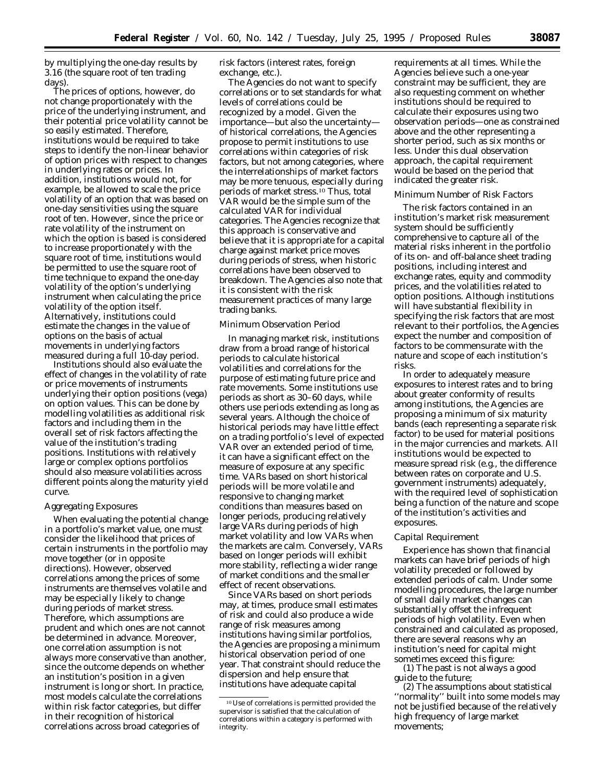by multiplying the one-day results by 3.16 (the square root of ten trading days).

The prices of options, however, do not change proportionately with the price of the underlying instrument, and their potential price volatility cannot be so easily estimated. Therefore, institutions would be required to take steps to identify the non-linear behavior of option prices with respect to changes in underlying rates or prices. In addition, institutions would not, for example, be allowed to scale the price volatility of an option that was based on one-day sensitivities using the square root of ten. However, since the price or rate volatility of the instrument on which the option is based is considered to increase proportionately with the square root of time, institutions would be permitted to use the square root of time technique to expand the one-day volatility of the option's underlying instrument when calculating the price volatility of the option itself. Alternatively, institutions could estimate the changes in the value of options on the basis of actual movements in underlying factors measured during a full 10-day period.

Institutions should also evaluate the effect of changes in the volatility of rate or price movements of instruments underlying their option positions (*vega*) on option values. This can be done by modelling volatilities as additional risk factors and including them in the overall set of risk factors affecting the value of the institution's trading positions. Institutions with relatively large or complex options portfolios should also measure volatilities across different points along the maturity yield curve.

#### *Aggregating Exposures*

When evaluating the potential change in a portfolio's market value, one must consider the likelihood that prices of certain instruments in the portfolio may move together (or in opposite directions). However, observed correlations among the prices of some instruments are themselves volatile and may be especially likely to change during periods of market stress. Therefore, which assumptions are prudent and which ones are not cannot be determined in advance. Moreover, one correlation assumption is not always more conservative than another, since the outcome depends on whether an institution's position in a given instrument is long or short. In practice, most models calculate the correlations within risk factor categories, but differ in their recognition of historical correlations across broad categories of

risk factors (interest rates, foreign exchange, etc.).

The Agencies do not want to specify correlations or to set standards for what levels of correlations could be recognized by a model. Given the importance—but also the uncertainty of historical correlations, the Agencies propose to permit institutions to use correlations within categories of risk factors, but not among categories, where the interrelationships of market factors may be more tenuous, especially during periods of market stress.10 Thus, total VAR would be the simple sum of the calculated VAR for individual categories. The Agencies recognize that this approach is conservative and believe that it is appropriate for a capital charge against market price moves during periods of stress, when historic correlations have been observed to breakdown. The Agencies also note that it is consistent with the risk measurement practices of many large trading banks.

#### *Minimum Observation Period*

In managing market risk, institutions draw from a broad range of historical periods to calculate historical volatilities and correlations for the purpose of estimating future price and rate movements. Some institutions use periods as short as 30–60 days, while others use periods extending as long as several years. Although the choice of historical periods may have little effect on a trading portfolio's level of expected VAR over an extended period of time, it can have a significant effect on the measure of exposure at any specific time. VARs based on short historical periods will be more volatile and responsive to changing market conditions than measures based on longer periods, producing relatively large VARs during periods of high market volatility and low VARs when the markets are calm. Conversely, VARs based on longer periods will exhibit more stability, reflecting a wider range of market conditions and the smaller effect of recent observations.

Since VARs based on short periods may, at times, produce small estimates of risk and could also produce a wide range of risk measures among institutions having similar portfolios, the Agencies are proposing a minimum historical observation period of one year. That constraint should reduce the dispersion and help ensure that institutions have adequate capital

requirements at all times. While the Agencies believe such a one-year constraint may be sufficient, they are also requesting comment on whether institutions should be required to calculate their exposures using two observation periods—one as constrained above and the other representing a shorter period, such as six months or less. Under this dual observation approach, the capital requirement would be based on the period that indicated the greater risk.

# *Minimum Number of Risk Factors*

The risk factors contained in an institution's market risk measurement system should be sufficiently comprehensive to capture all of the material risks inherent in the portfolio of its on- and off-balance sheet trading positions, including interest and exchange rates, equity and commodity prices, and the volatilities related to option positions. Although institutions will have substantial flexibility in specifying the risk factors that are most relevant to their portfolios, the Agencies expect the number and composition of factors to be commensurate with the nature and scope of each institution's risks.

In order to adequately measure exposures to interest rates and to bring about greater conformity of results among institutions, the Agencies are proposing a minimum of six maturity bands (each representing a separate risk factor) to be used for material positions in the major currencies and markets. All institutions would be expected to measure spread risk (e.g., the difference between rates on corporate and U.S. government instruments) adequately, with the required level of sophistication being a function of the nature and scope of the institution's activities and exposures.

#### *Capital Requirement*

Experience has shown that financial markets can have brief periods of high volatility preceded or followed by extended periods of calm. Under some modelling procedures, the large number of small daily market changes can substantially offset the infrequent periods of high volatility. Even when constrained and calculated as proposed, there are several reasons why an institution's need for capital might sometimes exceed this figure:

(1) The past is not always a good guide to the future;

(2) The assumptions about statistical ''normality'' built into some models may not be justified because of the relatively high frequency of large market movements;

<sup>10</sup>Use of correlations is permitted provided the supervisor is satisfied that the calculation of correlations within a category is performed with integrity.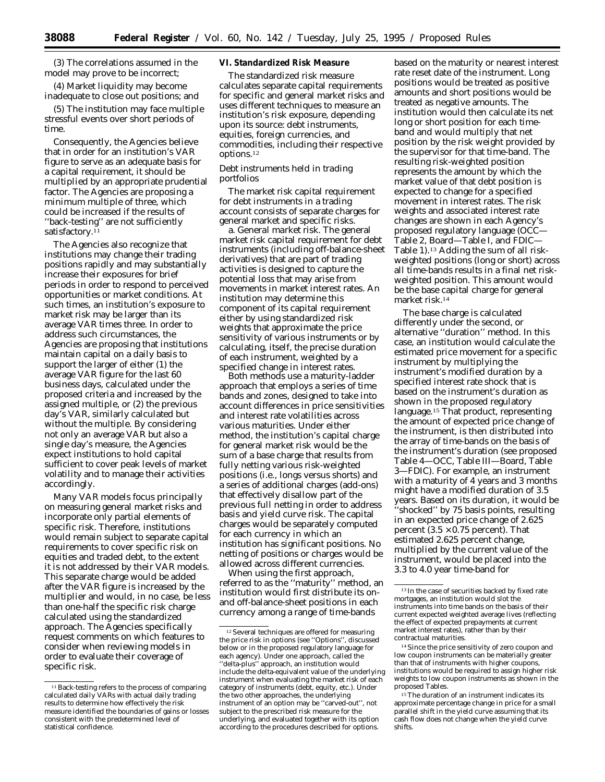(3) The correlations assumed in the model may prove to be incorrect;

(4) Market liquidity may become inadequate to close out positions; and

(5) The institution may face multiple stressful events over short periods of time.

Consequently, the Agencies believe that in order for an institution's VAR figure to serve as an adequate basis for a capital requirement, it should be multiplied by an appropriate prudential factor. The Agencies are proposing a minimum multiple of three, which could be increased if the results of ''back-testing'' are not sufficiently satisfactory.<sup>11</sup>

The Agencies also recognize that institutions may change their trading positions rapidly and may substantially increase their exposures for brief periods in order to respond to perceived opportunities or market conditions. At such times, an institution's exposure to market risk may be larger than its average VAR times three. In order to address such circumstances, the Agencies are proposing that institutions maintain capital on a daily basis to support the larger of either (1) the average VAR figure for the last 60 business days, calculated under the proposed criteria and increased by the assigned multiple, or (2) the previous day's VAR, similarly calculated but without the multiple. By considering not only an average VAR but also a single day's measure, the Agencies expect institutions to hold capital sufficient to cover peak levels of market volatility and to manage their activities accordingly.

Many VAR models focus principally on measuring general market risks and incorporate only partial elements of specific risk. Therefore, institutions would remain subject to separate capital requirements to cover specific risk on equities and traded debt, to the extent it is not addressed by their VAR models. This separate charge would be added after the VAR figure is increased by the multiplier and would, in no case, be less than one-half the specific risk charge calculated using the standardized approach. The Agencies specifically request comments on which features to consider when reviewing models in order to evaluate their coverage of specific risk.

# **VI. Standardized Risk Measure**

The standardized risk measure calculates separate capital requirements for specific and general market risks and uses different techniques to measure an institution's risk exposure, depending upon its source: debt instruments, equities, foreign currencies, and commodities, including their respective options.12

# *Debt instruments held in trading portfolios*

The market risk capital requirement for debt instruments in a trading account consists of separate charges for general market and specific risks.

a. *General market risk.* The general market risk capital requirement for debt instruments (including off-balance-sheet derivatives) that are part of trading activities is designed to capture the potential loss that may arise from movements in market interest rates. An institution may determine this component of its capital requirement either by using standardized risk weights that approximate the price sensitivity of various instruments or by calculating, itself, the precise duration of each instrument, weighted by a specified change in interest rates.

Both methods use a maturity-ladder approach that employs a series of time bands and zones, designed to take into account differences in price sensitivities and interest rate volatilities across various maturities. Under either method, the institution's capital charge for general market risk would be the sum of a base charge that results from fully netting various risk-weighted positions (i.e., longs versus shorts) and a series of additional charges (add-ons) that effectively disallow part of the previous full netting in order to address basis and yield curve risk. The capital charges would be separately computed for each currency in which an institution has significant positions. No netting of positions or charges would be allowed across different currencies.

When using the first approach, referred to as the ''maturity'' method, an institution would first distribute its onand off-balance-sheet positions in each currency among a range of time-bands

based on the maturity or nearest interest rate reset date of the instrument. Long positions would be treated as positive amounts and short positions would be treated as negative amounts. The institution would then calculate its net long or short position for each timeband and would multiply that net position by the risk weight provided by the supervisor for that time-band. The resulting risk-weighted position represents the amount by which the market value of that debt position is expected to change for a specified movement in interest rates. The risk weights and associated interest rate changes are shown in each Agency's proposed regulatory language (OCC— Table 2, Board—Table I, and FDIC— Table 1).13 Adding the sum of all riskweighted positions (long or short) across all time-bands results in a final net riskweighted position. This amount would be the base capital charge for general market risk.14

The base charge is calculated differently under the second, or alternative ''duration'' method. In this case, an institution would calculate the estimated price movement for a specific instrument by multiplying the instrument's modified duration by a specified interest rate shock that is based on the instrument's duration as shown in the proposed regulatory language.15 That product, representing the amount of expected price change of the instrument, is then distributed into the array of time-bands on the basis of the instrument's duration (see proposed Table 4—OCC, Table III—Board, Table 3—FDIC). For example, an instrument with a maturity of 4 years and 3 months might have a modified duration of 3.5 years. Based on its duration, it would be ''shocked'' by 75 basis points, resulting in an expected price change of 2.625 percent  $(3.5 \times 0.75$  percent). That estimated 2.625 percent change, multiplied by the current value of the instrument, would be placed into the 3.3 to 4.0 year time-band for

<sup>&</sup>lt;sup>11</sup> Back-testing refers to the process of comparing calculated daily VARs with actual daily trading results to determine how effectively the risk measure identified the boundaries of gains or losses consistent with the predetermined level of statistical confidence.

<sup>12</sup>Several techniques are offered for measuring the price risk in options (see ''Options'', discussed below or in the proposed regulatory language for each agency). Under one approach, called the ''delta-plus'' approach, an institution would include the delta-equivalent value of the underlying instrument when evaluating the market risk of each category of instruments (debt, equity, etc.). Under the two other approaches, the underlying instrument of an option may be ''carved-out'', not subject to the prescribed risk measure for the underlying, and evaluated together with its option according to the procedures described for options.

 $^{\rm 13}$  In the case of securities backed by fixed rate mortgages, an institution would slot the instruments into time bands on the basis of their current expected weighted average lives (reflecting the effect of expected prepayments at current market interest rates), rather than by their contractual maturities.

<sup>14</sup>Since the price sensitivity of zero coupon and low coupon instruments can be materially greater than that of instruments with higher coupons, institutions would be required to assign higher risk weights to low coupon instruments as shown in the proposed Tables.

 $^{15}\mathrm{The}$  duration of an instrument indicates its approximate percentage change in price for a small parallel shift in the yield curve assuming that its cash flow does not change when the yield curve shifts.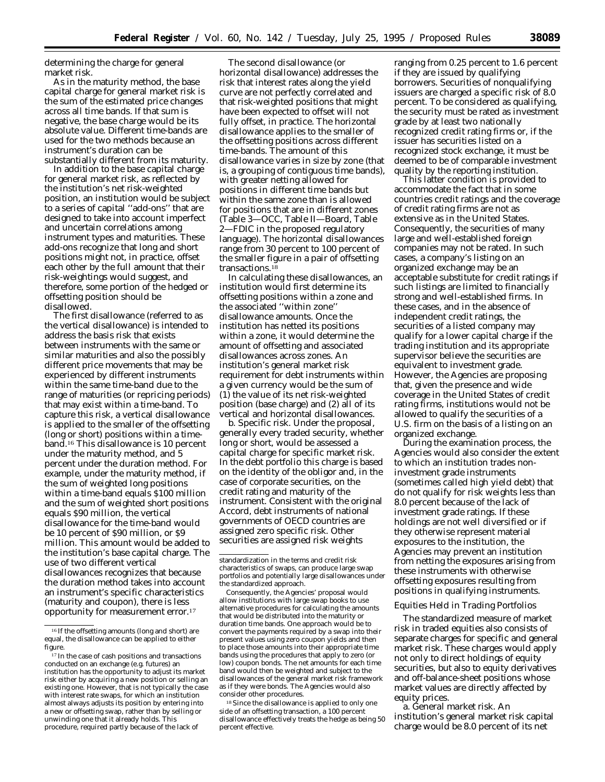determining the charge for general market risk.

As in the maturity method, the base capital charge for general market risk is the sum of the estimated price changes across all time bands. If that sum is negative, the base charge would be its absolute value. Different time-bands are used for the two methods because an instrument's duration can be substantially different from its maturity.

In addition to the base capital charge for general market risk, as reflected by the institution's net risk-weighted position, an institution would be subject to a series of capital ''add-ons'' that are designed to take into account imperfect and uncertain correlations among instrument types and maturities. These add-ons recognize that long and short positions might not, in practice, offset each other by the full amount that their risk-weightings would suggest, and therefore, some portion of the hedged or offsetting position should be disallowed.

The first disallowance (referred to as the vertical disallowance) is intended to address the basis risk that exists between instruments with the same or similar maturities and also the possibly different price movements that may be experienced by different instruments within the same time-band due to the range of maturities (or repricing periods) that may exist within a time-band. To capture this risk, a vertical disallowance is applied to the smaller of the offsetting (long or short) positions within a timeband.16 This disallowance is 10 percent under the maturity method, and 5 percent under the duration method. For example, under the maturity method, if the sum of weighted long positions within a time-band equals \$100 million and the sum of weighted short positions equals \$90 million, the vertical disallowance for the time-band would be 10 percent of \$90 million, or \$9 million. This amount would be added to the institution's base capital charge. The use of two different vertical disallowances recognizes that because the duration method takes into account an instrument's specific characteristics (maturity and coupon), there is less opportunity for measurement error.17

The second disallowance (or horizontal disallowance) addresses the risk that interest rates along the yield curve are not perfectly correlated and that risk-weighted positions that might have been expected to offset will not fully offset, in practice. The horizontal disallowance applies to the smaller of the offsetting positions across different time-bands. The amount of this disallowance varies in size by zone (that is, a grouping of contiguous time bands), with greater netting allowed for positions in different time bands but within the same zone than is allowed for positions that are in different zones (Table 3—OCC, Table II—Board, Table 2—FDIC in the proposed regulatory language). The horizontal disallowances range from 30 percent to 100 percent of the smaller figure in a pair of offsetting transactions.18

In calculating these disallowances, an institution would first determine its offsetting positions within a zone and the associated ''within zone'' disallowance amounts. Once the institution has netted its positions within a zone, it would determine the amount of offsetting and associated disallowances across zones. An institution's general market risk requirement for debt instruments within a given currency would be the sum of (1) the value of its net risk-weighted position (base charge) and (2) all of its vertical and horizontal disallowances.

b. *Specific risk.* Under the proposal, generally every traded security, whether long or short, would be assessed a capital charge for specific market risk. In the debt portfolio this charge is based on the identity of the obligor and, in the case of corporate securities, on the credit rating and maturity of the instrument. Consistent with the original Accord, debt instruments of national governments of OECD countries are assigned zero specific risk. Other securities are assigned risk weights

Consequently, the Agencies' proposal would allow institutions with large swap books to use alternative procedures for calculating the amounts that would be distributed into the maturity or duration time bands. One approach would be to convert the payments required by a swap into their present values using zero coupon yields and then to place those amounts into their appropriate time bands using the procedures that apply to zero (or low) coupon bonds. The net amounts for each time band would then be weighted and subject to the disallowances of the general market risk framework as if they were bonds. The Agencies would also consider other procedures.

<sup>18</sup> Since the disallowance is applied to only one side of an offsetting transaction, a 100 percent disallowance effectively treats the hedge as being 50 percent effective.

ranging from 0.25 percent to 1.6 percent if they are issued by *qualifying* borrowers. Securities of nonqualifying issuers are charged a specific risk of 8.0 percent. To be considered as qualifying, the security must be rated as investment grade by at least two nationally recognized credit rating firms or, if the issuer has securities listed on a recognized stock exchange, it must be deemed to be of comparable investment quality by the reporting institution.

This latter condition is provided to accommodate the fact that in some countries credit ratings and the coverage of credit rating firms are not as extensive as in the United States. Consequently, the securities of many large and well-established foreign companies may not be rated. In such cases, a company's listing on an organized exchange may be an acceptable substitute for credit ratings if such listings are limited to financially strong and well-established firms. In these cases, and in the absence of independent credit ratings, the securities of a listed company may qualify for a lower capital charge if the trading institution and its appropriate supervisor believe the securities are equivalent to investment grade. However, the Agencies are proposing that, given the presence and wide coverage in the United States of credit rating firms, institutions would not be allowed to qualify the securities of a U.S. firm on the basis of a listing on an organized exchange.

During the examination process, the Agencies would also consider the extent to which an institution trades noninvestment grade instruments (sometimes called high yield debt) that do not qualify for risk weights less than 8.0 percent because of the lack of investment grade ratings. If these holdings are not well diversified or if they otherwise represent material exposures to the institution, the Agencies may prevent an institution from netting the exposures arising from these instruments with otherwise offsetting exposures resulting from positions in qualifying instruments.

#### *Equities Held in Trading Portfolios*

The standardized measure of market risk in traded equities also consists of separate charges for specific and general market risk. These charges would apply not only to direct holdings of equity securities, but also to equity derivatives and off-balance-sheet positions whose market values are directly affected by equity prices.

a. *General market risk.* An institution's general market risk capital charge would be 8.0 percent of its net

<sup>16</sup> If the offsetting amounts (long and short) are equal, the disallowance can be applied to either figure.

<sup>17</sup> In the case of cash positions and transactions conducted on an exchange (e.g. futures) an institution has the opportunity to adjust its market risk either by acquiring a new position or selling an existing one. However, that is not typically the case with interest rate swaps, for which an institution almost always adjusts its position by entering into a new or offsetting swap, rather than by selling or unwinding one that it already holds. This procedure, required partly because of the lack of

standardization in the terms and credit risk characteristics of swaps, can produce large swap portfolios and potentially large disallowances under the standardized approach.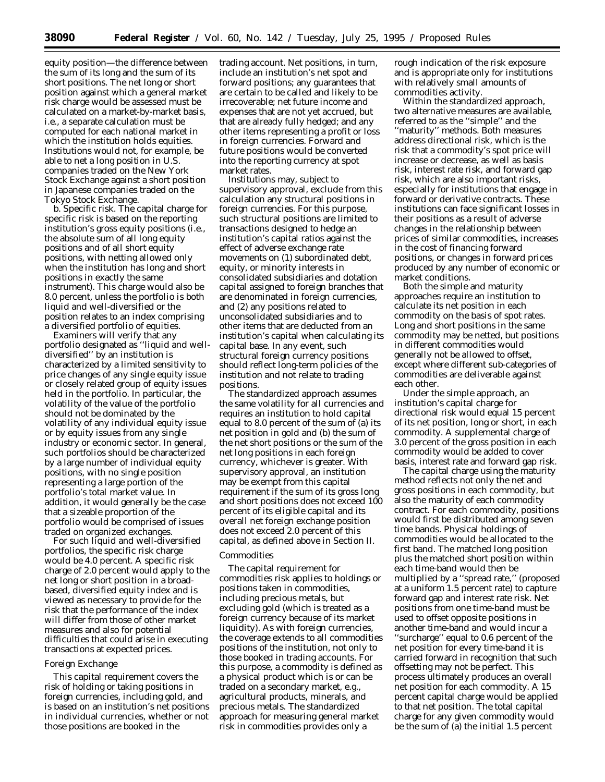equity position—the difference between the sum of its long and the sum of its short positions. The net long or short position against which a general market risk charge would be assessed must be calculated on a market-by-market basis, i.e., a separate calculation must be computed for each national market in which the institution holds equities. Institutions would not, for example, be able to net a long position in U.S. companies traded on the New York Stock Exchange against a short position in Japanese companies traded on the Tokyo Stock Exchange.

b. *Specific risk.* The capital charge for specific risk is based on the reporting institution's gross equity positions (i.e., the absolute sum of all long equity positions and of all short equity positions, with netting allowed only when the institution has long and short positions in exactly the same instrument). This charge would also be 8.0 percent, unless the portfolio is both liquid and well-diversified or the position relates to an index comprising a diversified portfolio of equities.

Examiners will verify that any portfolio designated as ''liquid and welldiversified'' by an institution is characterized by a limited sensitivity to price changes of any single equity issue or closely related group of equity issues held in the portfolio. In particular, the volatility of the value of the portfolio should not be dominated by the volatility of any individual equity issue or by equity issues from any single industry or economic sector. In general, such portfolios should be characterized by a large number of individual equity positions, with no single position representing a large portion of the portfolio's total market value. In addition, it would generally be the case that a sizeable proportion of the portfolio would be comprised of issues traded on organized exchanges.

For such liquid and well-diversified portfolios, the specific risk charge would be 4.0 percent. A specific risk charge of 2.0 percent would apply to the net long or short position in a broadbased, diversified equity index and is viewed as necessary to provide for the risk that the performance of the index will differ from those of other market measures and also for potential difficulties that could arise in executing transactions at expected prices.

#### *Foreign Exchange*

This capital requirement covers the risk of holding or taking positions in foreign currencies, including gold, and is based on an institution's net positions in individual currencies, whether or not those positions are booked in the

trading account. Net positions, in turn, include an institution's net spot and forward positions; any guarantees that are certain to be called and likely to be irrecoverable; net future income and expenses that are not yet accrued, but that are already fully hedged; and any other items representing a profit or loss in foreign currencies. Forward and future positions would be converted into the reporting currency at spot market rates.

Institutions may, subject to supervisory approval, exclude from this calculation any structural positions in foreign currencies. For this purpose, such structural positions are limited to transactions designed to hedge an institution's capital ratios against the effect of adverse exchange rate movements on (1) subordinated debt, equity, or minority interests in consolidated subsidiaries and dotation capital assigned to foreign branches that are denominated in foreign currencies, and (2) any positions related to unconsolidated subsidiaries and to other items that are deducted from an institution's capital when calculating its capital base. In any event, such structural foreign currency positions should reflect long-term policies of the institution and not relate to trading positions.

The standardized approach assumes the same volatility for all currencies and requires an institution to hold capital equal to 8.0 percent of the sum of (a) its net position in gold and (b) the sum of the net short positions or the sum of the net long positions in each foreign currency, whichever is greater. With supervisory approval, an institution may be exempt from this capital requirement if the sum of its gross long and short positions does not exceed 100 percent of its eligible capital and its overall net foreign exchange position does not exceed 2.0 percent of this capital, as defined above in Section II.

### *Commodities*

The capital requirement for commodities risk applies to holdings or positions taken in commodities, including precious metals, but excluding gold (which is treated as a foreign currency because of its market liquidity). As with foreign currencies, the coverage extends to all commodities positions of the institution, not only to those booked in trading accounts. For this purpose, a commodity is defined as a physical product which is or can be traded on a secondary market, e.g., agricultural products, minerals, and precious metals. The standardized approach for measuring general market risk in commodities provides only a

rough indication of the risk exposure and is appropriate only for institutions with relatively small amounts of commodities activity.

Within the standardized approach, two alternative measures are available, referred to as the ''simple'' and the ''maturity'' methods. Both measures address directional risk, which is the risk that a commodity's spot price will increase or decrease, as well as basis risk, interest rate risk, and forward gap risk, which are also important risks, especially for institutions that engage in forward or derivative contracts. These institutions can face significant losses in their positions as a result of adverse changes in the relationship between prices of similar commodities, increases in the cost of financing forward positions, or changes in forward prices produced by any number of economic or market conditions.

Both the simple and maturity approaches require an institution to calculate its net position in each commodity on the basis of spot rates. Long and short positions in the same commodity may be netted, but positions in different commodities would generally not be allowed to offset, except where different sub-categories of commodities are deliverable against each other.

Under the simple approach, an institution's capital charge for directional risk would equal 15 percent of its net position, long or short, in each commodity. A supplemental charge of 3.0 percent of the gross position in each commodity would be added to cover basis, interest rate and forward gap risk.

The capital charge using the maturity method reflects not only the net and gross positions in each commodity, but also the maturity of each commodity contract. For each commodity, positions would first be distributed among seven time bands. Physical holdings of commodities would be allocated to the first band. The matched long position plus the matched short position within each time-band would then be multiplied by a ''spread rate,'' (proposed at a uniform 1.5 percent rate) to capture forward gap and interest rate risk. Net positions from one time-band must be used to offset opposite positions in another time-band and would incur a ''surcharge'' equal to 0.6 percent of the net position for every time-band it is carried forward in recognition that such offsetting may not be perfect. This process ultimately produces an overall net position for each commodity. A 15 percent capital charge would be applied to that net position. The total capital charge for any given commodity would be the sum of (a) the initial 1.5 percent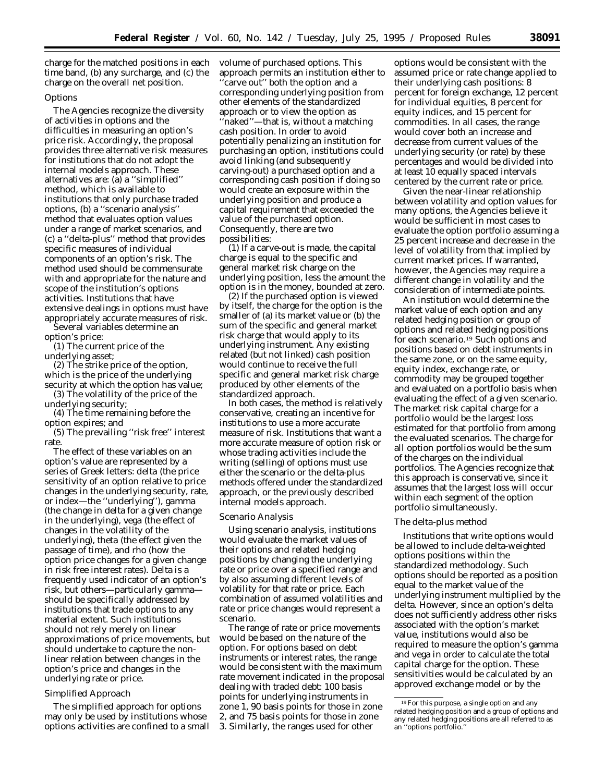charge for the matched positions in each time band, (b) any surcharge, and (c) the charge on the overall net position.

#### *Options*

The Agencies recognize the diversity of activities in options and the difficulties in measuring an option's price risk. Accordingly, the proposal provides three alternative risk measures for institutions that do not adopt the internal models approach. These alternatives are: (a) a ''simplified'' method, which is available to institutions that only purchase traded options, (b) a ''scenario analysis'' method that evaluates option values under a range of market scenarios, and (c) a ''delta-plus'' method that provides specific measures of individual components of an option's risk. The method used should be commensurate with and appropriate for the nature and scope of the institution's options activities. Institutions that have extensive dealings in options must have appropriately accurate measures of risk. Several variables determine an

option's price:

(1) The current price of the underlying asset;

(2) The strike price of the option, which is the price of the underlying security at which the option has value;

(3) The volatility of the price of the underlying security;

(4) The time remaining before the option expires; and

(5) The prevailing ''risk free'' interest rate

The effect of these variables on an option's value are represented by a series of Greek letters: *delta* (the price sensitivity of an option relative to price changes in the underlying security, rate, or index—the ''underlying''), *gamma* (the change in delta for a given change in the underlying), *vega* (the effect of changes in the volatility of the underlying), *theta* (the effect given the passage of time), and *rho* (how the option price changes for a given change in risk free interest rates). Delta is a frequently used indicator of an option's risk, but others—particularly gamma should be specifically addressed by institutions that trade options to any material extent. Such institutions should not rely merely on linear approximations of price movements, but should undertake to capture the nonlinear relation between changes in the option's price and changes in the underlying rate or price.

# *Simplified Approach*

The simplified approach for options may only be used by institutions whose options activities are confined to a small volume of purchased options. This approach permits an institution either to 'carve out'' both the option and a corresponding underlying position from other elements of the standardized approach or to view the option as ''naked''—that is, without a matching cash position. In order to avoid potentially penalizing an institution for purchasing an option, institutions could avoid linking (and subsequently carving-out) a purchased option and a corresponding cash position if doing so would create an exposure within the underlying position and produce a capital requirement that exceeded the value of the purchased option. Consequently, there are two possibilities:

(1) If a carve-out is made, the capital charge is equal to the specific and general market risk charge on the underlying position, less the amount the option is in the money, bounded at zero.

(2) If the purchased option is viewed by itself, the charge for the option is the smaller of (a) its market value or (b) the sum of the specific and general market risk charge that would apply to its underlying instrument. Any existing related (but not linked) cash position would continue to receive the full specific and general market risk charge produced by other elements of the standardized approach.

In both cases, the method is relatively conservative, creating an incentive for institutions to use a more accurate measure of risk. Institutions that want a more accurate measure of option risk or whose trading activities include the writing (selling) of options must use either the scenario or the delta-plus methods offered under the standardized approach, or the previously described internal models approach.

#### *Scenario Analysis*

Using scenario analysis, institutions would evaluate the market values of their options and related hedging positions by changing the underlying rate or price over a specified range and by also assuming different levels of volatility for that rate or price. Each combination of assumed volatilities and rate or price changes would represent a scenario.

The range of rate or price movements would be based on the nature of the option. For options based on debt instruments or interest rates, the range would be consistent with the maximum rate movement indicated in the proposal dealing with traded debt: 100 basis points for underlying instruments in zone 1, 90 basis points for those in zone 2, and 75 basis points for those in zone 3. Similarly, the ranges used for other

options would be consistent with the assumed price or rate change applied to their underlying cash positions: 8 percent for foreign exchange, 12 percent for individual equities, 8 percent for equity indices, and 15 percent for commodities. In all cases, the range would cover both an increase and decrease from current values of the underlying security (or rate) by these percentages and would be divided into at least 10 equally spaced intervals centered by the current rate or price.

Given the near-linear relationship between volatility and option values for many options, the Agencies believe it would be sufficient in most cases to evaluate the option portfolio assuming a 25 percent increase and decrease in the level of volatility from that implied by current market prices. If warranted, however, the Agencies may require a different change in volatility and the consideration of intermediate points.

An institution would determine the market value of each option and any related hedging position or group of options and related hedging positions for each scenario.19 Such options and positions based on debt instruments in the same zone, or on the same equity, equity index, exchange rate, or commodity may be grouped together and evaluated on a portfolio basis when evaluating the effect of a given scenario. The market risk capital charge for a portfolio would be the largest loss estimated for that portfolio from among the evaluated scenarios. The charge for all option portfolios would be the sum of the charges on the individual portfolios. The Agencies recognize that this approach is conservative, since it assumes that the largest loss will occur within each segment of the option portfolio simultaneously.

#### *The delta-plus method*

Institutions that write options would be allowed to include delta-weighted options positions within the standardized methodology. Such options should be reported as a position equal to the market value of the underlying instrument multiplied by the delta. However, since an option's delta does not sufficiently address other risks associated with the option's market value, institutions would also be required to measure the option's gamma and vega in order to calculate the total capital charge for the option. These sensitivities would be calculated by an approved exchange model or by the

<sup>19</sup>For this purpose, a single option and any related hedging position and a group of options and any related hedging positions are all referred to as an "options portfolio.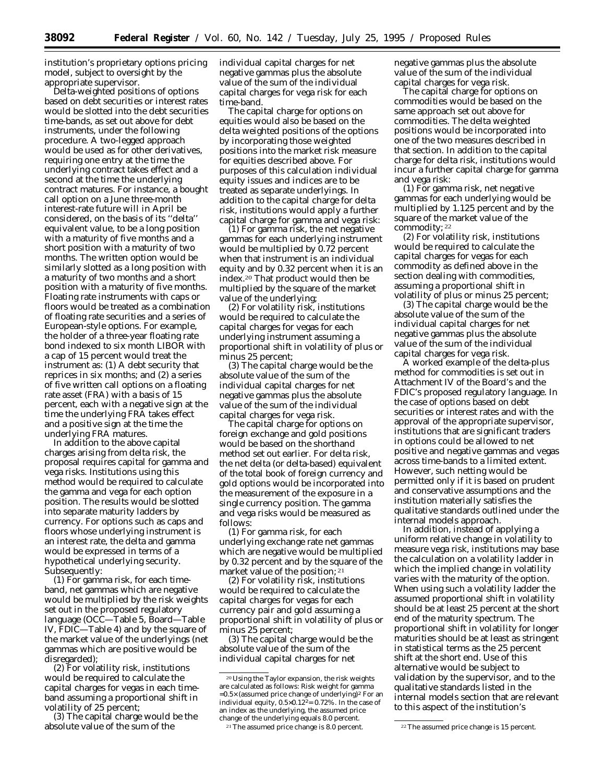institution's proprietary options pricing model, subject to oversight by the appropriate supervisor.

Delta-weighted positions of options based on debt securities or interest rates would be slotted into the debt securities time-bands, as set out above for debt instruments, under the following procedure. A two-legged approach would be used as for other derivatives, requiring one entry at the time the underlying contract takes effect and a second at the time the underlying contract matures. For instance, a bought call option on a June three-month interest-rate future will in April be considered, on the basis of its ''delta'' equivalent value, to be a long position with a maturity of five months and a short position with a maturity of two months. The written option would be similarly slotted as a long position with a maturity of two months and a short position with a maturity of five months. Floating rate instruments with caps or floors would be treated as a combination of floating rate securities and a series of European-style options. For example, the holder of a three-year floating rate bond indexed to six month LIBOR with a cap of 15 percent would treat the instrument as: (1) A debt security that reprices in six months; and (2) a series of five written call options on a floating rate asset (FRA) with a basis of 15 percent, each with a negative sign at the time the underlying FRA takes effect and a positive sign at the time the underlying FRA matures.

In addition to the above capital charges arising from delta risk, the proposal requires capital for gamma and vega risks. Institutions using this method would be required to calculate the gamma and vega for each option position. The results would be slotted into separate maturity ladders by currency. For options such as caps and floors whose underlying instrument is an interest rate, the delta and gamma would be expressed in terms of a hypothetical underlying security. Subsequently:

(1) For gamma risk, for each timeband, net gammas which are negative would be multiplied by the risk weights set out in the proposed regulatory language (OCC—Table 5, Board—Table IV, FDIC—Table 4) and by the square of the market value of the underlyings (net gammas which are positive would be disregarded);

(2) For volatility risk, institutions would be required to calculate the capital charges for vegas in each timeband assuming a proportional shift in volatility of 25 percent;

(3) The capital charge would be the absolute value of the sum of the

individual capital charges for net negative gammas plus the absolute value of the sum of the individual capital charges for vega risk for each time-band.

The capital charge for options on equities would also be based on the delta weighted positions of the options by incorporating those weighted positions into the market risk measure for equities described above. For purposes of this calculation individual equity issues and indices are to be treated as separate underlyings. In addition to the capital charge for delta risk, institutions would apply a further capital charge for gamma and vega risk:

(1) For gamma risk, the net negative gammas for each underlying instrument would be multiplied by 0.72 percent when that instrument is an individual equity and by 0.32 percent when it is an index.20 That product would then be multiplied by the square of the market value of the underlying;

(2) For volatility risk, institutions would be required to calculate the capital charges for vegas for each underlying instrument assuming a proportional shift in volatility of plus or minus 25 percent;

(3) The capital charge would be the absolute value of the sum of the individual capital charges for net negative gammas plus the absolute value of the sum of the individual capital charges for vega risk.

The capital charge for options on foreign exchange and gold positions would be based on the shorthand method set out earlier. For delta risk, the net delta (or delta-based) equivalent of the total book of foreign currency and gold options would be incorporated into the measurement of the exposure in a single currency position. The gamma and vega risks would be measured as follows:

(1) For gamma risk, for each underlying exchange rate net gammas which are negative would be multiplied by 0.32 percent and by the square of the market value of the position; 21

(2) For volatility risk, institutions would be required to calculate the capital charges for vegas for each currency pair and gold assuming a proportional shift in volatility of plus or minus 25 percent;

(3) The capital charge would be the absolute value of the sum of the individual capital charges for net

negative gammas plus the absolute value of the sum of the individual capital charges for vega risk.

The capital charge for options on commodities would be based on the same approach set out above for commodities. The delta weighted positions would be incorporated into one of the two measures described in that section. In addition to the capital charge for delta risk, institutions would incur a further capital charge for gamma and vega risk:

(1) For gamma risk, net negative gammas for each underlying would be multiplied by 1.125 percent and by the square of the market value of the commodity; 22

(2) For volatility risk, institutions would be required to calculate the capital charges for vegas for each commodity as defined above in the section dealing with commodities, assuming a proportional shift in volatility of plus or minus 25 percent;

(3) The capital charge would be the absolute value of the sum of the individual capital charges for net negative gammas plus the absolute value of the sum of the individual capital charges for vega risk.

A worked example of the delta-plus method for commodities is set out in Attachment IV of the Board's and the FDIC's proposed regulatory language. In the case of options based on debt securities or interest rates and with the approval of the appropriate supervisor, institutions that are significant traders in options could be allowed to net positive and negative gammas and vegas across time-bands to a limited extent. However, such netting would be permitted only if it is based on prudent and conservative assumptions and the institution materially satisfies the qualitative standards outlined under the internal models approach.

In addition, instead of applying a uniform relative change in volatility to measure vega risk, institutions may base the calculation on a volatility ladder in which the implied change in volatility varies with the maturity of the option. When using such a volatility ladder the assumed proportional shift in volatility should be at least 25 percent at the short end of the maturity spectrum. The proportional shift in volatility for longer maturities should be at least as stringent in statistical terms as the 25 percent shift at the short end. Use of this alternative would be subject to validation by the supervisor, and to the qualitative standards listed in the internal models section that are relevant to this aspect of the institution's

<sup>20</sup>Using the Taylor expansion, the risk weights are calculated as follows: Risk weight for gamma =0.5× (assumed price change of underlying)2 For an individual equity, 0.5×0.122= 0.72%. In the case of an index as the underlying, the assumed price change of the underlying equals 8.0 percent.

<sup>21</sup>The assumed price change is 8.0 percent. 22The assumed price change is 15 percent.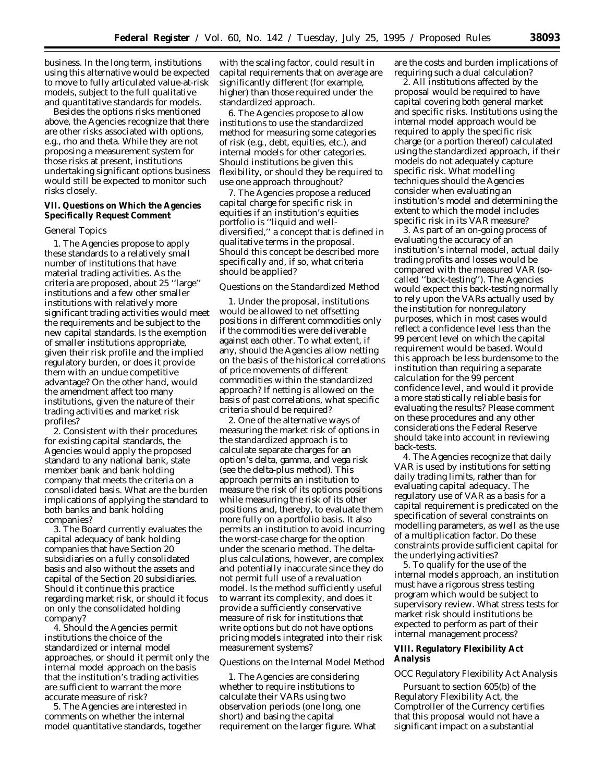business. In the long term, institutions using this alternative would be expected to move to fully articulated value-at-risk models, subject to the full qualitative and quantitative standards for models.

Besides the options risks mentioned above, the Agencies recognize that there are other risks associated with options, e.g., rho and theta. While they are not proposing a measurement system for those risks at present, institutions undertaking significant options business would still be expected to monitor such risks closely.

# **VII. Questions on Which the Agencies Specifically Request Comment**

#### *General Topics*

1. The Agencies propose to apply these standards to a relatively small number of institutions that have material trading activities. As the criteria are proposed, about 25 ''large'' institutions and a few other smaller institutions with relatively more significant trading activities would meet the requirements and be subject to the new capital standards. Is the exemption of smaller institutions appropriate, given their risk profile and the implied regulatory burden, or does it provide them with an undue competitive advantage? On the other hand, would the amendment affect too many institutions, given the nature of their trading activities and market risk profiles?

2. Consistent with their procedures for existing capital standards, the Agencies would apply the proposed standard to any national bank, state member bank and bank holding company that meets the criteria on a consolidated basis. What are the burden implications of applying the standard to both banks and bank holding companies?

3. The Board currently evaluates the capital adequacy of bank holding companies that have Section 20 subsidiaries on a fully consolidated basis and also without the assets and capital of the Section 20 subsidiaries. Should it continue this practice regarding market risk, or should it focus on only the consolidated holding company?

4. Should the Agencies permit institutions the choice of the standardized or internal model approaches, or should it permit only the internal model approach on the basis that the institution's trading activities are sufficient to warrant the more accurate measure of risk?

5. The Agencies are interested in comments on whether the internal model quantitative standards, together

with the scaling factor, could result in capital requirements that on average are significantly different (for example, higher) than those required under the standardized approach.

6. The Agencies propose to allow institutions to use the standardized method for measuring some categories of risk (e.g., debt, equities, etc.), and internal models for other categories. Should institutions be given this flexibility, or should they be required to use one approach throughout?

7. The Agencies propose a reduced capital charge for specific risk in equities if an institution's equities portfolio is ''liquid and welldiversified,'' a concept that is defined in qualitative terms in the proposal. Should this concept be described more specifically and, if so, what criteria should be applied?

#### *Questions on the Standardized Method*

1. Under the proposal, institutions would be allowed to net offsetting positions in different commodities only if the commodities were deliverable against each other. To what extent, if any, should the Agencies allow netting on the basis of the historical correlations of price movements of different commodities within the standardized approach? If netting is allowed on the basis of past correlations, what specific criteria should be required?

2. One of the alternative ways of measuring the market risk of options in the standardized approach is to calculate separate charges for an option's delta, gamma, and vega risk (see the delta-plus method). This approach permits an institution to measure the risk of its options positions while measuring the risk of its other positions and, thereby, to evaluate them more fully on a portfolio basis. It also permits an institution to avoid incurring the worst-case charge for the option under the scenario method. The deltaplus calculations, however, are complex and potentially inaccurate since they do not permit full use of a revaluation model. Is the method sufficiently useful to warrant its complexity, and does it provide a sufficiently conservative measure of risk for institutions that write options but do not have options pricing models integrated into their risk measurement systems?

#### *Questions on the Internal Model Method*

1. The Agencies are considering whether to require institutions to calculate their VARs using two observation periods (one long, one short) and basing the capital requirement on the larger figure. What are the costs and burden implications of requiring such a dual calculation?

2. All institutions affected by the proposal would be required to have capital covering both general market and specific risks. Institutions using the internal model approach would be required to apply the specific risk charge (or a portion thereof) calculated using the standardized approach, if their models do not adequately capture specific risk. What modelling techniques should the Agencies consider when evaluating an institution's model and determining the extent to which the model includes specific risk in its VAR measure?

3. As part of an on-going process of evaluating the accuracy of an institution's internal model, actual daily trading profits and losses would be compared with the measured VAR (socalled ''back-testing''). The Agencies would expect this back-testing normally to rely upon the VARs actually used by the institution for nonregulatory purposes, which in most cases would reflect a confidence level less than the 99 percent level on which the capital requirement would be based. Would this approach be less burdensome to the institution than requiring a separate calculation for the 99 percent confidence level, and would it provide a more statistically reliable basis for evaluating the results? Please comment on these procedures and any other considerations the Federal Reserve should take into account in reviewing back-tests.

4. The Agencies recognize that daily VAR is used by institutions for setting daily trading limits, rather than for evaluating capital adequacy. The regulatory use of VAR as a basis for a capital requirement is predicated on the specification of several constraints on modelling parameters, as well as the use of a multiplication factor. Do these constraints provide sufficient capital for the underlying activities?

5. To qualify for the use of the internal models approach, an institution must have a rigorous stress testing program which would be subject to supervisory review. What stress tests for market risk should institutions be expected to perform as part of their internal management process?

# **VIII. Regulatory Flexibility Act Analysis**

# *OCC Regulatory Flexibility Act Analysis*

Pursuant to section 605(b) of the Regulatory Flexibility Act, the Comptroller of the Currency certifies that this proposal would not have a significant impact on a substantial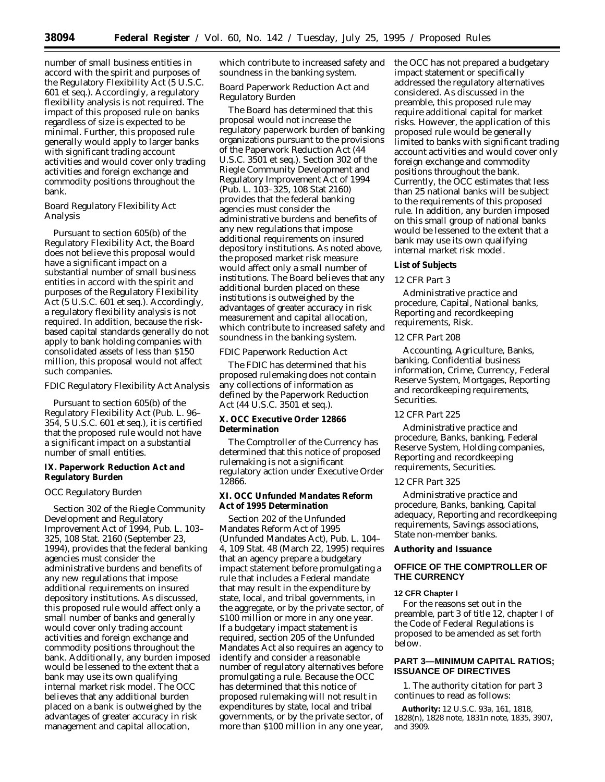number of small business entities in accord with the spirit and purposes of the Regulatory Flexibility Act (5 U.S.C. 601 *et seq.*). Accordingly, a regulatory flexibility analysis is not required. The impact of this proposed rule on banks regardless of size is expected to be minimal. Further, this proposed rule generally would apply to larger banks with significant trading account activities and would cover only trading activities and foreign exchange and commodity positions throughout the bank.

# *Board Regulatory Flexibility Act Analysis*

Pursuant to section 605(b) of the Regulatory Flexibility Act, the Board does not believe this proposal would have a significant impact on a substantial number of small business entities in accord with the spirit and purposes of the Regulatory Flexibility Act (5 U.S.C. 601 *et seq.*). Accordingly, a regulatory flexibility analysis is not required. In addition, because the riskbased capital standards generally do not apply to bank holding companies with consolidated assets of less than \$150 million, this proposal would not affect such companies.

#### *FDIC Regulatory Flexibility Act Analysis*

Pursuant to section 605(b) of the Regulatory Flexibility Act (Pub. L. 96– 354, 5 U.S.C. 601 *et seq.*), it is certified that the proposed rule would not have a significant impact on a substantial number of small entities.

# **IX. Paperwork Reduction Act and Regulatory Burden**

#### *OCC Regulatory Burden*

Section 302 of the Riegle Community Development and Regulatory Improvement Act of 1994, Pub. L. 103– 325, 108 Stat. 2160 (September 23, 1994), provides that the federal banking agencies must consider the administrative burdens and benefits of any new regulations that impose additional requirements on insured depository institutions. As discussed, this proposed rule would affect only a small number of banks and generally would cover only trading account activities and foreign exchange and commodity positions throughout the bank. Additionally, any burden imposed would be lessened to the extent that a bank may use its own qualifying internal market risk model. The OCC believes that any additional burden placed on a bank is outweighed by the advantages of greater accuracy in risk management and capital allocation,

which contribute to increased safety and soundness in the banking system.

# *Board Paperwork Reduction Act and Regulatory Burden*

The Board has determined that this proposal would not increase the regulatory paperwork burden of banking organizations pursuant to the provisions of the Paperwork Reduction Act (44 U.S.C. 3501 *et seq.*). Section 302 of the Riegle Community Development and Regulatory Improvement Act of 1994 (Pub. L. 103–325, 108 Stat 2160) provides that the federal banking agencies must consider the administrative burdens and benefits of any new regulations that impose additional requirements on insured depository institutions. As noted above, the proposed market risk measure would affect only a small number of institutions. The Board believes that any additional burden placed on these institutions is outweighed by the advantages of greater accuracy in risk measurement and capital allocation, which contribute to increased safety and soundness in the banking system.

# *FDIC Paperwork Reduction Act*

The FDIC has determined that his proposed rulemaking does not contain any collections of information as defined by the Paperwork Reduction Act (44 U.S.C. 3501 *et seq.*).

# **X. OCC Executive Order 12866 Determination**

The Comptroller of the Currency has determined that this notice of proposed rulemaking is not a significant regulatory action under Executive Order 12866.

# **XI. OCC Unfunded Mandates Reform Act of 1995 Determination**

Section 202 of the Unfunded Mandates Reform Act of 1995 (Unfunded Mandates Act), Pub. L. 104– 4, 109 Stat. 48 (March 22, 1995) requires that an agency prepare a budgetary impact statement before promulgating a rule that includes a Federal mandate that may result in the expenditure by state, local, and tribal governments, in the aggregate, or by the private sector, of \$100 million or more in any one year. If a budgetary impact statement is required, section 205 of the Unfunded Mandates Act also requires an agency to identify and consider a reasonable number of regulatory alternatives before promulgating a rule. Because the OCC has determined that this notice of proposed rulemaking will not result in expenditures by state, local and tribal governments, or by the private sector, of more than \$100 million in any one year,

the OCC has not prepared a budgetary impact statement or specifically addressed the regulatory alternatives considered. As discussed in the preamble, this proposed rule may require additional capital for market risks. However, the application of this proposed rule would be generally limited to banks with significant trading account activities and would cover only foreign exchange and commodity positions throughout the bank. Currently, the OCC estimates that less than 25 national banks will be subject to the requirements of this proposed rule. In addition, any burden imposed on this small group of national banks would be lessened to the extent that a bank may use its own qualifying internal market risk model.

#### **List of Subjects**

#### *12 CFR Part 3*

Administrative practice and procedure, Capital, National banks, Reporting and recordkeeping requirements, Risk.

## *12 CFR Part 208*

Accounting, Agriculture, Banks, banking, Confidential business information, Crime, Currency, Federal Reserve System, Mortgages, Reporting and recordkeeping requirements, Securities.

#### *12 CFR Part 225*

Administrative practice and procedure, Banks, banking, Federal Reserve System, Holding companies, Reporting and recordkeeping requirements, Securities.

# *12 CFR Part 325*

Administrative practice and procedure, Banks, banking, Capital adequacy, Reporting and recordkeeping requirements, Savings associations, State non-member banks.

#### **Authority and Issuance**

# **OFFICE OF THE COMPTROLLER OF THE CURRENCY**

#### **12 CFR Chapter I**

For the reasons set out in the preamble, part 3 of title 12, chapter I of the Code of Federal Regulations is proposed to be amended as set forth below.

# **PART 3—MINIMUM CAPITAL RATIOS; ISSUANCE OF DIRECTIVES**

1. The authority citation for part 3 continues to read as follows:

**Authority:** 12 U.S.C. 93a, 161, 1818, 1828(n), 1828 note, 1831n note, 1835, 3907, and 3909.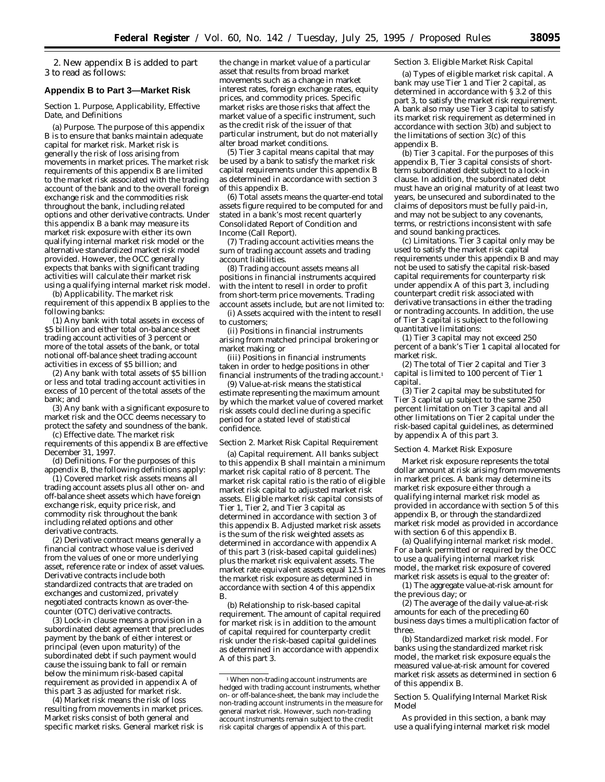2. New appendix B is added to part 3 to read as follows:

#### **Appendix B to Part 3—Market Risk**

#### *Section 1. Purpose, Applicability, Effective Date, and Definitions*

(a) *Purpose.* The purpose of this appendix B is to ensure that banks maintain adequate capital for market risk. Market risk is generally the risk of loss arising from movements in market prices. The market risk requirements of this appendix B are limited to the market risk associated with the trading account of the bank and to the overall foreign exchange risk and the commodities risk throughout the bank, including related options and other derivative contracts. Under this appendix B a bank may measure its market risk exposure with either its own qualifying internal market risk model or the alternative standardized market risk model provided. However, the OCC generally expects that banks with significant trading activities will calculate their market risk using a qualifying internal market risk model.

(b) *Applicability.* The market risk requirement of this appendix B applies to the following banks:

(1) Any bank with total assets in excess of \$5 billion and either total on-balance sheet trading account activities of 3 percent or more of the total assets of the bank, or total notional off-balance sheet trading account activities in excess of \$5 billion; and

(2) Any bank with total assets of \$5 billion or less and total trading account activities in excess of 10 percent of the total assets of the bank; and

(3) Any bank with a significant exposure to market risk and the OCC deems necessary to protect the safety and soundness of the bank.

(c) *Effective date.* The market risk requirements of this appendix B are effective December 31, 1997.

(d) *Definitions.* For the purposes of this appendix B, the following definitions apply:

(1) *Covered market risk assets* means all trading account assets plus all other on- and off-balance sheet assets which have foreign exchange risk, equity price risk, and commodity risk throughout the bank including related options and other derivative contracts.

(2) *Derivative contract* means generally a financial contract whose value is derived from the values of one or more underlying asset, reference rate or index of asset values. Derivative contracts include both standardized contracts that are traded on exchanges and customized, privately negotiated contracts known as over-thecounter (OTC) derivative contracts.

(3) *Lock-in clause* means a provision in a subordinated debt agreement that precludes payment by the bank of either interest or principal (even upon maturity) of the subordinated debt if such payment would cause the issuing bank to fall or remain below the minimum risk-based capital requirement as provided in appendix A of this part 3 as adjusted for market risk.

(4) *Market risk* means the risk of loss resulting from movements in market prices. Market risks consist of both general and specific market risks. General market risk is the change in market value of a particular asset that results from broad market movements such as a change in market interest rates, foreign exchange rates, equity prices, and commodity prices. Specific market risks are those risks that affect the market value of a specific instrument, such as the credit risk of the issuer of that particular instrument, but do not materially alter broad market conditions.

(5) *Tier 3 capital* means capital that may be used by a bank to satisfy the market risk capital requirements under this appendix B as determined in accordance with section 3 of this appendix B.

(6) *Total assets* means the quarter-end total assets figure required to be computed for and stated in a bank's most recent quarterly Consolidated Report of Condition and Income (Call Report).

(7) *Trading account activities* means the sum of trading account assets and trading account liabilities.

(8) *Trading account assets* means all positions in financial instruments acquired with the intent to resell in order to profit from short-term price movements. Trading account assets include, but are not limited to:

(i) Assets acquired with the intent to resell to customers;

(ii) Positions in financial instruments arising from matched principal brokering or market making; or

(iii) Positions in financial instruments taken in order to hedge positions in other financial instruments of the trading account.<sup>1</sup>

(9) *Value-at-risk* means the statistical estimate representing the maximum amount by which the market value of covered market risk assets could decline during a specific period for a stated level of statistical confidence.

#### *Section 2. Market Risk Capital Requirement*

(a) *Capital requirement.* All banks subject to this appendix B shall maintain a minimum market risk capital ratio of 8 percent. The market risk capital ratio is the ratio of eligible market risk capital to adjusted market risk assets. Eligible market risk capital consists of Tier 1, Tier 2, and Tier 3 capital as determined in accordance with section 3 of this appendix B. Adjusted market risk assets is the sum of the risk weighted assets as determined in accordance with appendix A of this part 3 (risk-based capital guidelines) plus the market risk equivalent assets. The market rate equivalent assets equal 12.5 times the market risk exposure as determined in accordance with section 4 of this appendix B.

(b) *Relationship to risk-based capital requirement.* The amount of capital required for market risk is in addition to the amount of capital required for counterparty credit risk under the risk-based capital guidelines as determined in accordance with appendix A of this part 3.

#### *Section 3. Eligible Market Risk Capital*

(a) *Types of eligible market risk capital.* A bank may use Tier 1 and Tier 2 capital, as determined in accordance with § 3.2 of this part 3, to satisfy the market risk requirement. A bank also may use Tier 3 capital to satisfy its market risk requirement as determined in accordance with section 3(b) and subject to the limitations of section 3(c) of this appendix B.

(b) *Tier 3 capital.* For the purposes of this appendix B, Tier 3 capital consists of shortterm subordinated debt subject to a lock-in clause. In addition, the subordinated debt must have an original maturity of at least two years, be unsecured and subordinated to the claims of depositors must be fully paid-in, and may not be subject to any covenants, terms, or restrictions inconsistent with safe and sound banking practices.

(c) *Limitations.* Tier 3 capital only may be used to satisfy the market risk capital requirements under this appendix B and may not be used to satisfy the capital risk-based capital requirements for counterparty risk under appendix A of this part 3, including counterpart credit risk associated with derivative transactions in either the trading or nontrading accounts. In addition, the use of Tier 3 capital is subject to the following quantitative limitations:

(1) Tier 3 capital may not exceed 250 percent of a bank's Tier 1 capital allocated for market risk.

(2) The total of Tier 2 capital and Tier 3 capital is limited to 100 percent of Tier 1 capital.

(3) Tier 2 capital may be substituted for Tier 3 capital up subject to the same 250 percent limitation on Tier 3 capital and all other limitations on Tier 2 capital under the risk-based capital guidelines, as determined by appendix A of this part 3.

#### *Section 4. Market Risk Exposure*

Market risk exposure represents the total dollar amount at risk arising from movements in market prices. A bank may determine its market risk exposure either through a qualifying internal market risk model as provided in accordance with section 5 of this appendix B, or through the standardized market risk model as provided in accordance with section 6 of this appendix B.

(a) *Qualifying internal market risk model.* For a bank permitted or required by the OCC to use a qualifying internal market risk model, the market risk exposure of covered market risk assets is equal to the greater of:

(1) The aggregate value-at-risk amount for the previous day; or

(2) The average of the daily value-at-risk amounts for each of the preceding 60 business days times a multiplication factor of three.

(b) *Standardized market risk model.* For banks using the standardized market risk model, the market risk exposure equals the measured value-at-risk amount for covered market risk assets as determined in section 6 of this appendix B.

#### *Section 5. Qualifying Internal Market Risk Model*

As provided in this section, a bank may use a qualifying internal market risk model

<sup>1</sup>When non-trading account instruments are hedged with trading account instruments, whether on- or off-balance-sheet, the bank may include the non-trading account instruments in the measure for general market risk. However, such non-trading account instruments remain subject to the credit risk capital charges of appendix A of this part.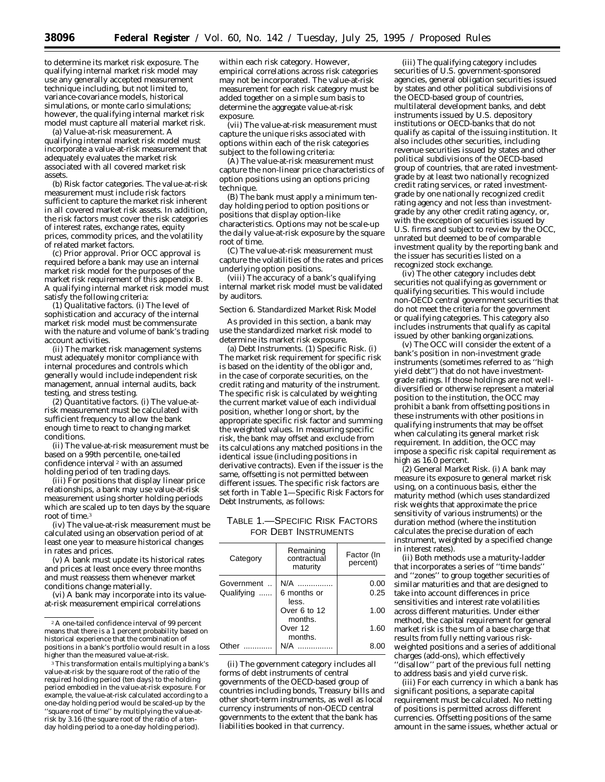to determine its market risk exposure. The qualifying internal market risk model may use any generally accepted measurement technique including, but not limited to, variance-covariance models, historical simulations, or monte carlo simulations; however, the qualifying internal market risk model must capture all material market risk.

(a) *Value-at-risk measurement.* A qualifying internal market risk model must incorporate a value-at-risk measurement that adequately evaluates the market risk associated with all covered market risk assets.

(b) *Risk factor categories.* The value-at-risk measurement must include risk factors sufficient to capture the market risk inherent in all covered market risk assets. In addition, the risk factors must cover the risk categories of interest rates, exchange rates, equity prices, commodity prices, and the volatility of related market factors.

(c) *Prior approval.* Prior OCC approval is required before a bank may use an internal market risk model for the purposes of the market risk requirement of this appendix B. A qualifying internal market risk model must satisfy the following criteria:

(1) *Qualitative factors.* (i) The level of sophistication and accuracy of the internal market risk model must be commensurate with the nature and volume of bank's trading account activities.

(ii) The market risk management systems must adequately monitor compliance with internal procedures and controls which generally would include independent risk management, annual internal audits, back testing, and stress testing.

(2) *Quantitative factors.* (i) The value-atrisk measurement must be calculated with sufficient frequency to allow the bank enough time to react to changing market conditions.

(ii) The value-at-risk measurement must be based on a 99th percentile, one-tailed confidence interval 2 with an assumed holding period of ten trading days.

(iii) For positions that display linear price relationships, a bank may use value-at-risk measurement using shorter holding periods which are scaled up to ten days by the square root of time.<sup>3</sup>

(iv) The value-at-risk measurement must be calculated using an observation period of at least one year to measure historical changes in rates and prices.

(v) A bank must update its historical rates and prices at least once every three months and must reassess them whenever market conditions change materially.

(vi) A bank may incorporate into its valueat-risk measurement empirical correlations

<sup>3</sup>This transformation entails multiplying a bank's value-at-risk by the square root of the ratio of the required holding period (ten days) to the holding period embodied in the value-at-risk exposure. For example, the value-at-risk calculated according to a one-day holding period would be scaled-up by the ''square root of time'' by multiplying the value-atrisk by 3.16 (the square root of the ratio of a tenday holding period to a one-day holding period).

within each risk category. However, empirical correlations across risk categories may not be incorporated. The value-at-risk measurement for each risk category must be added together on a simple sum basis to determine the aggregate value-at-risk exposure.

(vii) The value-at-risk measurement must capture the unique risks associated with options within each of the risk categories subject to the following criteria:

(A) The value-at-risk measurement must capture the non-linear price characteristics of option positions using an options pricing technique.

(B) The bank must apply a minimum tenday holding period to option positions or positions that display option-like characteristics. Options may not be scale-up the daily value-at-risk exposure by the square root of time.

(C) The value-at-risk measurement must capture the volatilities of the rates and prices underlying option positions.

(viii) The accuracy of a bank's qualifying internal market risk model must be validated by auditors.

#### *Section 6. Standardized Market Risk Model*

As provided in this section, a bank may use the standardized market risk model to determine its market risk exposure.

(a) *Debt Instruments.* (1) *Specific Risk.* (i) The market risk requirement for specific risk is based on the identity of the obligor and, in the case of corporate securities, on the credit rating and maturity of the instrument. The specific risk is calculated by weighting the current market value of each individual position, whether long or short, by the appropriate specific risk factor and summing the weighted values. In measuring specific risk, the bank may offset and exclude from its calculations any matched positions in the identical issue (including positions in derivative contracts). Even if the issuer is the same, offsetting is not permitted between different issues. The specific risk factors are set forth in Table 1—Specific Risk Factors for Debt Instruments, as follows:

# TABLE 1.—SPECIFIC RISK FACTORS FOR DEBT INSTRUMENTS

| Category                 | Remaining<br>contractual<br>maturity | Factor (In<br>percent) |
|--------------------------|--------------------------------------|------------------------|
| Government<br>Qualifying | N/A<br>6 months or                   | 0.00<br>0.25           |
|                          | less.                                |                        |
|                          | Over 6 to 12<br>months.              | 1.00                   |
|                          | Over 12                              | 1.60                   |
| Other                    | months.                              | 8.00                   |

(ii) The government category includes all forms of debt instruments of central governments of the OECD-based group of countries including bonds, Treasury bills and other short-term instruments, as well as local currency instruments of non-OECD central governments to the extent that the bank has liabilities booked in that currency.

(iii) The qualifying category includes securities of U.S. government-sponsored agencies, general obligation securities issued by states and other political subdivisions of the OECD-based group of countries, multilateral development banks, and debt instruments issued by U.S. depository institutions or OECD-banks that do not qualify as capital of the issuing institution. It also includes other securities, including revenue securities issued by states and other political subdivisions of the OECD-based group of countries, that are rated investmentgrade by at least two nationally recognized credit rating services, or rated investmentgrade by one nationally recognized credit rating agency and not less than investmentgrade by any other credit rating agency, or, with the exception of securities issued by U.S. firms and subject to review by the OCC, unrated but deemed to be of comparable investment quality by the reporting bank *and* the issuer has securities listed on a recognized stock exchange.

(iv) The other category includes debt securities not qualifying as government or qualifying securities. This would include non-OECD central government securities that do not meet the criteria for the government or qualifying categories. This category also includes instruments that qualify as capital issued by other banking organizations.

(v) The OCC will consider the extent of a bank's position in non-investment grade instruments (sometimes referred to as ''high yield debt'') that do not have investmentgrade ratings. If those holdings are not welldiversified or otherwise represent a material position to the institution, the OCC may prohibit a bank from offsetting positions in these instruments with other positions in qualifying instruments that may be offset when calculating its general market risk requirement. In addition, the OCC may impose a specific risk capital requirement as high as 16.0 percent.

(2) *General Market Risk.* (i) A bank may measure its exposure to general market risk using, on a continuous basis, either the maturity method (which uses standardized risk weights that approximate the price sensitivity of various instruments) or the duration method (where the institution calculates the precise duration of each instrument, weighted by a specified change in interest rates).

(ii) Both methods use a maturity-ladder that incorporates a series of ''time bands'' and ''zones'' to group together securities of similar maturities and that are designed to take into account differences in price sensitivities and interest rate volatilities across different maturities. Under either method, the capital requirement for general market risk is the sum of a base charge that results from fully netting various riskweighted positions and a series of additional charges (add-ons), which effectively ''disallow'' part of the previous full netting to address basis and yield curve risk.

(iii) For each currency in which a bank has significant positions, a separate capital requirement must be calculated. No netting of positions is permitted across different currencies. Offsetting positions of the same amount in the same issues, whether actual or

<sup>2</sup>A one-tailed confidence interval of 99 percent means that there is a 1 percent probability based on historical experience that the combination of positions in a bank's portfolio would result in a loss higher than the measured value-at-risk.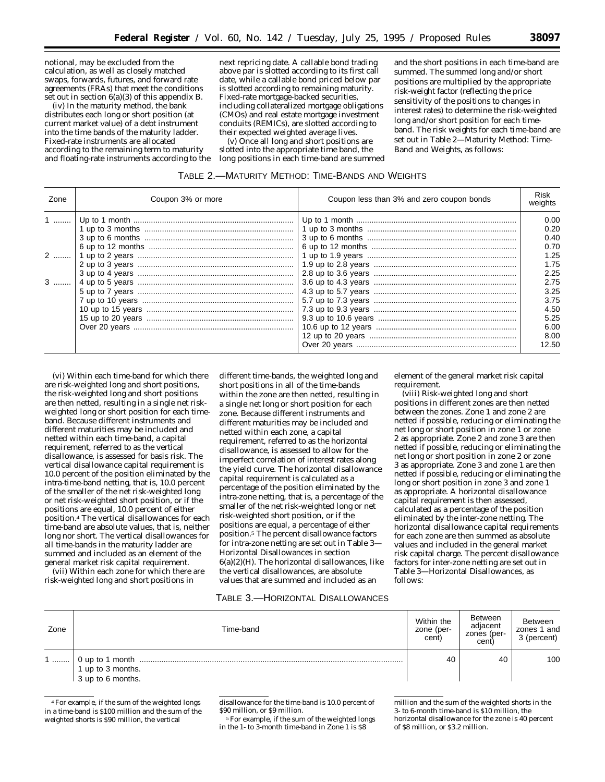notional, may be excluded from the calculation, as well as closely matched swaps, forwards, futures, and forward rate agreements (FRAs) that meet the conditions set out in section 6(a)(3) of this appendix B.

(iv) In the maturity method, the bank distributes each long or short position (at current market value) of a debt instrument into the time bands of the maturity ladder. Fixed-rate instruments are allocated according to the remaining term to maturity and floating-rate instruments according to the next repricing date. A callable bond trading above par is slotted according to its first call date, while a callable bond priced below par is slotted according to remaining maturity. Fixed-rate mortgage-backed securities, including collateralized mortgage obligations (CMOs) and real estate mortgage investment conduits (REMICs), are slotted according to their expected weighted average lives.

(v) Once all long and short positions are slotted into the appropriate time band, the long positions in each time-band are summed

and the short positions in each time-band are summed. The summed long and/or short positions are multiplied by the appropriate risk-weight factor (reflecting the price sensitivity of the positions to changes in interest rates) to determine the risk-weighted long and/or short position for each timeband. The risk weights for each time-band are set out in Table 2—Maturity Method: Time-Band and Weights, as follows:

| TABLE 2.-MATURITY METHOD: TIME-BANDS AND WEIGHTS |  |
|--------------------------------------------------|--|
|--------------------------------------------------|--|

| Zone              | Coupon 3% or more | Coupon less than 3% and zero coupon bonds | Risk<br>weights                                                                                              |
|-------------------|-------------------|-------------------------------------------|--------------------------------------------------------------------------------------------------------------|
| $1$<br>$2$<br>$3$ |                   |                                           | 0.00<br>0.20<br>0.40<br>0.70<br>1.25<br>1.75<br>2.25<br>2.75<br>3.25<br>3.75<br>4.50<br>5.25<br>6.00<br>8.00 |
|                   |                   |                                           | 12.50                                                                                                        |

(vi) Within each time-band for which there are risk-weighted long and short positions, the risk-weighted long and short positions are then netted, resulting in a single net riskweighted long or short position for each timeband. Because different instruments and different maturities may be included and netted within each time-band, a capital requirement, referred to as the vertical disallowance, is assessed for basis risk. The vertical disallowance capital requirement is 10.0 percent of the position eliminated by the intra-time-band netting, that is, 10.0 percent of the smaller of the net risk-weighted long or net risk-weighted short position, or if the positions are equal, 10.0 percent of either position.4 The vertical disallowances for each time-band are absolute values, that is, neither long nor short. The vertical disallowances for all time-bands in the maturity ladder are summed and included as an element of the general market risk capital requirement.

(vii) Within each zone for which there are risk-weighted long and short positions in

different time-bands, the weighted long and short positions in all of the time-bands within the zone are then netted, resulting in a single net long or short position for each zone. Because different instruments and different maturities may be included and netted within each zone, a capital requirement, referred to as the horizontal disallowance, is assessed to allow for the imperfect correlation of interest rates along the yield curve. The horizontal disallowance capital requirement is calculated as a percentage of the position eliminated by the intra-zone netting, that is, a percentage of the smaller of the net risk-weighted long or net risk-weighted short position, or if the positions are equal, a percentage of either position.5 The percent disallowance factors for intra-zone netting are set out in Table 3— Horizontal Disallowances in section  $6(a)(2)$ (H). The horizontal disallowances, like the vertical disallowances, are absolute values that are summed and included as an

element of the general market risk capital requirement.

(viii) Risk-weighted long and short positions in different zones are then netted between the zones. Zone 1 and zone 2 are netted if possible, reducing or eliminating the net long or short position in zone 1 or zone 2 as appropriate. Zone 2 and zone 3 are then netted if possible, reducing or eliminating the net long or short position in zone 2 or zone 3 as appropriate. Zone 3 and zone 1 are then netted if possible, reducing or eliminating the long or short position in zone 3 and zone 1 as appropriate. A horizontal disallowance capital requirement is then assessed, calculated as a percentage of the position eliminated by the inter-zone netting. The horizontal disallowance capital requirements for each zone are then summed as absolute values and included in the general market risk capital charge. The percent disallowance factors for inter-zone netting are set out in Table 3—Horizontal Disallowances, as follows:

# TABLE 3.—HORIZONTAL DISALLOWANCES

| Zone | Time-band                                                                                                                     | Within the<br>zone (per-<br>cent) | <b>Between</b><br>adjacent<br>zones (per-<br>cent) | Between<br>zones 1 and<br>3 (percent) |
|------|-------------------------------------------------------------------------------------------------------------------------------|-----------------------------------|----------------------------------------------------|---------------------------------------|
|      | $\begin{array}{ c c } \hline 1 & \text{up to } 3 & \text{months.} \\ \hline 3 & \text{up to } 6 & \text{months.} \end{array}$ | 40                                | 40                                                 | 100                                   |

<sup>4</sup>For example, if the sum of the weighted longs in a time-band is \$100 million and the sum of the weighted shorts is \$90 million, the vertical

disallowance for the time-band is 10.0 percent of \$90 million, or \$9 million.

5For example, if the sum of the weighted longs in the 1- to 3-month time-band in Zone 1 is \$8

million and the sum of the weighted shorts in the 3- to 6-month time-band is \$10 million, the horizontal disallowance for the zone is 40 percent of \$8 million, or \$3.2 million.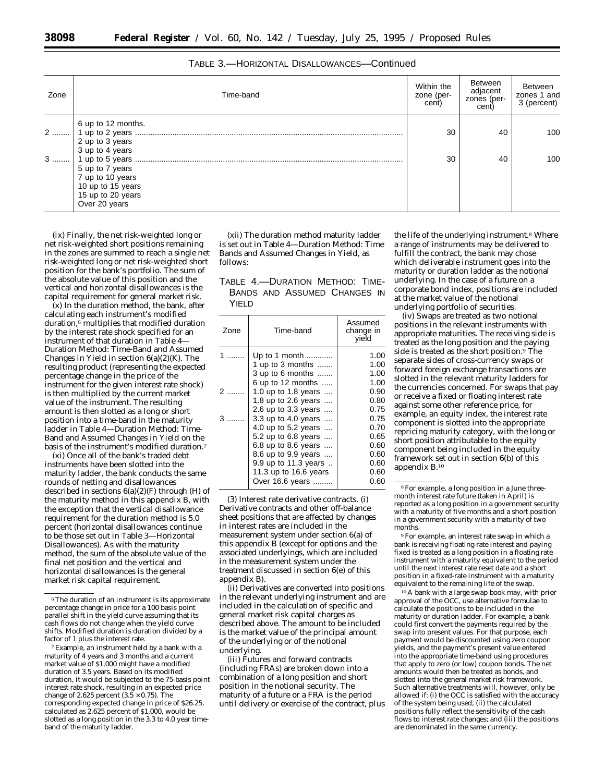| Zone | Time-band                                                                                      | Within the<br>zone (per-<br>cent) | <b>Between</b><br>adjacent<br>zones (per-<br>cent) | Between<br>zones 1 and<br>3 (percent) |
|------|------------------------------------------------------------------------------------------------|-----------------------------------|----------------------------------------------------|---------------------------------------|
|      | 6 up to 12 months.<br>2 up to 3 years<br>3 up to 4 years                                       | 30                                | 40                                                 | 100                                   |
|      | 5 up to 7 years<br>7 up to 10 years<br>10 up to 15 years<br>15 up to 20 years<br>Over 20 years | 30                                | 40                                                 | 100                                   |

(ix) Finally, the net risk-weighted long or net risk-weighted short positions remaining in the zones are summed to reach a single net risk-weighted long or net risk-weighted short position for the bank's portfolio. The sum of the absolute value of this position and the vertical and horizontal disallowances is the capital requirement for general market risk.

(x) In the duration method, the bank, after calculating each instrument's modified duration,6 multiplies that modified duration by the interest rate shock specified for an instrument of that duration in Table 4— Duration Method: Time-Band and Assumed Changes in Yield in section  $6(a)(2)(K)$ . The resulting product (representing the expected percentage change in the price of the instrument for the given interest rate shock) is then multiplied by the current market value of the instrument. The resulting amount is then slotted as a long or short position into a time-band in the maturity ladder in Table 4—Duration Method: Time-Band and Assumed Changes in Yield on the basis of the instrument's modified duration.7

(xi) Once all of the bank's traded debt instruments have been slotted into the maturity ladder, the bank conducts the same rounds of netting and disallowances described in sections  $6(a)(2)(F)$  through (H) of the maturity method in this appendix B, with the exception that the vertical disallowance requirement for the duration method is 5.0 percent (horizontal disallowances continue to be those set out in Table 3—Horizontal Disallowances). As with the maturity method, the sum of the absolute value of the final net position and the vertical and horizontal disallowances is the general market risk capital requirement.

(xii) The duration method maturity ladder is set out in Table 4—Duration Method: Time Bands and Assumed Changes in Yield, as follows:

TABLE 4.—DURATION METHOD: TIME-BANDS AND ASSUMED CHANGES IN YIELD

| Time-band                   | Assumed<br>change in<br>vield |
|-----------------------------|-------------------------------|
| Up to 1 month               | 1.00                          |
| 1 up to 3 months            | 1.00                          |
| 3 up to 6 months            | 1.00                          |
| 6 up to 12 months           | 1.00                          |
| 1.0 up to 1.8 years         | 0.90                          |
| 1.8 up to 2.6 years $\dots$ | 0.80                          |
| 2.6 up to 3.3 years         | 0.75                          |
| 3.3 up to 4.0 years         | 0.75                          |
| 4.0 up to 5.2 years         | 0.70                          |
| 5.2 up to 6.8 years         | 0.65                          |
| 6.8 up to 8.6 years         | 0.60                          |
| 8.6 up to 9.9 years         | 0.60                          |
| 9.9 up to 11.3 years        | 0.60                          |
| 11.3 up to 16.6 years       | 0.60                          |
| Over 16.6 years             | 0.60                          |
|                             |                               |

(3) *Interest rate derivative contracts.* (i) Derivative contracts and other off-balance sheet positions that are affected by changes in interest rates are included in the measurement system under section 6(a) of this appendix B (except for options and the associated underlyings, which are included in the measurement system under the treatment discussed in section 6(e) of this appendix B).

(ii) Derivatives are converted into positions in the relevant underlying instrument and are included in the calculation of specific and general market risk capital charges as described above. The amount to be included is the market value of the principal amount of the underlying or of the notional underlying.

(iii) Futures and forward contracts (including FRAs) are broken down into a combination of a long position and short position in the notional security. The maturity of a future or a FRA is the period until delivery or exercise of the contract, plus

the life of the underlying instrument.8 Where a range of instruments may be delivered to fulfill the contract, the bank may chose which deliverable instrument goes into the maturity or duration ladder as the notional underlying. In the case of a future on a corporate bond index, positions are included at the market value of the notional underlying portfolio of securities.

(iv) Swaps are treated as two notional positions in the relevant instruments with appropriate maturities. The receiving side is treated as the long position and the paying side is treated as the short position.<sup>9</sup> The separate sides of cross-currency swaps or forward foreign exchange transactions are slotted in the relevant maturity ladders for the currencies concerned. For swaps that pay or receive a fixed or floating interest rate against some other reference price, for example, an equity index, the interest rate component is slotted into the appropriate repricing maturity category, with the long or short position attributable to the equity component being included in the equity framework set out in section 6(b) of this appendix B.10

9For example, an interest rate swap in which a bank is receiving floating-rate interest and paying fixed is treated as a long position in a floating rate instrument with a maturity equivalent to the period until the next interest rate reset date and a short position in a fixed-rate instrument with a maturity equivalent to the remaining life of the swap.

10A bank with a large swap book may, with prior approval of the OCC, use alternative formulae to calculate the positions to be included in the maturity or duration ladder. For example, a bank could first convert the payments required by the swap into present values. For that purpose, each payment would be discounted using zero coupon yields, and the payment's present value entered into the appropriate time-band using procedures that apply to zero (or low) coupon bonds. The net amounts would then be treated as bonds, and slotted into the general market risk framework. Such alternative treatments will, however, only be allowed if: (i) the OCC is satisfied with the accuracy of the system being used, (ii) the calculated positions fully reflect the sensitivity of the cash flows to interest rate changes; and (iii) the positions are denominated in the same currency.

<sup>6</sup>The duration of an instrument is its approximate percentage change in price for a 100 basis point parallel shift in the yield curve assuming that its cash flows do not change when the yield curve shifts. Modified duration is duration divided by a factor of 1 plus the interest rate.

<sup>7</sup>Example, an instrument held by a bank with a maturity of 4 years and 3 months and a current market value of \$1,000 might have a modified duration of 3.5 years. Based on its modified duration, it would be subjected to the 75-basis point interest rate shock, resulting in an expected price change of 2.625 percent  $(3.5 \times 0.75)$ . The corresponding expected change in price of \$26.25, calculated as 2.625 percent of \$1,000, would be slotted as a long position in the 3.3 to 4.0 year timeband of the maturity ladder.

<sup>8</sup>For example, a long position in a June threemonth interest rate future (taken in April) is reported as a long position in a government security with a maturity of five months and a short position in a government security with a maturity of two months.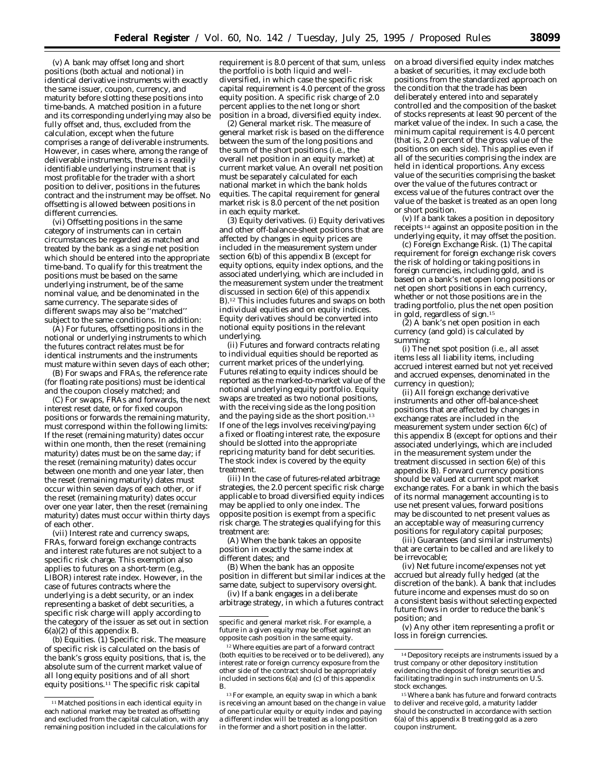(v) A bank may offset long and short positions (both actual and notional) in identical derivative instruments with exactly the same issuer, coupon, currency, and maturity before slotting these positions into time-bands. A matched position in a future and its corresponding underlying may also be fully offset and, thus, excluded from the calculation, except when the future comprises a range of deliverable instruments. However, in cases where, among the range of deliverable instruments, there is a readily identifiable underlying instrument that is most profitable for the trader with a short position to deliver, positions in the futures contract and the instrument may be offset. No offsetting is allowed between positions in different currencies.

(vi) Offsetting positions in the same category of instruments can in certain circumstances be regarded as matched and treated by the bank as a single net position which should be entered into the appropriate time-band. To qualify for this treatment the positions must be based on the same underlying instrument, be of the same nominal value, and be denominated in the same currency. The separate sides of different swaps may also be ''matched'' subject to the same conditions. In addition:

(A) For futures, offsetting positions in the notional or underlying instruments to which the futures contract relates must be for identical instruments and the instruments must mature within seven days of each other;

(B) For swaps and FRAs, the reference rate (for floating rate positions) must be identical and the coupon closely matched; and

(C) For swaps, FRAs and forwards, the next interest reset date, or for fixed coupon positions or forwards the remaining maturity, must correspond within the following limits: If the reset (remaining maturity) dates occur within one month, then the reset (remaining maturity) dates must be on the same day; if the reset (remaining maturity) dates occur between one month and one year later, then the reset (remaining maturity) dates must occur within seven days of each other, or if the reset (remaining maturity) dates occur over one year later, then the reset (remaining maturity) dates must occur within thirty days of each other.

(vii) Interest rate and currency swaps, FRAs, forward foreign exchange contracts and interest rate futures are not subject to a specific risk charge. This exemption also applies to futures on a short-term (e.g., LIBOR) interest rate index. However, in the case of futures contracts where the underlying is a debt security, or an index representing a basket of debt securities, a specific risk charge will apply according to the category of the issuer as set out in section 6(a)(2) of this appendix B.

(b) *Equities.* (1) *Specific risk.* The measure of specific risk is calculated on the basis of the bank's gross equity positions, that is, the absolute sum of the current market value of all long equity positions and of all short equity positions.11 The specific risk capital

requirement is 8.0 percent of that sum, unless the portfolio is both liquid and welldiversified, in which case the specific risk capital requirement is 4.0 percent of the gross equity position. A specific risk charge of 2.0 percent applies to the net long or short position in a broad, diversified equity index.

(2) *General market risk.* The measure of general market risk is based on the difference between the sum of the long positions and the sum of the short positions (i.e., the overall net position in an equity market) at current market value. An overall net position must be separately calculated for each national market in which the bank holds equities. The capital requirement for general market risk is 8.0 percent of the net position in each equity market.

(3) *Equity derivatives.* (i) Equity derivatives and other off-balance-sheet positions that are affected by changes in equity prices are included in the measurement system under section 6(b) of this appendix B (except for equity options, equity index options, and the associated underlying, which are included in the measurement system under the treatment discussed in section 6(e) of this appendix B).12 This includes futures and swaps on both individual equities and on equity indices. Equity derivatives should be converted into notional equity positions in the relevant underlying.

(ii) Futures and forward contracts relating to individual equities should be reported as current market prices of the underlying. Futures relating to equity indices should be reported as the marked-to-market value of the notional underlying equity portfolio. Equity swaps are treated as two notional positions, with the receiving side as the long position and the paying side as the short position.13 If one of the legs involves receiving/paying a fixed or floating interest rate, the exposure should be slotted into the appropriate repricing maturity band for debt securities. The stock index is covered by the equity treatment.

(iii) In the case of futures-related arbitrage strategies, the 2.0 percent specific risk charge applicable to broad diversified equity indices may be applied to only one index. The opposite position is exempt from a specific risk charge. The strategies qualifying for this treatment are:

(A) When the bank takes an opposite position in exactly the same index at different dates; and

(B) When the bank has an opposite position in different but similar indices at the same date, subject to supervisory oversight.

(iv) If a bank engages in a deliberate arbitrage strategy, in which a futures contract

12Where equities are part of a forward contract (both equities to be received or to be delivered), any interest rate or foreign currency exposure from the other side of the contract should be appropriately included in sections 6(a) and (c) of this appendix B.

on a broad diversified equity index matches a basket of securities, it may exclude both positions from the standardized approach on the condition that the trade has been deliberately entered into and separately controlled and the composition of the basket of stocks represents at least 90 percent of the market value of the index. In such a case, the minimum capital requirement is 4.0 percent (that is, 2.0 percent of the gross value of the positions on each side). This applies even if all of the securities comprising the index are held in identical proportions. Any excess value of the securities comprising the basket over the value of the futures contract or excess value of the futures contract over the value of the basket is treated as an open long or short position.

(v) If a bank takes a position in depository receipts 14 against an opposite position in the underlying equity, it may offset the position.

(c) *Foreign Exchange Risk.* (1) The capital requirement for foreign exchange risk covers the risk of holding or taking positions in foreign currencies, including gold, and is based on a bank's net open long positions or net open short positions in each currency, whether or not those positions are in the trading portfolio, plus the net open position in gold, regardless of sign.15

(2) A bank's net open position in each currency (and gold) is calculated by summing:

(i) The net spot position (i.e., all asset items less all liability items, including accrued interest earned but not yet received and accrued expenses, denominated in the currency in question);

(ii) All foreign exchange derivative instruments and other off-balance-sheet positions that are affected by changes in exchange rates are included in the measurement system under section 6(c) of this appendix B (except for options and their associated underlyings, which are included in the measurement system under the treatment discussed in section 6(e) of this appendix B). Forward currency positions should be valued at current spot market exchange rates. For a bank in which the basis of its normal management accounting is to use net present values, forward positions may be discounted to net present values as an acceptable way of measuring currency positions for regulatory capital purposes;

(iii) Guarantees (and similar instruments) that are certain to be called and are likely to be irrevocable;

(iv) Net future income/expenses not yet accrued but already fully hedged (at the discretion of the bank). A bank that includes future income and expenses must do so on a consistent basis without selecting expected future flows in order to reduce the bank's position; and

(v) Any other item representing a profit or loss in foreign currencies.

<sup>11</sup>Matched positions in each identical equity in each national market may be treated as offsetting and excluded from the capital calculation, with any remaining position included in the calculations for

specific and general market risk. For example, a future in a given equity may be offset against an opposite cash position in the same equity.

<sup>13</sup>For example, an equity swap in which a bank is receiving an amount based on the change in value of one particular equity or equity index and paying a different index will be treated as a long position in the former and a short position in the latter.

<sup>14</sup> Depository receipts are instruments issued by a trust company or other depository institution evidencing the deposit of foreign securities and facilitating trading in such instruments on U.S. stock exchanges.

<sup>15</sup>Where a bank has future and forward contracts to deliver and receive gold, a maturity ladder should be constructed in accordance with section 6(a) of this appendix B treating gold as a zero coupon instrument.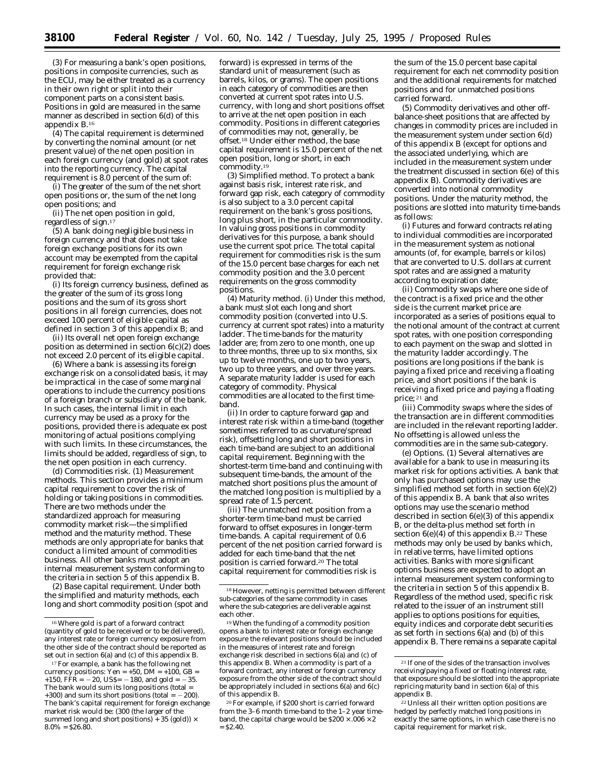(3) For measuring a bank's open positions, positions in composite currencies, such as the ECU, may be either treated as a currency in their own right or split into their component parts on a consistent basis. Positions in gold are measured in the same manner as described in section 6(d) of this appendix B.16

(4) The capital requirement is determined by converting the nominal amount (or net present value) of the net open position in each foreign currency (and gold) at spot rates into the reporting currency. The capital requirement is 8.0 percent of the sum of:

(i) The greater of the sum of the net short open positions or, the sum of the net long open positions; and

(ii) The net open position in gold, regardless of sign.17

(5) A bank doing negligible business in foreign currency and that does not take foreign exchange positions for its own account may be exempted from the capital requirement for foreign exchange risk provided that:

(i) Its foreign currency business, defined as the greater of the sum of its gross long positions and the sum of its gross short positions in all foreign currencies, does not exceed 100 percent of eligible capital as defined in section 3 of this appendix B; and

(ii) Its overall net open foreign exchange position as determined in section  $6(c)(2)$  does not exceed 2.0 percent of its eligible capital.

(6) Where a bank is assessing its foreign exchange risk on a consolidated basis, it may be impractical in the case of some marginal operations to include the currency positions of a foreign branch or subsidiary of the bank. In such cases, the internal limit in each currency may be used as a proxy for the positions, provided there is adequate ex post monitoring of actual positions complying with such limits. In these circumstances, the limits should be added, regardless of sign, to the net open position in each currency.

(d) *Commodities risk.* (1) *Measurement methods.* This section provides a minimum capital requirement to cover the risk of holding or taking positions in commodities. There are two methods under the standardized approach for measuring commodity market risk—the simplified method and the maturity method. These methods are only appropriate for banks that conduct a limited amount of commodities business. All other banks must adopt an internal measurement system conforming to the criteria in section 5 of this appendix B.

(2) *Base capital requirement.* Under both the simplified and maturity methods, each long and short commodity position (spot and

forward) is expressed in terms of the standard unit of measurement (such as barrels, kilos, or grams). The open positions in each category of commodities are then converted at current spot rates into U.S. currency, with long and short positions offset to arrive at the net open position in each commodity. Positions in different categories of commodities may not, generally, be offset.18 Under either method, the base capital requirement is 15.0 percent of the net open position, long or short, in each commodity.<sup>19</sup>

(3) *Simplified method.* To protect a bank against basis risk, interest rate risk, and forward gap risk, each category of commodity is also subject to a 3.0 percent capital requirement on the bank's gross positions, long plus short, in the particular commodity. In valuing gross positions in commodity derivatives for this purpose, a bank should use the current spot price. The total capital requirement for commodities risk is the sum of the 15.0 percent base charges for each net commodity position and the 3.0 percent requirements on the gross commodity positions.

(4) *Maturity method.* (i) Under this method, a bank must slot each long and short commodity position (converted into U.S. currency at current spot rates) into a maturity ladder. The time-bands for the maturity ladder are; from zero to one month, one up to three months, three up to six months, six up to twelve months, one up to two years, two up to three years, and over three years. A separate maturity ladder is used for each category of commodity. Physical commodities are allocated to the first timeband.

(ii) In order to capture forward gap and interest rate risk within a time-band (together sometimes referred to as curvature/spread risk), offsetting long and short positions in each time-band are subject to an additional capital requirement. Beginning with the shortest-term time-band and continuing with subsequent time-bands, the amount of the matched short positions plus the amount of the matched long position is multiplied by a spread rate of 1.5 percent.

(iii) The unmatched net position from a shorter-term time-band must be carried forward to offset exposures in longer-term time-bands. A capital requirement of 0.6 percent of the net position carried forward is added for each time-band that the net position is carried forward.20 The total capital requirement for commodities risk is

the sum of the 15.0 percent base capital requirement for each net commodity position and the additional requirements for matched positions and for unmatched positions carried forward.

(5) Commodity derivatives and other offbalance-sheet positions that are affected by changes in commodity prices are included in the measurement system under section 6(d) of this appendix B (except for options and the associated underlying, which are included in the measurement system under the treatment discussed in section 6(e) of this appendix B). Commodity derivatives are converted into notional commodity positions. Under the maturity method, the positions are slotted into maturity time-bands as follows:

(i) Futures and forward contracts relating to individual commodities are incorporated in the measurement system as notional amounts (of, for example, barrels or kilos) that are converted to U.S. dollars at current spot rates and are assigned a maturity according to expiration date;

(ii) Commodity swaps where one side of the contract is a fixed price and the other side is the current market price are incorporated as a series of positions equal to the notional amount of the contract at current spot rates, with one position corresponding to each payment on the swap and slotted in the maturity ladder accordingly. The positions are long positions if the bank is paying a fixed price and receiving a floating price, and short positions if the bank is receiving a fixed price and paying a floating price; 21 and

(iii) Commodity swaps where the sides of the transaction are in different commodities are included in the relevant reporting ladder. No offsetting is allowed unless the commodities are in the same sub-category.

(e) *Options.* (1) Several alternatives are available for a bank to use in measuring its market risk for options activities. A bank that only has purchased options may use the simplified method set forth in section 6(e)(2) of this appendix B. A bank that also writes options may use the scenario method described in section 6(e)(3) of this appendix B, or the delta-plus method set forth in section  $6(e)(4)$  of this appendix B.<sup>22</sup> These methods may only be used by banks which, in relative terms, have limited options activities. Banks with more significant options business are expected to adopt an internal measurement system conforming to the criteria in section 5 of this appendix B. Regardless of the method used, specific risk related to the issuer of an instrument still applies to options positions for equities, equity indices and corporate debt securities as set forth in sections 6(a) and (b) of this appendix B. There remains a separate capital

<sup>16</sup>Where gold is part of a forward contract (quantity of gold to be received or to be delivered), any interest rate or foreign currency exposure from the other side of the contract should be reported as set out in section 6(a) and (c) of this appendix B.

<sup>&</sup>lt;sup>17</sup> For example, a bank has the following net currency positions: Yen =  $+50$ , DM =  $+100$ , GB = +150,  $\overrightarrow{FFR}$  = -20, US\$= -180, and gold = -35. The bank would sum its long positions (total = +300) and sum its short positions (total =  $-200$ ). The bank's capital requirement for foreign exchange market risk would be: (300 (the larger of the summed long and short positions) + 35 (gold))  $\times$  $8.0\% = $26.80.$ 

<sup>18</sup>However, netting is permitted between different sub-categories of the same commodity in cases where the sub-categories are deliverable against each other.

<sup>19</sup>When the funding of a commodity position opens a bank to interest rate or foreign exchange exposure the relevant positions should be included in the measures of interest rate and foreign exchange risk described in sections 6(a) and (c) of this appendix B. When a commodity is part of a forward contract, any interest or foreign currency exposure from the other side of the contract should be appropriately included in sections 6(a) and 6(c) of this appendix B.

<sup>20</sup>For example, if \$200 short is carried forward from the 3–6 month time-band to the 1–2 year timeband, the capital charge would be  $$200 \times 0.06 \times 2$  $=$  \$2.40.

<sup>21</sup> If one of the sides of the transaction involves receiving/paying a fixed or floating interest rate, that exposure should be slotted into the appropriate repricing maturity band in section 6(a) of this appendix B.

<sup>22</sup>Unless all their written option positions are hedged by perfectly matched long positions in exactly the same options, in which case there is no capital requirement for market risk.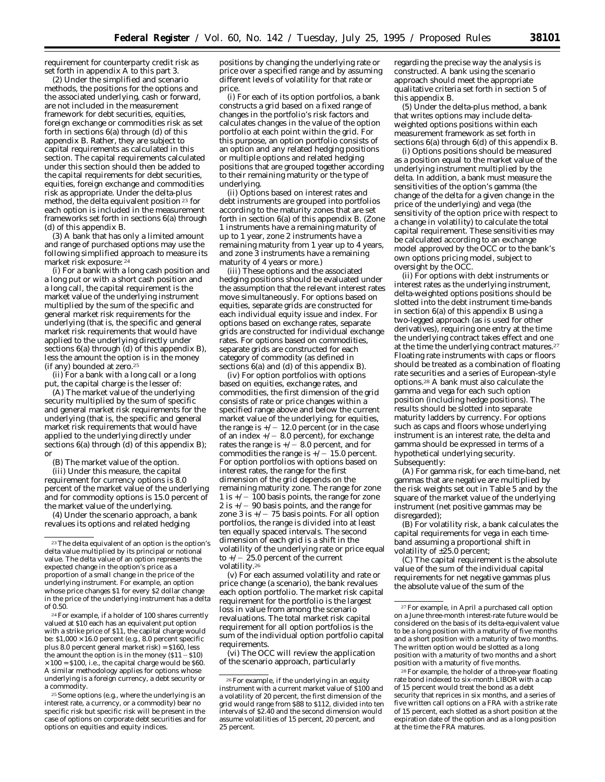requirement for counterparty credit risk as set forth in appendix A to this part 3.

(2) Under the simplified and scenario methods, the positions for the options and the associated underlying, cash or forward, are not included in the measurement framework for debt securities, equities, foreign exchange or commodities risk as set forth in sections 6(a) through (d) of this appendix B. Rather, they are subject to capital requirements as calculated in this section. The capital requirements calculated under this section should then be added to the capital requirements for debt securities, equities, foreign exchange and commodities risk as appropriate. Under the delta-plus method, the delta equivalent position 23 for each option is included in the measurement frameworks set forth in sections 6(a) through (d) of this appendix B.

(3) A bank that has only a limited amount and range of purchased options may use the following simplified approach to measure its market risk exposure: 24

(i) For a bank with a long cash position and a long put or with a short cash position and a long call, the capital requirement is the market value of the underlying instrument multiplied by the sum of the specific and general market risk requirements for the underlying (that is, the specific and general market risk requirements that would have applied to the underlying directly under sections 6(a) through (d) of this appendix B), less the amount the option is in the money (if any) bounded at zero.25

(ii) For a bank with a long call or a long put, the capital charge is the lesser of:

(A) The market value of the underlying security multiplied by the sum of specific and general market risk requirements for the underlying (that is, the specific and general market risk requirements that would have applied to the underlying directly under sections 6(a) through (d) of this appendix B); or

(B) The market value of the option.

(iii) Under this measure, the capital requirement for currency options is 8.0 percent of the market value of the underlying and for commodity options is 15.0 percent of the market value of the underlying.

(4) Under the scenario approach, a bank revalues its options and related hedging

24For example, if a holder of 100 shares currently valued at \$10 each has an equivalent put option with a strike price of \$11, the capital charge would be: \$1,000 × 16.0 percent (e.g., 8.0 percent specific plus 8.0 percent general market risk) = \$160, less the amount the option is in the money  $( $11 - $10)$  $\times 100 =$  \$100, i.e., the capital charge would be \$60. A similar methodology applies for options whose underlying is a foreign currency, a debt security or a commodity.

25Some options (e.g., where the underlying is an interest rate, a currency, or a commodity) bear no specific risk but specific risk will be present in the case of options on corporate debt securities and for options on equities and equity indices.

positions by changing the underlying rate or price over a specified range and by assuming different levels of volatility for that rate or price.

(i) For each of its option portfolios, a bank constructs a grid based on a fixed range of changes in the portfolio's risk factors and calculates changes in the value of the option portfolio at each point within the grid. For this purpose, an option portfolio consists of an option and any related hedging positions or multiple options and related hedging positions that are grouped together according to their remaining maturity or the type of underlying.

(ii) Options based on interest rates and debt instruments are grouped into portfolios according to the maturity zones that are set forth in section 6(a) of this appendix B. (Zone 1 instruments have a remaining maturity of up to 1 year, zone 2 instruments have a remaining maturity from 1 year up to 4 years, and zone 3 instruments have a remaining maturity of 4 years or more.)

(iii) These options and the associated hedging positions should be evaluated under the assumption that the relevant interest rates move simultaneously. For options based on equities, separate grids are constructed for each individual equity issue and index. For options based on exchange rates, separate grids are constructed for individual exchange rates. For options based on commodities, separate grids are constructed for each category of commodity (as defined in sections 6(a) and (d) of this appendix B).

(iv) For option portfolios with options based on equities, exchange rates, and commodities, the first dimension of the grid consists of rate or price changes within a specified range above and below the current market value of the underlying; for equities, the range is  $+/- 12.0$  percent (or in the case of an index  $+/-$  8.0 percent), for exchange rates the range is  $+/-$  8.0 percent, and for commodities the range is  $\frac{1}{2}$  / - 15.0 percent. For option portfolios with options based on interest rates, the range for the first dimension of the grid depends on the remaining maturity zone. The range for zone 1 is  $+/-$  100 basis points, the range for zone 2 is  $+/-$  90 basis points, and the range for zone 3 is  $+/-$  75 basis points. For all option portfolios, the range is divided into at least ten equally spaced intervals. The second dimension of each grid is a shift in the volatility of the underlying rate or price equal to  $+/- 25.0$  percent of the current volatility.26

(v) For each assumed volatility and rate or price change (a scenario), the bank revalues each option portfolio. The market risk capital requirement for the portfolio is the largest loss in value from among the scenario revaluations. The total market risk capital requirement for all option portfolios is the sum of the individual option portfolio capital requirements.

(vi) The OCC will review the application of the scenario approach, particularly

regarding the precise way the analysis is constructed. A bank using the scenario approach should meet the appropriate qualitative criteria set forth in section 5 of this appendix B.

(5) Under the delta-plus method, a bank that writes options may include deltaweighted options positions within each measurement framework as set forth in sections 6(a) through 6(d) of this appendix B.

(i) Options positions should be measured as a position equal to the market value of the underlying instrument multiplied by the delta. In addition, a bank must measure the sensitivities of the option's gamma (the change of the delta for a given change in the price of the underlying) and vega (the sensitivity of the option price with respect to a change in volatility) to calculate the total capital requirement. These sensitivities may be calculated according to an exchange model approved by the OCC or to the bank's own options pricing model, subject to oversight by the OCC.

(ii) For options with debt instruments or interest rates as the underlying instrument, delta-weighted options positions should be slotted into the debt instrument time-bands in section 6(a) of this appendix B using a two-legged approach (as is used for other derivatives), requiring one entry at the time the underlying contract takes effect and one at the time the underlying contract matures.27 Floating rate instruments with caps or floors should be treated as a combination of floating rate securities and a series of European-style options.28 A bank must also calculate the gamma and vega for each such option position (including hedge positions). The results should be slotted into separate maturity ladders by currency. For options such as caps and floors whose underlying instrument is an interest rate, the delta and gamma should be expressed in terms of a hypothetical underlying security. Subsequently:

(A) For gamma risk, for each time-band, net gammas that are negative are multiplied by the risk weights set out in Table 5 and by the square of the market value of the underlying instrument (net positive gammas may be disregarded);

(B) For volatility risk, a bank calculates the capital requirements for vega in each timeband assuming a proportional shift in volatility of ±25.0 percent;

(C) The capital requirement is the absolute value of the sum of the individual capital requirements for net negative gammas plus the absolute value of the sum of the

<sup>23</sup>The delta equivalent of an option is the option's delta value multiplied by its principal or notional value. The delta value of an option represents the expected change in the option's price as a proportion of a small change in the price of the underlying instrument. For example, an option whose price changes \$1 for every \$2 dollar change in the price of the underlying instrument has a delta of 0.50.

<sup>26</sup>For example, if the underlying in an equity instrument with a current market value of \$100 and a volatility of 20 percent, the first dimension of the grid would range from \$88 to \$112, divided into ten intervals of \$2.40 and the second dimension would assume volatilities of 15 percent, 20 percent, and 25 percent.

<sup>27</sup>For example, in April a purchased call option on a June three-month interest-rate future would be considered on the basis of its delta-equivalent value to be a long position with a maturity of five months and a short position with a maturity of two months. The written option would be slotted as a long position with a maturity of two months and a short position with a maturity of five months.

<sup>28</sup>For example, the holder of a three-year floating rate bond indexed to six-month LIBOR with a cap of 15 percent would treat the bond as a debt security that reprices in six months, and a series of five written call options on a FRA with a strike rate of 15 percent, each slotted as a short position at the expiration date of the option and as a long position at the time the FRA matures.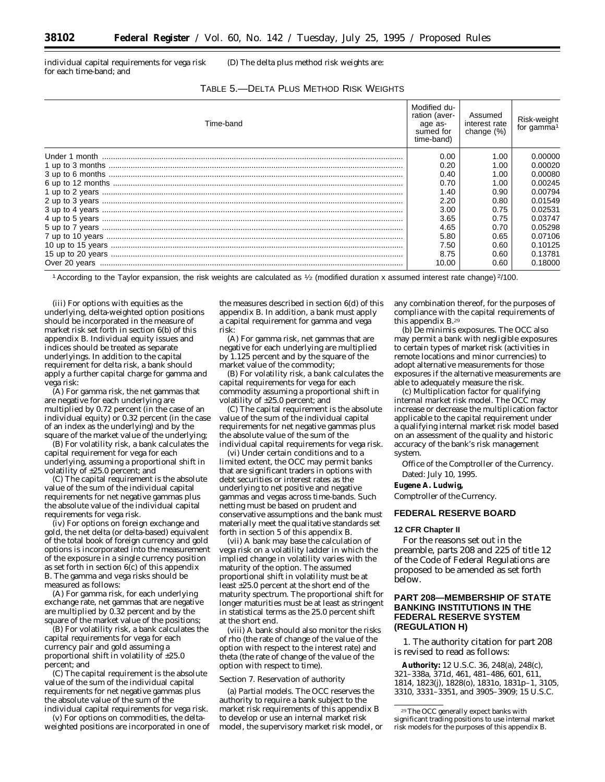individual capital requirements for vega risk for each time-band; and

(D) The delta plus method risk weights are:

| Time-band | Modified du-<br>ration (aver-<br>age as-<br>sumed for<br>time-band) | Assumed<br>interest rate<br>change (%) | Risk-weight<br>for gamma <sup>1</sup> |
|-----------|---------------------------------------------------------------------|----------------------------------------|---------------------------------------|
|           | 0.00                                                                | 1.00                                   | 0.00000                               |
|           | 0.20                                                                | 1.00                                   | 0.00020                               |
|           | 0.40                                                                | 1.00                                   | 0.00080                               |
|           | 0.70                                                                | 1.00                                   | 0.00245                               |
|           | 1.40                                                                | 0.90                                   | 0.00794                               |
|           | 2.20                                                                | 0.80                                   | 0.01549                               |
|           | 3.00                                                                | 0.75                                   | 0.02531                               |
|           | 3.65                                                                | 0.75                                   | 0.03747                               |
|           | 4.65                                                                | 0.70                                   | 0.05298                               |
|           | 5.80                                                                | 0.65                                   | 0.07106                               |
|           | 7.50                                                                | 0.60                                   | 0.10125                               |
|           | 8.75                                                                | 0.60                                   | 0.13781                               |
|           | 10.00                                                               | 0.60                                   | 0.18000                               |

1According to the Taylor expansion, the risk weights are calculated as 1⁄2 (modified duration x assumed interest rate change) 2/100.

(iii) For options with equities as the underlying, delta-weighted option positions should be incorporated in the measure of market risk set forth in section 6(b) of this appendix B. Individual equity issues and indices should be treated as separate underlyings. In addition to the capital requirement for delta risk, a bank should apply a further capital charge for gamma and vega risk:

(A) For gamma risk, the net gammas that are negative for each underlying are multiplied by 0.72 percent (in the case of an individual equity) or 0.32 percent (in the case of an index as the underlying) and by the square of the market value of the underlying;

(B) For volatility risk, a bank calculates the capital requirement for vega for each underlying, assuming a proportional shift in volatility of ±25.0 percent; and

(C) The capital requirement is the absolute value of the sum of the individual capital requirements for net negative gammas plus the absolute value of the individual capital requirements for vega risk.

(iv) For options on foreign exchange and gold, the net delta (or delta-based) equivalent of the total book of foreign currency and gold options is incorporated into the measurement of the exposure in a single currency position as set forth in section  $6(c)$  of this appendix B. The gamma and vega risks should be measured as follows:

(A) For gamma risk, for each underlying exchange rate, net gammas that are negative are multiplied by 0.32 percent and by the square of the market value of the positions;

(B) For volatility risk, a bank calculates the capital requirements for vega for each currency pair and gold assuming a proportional shift in volatility of  $\pm 25.0$ percent; and

(C) The capital requirement is the absolute value of the sum of the individual capital requirements for net negative gammas plus the absolute value of the sum of the individual capital requirements for vega risk.

(v) For options on commodities, the deltaweighted positions are incorporated in one of the measures described in section 6(d) of this appendix B. In addition, a bank must apply a capital requirement for gamma and vega risk:

(A) For gamma risk, net gammas that are negative for each underlying are multiplied by 1.125 percent and by the square of the market value of the commodity;

(B) For volatility risk, a bank calculates the capital requirements for vega for each commodity assuming a proportional shift in volatility of ±25.0 percent; and

(C) The capital requirement is the absolute value of the sum of the individual capital requirements for net negative gammas plus the absolute value of the sum of the individual capital requirements for vega risk.

(vi) Under certain conditions and to a limited extent, the OCC may permit banks that are significant traders in options with debt securities or interest rates as the underlying to net positive and negative gammas and vegas across time-bands. Such netting must be based on prudent and conservative assumptions and the bank must materially meet the qualitative standards set forth in section 5 of this appendix B.

(vii) A bank may base the calculation of vega risk on a volatility ladder in which the implied change in volatility varies with the maturity of the option. The assumed proportional shift in volatility must be at least ±25.0 percent at the short end of the maturity spectrum. The proportional shift for longer maturities must be at least as stringent in statistical terms as the 25.0 percent shift at the short end.

(viii) A bank should also monitor the risks of rho (the rate of change of the value of the option with respect to the interest rate) and theta (the rate of change of the value of the option with respect to time).

#### *Section 7. Reservation of authority*

(a) *Partial models.* The OCC reserves the authority to require a bank subject to the market risk requirements of this appendix B to develop or use an internal market risk model, the supervisory market risk model, or any combination thereof, for the purposes of compliance with the capital requirements of this appendix B.29

(b) *De minimis exposures.* The OCC also may permit a bank with negligible exposures to certain types of market risk (activities in remote locations and minor currencies) to adopt alternative measurements for those exposures if the alternative measurements are able to adequately measure the risk.

(c) *Multiplication factor for qualifying internal market risk model.* The OCC may increase or decrease the multiplication factor applicable to the capital requirement under a qualifying internal market risk model based on an assessment of the quality and historic accuracy of the bank's risk management system.

Office of the Comptroller of the Currency.

# Dated: July 10, 1995.

**Eugene A. Ludwig,**

*Comptroller of the Currency.*

# **FEDERAL RESERVE BOARD**

#### **12 CFR Chapter II**

For the reasons set out in the preamble, parts 208 and 225 of title 12 of the Code of Federal Regulations are proposed to be amended as set forth below.

# **PART 208—MEMBERSHIP OF STATE BANKING INSTITUTIONS IN THE FEDERAL RESERVE SYSTEM (REGULATION H)**

1. The authority citation for part 208 is revised to read as follows:

**Authority:** 12 U.S.C. 36, 248(a), 248(c), 321–338a, 371d, 461, 481–486, 601, 611, 1814, 1823(j), 1828(o), 1831o, 1831p–1, 3105, 3310, 3331–3351, and 3905–3909; 15 U.S.C.

<sup>29</sup>The OCC generally expect banks with significant trading positions to use internal market risk models for the purposes of this appendix B.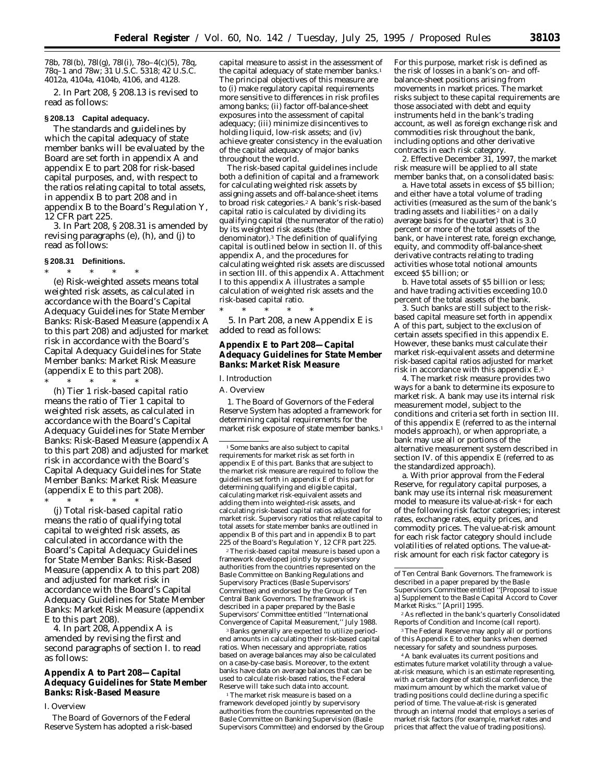78b, 78l(b), 78l(g), 78l(i), 78o–4(c)(5), 78q, 78q–1 and 78w; 31 U.S.C. 5318; 42 U.S.C. 4012a, 4104a, 4104b, 4106, and 4128.

2. In Part 208, § 208.13 is revised to read as follows:

# **§ 208.13 Capital adequacy.**

The standards and guidelines by which the capital adequacy of state member banks will be evaluated by the Board are set forth in appendix A and appendix E to part 208 for risk-based capital purposes, and, with respect to the ratios relating capital to total assets, in appendix B to part 208 and in appendix B to the Board's Regulation Y, 12 CFR part 225.

3. In Part 208, § 208.31 is amended by revising paragraphs (e), (h), and (j) to read as follows:

#### **§ 208.31 Definitions.**

\* \* \* \* \* (e) *Risk-weighted assets* means total weighted risk assets, as calculated in accordance with the Board's Capital Adequacy Guidelines for State Member Banks: Risk-Based Measure (appendix A to this part 208) and adjusted for market risk in accordance with the Board's Capital Adequacy Guidelines for State Member banks: Market Risk Measure (appendix E to this part 208).

\* \* \* \* \* (h) *Tier 1 risk-based capital ratio* means the ratio of Tier 1 capital to weighted risk assets, as calculated in accordance with the Board's Capital Adequacy Guidelines for State Member Banks: Risk-Based Measure (appendix A to this part 208) and adjusted for market risk in accordance with the Board's Capital Adequacy Guidelines for State Member Banks: Market Risk Measure (appendix E to this part 208).

\* \* \* \* \* (j) *Total risk-based capital ratio* means the ratio of qualifying total capital to weighted risk assets, as calculated in accordance with the Board's Capital Adequacy Guidelines for State Member Banks: Risk-Based Measure (appendix A to this part 208) and adjusted for market risk in accordance with the Board's Capital Adequacy Guidelines for State Member Banks: Market Risk Measure (appendix E to this part 208).

4. In part 208, Appendix A is amended by revising the first and second paragraphs of section I. to read as follows:

# **Appendix A to Part 208—Capital Adequacy Guidelines for State Member Banks: Risk-Based Measure**

#### *I. Overview*

The Board of Governors of the Federal Reserve System has adopted a risk-based capital measure to assist in the assessment of the capital adequacy of state member banks.<sup>1</sup> The principal objectives of this measure are to (i) make regulatory capital requirements more sensitive to differences in risk profiles among banks; (ii) factor off-balance-sheet exposures into the assessment of capital adequacy; (iii) minimize disincentives to holding liquid, low-risk assets; and (iv) achieve greater consistency in the evaluation of the capital adequacy of major banks throughout the world.

The risk-based capital guidelines include both a definition of capital and a framework for calculating weighted risk assets by assigning assets and off-balance-sheet items to broad risk categories.2 A bank's risk-based capital ratio is calculated by dividing its qualifying capital (the numerator of the ratio) by its weighted risk assets (the denominator).3 The definition of qualifying capital is outlined below in section II. of this appendix A, and the procedures for calculating weighted risk assets are discussed in section III. of this appendix A. Attachment I to this appendix A illustrates a sample calculation of weighted risk assets and the risk-based capital ratio.

\* \* \* \* \* 5. In Part 208, a new Appendix E is added to read as follows:

## **Appendix E to Part 208—Capital Adequacy Guidelines for State Member Banks: Market Risk Measure**

# *I. Introduction*

A. Overview

1. The Board of Governors of the Federal Reserve System has adopted a framework for determining capital requirements for the market risk exposure of state member banks.<sup>1</sup>

<sup>1</sup> Some banks are also subject to capital requirements for market risk as set forth in appendix E of this part. Banks that are subject to the market risk measure are required to follow the guidelines set forth in appendix E of this part for determining qualifying and eligible capital, calculating market risk-equivalent assets and adding them into weighted-risk assets, and calculating risk-based capital ratios adjusted for market risk. Supervisory ratios that relate capital to total assets for state member banks are outlined in appendix B of this part and in appendix B to part 225 of the Board's Regulation Y, 12 CFR part 225.

2The risk-based capital measure is based upon a framework developed jointly by supervisory authorities from the countries represented on the Basle Committee on Banking Regulations and Supervisory Practices (Basle Supervisors' Committee) and endorsed by the Group of Ten Central Bank Governors. The framework is described in a paper prepared by the Basle Supervisors' Committee entitled ''International Convergence of Capital Measurement,'' July 1988.

3Banks generally are expected to utilize periodend amounts in calculating their risk-based capital ratios. When necessary and appropriate, ratios based on average balances may also be calculated on a case-by-case basis. Moreover, to the extent banks have data on average balances that can be used to calculate risk-based ratios, the Federal Reserve will take such data into account.

1The market risk measure is based on a framework developed jointly by supervisory authorities from the countries represented on the Basle Committee on Banking Supervision (Basle Supervisors Committee) and endorsed by the Group For this purpose, market risk is defined as the risk of losses in a bank's on- and offbalance-sheet positions arising from movements in market prices. The market risks subject to these capital requirements are those associated with debt and equity instruments held in the bank's trading account, as well as foreign exchange risk and commodities risk throughout the bank, including options and other derivative contracts in each risk category.

2. Effective December 31, 1997, the market risk measure will be applied to all state member banks that, on a consolidated basis:

a. Have total assets in excess of \$5 billion; and either have a total volume of trading activities (measured as the sum of the bank's trading assets and liabilities<sup>2</sup> on a daily average basis for the quarter) that is 3.0 percent or more of the total assets of the bank, or have interest rate, foreign exchange, equity, and commodity off-balance-sheet derivative contracts relating to trading activities whose total notional amounts exceed \$5 billion; or

b. Have total assets of \$5 billion or less; *and* have trading activities exceeding 10.0 percent of the total assets of the bank.

3. Such banks are still subject to the riskbased capital measure set forth in appendix A of this part, subject to the exclusion of certain assets specified in this appendix E. However, these banks must calculate their market risk-equivalent assets and determine risk-based capital ratios adjusted for market risk in accordance with this appendix E.3

4. The market risk measure provides two ways for a bank to determine its exposure to market risk. A bank may use its internal risk measurement model, subject to the conditions and criteria set forth in section III. of this appendix E (referred to as the internal models approach), or when appropriate, a bank may use all or portions of the alternative measurement system described in section IV. of this appendix E (referred to as the standardized approach).

a. With prior approval from the Federal Reserve, for regulatory capital purposes, a bank may use its internal risk measurement model to measure its value-at-risk 4 for each of the following risk factor categories; interest rates, exchange rates, equity prices, and commodity prices. The value-at-risk amount for each risk factor category should include volatilities of related options. The value-atrisk amount for each risk factor category is

2As reflected in the bank's quarterly Consolidated Reports of Condition and Income (call report).

3The Federal Reserve may apply all or portions of this Appendix E to other banks when deemed necessary for safety and soundness purposes.

4A bank evaluates its current positions and estimates future market volatility through a valueat-risk measure, which is an estimate representing, with a certain degree of statistical confidence, the maximum amount by which the market value of trading positions could decline during a specific period of time. The value-at-risk is generated through an internal model that employs a series of market risk factors (for example, market rates and prices that affect the value of trading positions).

of Ten Central Bank Governors. The framework is described in a paper prepared by the Basle Supervisors Committee entitled ''[Proposal to issue a] Supplement to the Basle Capital Accord to Cover Market Risks.'' [April] 1995.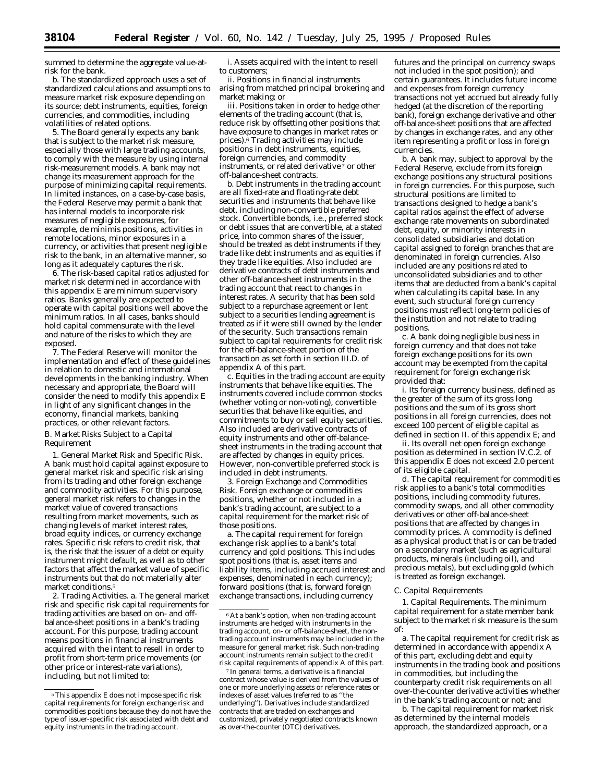summed to determine the aggregate value-atrisk for the bank.

b. The standardized approach uses a set of standardized calculations and assumptions to measure market risk exposure depending on its source; debt instruments, equities, foreign currencies, and commodities, including volatilities of related options.

5. The Board generally expects any bank that is subject to the market risk measure, especially those with large trading accounts, to comply with the measure by using internal risk-measurement models. A bank may not change its measurement approach for the purpose of minimizing capital requirements. In limited instances, on a case-by-case basis, the Federal Reserve may permit a bank that has internal models to incorporate risk measures of negligible exposures, for example, *de minimis* positions, activities in remote locations, minor exposures in a currency, or activities that present negligible risk to the bank, in an alternative manner, so long as it adequately captures the risk.

6. The risk-based capital ratios adjusted for market risk determined in accordance with this appendix E are *minimum* supervisory ratios. Banks generally are expected to operate with capital positions well above the minimum ratios. In all cases, banks should hold capital commensurate with the level and nature of the risks to which they are exposed.

7. The Federal Reserve will monitor the implementation and effect of these guidelines in relation to domestic and international developments in the banking industry. When necessary and appropriate, the Board will consider the need to modify this appendix E in light of any significant changes in the economy, financial markets, banking practices, or other relevant factors. B. Market Risks Subject to a Capital Requirement

1. *General Market Risk and Specific Risk.* A bank must hold capital against exposure to general market risk and specific risk arising from its trading and other foreign exchange and commodity activities. For this purpose, general market risk refers to changes in the market value of covered transactions resulting from market movements, such as changing levels of market interest rates, broad equity indices, or currency exchange rates. Specific risk refers to credit risk, that is, the risk that the issuer of a debt or equity instrument might default, as well as to other factors that affect the market value of specific instruments but that do not materially alter market conditions.5

2. *Trading Activities.* a. The general market risk and specific risk capital requirements for trading activities are based on on- and offbalance-sheet positions in a bank's trading account. For this purpose, trading account means positions in financial instruments acquired with the intent to resell in order to profit from short-term price movements (or other price or interest-rate variations), including, but not limited to:

i. Assets acquired with the intent to resell to customers;

ii. Positions in financial instruments arising from matched principal brokering and market making; or

iii. Positions taken in order to hedge other elements of the trading account (that is, reduce risk by offsetting other positions that have exposure to changes in market rates or prices). $\delta$  Trading activities may include positions in debt instruments, equities, foreign currencies, and commodity instruments, or related derivative 7 or other off-balance-sheet contracts.

b. Debt instruments in the trading account are all fixed-rate and floating-rate debt securities and instruments that behave like debt, including non-convertible preferred stock. Convertible bonds, i.e., preferred stock or debt issues that are convertible, at a stated price, into common shares of the issuer, should be treated as debt instruments if they trade like debt instruments and as equities if they trade like equities. Also included are derivative contracts of debt instruments and other off-balance-sheet instruments in the trading account that react to changes in interest rates. A security that has been sold subject to a repurchase agreement or lent subject to a securities lending agreement is treated as if it were still owned by the lender of the security. Such transactions remain subject to capital requirements for credit risk for the off-balance-sheet portion of the transaction as set forth in section III.D. of appendix A of this part.

c. Equities in the trading account are equity instruments that behave like equities. The instruments covered include common stocks (whether voting or non-voting), convertible securities that behave like equities, and commitments to buy or sell equity securities. Also included are derivative contracts of equity instruments and other off-balancesheet instruments in the trading account that are affected by changes in equity prices. However, non-convertible preferred stock is included in debt instruments.

3. *Foreign Exchange and Commodities Risk.* Foreign exchange or commodities positions, whether or not included in a bank's trading account, are subject to a capital requirement for the market risk of those positions.

a. The capital requirement for foreign exchange risk applies to a bank's total currency and gold positions. This includes spot positions (that is, asset items and liability items, including accrued interest and expenses, denominated in each currency); forward positions (that is, forward foreign exchange transactions, including currency

futures and the principal on currency swaps not included in the spot position); and certain guarantees. It includes future income and expenses from foreign currency transactions not yet accrued but already fully hedged (at the discretion of the reporting bank), foreign exchange derivative and other off-balance-sheet positions that are affected by changes in exchange rates, and any other item representing a profit or loss in foreign currencies.

b. A bank may, subject to approval by the Federal Reserve, exclude from its foreign exchange positions any structural positions in foreign currencies. For this purpose, such structural positions are limited to transactions designed to hedge a bank's capital ratios against the effect of adverse exchange rate movements on subordinated debt, equity, or minority interests in consolidated subsidiaries and dotation capital assigned to foreign branches that are denominated in foreign currencies. Also included are any positions related to unconsolidated subsidiaries and to other items that are deducted from a bank's capital when calculating its capital base. In any event, such structural foreign currency positions must reflect long-term policies of the institution and not relate to trading positions.

c. A bank doing negligible business in foreign currency and that does not take foreign exchange positions for its own account may be exempted from the capital requirement for foreign exchange risk provided that:

i. Its foreign currency business, defined as the greater of the sum of its gross long positions and the sum of its gross short positions in all foreign currencies, does not exceed 100 percent of eligible capital as defined in section II. of this appendix E; and

ii. Its overall net open foreign exchange position as determined in section IV.C.2. of this appendix E does not exceed 2.0 percent of its eligible capital.

d. The capital requirement for commodities risk applies to a bank's total commodities positions, including commodity futures, commodity swaps, and all other commodity derivatives or other off-balance-sheet positions that are affected by changes in commodity prices. A commodity is defined as a physical product that is or can be traded on a secondary market (such as agricultural products, minerals (including oil), and precious metals), but excluding gold (which is treated as foreign exchange).

#### *C. Capital Requirements*

1. *Capital Requirements.* The minimum capital requirement for a state member bank subject to the market risk measure is the sum of:

a. The capital requirement for credit risk as determined in accordance with appendix A of this part, *excluding* debt and equity instruments in the trading book and positions in commodities, but *including* the counterparty credit risk requirements on all over-the-counter derivative activities whether in the bank's trading account or not; and

b. The capital requirement for market risk as determined by the internal models approach, the standardized approach, or a

<sup>5</sup>This appendix E does not impose specific risk capital requirements for foreign exchange risk and commodities positions because they do not have the type of issuer-specific risk associated with debt and equity instruments in the trading account.

<sup>6</sup>At a bank's option, when non-trading account instruments are hedged with instruments in the trading account, on- or off-balance-sheet, the nontrading account instruments may be included in the measure for general market risk. Such non-trading account instruments remain subject to the credit risk capital requirements of appendix A of this part.

<sup>7</sup> In general terms, a derivative is a financial contract whose value is derived from the values of one or more underlying assets or reference rates or indexes of asset values (referred to as ''the underlying''). Derivatives include standardized contracts that are traded on exchanges and customized, privately negotiated contracts known as over-the-counter (OTC) derivatives.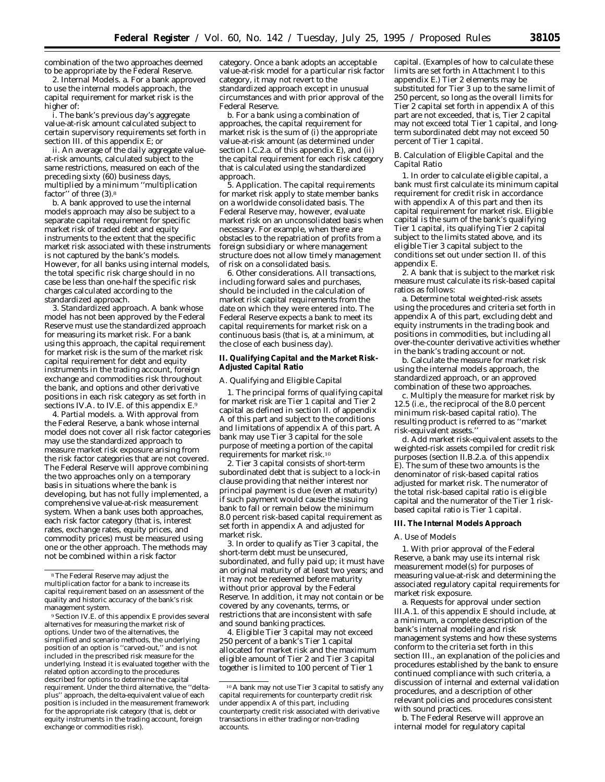combination of the two approaches deemed to be appropriate by the Federal Reserve.

2. *Internal Models.* a. For a bank approved to use the internal models approach, the capital requirement for market risk is the higher of:

i. The bank's previous day's aggregate value-at-risk amount calculated subject to certain supervisory requirements set forth in section III. of this appendix E; or

ii. An average of the daily aggregate valueat-risk amounts, calculated subject to the same restrictions, measured on each of the preceding sixty (60) business days, multiplied by a minimum ''multiplication factor'' of three (3).8

b. A bank approved to use the internal models approach may also be subject to a separate capital requirement for specific market risk of traded debt and equity instruments to the extent that the specific market risk associated with these instruments is not captured by the bank's models. However, for all banks using internal models, the total specific risk charge should in no case be less than one-half the specific risk charges calculated according to the standardized approach.

3. *Standardized approach.* A bank whose model has not been approved by the Federal Reserve must use the standardized approach for measuring its market risk. For a bank using this approach, the capital requirement for market risk is the sum of the market risk capital requirement for debt and equity instruments in the trading account, foreign exchange and commodities risk throughout the bank, and options and other derivative positions in each risk category as set forth in sections IV.A. to IV.E. of this appendix E.9

4. *Partial models.* a. With approval from the Federal Reserve, a bank whose internal model does not cover all risk factor categories may use the standardized approach to measure market risk exposure arising from the risk factor categories that are not covered. The Federal Reserve will approve combining the two approaches only on a temporary basis in situations where the bank is developing, but has not fully implemented, a comprehensive value-at-risk measurement system. When a bank uses both approaches, each risk factor category (that is, interest rates, exchange rates, equity prices, and commodity prices) must be measured using one or the other approach. The methods may not be combined within a risk factor

9Section IV.E. of this appendix E provides several alternatives for measuring the market risk of options. Under two of the alternatives, the simplified and scenario methods, the underlying position of an option is ''carved-out,'' and is not included in the prescribed risk measure for the underlying. Instead it is evaluated together with the related option according to the procedures described for options to determine the capital requirement. Under the third alternative, the ''deltaplus'' approach, the delta-equivalent value of each position is included in the measurement framework for the appropriate risk category (that is, debt or equity instruments in the trading account, foreign exchange or commodities risk).

category. Once a bank adopts an acceptable value-at-risk model for a particular risk factor category, it may not revert to the standardized approach except in unusual circumstances and with prior approval of the Federal Reserve.

b. For a bank using a combination of approaches, the capital requirement for market risk is the sum of (i) the appropriate value-at-risk amount (as determined under section I.C.2.a. of this appendix E), and (ii) the capital requirement for each risk category that is calculated using the standardized approach.

5. *Application.* The capital requirements for market risk apply to state member banks on a worldwide consolidated basis. The Federal Reserve may, however, evaluate market risk on an unconsolidated basis when necessary. For example, when there are obstacles to the repatriation of profits from a foreign subsidiary or where management structure does not allow timely management of risk on a consolidated basis.

6. *Other considerations.* All transactions, including forward sales and purchases, should be included in the calculation of market risk capital requirements from the date on which they were entered into. The Federal Reserve expects a bank to meet its capital requirements for market risk on a continuous basis (that is, at a minimum, at the close of each business day).

#### **II. Qualifying Capital and the Market Risk-Adjusted Capital Ratio**

#### *A. Qualifying and Eligible Capital*

1. The principal forms of qualifying capital for market risk are Tier 1 capital and Tier 2 capital as defined in section II. of appendix A of this part and subject to the conditions and limitations of appendix A of this part. A bank may use Tier 3 capital for the sole purpose of meeting a portion of the capital requirements for market risk.10

2. Tier 3 capital consists of short-term subordinated debt that is subject to a lock-in clause providing that neither interest nor principal payment is due (even at maturity) if such payment would cause the issuing bank to fall or remain below the minimum 8.0 percent risk-based capital requirement as set forth in appendix A and adjusted for market risk.

3. In order to qualify as Tier 3 capital, the short-term debt must be unsecured, subordinated, and fully paid up; it must have an original maturity of at least two years; and it may not be redeemed before maturity without prior approval by the Federal Reserve. In addition, it may not contain or be covered by any covenants, terms, or restrictions that are inconsistent with safe and sound banking practices.

4. Eligible Tier 3 capital may not exceed 250 percent of a bank's Tier 1 capital allocated for market risk and the maximum eligible amount of Tier 2 and Tier 3 capital together is limited to 100 percent of Tier 1

capital. (Examples of how to calculate these limits are set forth in Attachment I to this appendix E.) Tier 2 elements may be substituted for Tier 3 up to the same limit of 250 percent, so long as the overall limits for Tier 2 capital set forth in appendix A of this part are not exceeded, that is, Tier 2 capital may not exceed total Tier 1 capital, and longterm subordinated debt may not exceed 50 percent of Tier 1 capital.

#### *B. Calculation of Eligible Capital and the Capital Ratio*

1. In order to calculate eligible capital, a bank must first calculate its minimum capital requirement for credit risk in accordance with appendix A of this part and then its capital requirement for market risk. Eligible capital is the sum of the bank's qualifying Tier 1 capital, its qualifying Tier 2 capital subject to the limits stated above, and its eligible Tier 3 capital subject to the conditions set out under section II. of this appendix E.

2. A bank that is subject to the market risk measure must calculate its risk-based capital ratios as follows:

a. Determine total weighted-risk assets using the procedures and criteria set forth in appendix A of this part, excluding debt and equity instruments in the trading book and positions in commodities, but including all over-the-counter derivative activities whether in the bank's trading account or not.

b. Calculate the measure for market risk using the internal models approach, the standardized approach, or an approved combination of these two approaches.

c. Multiply the measure for market risk by 12.5 (i.e., the reciprocal of the 8.0 percent minimum risk-based capital ratio). The resulting product is referred to as ''market risk-equivalent assets.''

d. Add market risk-equivalent assets to the weighted-risk assets compiled for credit risk purposes (section II.B.2.a. of this appendix E). The sum of these two amounts is the denominator of risk-based capital ratios adjusted for market risk. The numerator of the total risk-based capital ratio is eligible capital and the numerator of the Tier 1 riskbased capital ratio is Tier 1 capital.

#### **III. The Internal Models Approach**

#### *A. Use of Models*

1. With prior approval of the Federal Reserve, a bank may use its internal risk measurement model(s) for purposes of measuring value-at-risk and determining the associated regulatory capital requirements for market risk exposure.

a. Requests for approval under section III.A.1. of this appendix E should include, at a minimum, a complete description of the bank's internal modeling and risk management systems and how these systems conform to the criteria set forth in this section III., an explanation of the policies and procedures established by the bank to ensure continued compliance with such criteria, a discussion of internal and external validation procedures, and a description of other relevant policies and procedures consistent with sound practices.

b. The Federal Reserve will approve an internal model for regulatory capital

<sup>8</sup>The Federal Reserve may adjust the multiplication factor for a bank to increase its capital requirement based on an assessment of the quality and historic accuracy of the bank's risk management system.

<sup>10</sup>A bank may not use Tier 3 capital to satisfy any capital requirements for counterparty credit risk under appendix A of this part, including counterparty credit risk associated with derivative transactions in either trading or non-trading accounts.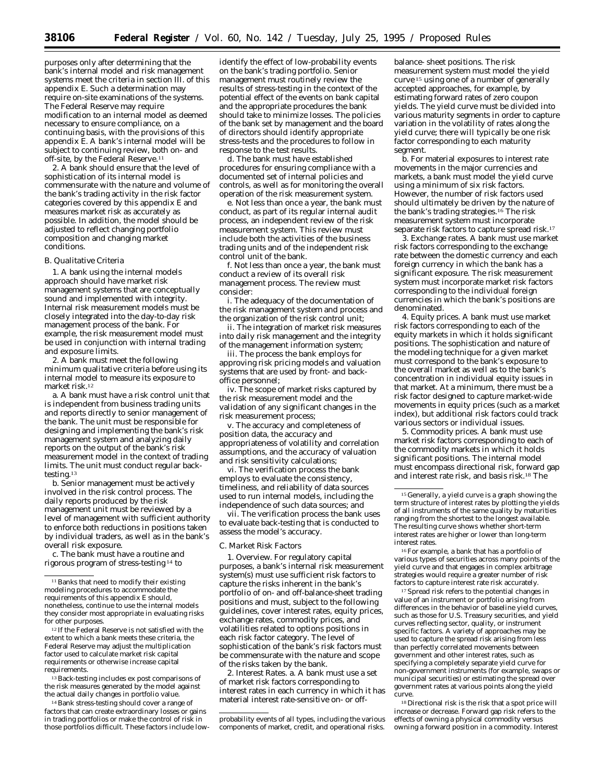purposes only after determining that the bank's internal model and risk management systems meet the criteria in section III. of this appendix E. Such a determination may require on-site examinations of the systems. The Federal Reserve may require modification to an internal model as deemed necessary to ensure compliance, on a continuing basis, with the provisions of this appendix E. A bank's internal model will be subject to continuing review, both on- and off-site, by the Federal Reserve.<sup>11</sup>

2. A bank should ensure that the level of sophistication of its internal model is commensurate with the nature and volume of the bank's trading activity in the risk factor categories covered by this appendix E and measures market risk as accurately as possible. In addition, the model should be adjusted to reflect changing portfolio composition and changing market conditions.

#### *B. Qualitative Criteria*

1. A bank using the internal models approach should have market risk management systems that are conceptually sound and implemented with integrity. Internal risk measurement models must be closely integrated into the day-to-day risk management process of the bank. For example, the risk measurement model must be used in conjunction with internal trading and exposure limits.

2. A bank must meet the following minimum qualitative criteria before using its internal model to measure its exposure to market risk.12

a. A bank must have a risk control unit that is independent from business trading units and reports directly to senior management of the bank. The unit must be responsible for designing and implementing the bank's risk management system and analyzing daily reports on the output of the bank's risk measurement model in the context of trading limits. The unit must conduct regular backtesting.13

b. Senior management must be actively involved in the risk control process. The daily reports produced by the risk management unit must be reviewed by a level of management with sufficient authority to enforce both reductions in positions taken by individual traders, as well as in the bank's overall risk exposure.

c. The bank must have a routine and rigorous program of stress-testing 14 to

12 If the Federal Reserve is not satisfied with the extent to which a bank meets these criteria, the Federal Reserve may adjust the multiplication factor used to calculate market risk capital requirements or otherwise increase capital requirements.

13Back-testing includes *ex post* comparisons of the risk measures generated by the model against the actual daily changes in portfolio value.

14Bank stress-testing should cover a range of factors that can create extraordinary losses or gains in trading portfolios or make the control of risk in those portfolios difficult. These factors include low-

identify the effect of low-probability events on the bank's trading portfolio. Senior management must routinely review the results of stress-testing in the context of the potential effect of the events on bank capital and the appropriate procedures the bank should take to minimize losses. The policies of the bank set by management and the board of directors should identify appropriate stress-tests and the procedures to follow in response to the test results.

d. The bank must have established procedures for ensuring compliance with a documented set of internal policies and controls, as well as for monitoring the overall operation of the risk measurement system.

e. Not less than once a year, the bank must conduct, as part of its regular internal audit process, an independent review of the risk measurement system. This review must include both the activities of the business trading units and of the independent risk control unit of the bank.

f. Not less than once a year, the bank must conduct a review of its overall risk management process. The review must consider:

i. The adequacy of the documentation of the risk management system and process and the organization of the risk control unit;

ii. The integration of market risk measures into daily risk management and the integrity of the management information system;

iii. The process the bank employs for approving risk pricing models and valuation systems that are used by front- and backoffice personnel;

iv. The scope of market risks captured by the risk measurement model and the validation of any significant changes in the risk measurement process;

v. The accuracy and completeness of position data, the accuracy and appropriateness of volatility and correlation assumptions, and the accuracy of valuation and risk sensitivity calculations;

vi. The verification process the bank employs to evaluate the consistency, timeliness, and reliability of data sources used to run internal models, including the independence of such data sources; and

vii. The verification process the bank uses to evaluate back-testing that is conducted to assess the model's accuracy.

#### *C. Market Risk Factors*

1. *Overview.* For regulatory capital purposes, a bank's internal risk measurement system(s) must use sufficient risk factors to capture the risks inherent in the bank's portfolio of on- and off-balance-sheet trading positions and must, subject to the following guidelines, cover interest rates, equity prices, exchange rates, commodity prices, and volatilities related to options positions in each risk factor category. The level of sophistication of the bank's risk factors must be commensurate with the nature and scope of the risks taken by the bank.

2. *Interest Rates.* a. A bank must use a set of market risk factors corresponding to interest rates in each currency in which it has material interest rate-sensitive on- or off-

balance- sheet positions. The risk measurement system must model the yield curve 15 using one of a number of generally accepted approaches, for example, by estimating forward rates of zero coupon yields. The yield curve must be divided into various maturity segments in order to capture variation in the volatility of rates along the yield curve; there will typically be one risk factor corresponding to each maturity segment.

b. For material exposures to interest rate movements in the major currencies and markets, a bank must model the yield curve using a minimum of six risk factors. However, the number of risk factors used should ultimately be driven by the nature of the bank's trading strategies.<sup>16</sup> The risk measurement system must incorporate separate risk factors to capture spread risk.17

3. *Exchange rates.* A bank must use market risk factors corresponding to the exchange rate between the domestic currency and each foreign currency in which the bank has a significant exposure. The risk measurement system must incorporate market risk factors corresponding to the individual foreign currencies in which the bank's positions are denominated.

4. *Equity prices.* A bank must use market risk factors corresponding to each of the equity markets in which it holds significant positions. The sophistication and nature of the modeling technique for a given market must correspond to the bank's exposure to the overall market as well as to the bank's concentration in individual equity issues in that market. At a minimum, there must be a risk factor designed to capture market-wide movements in equity prices (such as a market index), but additional risk factors could track various sectors or individual issues.

5. *Commodity prices.* A bank must use market risk factors corresponding to each of the commodity markets in which it holds significant positions. The internal model must encompass directional risk, forward gap and interest rate risk, and basis risk.18 The

16For example, a bank that has a portfolio of various types of securities across many points of the yield curve and that engages in complex arbitrage strategies would require a greater number of risk factors to capture interest rate risk accurately.

17Spread risk refers to the potential changes in value of an instrument or portfolio arising from differences in the behavior of baseline yield curves, such as those for U.S. Treasury securities, and yield curves reflecting sector, quality, or instrument specific factors. A variety of approaches may be used to capture the spread risk arising from less than perfectly correlated movements between government and other interest rates, such as specifying a completely separate yield curve for non-government instruments (for example, swaps or municipal securities) or estimating the spread over government rates at various points along the yield curve.

18 Directional risk is the risk that a spot price will increase or decrease. Forward gap risk refers to the effects of owning a physical commodity versus owning a forward position in a commodity. Interest

<sup>11</sup>Banks that need to modify their existing modeling procedures to accommodate the requirements of this appendix E should, nonetheless, continue to use the internal models they consider most appropriate in evaluating risks for other purposes.

probability events of all types, including the various components of market, credit, and operational risks.

<sup>15</sup> Generally, a yield curve is a graph showing the term structure of interest rates by plotting the yields of all instruments of the same quality by maturities ranging from the shortest to the longest available. The resulting curve shows whether short-term interest rates are higher or lower than long-term interest rates.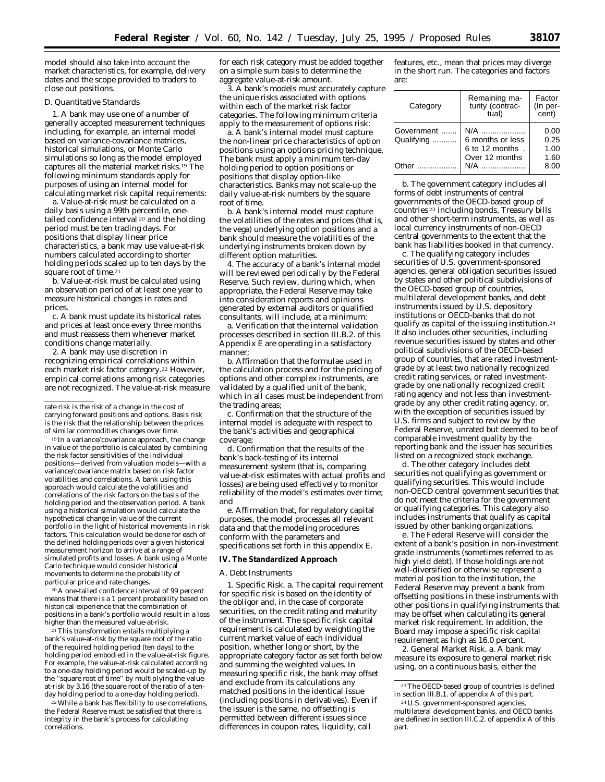model should also take into account the market characteristics, for example, delivery dates and the scope provided to traders to close out positions.

#### *D. Quantitative Standards*

1. A bank may use one of a number of generally accepted measurement techniques including, for example, an internal model based on variance-covariance matrices, historical simulations, or Monte Carlo simulations so long as the model employed captures all the material market risks.19 The following minimum standards apply for purposes of using an internal model for calculating market risk capital requirements:

a. Value-at-risk must be calculated on a daily basis using a 99th percentile, onetailed confidence interval 20 and the holding period must be ten trading days. For positions that display linear price characteristics, a bank may use value-at-risk numbers calculated according to shorter holding periods scaled up to ten days by the square root of time.<sup>21</sup>

b. Value-at-risk must be calculated using an observation period of at least one year to measure historical changes in rates and prices.

c. A bank must update its historical rates and prices at least once every three months and must reassess them whenever market conditions change materially.

2. A bank may use discretion in recognizing empirical correlations within each market risk factor category.22 However, empirical correlations among risk categories are not recognized. The value-at-risk measure

19 In a variance/covariance approach, the change in value of the portfolio is calculated by combining the risk factor sensitivities of the individual positions—derived from valuation models—with a variance/covariance matrix based on risk factor volatilities and correlations. A bank using this approach would calculate the volatilities and correlations of the risk factors on the basis of the holding period and the observation period. A bank using a historical simulation would calculate the hypothetical change in value of the current portfolio in the light of historical movements in risk factors. This calculation would be done for each of the defined holding periods over a given historical measurement horizon to arrive at a range of simulated profits and losses. A bank using a Monte Carlo technique would consider historical movements to determine the probability of particular price and rate changes.

20A one-tailed confidence interval of 99 percent means that there is a 1 percent probability based on historical experience that the combination of positions in a bank's portfolio would result in a loss higher than the measured value-at-risk.

21This transformation entails multiplying a bank's value-at-risk by the square root of the ratio of the required holding period (ten days) to the holding period embodied in the value-at-risk figure. For example, the value-at-risk calculated according to a one-day holding period would be scaled-up by the ''square root of time'' by multiplying the valueat-risk by 3.16 (the square root of the ratio of a tenday holding period to a one-day holding period).

22While a bank has flexibility to use correlations, the Federal Reserve must be satisfied that there is integrity in the bank's process for calculating correlations.

for each risk category must be added together on a simple sum basis to determine the aggregate value-at-risk amount.

3. A bank's models must accurately capture the unique risks associated with options within each of the market risk factor categories. The following minimum criteria apply to the measurement of options risk:

a. A bank's internal model must capture the non-linear price characteristics of option positions using an options pricing technique. The bank must apply a minimum ten-day holding period to option positions or positions that display option-like characteristics. Banks may not scale-up the daily value-at-risk numbers by the square root of time.

b. A bank's internal model must capture the volatilities of the rates and prices (that is, the vega) underlying option positions and a bank should measure the volatilities of the underlying instruments broken down by different option maturities.

4. The accuracy of a bank's internal model will be reviewed periodically by the Federal Reserve. Such review, during which, when appropriate, the Federal Reserve may take into consideration reports and opinions generated by external auditors or qualified consultants, will include, at a minimum:

a. Verification that the internal validation processes described in section III.B.2. of this Appendix E are operating in a satisfactory manner;

b. Affirmation that the formulae used in the calculation process and for the pricing of options and other complex instruments, are validated by a qualified unit of the bank, which in all cases must be independent from the trading areas;

c. Confirmation that the structure of the internal model is adequate with respect to the bank's activities and geographical coverage;

d. Confirmation that the results of the bank's back-testing of its internal measurement system (that is, comparing value-at-risk estimates with actual profits and losses) are being used effectively to monitor reliability of the model's estimates over time; and

e. Affirmation that, for regulatory capital purposes, the model processes all relevant data and that the modeling procedures conform with the parameters and specifications set forth in this appendix E.

#### **IV. The Standardized Approach**

#### *A. Debt Instruments*

1. *Specific Risk.* a. The capital requirement for specific risk is based on the identity of the obligor and, in the case of corporate securities, on the credit rating and maturity of the instrument. The specific risk capital requirement is calculated by weighting the current market value of each individual position, whether long or short, by the appropriate category factor as set forth below and summing the weighted values. In measuring specific risk, the bank may offset and exclude from its calculations any matched positions in the *identical* issue (including positions in derivatives). Even if the issuer is the same, no offsetting is permitted between different issues since differences in coupon rates, liquidity, call

features, etc., mean that prices may diverge in the short run. The categories and factors are:

| Category                 | Remaining ma-<br>turity (contrac-<br>tual) | Factor<br>(In per-<br>cent) |
|--------------------------|--------------------------------------------|-----------------------------|
| Government<br>Qualifying | N/A<br>6 months or less<br>6 to 12 months. | 0.00<br>0.25<br>1.00        |
| Other                    | Over 12 months                             | 1.60<br>8.00                |

b. The *government* category includes all forms of debt instruments of central governments of the OECD-based group of countries 23 including bonds, Treasury bills and other short-term instruments, as well as local currency instruments of non-OECD central governments to the extent that the bank has liabilities booked in that currency.

c. The *qualifying* category includes securities of U.S. government-sponsored agencies, general obligation securities issued by states and other political subdivisions of the OECD-based group of countries, multilateral development banks, and debt instruments issued by U.S. depository institutions or OECD-banks that do not qualify as capital of the issuing institution.24 It also includes other securities, including revenue securities issued by states and other political subdivisions of the OECD-based group of countries, that are rated investmentgrade by at least two nationally recognized credit rating services, or rated investmentgrade by one nationally recognized credit rating agency and not less than investmentgrade by any other credit rating agency, or, with the exception of securities issued by U.S. firms and subject to review by the Federal Reserve, unrated but deemed to be of comparable investment quality by the reporting bank *and* the issuer has securities listed on a recognized stock exchange.

d. The *other* category includes debt securities not qualifying as government or qualifying securities. This would include non-OECD central government securities that do not meet the criteria for the government or qualifying categories. This category also includes instruments that qualify as capital issued by other banking organizations.

e. The Federal Reserve will consider the extent of a bank's position in non-investment grade instruments (sometimes referred to as high yield debt). If those holdings are not well-diversified or otherwise represent a material position to the institution, the Federal Reserve may prevent a bank from offsetting positions in these instruments with other positions in qualifying instruments that may be offset when calculating its general market risk requirement. In addition, the Board may impose a specific risk capital requirement as high as 16.0 percent.

2. *General Market Risk.* a. A bank may measure its exposure to general market risk using, on a continuous basis, either the

rate risk is the risk of a change in the cost of carrying forward positions and options. Basis risk is the risk that the relationship between the prices of similar commodities changes over time.

 $^{\rm 23}$  The OECD-based group of countries is defined in section III.B.1. of appendix A of this part.

<sup>24</sup>U.S. government-sponsored agencies, multilateral development banks, and OECD banks are defined in section III.C.2. of appendix A of this part.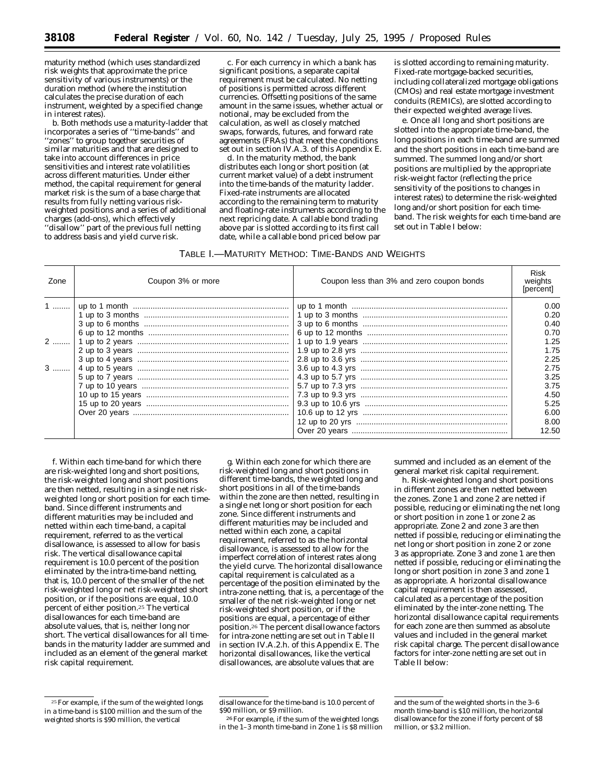maturity method (which uses standardized risk weights that approximate the price sensitivity of various instruments) or the duration method (where the institution calculates the precise duration of each instrument, weighted by a specified change in interest rates).

b. Both methods use a maturity-ladder that incorporates a series of ''time-bands'' and ''zones'' to group together securities of similar maturities and that are designed to take into account differences in price sensitivities and interest rate volatilities across different maturities. Under either method, the capital requirement for general market risk is the sum of a base charge that results from fully netting various riskweighted positions and a series of additional charges (add-ons), which effectively ''disallow'' part of the previous full netting to address basis and yield curve risk.

c. For each currency in which a bank has significant positions, a separate capital requirement must be calculated. No netting of positions is permitted across different currencies. Offsetting positions of the same amount in the same issues, whether actual or notional, may be excluded from the calculation, as well as closely matched swaps, forwards, futures, and forward rate agreements (FRAs) that meet the conditions set out in section IV.A.3. of this Appendix E.

d. In the *maturity method,* the bank distributes each long or short position (at current market value) of a debt instrument into the time-bands of the maturity ladder. Fixed-rate instruments are allocated according to the remaining term to maturity and floating-rate instruments according to the next repricing date. A callable bond trading above par is slotted according to its first call date, while a callable bond priced below par

is slotted according to remaining maturity. Fixed-rate mortgage-backed securities, including collateralized mortgage obligations (CMOs) and real estate mortgage investment conduits (REMICs), are slotted according to their expected weighted average lives.

e. Once all long and short positions are slotted into the appropriate time-band, the long positions in each time-band are summed and the short positions in each time-band are summed. The summed long and/or short positions are multiplied by the appropriate risk-weight factor (reflecting the price sensitivity of the positions to changes in interest rates) to determine the risk-weighted long and/or short position for each timeband. The risk weights for each time-band are set out in Table I below:

# TABLE I.—MATURITY METHOD: TIME-BANDS AND WEIGHTS

| Zone             | Coupon 3% or more | Coupon less than 3% and zero coupon bonds | <b>Risk</b><br>weights<br>[percent] |
|------------------|-------------------|-------------------------------------------|-------------------------------------|
| 1  1             |                   |                                           | 0.00<br>0.20                        |
|                  |                   |                                           | 0.40                                |
|                  |                   |                                           | 0.70                                |
| $2$ $^{\dagger}$ |                   |                                           | 1.25                                |
|                  |                   |                                           | 1.75                                |
|                  |                   |                                           | 2.25                                |
| $3$              |                   |                                           | 2.75                                |
|                  |                   |                                           | 3.25                                |
|                  |                   |                                           | 3.75                                |
|                  |                   |                                           | 4.50                                |
|                  |                   |                                           | 5.25                                |
|                  |                   |                                           | 6.00                                |
|                  |                   |                                           | 8.00                                |
|                  |                   |                                           | 12.50                               |

f. Within each time-band for which there are risk-weighted long and short positions, the risk-weighted long and short positions are then netted, resulting in a single net riskweighted long or short position for each timeband. Since different instruments and different maturities may be included and netted within each time-band, a capital requirement, referred to as the vertical disallowance, is assessed to allow for basis risk. The vertical disallowance capital requirement is 10.0 percent of the position eliminated by the intra-time-band netting, that is, 10.0 percent of the smaller of the net risk-weighted long or net risk-weighted short position, or if the positions are equal, 10.0 percent of either position.25 The vertical disallowances for each time-band are absolute values, that is, neither long nor short. The vertical disallowances for all timebands in the maturity ladder are summed and included as an element of the general market risk capital requirement.

25For example, if the sum of the weighted longs in a time-band is \$100 million and the sum of the weighted shorts is \$90 million, the vertical

g. Within each zone for which there are risk-weighted long and short positions in different time-bands, the weighted long and short positions in all of the time-bands within the zone are then netted, resulting in a single net long or short position for each zone. Since different instruments and different maturities may be included and netted within each zone, a capital requirement, referred to as the horizontal disallowance, is assessed to allow for the imperfect correlation of interest rates along the yield curve. The horizontal disallowance capital requirement is calculated as a percentage of the position eliminated by the intra-zone netting, that is, a percentage of the smaller of the net risk-weighted long or net risk-weighted short position, or if the positions are equal, a percentage of either position.26 The percent disallowance factors for intra-zone netting are set out in Table II in section IV.A.2.h. of this Appendix E. The horizontal disallowances, like the vertical disallowances, are absolute values that are

26For example, if the sum of the weighted longs in the 1–3 month time-band in Zone 1 is \$8 million summed and included as an element of the general market risk capital requirement.

h. Risk-weighted long and short positions in different zones are then netted between the zones. Zone 1 and zone 2 are netted if possible, reducing or eliminating the net long or short position in zone 1 or zone 2 as appropriate. Zone 2 and zone 3 are then netted if possible, reducing or eliminating the net long or short position in zone 2 or zone 3 as appropriate. Zone 3 and zone 1 are then netted if possible, reducing or eliminating the long or short position in zone 3 and zone 1 as appropriate. A horizontal disallowance capital requirement is then assessed, calculated as a percentage of the position eliminated by the inter-zone netting. The horizontal disallowance capital requirements for each zone are then summed as absolute values and included in the general market risk capital charge. The percent disallowance factors for inter-zone netting are set out in Table II below:

disallowance for the time-band is 10.0 percent of \$90 million, or \$9 million.

and the sum of the weighted shorts in the 3–6 month time-band is \$10 million, the horizontal disallowance for the zone if forty percent of \$8 million, or \$3.2 million.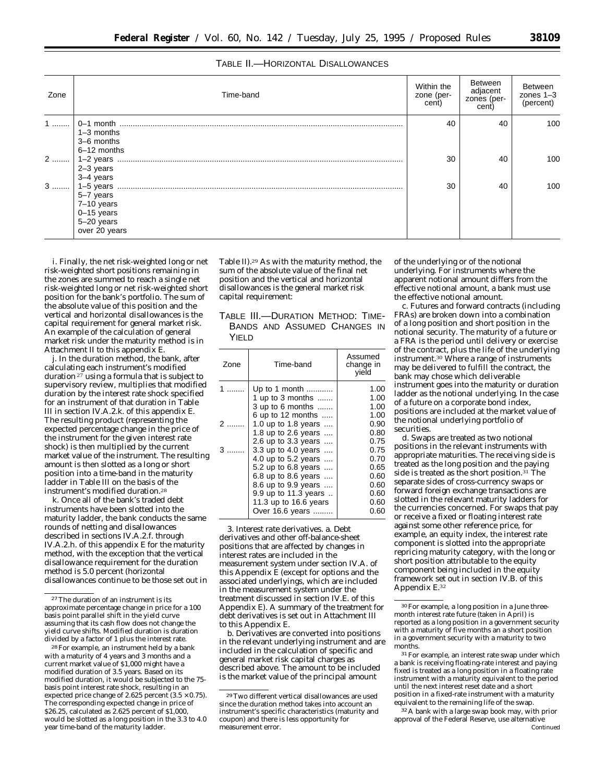# TABLE II.—HORIZONTAL DISALLOWANCES

| Zone | Time-band                                                              | Within the<br>zone (per-<br>cent) | Between<br>adjacent<br>zones (per-<br>cent) | Between<br>$20nes$ 1-3<br>(percent) |
|------|------------------------------------------------------------------------|-----------------------------------|---------------------------------------------|-------------------------------------|
| $1$  | $1-3$ months<br>3-6 months                                             | 40                                | 40                                          | 100                                 |
|      | 6-12 months<br>2-3 years<br>3-4 years                                  | 30                                | 40                                          | 100                                 |
| $3$  | 5-7 years<br>7-10 years<br>$0-15$ years<br>5-20 years<br>over 20 years | 30                                | 40                                          | 100                                 |

i. Finally, the net risk-weighted long or net risk-weighted short positions remaining in the zones are summed to reach a single net risk-weighted long or net risk-weighted short position for the bank's portfolio. The sum of the absolute value of this position and the vertical and horizontal disallowances is the capital requirement for general market risk. An example of the calculation of general market risk under the maturity method is in Attachment II to this appendix E.

j. In the *duration method*, the bank, after calculating each instrument's modified duration  $27$  using a formula that is subject to supervisory review, multiplies that modified duration by the interest rate shock specified for an instrument of that duration in Table III in section IV.A.2.k. of this appendix E. The resulting product (representing the expected percentage change in the price of the instrument for the given interest rate shock) is then multiplied by the current market value of the instrument. The resulting amount is then slotted as a long or short position into a time-band in the maturity ladder in Table III on the basis of the instrument's modified duration.28

k. Once all of the bank's traded debt instruments have been slotted into the maturity ladder, the bank conducts the same rounds of netting and disallowances described in sections IV.A.2.f. through IV.A.2.h. of this appendix E for the maturity method, with the exception that the vertical disallowance requirement for the duration method is 5.0 percent (horizontal disallowances continue to be those set out in

28For example, an instrument held by a bank with a maturity of 4 years and 3 months and a current market value of \$1,000 might have a modified duration of 3.5 years. Based on its modified duration, it would be subjected to the 75 basis point interest rate shock, resulting in an expected price change of 2.625 percent  $(3.5 \times 0.75)$ . The corresponding expected change in price of \$26.25, calculated as 2.625 percent of \$1,000, would be slotted as a long position in the 3.3 to 4.0 year time-band of the maturity ladder.

Table II).29 As with the maturity method, the sum of the absolute value of the final net position and the vertical and horizontal disallowances is the general market risk capital requirement:

TABLE III.—DURATION METHOD: TIME-BANDS AND ASSUMED CHANGES IN YIELD

| Assumed<br>Time-band<br>Zone<br>change in<br>yield<br>Up to 1 month<br>1<br>1 up to 3 months $\ldots$<br>$3$ up to $6$ months<br>6 up to 12 months $\ldots$<br>1.0 up to 1.8 years<br>1.8 up to 2.6 years<br>2.6 up to 3.3 years<br>3.3 up to 4.0 years |  |                                                                                                                      |
|---------------------------------------------------------------------------------------------------------------------------------------------------------------------------------------------------------------------------------------------------------|--|----------------------------------------------------------------------------------------------------------------------|
|                                                                                                                                                                                                                                                         |  |                                                                                                                      |
| 4.0 up to 5.2 years<br>5.2 up to 6.8 years<br>6.8 up to 8.6 years<br>8.6 up to 9.9 years<br>9.9 up to 11.3 years<br>11.3 up to 16.6 years<br>Over 16.6 years                                                                                            |  | 1.00<br>1.00<br>1.00<br>1.00<br>0.90<br>0.80<br>0.75<br>0.75<br>0.70<br>0.65<br>0.60<br>0.60<br>0.60<br>0.60<br>0.60 |

3. *Interest rate derivatives*. a. Debt derivatives and other off-balance-sheet positions that are affected by changes in interest rates are included in the measurement system under section IV.A. of this Appendix E (except for options and the associated underlyings, which are included in the measurement system under the treatment discussed in section IV.E. of this Appendix E). A summary of the treatment for debt derivatives is set out in Attachment III to this Appendix E.

b. Derivatives are converted into positions in the relevant underlying instrument and are included in the calculation of specific and general market risk capital charges as described above. The amount to be included is the market value of the principal amount

of the underlying or of the notional underlying. For instruments where the apparent notional amount differs from the effective notional amount, a bank must use the effective notional amount.

c. Futures and forward contracts (including FRAs) are broken down into a combination of a long position and short position in the notional security. The maturity of a future or a FRA is the period until delivery or exercise of the contract, plus the life of the underlying instrument.30 Where a range of instruments may be delivered to fulfill the contract, the bank may chose which deliverable instrument goes into the maturity or duration ladder as the notional underlying. In the case of a future on a corporate bond index, positions are included at the market value of the notional underlying portfolio of securities.

d. Swaps are treated as two notional positions in the relevant instruments with appropriate maturities. The receiving side is treated as the long position and the paying side is treated as the short position.<sup>31</sup> The separate sides of cross-currency swaps or forward foreign exchange transactions are slotted in the relevant maturity ladders for the currencies concerned. For swaps that pay or receive a fixed or floating interest rate against some other reference price, for example, an equity index, the interest rate component is slotted into the appropriate repricing maturity category, with the long or short position attributable to the equity component being included in the equity framework set out in section IV.B. of this Appendix E.32

<sup>31</sup> For example, an interest rate swap under which a bank is receiving floating-rate interest and paying fixed is treated as a long position in a floating rate instrument with a maturity equivalent to the period until the next interest reset date and a short position in a fixed-rate instrument with a maturity equivalent to the remaining life of the swap.

<sup>32</sup> A bank with a large swap book may, with prior approval of the Federal Reserve, use alternative Continued

<sup>27</sup>The duration of an instrument is its approximate percentage change in price for a 100 basis point parallel shift in the yield curve assuming that its cash flow does not change the yield curve shifts. Modified duration is duration divided by a factor of 1 plus the interest rate.

<sup>29</sup>Two different vertical disallowances are used since the duration method takes into account an instrument's specific characteristics (maturity and coupon) and there is less opportunity for measurement error.

<sup>30</sup>For example, a long position in a June threemonth interest rate future (taken in April) is reported as a long position in a government security with a maturity of five months an a short position in a government security with a maturity to two months.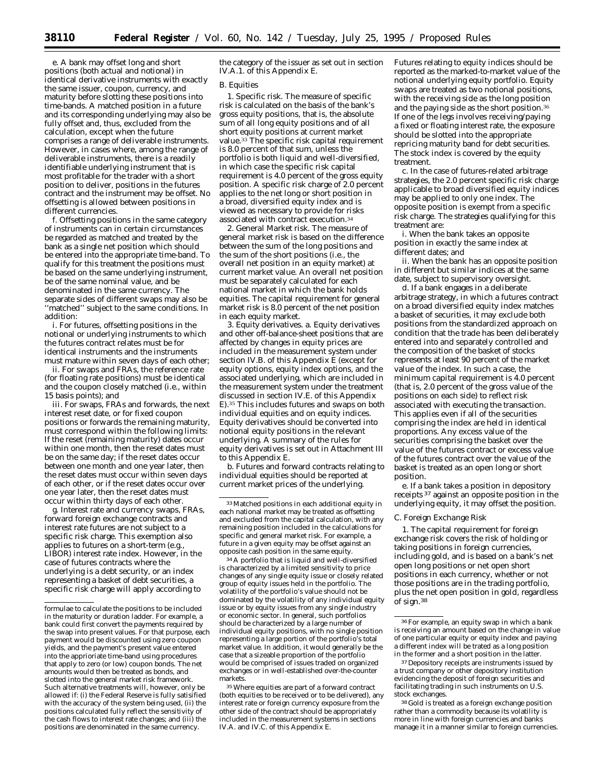e. A bank may offset long and short positions (both actual and notional) in identical derivative instruments with exactly the same issuer, coupon, currency, and maturity before slotting these positions into time-bands. A matched position in a future and its corresponding underlying may also be fully offset and, thus, excluded from the calculation, except when the future comprises a range of deliverable instruments. However, in cases where, among the range of deliverable instruments, there is a readily identifiable underlying instrument that is most profitable for the trader with a short position to deliver, positions in the futures contract and the instrument may be offset. No offsetting is allowed between positions in different currencies.

f. Offsetting positions in the same category of instruments can in certain circumstances be regarded as matched and treated by the bank as a single net position which should be entered into the appropriate time-band. To qualify for this treatment the positions must be based on the same underlying instrument, be of the same nominal value, and be denominated in the same currency. The separate sides of different swaps may also be ''matched'' subject to the same conditions. In addition:

i. For futures, offsetting positions in the notional or underlying instruments to which the futures contract relates must be for identical instruments and the instruments must mature within seven days of each other;

ii. For swaps and FRAs, the reference rate (for floating rate positions) must be identical and the coupon closely matched (i.e., within 15 basis points); and

iii. For swaps, FRAs and forwards, the next interest reset date, or for fixed coupon positions or forwards the remaining maturity, must correspond within the following limits: If the reset (remaining maturity) dates occur within one month, then the reset dates must be on the same day; if the reset dates occur between one month and one year later, then the reset dates must occur within seven days of each other, or if the reset dates occur over one year later, then the reset dates must occur within thirty days of each other.

g. Interest rate and currency swaps, FRAs, forward foreign exchange contracts and interest rate futures are not subject to a specific risk charge. This exemption also applies to futures on a short-term (e.g., LIBOR) interest rate index. However, in the case of futures contracts where the underlying is a debt security, or an index representing a basket of debt securities, a specific risk charge will apply according to

the category of the issuer as set out in section IV.A.1. of this Appendix E.

#### *B. Equities*

1. *Specific risk*. The measure of specific risk is calculated on the basis of the bank's gross equity positions, that is, the absolute sum of all long equity positions and of all short equity positions at current market value.33 The specific risk capital requirement is 8.0 percent of that sum, unless the portfolio is both liquid and well-diversified, in which case the specific risk capital requirement is 4.0 percent of the gross equity position. A specific risk charge of 2.0 percent applies to the net long or short position in a broad, diversified equity index and is viewed as necessary to provide for risks associated with contract execution.34

2. *General Market risk.* The measure of general market risk is based on the difference between the sum of the long positions and the sum of the short positions (i.e., the overall net position in an equity market) at current market value. An overall net position must be separately calculated for each national market in which the bank holds equities. The capital requirement for general market risk is 8.0 percent of the net position in each equity market.

3. *Equity derivatives*. a. Equity derivatives and other off-balance-sheet positions that are affected by changes in equity prices are included in the measurement system under section IV.B. of this Appendix E (except for equity options, equity index options, and the associated underlying, which are included in the measurement system under the treatment discussed in section IV.E. of this Appendix E).35 This includes futures and swaps on both individual equities and on equity indices. Equity derivatives should be converted into notional equity positions in the relevant underlying. A summary of the rules for equity derivatives is set out in Attachment III to this Appendix E.

b. Futures and forward contracts relating to individual equities should be reported at current market prices of the underlying.

34A portfolio that is liquid and well-diversified is characterized by a limited sensitivity to price changes of any single equity issue or closely related group of equity issues held in the portfolio. The volatility of the portfolio's value should not be dominated by the volatility of any individual equity issue or by equity issues from any single industry or economic sector. In general, such portfolios should be characterized by a large number of individual equity positions, with no single position representing a large portion of the portfolio's total market value. In addition, it would generally be the case that a sizeable proportion of the portfolio would be comprised of issues traded on organized exchanges or in well-established over-the-counter markets.

35Where equities are part of a forward contract (both equities to be received or to be delivered), any interest rate or foreign currency exposure from the other side of the contract should be appropriately included in the measurement systems in sections IV.A. and IV.C. of this Appendix E.

Futures relating to equity indices should be reported as the marked-to-market value of the notional underlying equity portfolio. Equity swaps are treated as two notional positions, with the receiving side as the long position and the paying side as the short position.36 If one of the legs involves receiving/paying a fixed or floating interest rate, the exposure should be slotted into the appropriate repricing maturity band for debt securities. The stock index is covered by the equity treatment.

c. In the case of futures-related arbitrage strategies, the 2.0 percent specific risk charge applicable to broad diversified equity indices may be applied to only one index. The opposite position is exempt from a specific risk charge. The strategies qualifying for this treatment are:

i. When the bank takes an opposite position in exactly the same index at different dates; and

ii. When the bank has an opposite position in different but similar indices at the same date, subject to supervisory oversight.

d. If a bank engages in a deliberate arbitrage strategy, in which a futures contract on a broad diversified equity index matches a basket of securities, it may exclude both positions from the standardized approach on condition that the trade has been deliberately entered into and separately controlled and the composition of the basket of stocks represents at least 90 percent of the market value of the index. In such a case, the minimum capital requirement is 4.0 percent (that is, 2.0 percent of the gross value of the positions on each side) to reflect risk associated with executing the transaction. This applies even if all of the securities comprising the index are held in identical proportions. Any excess value of the securities comprising the basket over the value of the futures contract or excess value of the futures contract over the value of the basket is treated as an open long or short position.

e. If a bank takes a position in depository receipts 37 against an opposite position in the underlying equity, it may offset the position.

#### *C. Foreign Exchange Risk*

1. The capital requirement for foreign exchange risk covers the risk of holding or taking positions in foreign currencies, including gold, and is based on a bank's net open long positions or net open short positions in each currency, whether or not those positions are in the trading portfolio, plus the net open position in gold, regardless of sign.38

formulae to calculate the positions to be included in the maturity or duration ladder. For example, a bank could first convert the payments required by the swap into present values. For that purpose, each payment would be discounted using zero coupon yields, and the payment's present value entered into the apprioriate time-band using procedures that apply to zero (or low) coupon bonds. The net amounts would then be treated as bonds, and slotted into the general market risk framework. Such alternative treatments will, however, only be allowed if: (i) the Federal Reserve is fully satisified with the accuracy of the system being used, (ii) the positions calculated fully reflect the sensitivity of the cash flows to interest rate changes; and (iii) the positions are denominated in the same currency.

<sup>33</sup>Matched positions in each additional equity in each national market may be treated as offsetting and excluded from the capital calculation, with any remaining position included in the calculations for specific and general market risk. For example, a future in a given equity may be offset against an opposite cash position in the same equity.

<sup>36</sup>For example, an equity swap in which a bank is receiving an amount based on the change in value of one particular equity or equity index and paying a different index will be trated as a long position in the former and a short position in the latter.

<sup>37</sup> Depository receipts are instruments issued by a trust company or other depository institution evidencing the deposit of foreign securities and facilitating trading in such instruments on U.S. stock exchanges.

<sup>38</sup> Gold is treated as a foreign exchange position rather than a commodity because its volatility is more in line with foreign currencies and banks manage it in a manner similar to foreign currencies.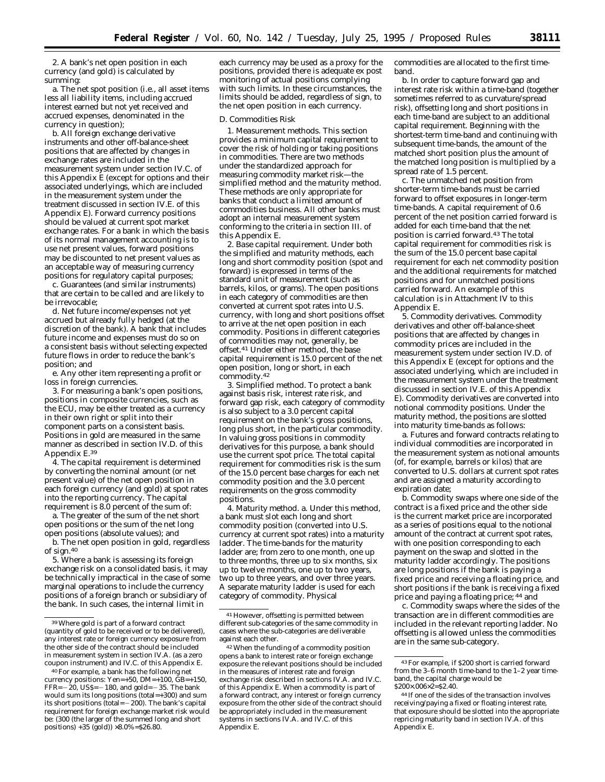2. A bank's net open position in each currency (and gold) is calculated by summing:

a. The net spot position (i.e., all asset items less all liability items, including accrued interest earned but not yet received and accrued expenses, denominated in the currency in question);

b. All foreign exchange derivative instruments and other off-balance-sheet positions that are affected by changes in exchange rates are included in the measurement system under section IV.C. of this Appendix E (except for options and their associated underlyings, which are included in the measurement system under the treatment discussed in section IV.E. of this Appendix E). Forward currency positions should be valued at current spot market exchange rates. For a bank in which the basis of its normal management accounting is to use net present values, forward positions may be discounted to net present values as an acceptable way of measuring currency positions for regulatory capital purposes;

c. Guarantees (and similar instruments) that are certain to be called and are likely to be irrevocable;

d. Net future income/expenses not yet accrued but already fully hedged (at the discretion of the bank). A bank that includes future income and expenses must do so on a consistent basis without selecting expected future flows in order to reduce the bank's position; and

e. Any other item representing a profit or loss in foreign currencies.

3. For measuring a bank's open positions, positions in composite currencies, such as the ECU, may be either treated as a currency in their own right or split into their component parts on a consistent basis. Positions in gold are measured in the same manner as described in section IV.D. of this Appendix E.39

4. The capital requirement is determined by converting the nominal amount (or net present value) of the net open position in each foreign currency (and gold) at spot rates into the reporting currency. The capital requirement is 8.0 percent of the sum of:

a. The greater of the sum of the net short open positions or the sum of the net long open positions (absolute values); and

b. The net open position in gold, regardless of sign.40

5. Where a bank is assessing its foreign exchange risk on a consolidated basis, it may be technically impractical in the case of some marginal operations to include the currency positions of a foreign branch or subsidiary of the bank. In such cases, the internal limit in

each currency may be used as a proxy for the positions, provided there is adequate ex post monitoring of actual positions complying with such limits. In these circumstances, the limits should be added, regardless of sign, to the net open position in each currency.

#### *D. Commodities Risk*

1. *Measurement methods.* This section provides a minimum capital requirement to cover the risk of holding or taking positions in commodities. There are two methods under the standardized approach for measuring commodity market risk—the simplified method and the maturity method. These methods are only appropriate for banks that conduct a limited amount of commodities business. All other banks must adopt an internal measurement system conforming to the criteria in section III. of this Appendix E.

2. *Base capital requirement.* Under both the simplified and maturity methods, each long and short commodity position (spot and forward) is expressed in terms of the standard unit of measurement (such as barrels, kilos, or grams). The open positions in each category of commodities are then converted at current spot rates into U.S. currency, with long and short positions offset to arrive at the net open position in each commodity. Positions in different categories of commodities may not, generally, be offset.41 Under either method, the base capital requirement is 15.0 percent of the net open position, long or short, in each commodity.42

3. *Simplified method.* To protect a bank against basis risk, interest rate risk, and forward gap risk, each category of commodity is also subject to a 3.0 percent capital requirement on the bank's gross positions, long plus short, in the particular commodity. In valuing gross positions in commodity derivatives for this purpose, a bank should use the current spot price. The total capital requirement for commodities risk is the sum of the 15.0 percent base charges for each net commodity position and the 3.0 percent requirements on the gross commodity positions.

4. *Maturity method.* a. Under this method, a bank must slot each long and short commodity position (converted into U.S. currency at current spot rates) into a maturity ladder. The time-bands for the maturity ladder are; from zero to one month, one up to three months, three up to six months, six up to twelve months, one up to two years, two up to three years, and over three years. A separate maturity ladder is used for each category of commodity. Physical

commodities are allocated to the first timeband.

b. In order to capture forward gap and interest rate risk within a time-band (together sometimes referred to as curvature/spread risk), offsetting long and short positions in each time-band are subject to an additional capital requirement. Beginning with the shortest-term time-band and continuing with subsequent time-bands, the amount of the matched short position plus the amount of the matched long position is multiplied by a spread rate of 1.5 percent.

c. The unmatched net position from shorter-term time-bands must be carried forward to offset exposures in longer-term time-bands. A capital requirement of 0.6 percent of the net position carried forward is added for each time-band that the net position is carried forward.43 The total capital requirement for commodities risk is the sum of the 15.0 percent base capital requirement for each net commodity position and the additional requirements for matched positions and for unmatched positions carried forward. An example of this calculation is in Attachment IV to this Appendix E.

5. *Commodity derivatives.* Commodity derivatives and other off-balance-sheet positions that are affected by changes in commodity prices are included in the measurement system under section IV.D. of this Appendix E (except for options and the associated underlying, which are included in the measurement system under the treatment discussed in section IV.E. of this Appendix E). Commodity derivatives are converted into notional commodity positions. Under the maturity method, the positions are slotted into maturity time-bands as follows:

a. Futures and forward contracts relating to individual commodities are incorporated in the measurement system as notional amounts (of, for example, barrels or kilos) that are converted to U.S. dollars at current spot rates and are assigned a maturity according to expiration date;

b. Commodity swaps where one side of the contract is a fixed price and the other side is the current market price are incorporated as a series of positions equal to the notional amount of the contract at current spot rates, with one position corresponding to each payment on the swap and slotted in the maturity ladder accordingly. The positions are long positions if the bank is paying a fixed price and receiving a floating price, and short positions if the bank is receiving a fixed price and paying a floating price; 44 and

c. Commodity swaps where the sides of the transaction are in different commodities are included in the relevant reporting ladder. No offsetting is allowed unless the commodities are in the same sub-category.

<sup>39</sup>Where gold is part of a forward contract (quantity of gold to be received or to be delivered), any interest rate or foreign currency exposure from the other side of the contract should be included in measurement system in section IV.A. (as a zero coupon instrument) and IV.C. of this Appendix E.

<sup>40</sup>For example, a bank has the following net currency positions: Yen=+50, DM=+100, GB=+150,  $FFR = -20$ , US\$ =  $-180$ , and gold =  $-35$ . The bank would sum its long positions (total=+300) and sum its short positions (total= $-200$ ). The bank's capital requirement for foreign exchange market risk would be: (300 (the larger of the summed long and short positions) +35 (gold))  $\times 8.0\% = $26.80$ .

 $^{\rm 41}\,$  However, offsetting is permitted between different sub-categories of the same commodity in cases where the sub-categories are deliverable against each other.

<sup>42</sup>When the funding of a commodity position opens a bank to interest rate or foreign exchange exposure the relevant positions should be included in the measures of interest rate and foreign exchange risk described in sections IV.A. and IV.C. of this Appendix E. When a commodity is part of a forward contract, any interest or foreign currency exposure from the other side of the contract should be appropriately included in the measurement systems in sections IV.A. and IV.C. of this Appendix E.

<sup>43</sup>For example, if \$200 short is carried forward from the 3–6 month time-band to the 1–2 year timeband, the capital charge would be \$200×.006×2=\$2.40.

<sup>44</sup> If one of the sides of the transaction involves receiving/paying a fixed or floating interest rate, that exposure should be slotted into the appropriate repricing maturity band in section IV.A. of this Appendix E.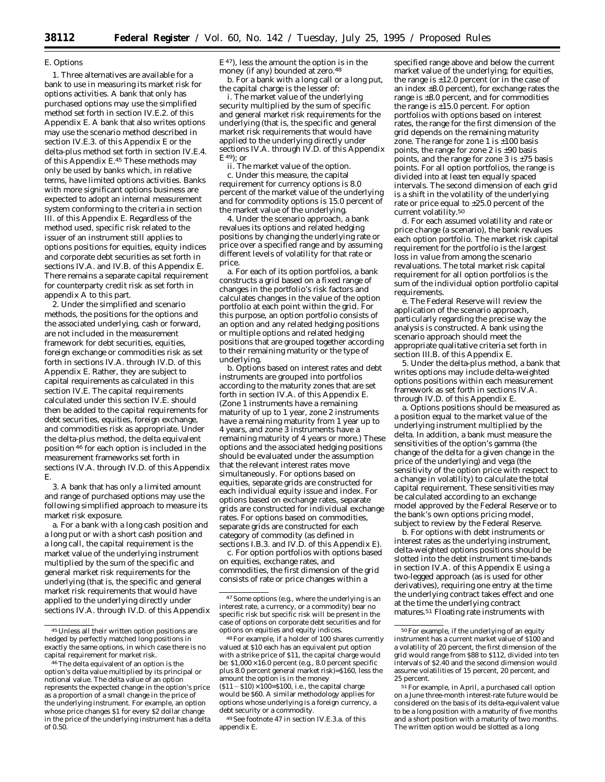#### *E. Options*

1. Three alternatives are available for a bank to use in measuring its market risk for options activities. A bank that only has purchased options may use the simplified method set forth in section IV.E.2. of this Appendix E. A bank that also writes options may use the scenario method described in section IV.E.3. of this Appendix E or the delta-plus method set forth in section IV.E.4. of this Appendix E.45 These methods may only be used by banks which, in relative terms, have limited options activities. Banks with more significant options business are expected to adopt an internal measurement system conforming to the criteria in section III. of this Appendix E. Regardless of the method used, specific risk related to the issuer of an instrument still applies to options positions for equities, equity indices and corporate debt securities as set forth in sections IV.A. and IV.B. of this Appendix E. There remains a separate capital requirement for counterparty credit risk as set forth in appendix A to this part.

2. Under the simplified and scenario methods, the positions for the options and the associated underlying, cash or forward, are not included in the measurement framework for debt securities, equities, foreign exchange or commodities risk as set forth in sections IV.A. through IV.D. of this Appendix E. Rather, they are subject to capital requirements as calculated in this section IV.E. The capital requirements calculated under this section IV.E. should then be added to the capital requirements for debt securities, equities, foreign exchange, and commodities risk as appropriate. Under the delta-plus method, the delta equivalent position 46 for each option is included in the measurement frameworks set forth in sections IV.A. through IV.D. of this Appendix E.

3. A bank that has only a limited amount and range of purchased options may use the following simplified approach to measure its market risk exposure.

a. For a bank with a long cash position and a long put or with a short cash position and a long call, the capital requirement is the market value of the underlying instrument multiplied by the sum of the specific and general market risk requirements for the underlying (that is, the specific and general market risk requirements that would have applied to the underlying directly under sections IV.A. through IV.D. of this Appendix  $E<sup>47</sup>$ ), less the amount the option is in the money (if any) bounded at zero.48

b. For a bank with a long call or a long put, the capital charge is the lesser of:

i. The market value of the underlying security multiplied by the sum of specific and general market risk requirements for the underlying (that is, the specific and general market risk requirements that would have applied to the underlying directly under sections IV.A. through IV.D. of this Appendix E 49); or

ii. The market value of the option.

c. Under this measure, the capital requirement for currency options is 8.0 percent of the market value of the underlying and for commodity options is 15.0 percent of the market value of the underlying.

4. Under the scenario approach, a bank revalues its options and related hedging positions by changing the underlying rate or price over a specified range and by assuming different levels of volatility for that rate or price.

a. For each of its option portfolios, a bank constructs a grid based on a fixed range of changes in the portfolio's risk factors and calculates changes in the value of the option portfolio at each point within the grid. For this purpose, an option portfolio consists of an option and any related hedging positions or multiple options and related hedging positions that are grouped together according to their remaining maturity or the type of underlying.

b. Options based on interest rates and debt instruments are grouped into portfolios according to the maturity zones that are set forth in section IV.A. of this Appendix E. (Zone 1 instruments have a remaining maturity of up to 1 year, zone 2 instruments have a remaining maturity from 1 year up to 4 years, and zone 3 instruments have a remaining maturity of 4 years or more.) These options and the associated hedging positions should be evaluated under the assumption that the relevant interest rates move simultaneously. For options based on equities, separate grids are constructed for each individual equity issue and index. For options based on exchange rates, separate grids are constructed for individual exchange rates. For options based on commodities, separate grids are constructed for each category of commodity (as defined in sections I.B.3. and IV.D. of this Appendix E).

c. For option portfolios with options based on equities, exchange rates, and commodities, the first dimension of the grid consists of rate or price changes within a

specified range above and below the current market value of the underlying; for equities, the range is  $\pm 12.0$  percent (or in the case of an index  $\pm 8.0$  percent), for exchange rates the range is ±8.0 percent, and for commodities the range is  $\pm 15.0$  percent. For option portfolios with options based on interest rates, the range for the first dimension of the grid depends on the remaining maturity zone. The range for zone 1 is  $\pm 100$  basis points, the range for zone 2 is ±90 basis points, and the range for zone 3 is  $\pm 75$  basis points. For all option portfolios, the range is divided into at least ten equally spaced intervals. The second dimension of each grid is a shift in the volatility of the underlying rate or price equal to ±25.0 percent of the current volatility.50

d. For each assumed volatility and rate or price change (a scenario), the bank revalues each option portfolio. The market risk capital requirement for the portfolio is the largest loss in value from among the scenario revaluations. The total market risk capital requirement for all option portfolios is the sum of the individual option portfolio capital requirements.

e. The Federal Reserve will review the application of the scenario approach, particularly regarding the precise way the analysis is constructed. A bank using the scenario approach should meet the appropriate qualitative criteria set forth in section III.B. of this Appendix E.

5. Under the delta-plus method, a bank that writes options may include delta-weighted options positions within each measurement framework as set forth in sections IV.A. through IV.D. of this Appendix E.

a. Options positions should be measured as a position equal to the market value of the underlying instrument multiplied by the delta. In addition, a bank must measure the sensitivities of the option's gamma (the change of the delta for a given change in the price of the underlying) and vega (the sensitivity of the option price with respect to a change in volatility) to calculate the total capital requirement. These sensitivities may be calculated according to an exchange model approved by the Federal Reserve or to the bank's own options pricing model, subject to review by the Federal Reserve.

b. For options with debt instruments or interest rates as the underlying instrument, delta-weighted options positions should be slotted into the debt instrument time-bands in section IV.A. of this Appendix E using a two-legged approach (as is used for other derivatives), requiring one entry at the time the underlying contract takes effect and one at the time the underlying contract matures.51 Floating rate instruments with

<sup>45</sup>Unless all their written option positions are hedged by perfectly matched long positions in exactly the same options, in which case there is no capital requirement for market risk.

<sup>46</sup>The delta equivalent of an option is the option's delta value multiplied by its principal or notional value. The delta value of an option represents the expected change in the option's price as a proportion of a small change in the price of the underlying instrument. For example, an option whose price changes \$1 for every \$2 dollar change in the price of the underlying instrument has a delta of 0.50.

<sup>47</sup>Some options (e.g., where the underlying is an interest rate, a currency, or a commodity) bear no specific risk but specific risk will be present in the case of options on corporate debt securities and for options on equities and equity indices.

<sup>48</sup>For example, if a holder of 100 shares currently valued at \$10 each has an equivalent put option with a strike price of \$11, the capital charge would be:  $$1,000 \times 16.0$  percent (e.g., 8.0 percent specific plus 8.0 percent general market risk)=\$160, less the amount the option is in the money

 $(511 - 510) \times 100 = $100$ , i.e., the capital charge would be \$60. A similar methodology applies for options whose underlying is a foreign currency, a debt security or a commodity.

<sup>49</sup>See footnote 47 in section IV.E.3.a. of this appendix E.

<sup>50</sup>For example, if the underlying of an equity instrument has a current market value of \$100 and a volatility of 20 percent, the first dimension of the grid would range from \$88 to \$112, divided into ten intervals of \$2.40 and the second dimension would assume volatilities of 15 percent, 20 percent, and 25 percent.

<sup>&</sup>lt;sup>51</sup> For example, in April, a purchased call option on a June three-month interest-rate future would be considered on the basis of its delta-equivalent value to be a long position with a maturity of five months and a short position with a maturity of two months. The written option would be slotted as a long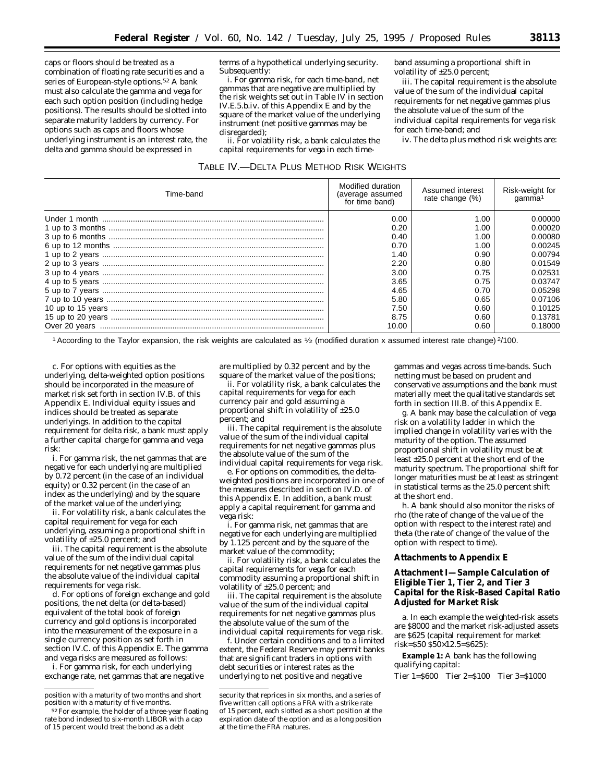caps or floors should be treated as a combination of floating rate securities and a series of European-style options.52 A bank must also calculate the gamma and vega for each such option position (including hedge positions). The results should be slotted into separate maturity ladders by currency. For options such as caps and floors whose underlying instrument is an interest rate, the delta and gamma should be expressed in

terms of a hypothetical underlying security. Subsequently:

i. For gamma risk, for each time-band, net gammas that are negative are multiplied by the risk weights set out in Table IV in section IV.E.5.b.iv. of this Appendix E and by the square of the market value of the underlying instrument (net positive gammas may be disregarded);

ii. For volatility risk, a bank calculates the capital requirements for vega in each timeband assuming a proportional shift in volatility of ±25.0 percent;

iii. The capital requirement is the absolute value of the sum of the individual capital requirements for net negative gammas plus the absolute value of the sum of the individual capital requirements for vega risk for each time-band; and

iv. The delta plus method risk weights are:

| TABLE IV.-DELTA PLUS METHOD RISK WEIGHTS |  |  |  |  |
|------------------------------------------|--|--|--|--|
|------------------------------------------|--|--|--|--|

| Time-band | Modified duration<br>(average assumed<br>for time band) | Assumed interest<br>rate change (%) | Risk-weight for<br>qamma <sup>1</sup> |
|-----------|---------------------------------------------------------|-------------------------------------|---------------------------------------|
|           | 0.00                                                    | 1.00                                | 0.00000                               |
|           | 0.20                                                    | 1.00                                | 0.00020                               |
|           | 0.40                                                    | 1.00                                | 0.00080                               |
|           | 0.70                                                    | 1.00                                | 0.00245                               |
|           | 1.40                                                    | 0.90                                | 0.00794                               |
|           | 2.20                                                    | 0.80                                | 0.01549                               |
|           | 3.00                                                    | 0.75                                | 0.02531                               |
|           | 3.65                                                    | 0.75                                | 0.03747                               |
|           | 4.65                                                    | 0.70                                | 0.05298                               |
|           | 5.80                                                    | 0.65                                | 0.07106                               |
|           | 7.50                                                    | 0.60                                | 0.10125                               |
|           | 8.75                                                    | 0.60                                | 0.13781                               |
|           | 10.00                                                   | 0.60                                | 0.18000                               |

1According to the Taylor expansion, the risk weights are calculated as 1⁄2 (modified duration x assumed interest rate change) 2/100.

c. For options with equities as the underlying, delta-weighted option positions should be incorporated in the measure of market risk set forth in section IV.B. of this Appendix E. Individual equity issues and indices should be treated as separate underlyings. In addition to the capital requirement for delta risk, a bank must apply a further capital charge for gamma and vega risk:

i. For gamma risk, the net gammas that are negative for each underlying are multiplied by 0.72 percent (in the case of an individual equity) or 0.32 percent (in the case of an index as the underlying) and by the square of the market value of the underlying;

ii. For volatility risk, a bank calculates the capital requirement for vega for each underlying, assuming a proportional shift in volatility of ±25.0 percent; and

iii. The capital requirement is the absolute value of the sum of the individual capital requirements for net negative gammas plus the absolute value of the individual capital requirements for vega risk.

d. For options of foreign exchange and gold positions, the net delta (or delta-based) equivalent of the total book of foreign currency and gold options is incorporated into the measurement of the exposure in a single currency position as set forth in section IV.C. of this Appendix E. The gamma and vega risks are measured as follows:

i. For gamma risk, for each underlying exchange rate, net gammas that are negative are multiplied by 0.32 percent and by the square of the market value of the positions;

ii. For volatility risk, a bank calculates the capital requirements for vega for each currency pair and gold assuming a proportional shift in volatility of ±25.0 percent; and

iii. The capital requirement is the absolute value of the sum of the individual capital requirements for net negative gammas plus the absolute value of the sum of the individual capital requirements for vega risk.

e. For options on commodities, the deltaweighted positions are incorporated in one of the measures described in section IV.D. of this Appendix E. In addition, a bank must apply a capital requirement for gamma and vega risk:

i. For gamma risk, net gammas that are negative for each underlying are multiplied by 1.125 percent and by the square of the market value of the commodity;

ii. For volatility risk, a bank calculates the capital requirements for vega for each commodity assuming a proportional shift in volatility of ±25.0 percent; and

iii. The capital requirement is the absolute value of the sum of the individual capital requirements for net negative gammas plus the absolute value of the sum of the individual capital requirements for vega risk.

f. Under certain conditions and to a limited extent, the Federal Reserve may permit banks that are significant traders in options with debt securities or interest rates as the underlying to net positive and negative

gammas and vegas across time-bands. Such netting must be based on prudent and conservative assumptions and the bank must materially meet the qualitative standards set forth in section III.B. of this Appendix E.

g. A bank may base the calculation of vega risk on a volatility ladder in which the implied change in volatility varies with the maturity of the option. The assumed proportional shift in volatility must be at least ±25.0 percent at the short end of the maturity spectrum. The proportional shift for longer maturities must be at least as stringent in statistical terms as the 25.0 percent shift at the short end.

h. A bank should also monitor the risks of rho (the rate of change of the value of the option with respect to the interest rate) and theta (the rate of change of the value of the option with respect to time).

## **Attachments to Appendix E**

# **Attachment I—Sample Calculation of Eligible Tier 1, Tier 2, and Tier 3 Capital for the Risk-Based Capital Ratio Adjusted for Market Risk**

a. In each example the weighted-risk assets are \$8000 and the market risk-adjusted assets are \$625 (capital requirement for market risk=\$50 \$50×12.5=\$625):

**Example 1:** A bank has the following qualifying capital:

Tier 1=\$600 Tier 2=\$100 Tier 3=\$1000

position with a maturity of two months and short position with a maturity of five months.

<sup>52</sup>For example, the holder of a three-year floating rate bond indexed to six-month LIBOR with a cap of 15 percent would treat the bond as a debt

security that reprices in six months, and a series of five written call options a FRA with a strike rate of 15 percent, each slotted as a short position at the expiration date of the option and as a long position at the time the FRA matures.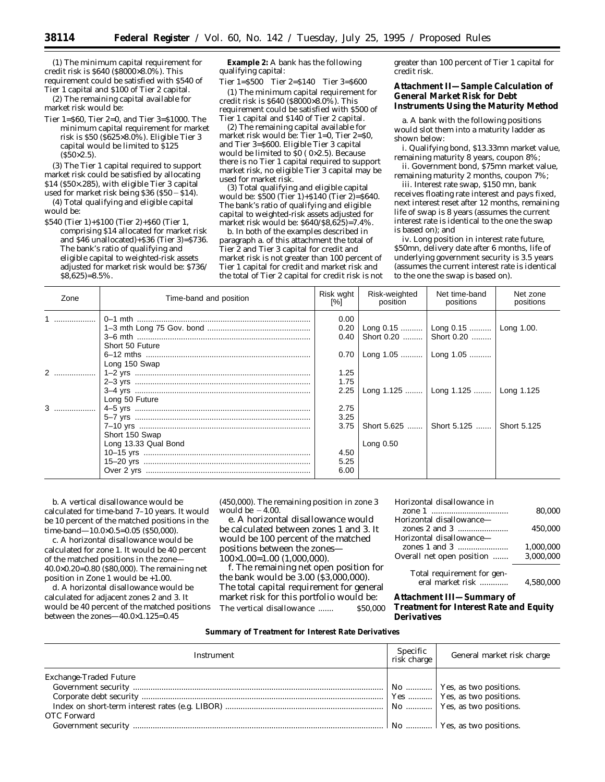(1) The minimum capital requirement for credit risk is \$640 (\$8000×8.0%). This requirement could be satisfied with \$540 of

Tier 1 capital and \$100 of Tier 2 capital. (2) The remaining capital available for market risk would be:

Tier 1=\$60, Tier 2=0, and Tier 3=\$1000. The minimum capital requirement for market risk is \$50 (\$625×8.0%). Eligible Tier 3 capital would be limited to \$125  $(S50 \times 2.5)$ .

(3) The Tier 1 capital required to support market risk could be satisfied by allocating \$14 (\$50×.285), with eligible Tier 3 capital

used for market risk being \$36 (\$50  $-$  \$14). (4) Total qualifying and eligible capital would be:

\$540 (Tier 1)+\$100 (Tier 2)+\$60 (Tier 1, comprising \$14 allocated for market risk and \$46 unallocated)+\$36 (Tier 3)=\$736. The bank's ratio of qualifying and eligible capital to weighted-risk assets adjusted for market risk would be: \$736/ \$8,625)=8.5%.

**Example 2:** A bank has the following qualifying capital:

Tier 1=\$500 Tier 2=\$140 Tier 3=\$600 (1) The minimum capital requirement for credit risk is \$640 (\$8000×8.0%). This requirement could be satisfied with \$500 of Tier 1 capital and \$140 of Tier 2 capital.

(2) The remaining capital available for market risk would be: Tier  $1=0$ , Tier  $2=80$ , and Tier 3=\$600. Eligible Tier 3 capital would be limited to  $\overline{S}0$  (0×2.5). Because there is no Tier 1 capital required to support market risk, no eligible Tier 3 capital may be used for market risk.

(3) Total qualifying and eligible capital would be: \$500 (Tier 1)+\$140 (Tier 2)=\$640. The bank's ratio of qualifying and eligible capital to weighted-risk assets adjusted for market risk would be: \$640/\$8,625)=7.4%.

b. In both of the examples described in paragraph a. of this attachment the total of Tier 2 and Tier 3 capital for credit and market risk is not greater than 100 percent of Tier 1 capital for credit and market risk and the total of Tier 2 capital for credit risk is not greater than 100 percent of Tier 1 capital for credit risk.

# **Attachment II—Sample Calculation of General Market Risk for Debt Instruments Using the Maturity Method**

a. A bank with the following positions would slot them into a maturity ladder as shown below:

i. Qualifying bond, \$13.33mn market value, remaining maturity 8 years, coupon 8%;

ii. Government bond, \$75mn market value, remaining maturity 2 months, coupon 7%;

iii. Interest rate swap, \$150 mn, bank receives floating rate interest and pays fixed, next interest reset after 12 months, remaining life of swap is 8 years (assumes the current interest rate is identical to the one the swap is based on); and

iv. Long position in interest rate future, \$50mn, delivery date after 6 months, life of underlying government security is 3.5 years (assumes the current interest rate is identical to the one the swap is based on).

| Zone | Time-band and position | Risk wght<br>$\sqrt{8}$ | Risk-weighted<br>position | Net time-band<br>positions             | Net zone<br>positions |
|------|------------------------|-------------------------|---------------------------|----------------------------------------|-----------------------|
| $1$  |                        | 0.00                    |                           |                                        |                       |
|      |                        | 0.20                    |                           | Long 0.15    Long 0.15    Long 1.00.   |                       |
|      |                        | 0.40                    |                           | Short 0.20  Short 0.20                 |                       |
|      | Short 50 Future        |                         |                           |                                        |                       |
|      |                        | 0.70                    |                           | Long 1.05    Long 1.05                 |                       |
|      | Long 150 Swap          |                         |                           |                                        |                       |
|      |                        | 1.25                    |                           |                                        |                       |
|      |                        | 1.75                    |                           |                                        |                       |
|      |                        | 2.25                    |                           | Long 1.125    Long 1.125    Long 1.125 |                       |
|      | Long 50 Future         |                         |                           |                                        |                       |
|      |                        | 2.75                    |                           |                                        |                       |
|      |                        | 3.25                    |                           |                                        |                       |
|      |                        | 3.75                    |                           | Short 5.625  Short 5.125               | Short 5.125           |
|      | Short 150 Swap         |                         |                           |                                        |                       |
|      | Long 13.33 Qual Bond   |                         | Long $0.50$               |                                        |                       |
|      |                        | 4.50                    |                           |                                        |                       |
|      |                        | 5.25                    |                           |                                        |                       |
|      |                        | 6.00                    |                           |                                        |                       |

b. A vertical disallowance would be calculated for time-band 7–10 years. It would be 10 percent of the matched positions in the time-band—10.0×0.5=0.05 (\$50,000).

c. A horizontal disallowance would be calculated for zone 1. It would be 40 percent of the matched positions in the zone— 40.0×0.20=0.80 (\$80,000). The remaining net position in Zone 1 would be +1.00.

d. A horizontal disallowance would be calculated for adjacent zones 2 and 3. It would be 40 percent of the matched positions between the zones—40.0×1.125=0.45

(450,000). The remaining position in zone 3 would be  $-4.00$ .

e. A horizontal disallowance would be calculated between zones 1 and 3. It would be 100 percent of the matched positions between the zones— 100×1.00=1.00 (1,000,000).

f. The remaining net open position for the bank would be 3.00 (\$3,000,000). The total capital requirement for general market risk for this portfolio would be: The vertical disallowance ....... \$50,000

| Horizontal disallowance in |           |
|----------------------------|-----------|
|                            | 80.000    |
| Horizontal disallowance—   |           |
|                            | 450.000   |
| Horizontal disallowance-   |           |
|                            | 1.000.000 |
| Overall net open position  | 3,000,000 |

Total requirement for general market risk ............. 4,580,000

# **Attachment III—Summary of Treatment for Interest Rate and Equity Derivatives**

#### **Summary of Treatment for Interest Rate Derivatives**

| Instrument                                   | $Specific$ risk charge | General market risk charge |
|----------------------------------------------|------------------------|----------------------------|
| <b>Exchange-Traded Future</b><br>OTC Forward |                        |                            |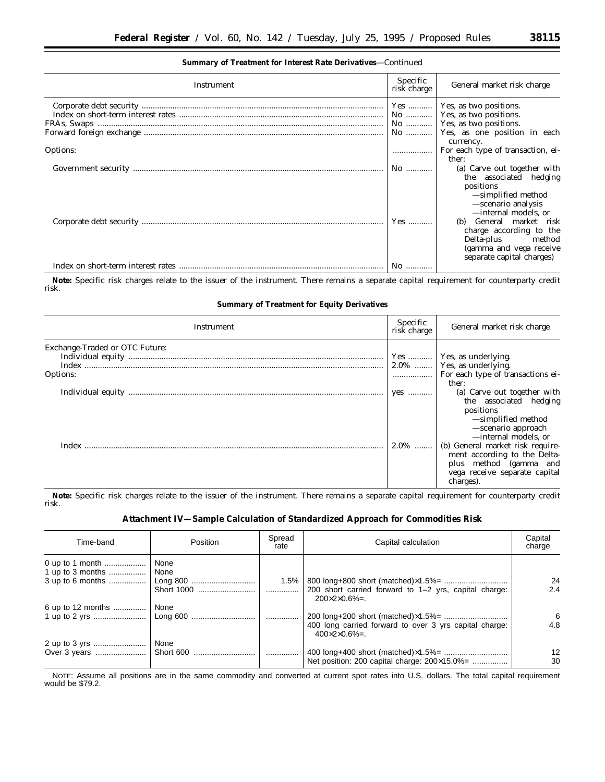#### **Summary of Treatment for Interest Rate Derivatives**—Continued

| Instrument                                                                                                                                                                                                                                                                                                                                                                                                                                                                             | Specific<br>risk charge | General market risk charge                                                                                                                                                                                                                    |
|----------------------------------------------------------------------------------------------------------------------------------------------------------------------------------------------------------------------------------------------------------------------------------------------------------------------------------------------------------------------------------------------------------------------------------------------------------------------------------------|-------------------------|-----------------------------------------------------------------------------------------------------------------------------------------------------------------------------------------------------------------------------------------------|
|                                                                                                                                                                                                                                                                                                                                                                                                                                                                                        |                         | Yes    Yes, as two positions.                                                                                                                                                                                                                 |
| $\label{prop:optimal} \begin{minipage}{0.9\textwidth} \centering \textbf{Corporte debt security} \end{minipage} \begin{minipage}{0.9\textwidth} \centering \begin{minipage}{0.9\textwidth} \centering \textbf{C} & \textbf{C} & \textbf{C} & \textbf{C} & \textbf{C} & \textbf{C} \\ \textbf{C} & \textbf{D} & \textbf{S} & \textbf{D} & \textbf{C} & \textbf{C} & \textbf{C} & \textbf{C} \\ \textbf{D} & \textbf{D} & \textbf{D} & \textbf{D} & \textbf{D} & \textbf{C} & \textbf{D$ |                         | No    Yes, as two positions.                                                                                                                                                                                                                  |
|                                                                                                                                                                                                                                                                                                                                                                                                                                                                                        |                         | No    Yes, as two positions.                                                                                                                                                                                                                  |
|                                                                                                                                                                                                                                                                                                                                                                                                                                                                                        |                         | No  Yes, as one position in each                                                                                                                                                                                                              |
|                                                                                                                                                                                                                                                                                                                                                                                                                                                                                        |                         | currency.                                                                                                                                                                                                                                     |
| Options:                                                                                                                                                                                                                                                                                                                                                                                                                                                                               |                         | For each type of transaction, ei-                                                                                                                                                                                                             |
|                                                                                                                                                                                                                                                                                                                                                                                                                                                                                        |                         | ther:                                                                                                                                                                                                                                         |
|                                                                                                                                                                                                                                                                                                                                                                                                                                                                                        | No                      | (a) Carve out together with                                                                                                                                                                                                                   |
|                                                                                                                                                                                                                                                                                                                                                                                                                                                                                        | Yes                     | the associated hedging<br>positions<br>-simplified method<br>-scenario analysis<br>-internal models, or<br>General market risk<br>(b)<br>charge according to the<br>Delta-plus method<br>(gamma and vega receive<br>separate capital charges) |
|                                                                                                                                                                                                                                                                                                                                                                                                                                                                                        | No                      |                                                                                                                                                                                                                                               |

**Note:** Specific risk charges relate to the issuer of the instrument. There remains a separate capital requirement for counterparty credit risk.

# **Summary of Treatment for Equity Derivatives**

| Instrument                                 | Specific<br>risk charge | General market risk charge                                                                                                               |
|--------------------------------------------|-------------------------|------------------------------------------------------------------------------------------------------------------------------------------|
| Exchange-Traded or OTC Future:<br>Options: |                         | Yes    Yes, as underlying.<br>$2.0\%$   Yes, as underlying.<br>ther:                                                                     |
|                                            | yes                     | (a) Carve out together with<br>the associated hedging<br>positions<br>-simplified method<br>-scenario approach<br>-internal models, or   |
|                                            | $2.0\%$                 | (b) General market risk require-<br>ment according to the Delta-<br>plus method (gamma and<br>vega receive separate capital<br>charges). |

**Note:** Specific risk charges relate to the issuer of the instrument. There remains a separate capital requirement for counterparty credit risk.

# **Attachment IV—Sample Calculation of Standardized Approach for Commodities Risk**

| Time-band                 | Position           | Spread<br>rate | Capital calculation                                                                     | Capital<br>charge |
|---------------------------|--------------------|----------------|-----------------------------------------------------------------------------------------|-------------------|
|                           | None<br>Short 1000 | $1.5\%$<br>.   | 200 short carried forward to 1–2 yrs, capital charge:<br>$200 \times 2 \times 0.6\% =$  | 24<br>2.4         |
| 6 up to 12 months    None |                    |                | 400 long carried forward to over 3 yrs capital charge:<br>$400 \times 2 \times 0.6\% =$ | 6<br>4.8          |
|                           | None               | .              | Net position: 200 capital charge: 200×15.0%=                                            | 12<br>30          |

NOTE: Assume all positions are in the same commodity and converted at current spot rates into U.S. dollars. The total capital requirement would be \$79.2.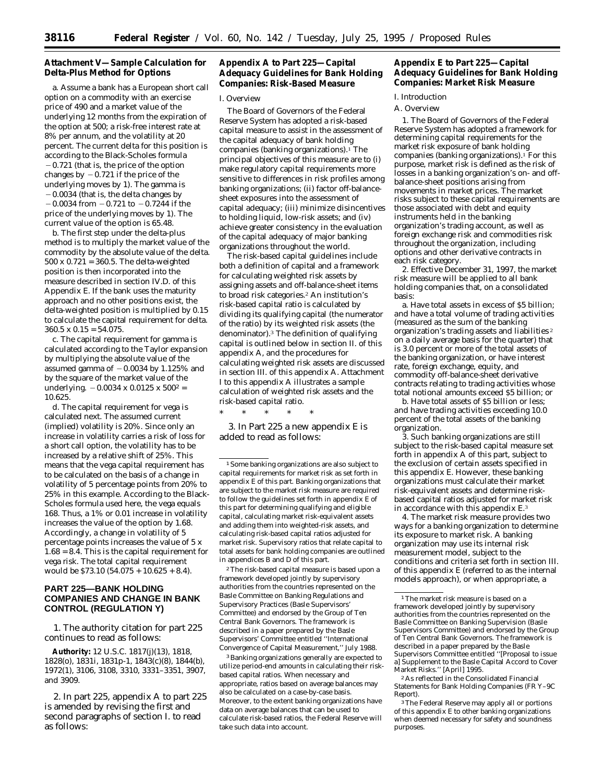# **Attachment V—Sample Calculation for Delta-Plus Method for Options**

a. Assume a bank has a European short call option on a commodity with an exercise price of 490 and a market value of the underlying 12 months from the expiration of the option at 500; a risk-free interest rate at 8% per annum, and the volatility at 20 percent. The current delta for this position is according to the Black-Scholes formula  $-0.721$  (that is, the price of the option changes by  $-0.721$  if the price of the underlying moves by 1). The gamma is  $-0.0034$  (that is, the delta changes by  $-0.0034$  from  $-0.721$  to  $-0.7244$  if the price of the underlying moves by 1). The current value of the option is 65.48.

b. The first step under the delta-plus method is to multiply the market value of the commodity by the absolute value of the delta.  $500 \times 0.721 = 360.5$ . The delta-weighted position is then incorporated into the measure described in section IV.D. of this Appendix E. If the bank uses the maturity approach and no other positions exist, the delta-weighted position is multiplied by 0.15 to calculate the capital requirement for delta.  $360.5 \times 0.15 = 54.075$ .

c. The capital requirement for gamma is calculated according to the Taylor expansion by multiplying the absolute value of the assumed gamma of  $-0.0034$  by 1.125% and by the square of the market value of the underlying.  $-0.0034 \times 0.0125 \times 500^2 =$ 10.625.

d. The capital requirement for vega is calculated next. The assumed current (implied) volatility is 20%. Since only an increase in volatility carries a risk of loss for a short call option, the volatility has to be increased by a relative shift of 25%. This means that the vega capital requirement has to be calculated on the basis of a change in volatility of 5 percentage points from 20% to 25% in this example. According to the Black-Scholes formula used here, the vega equals 168. Thus, a 1% or 0.01 increase in volatility increases the value of the option by 1.68. Accordingly, a change in volatility of 5 percentage points increases the value of 5 x 1.68 = 8.4. This is the capital requirement for vega risk. The total capital requirement would be \$73.10 (54.075 + 10.625 + 8.4).

# **PART 225—BANK HOLDING COMPANIES AND CHANGE IN BANK CONTROL (REGULATION Y)**

1. The authority citation for part 225 continues to read as follows:

**Authority:** 12 U.S.C. 1817(j)(13), 1818, 1828(o), 1831i, 1831p-1, 1843(c)(8), 1844(b), 1972(1), 3106, 3108, 3310, 3331–3351, 3907, and 3909.

2. In part 225, appendix A to part 225 is amended by revising the first and second paragraphs of section I. to read as follows:

# **Appendix A to Part 225—Capital Adequacy Guidelines for Bank Holding Companies: Risk-Based Measure**

#### *I. Overview*

The Board of Governors of the Federal Reserve System has adopted a risk-based capital measure to assist in the assessment of the capital adequacy of bank holding companies (banking organizations).<sup>1</sup> The principal objectives of this measure are to (i) make regulatory capital requirements more sensitive to differences in risk profiles among banking organizations; (ii) factor off-balancesheet exposures into the assessment of capital adequacy; (iii) minimize disincentives to holding liquid, low-risk assets; and (iv) achieve greater consistency in the evaluation of the capital adequacy of major banking organizations throughout the world.

The risk-based capital guidelines include both a definition of capital and a framework for calculating weighted risk assets by assigning assets and off-balance-sheet items to broad risk categories.2 An institution's risk-based capital ratio is calculated by dividing its qualifying capital (the numerator of the ratio) by its weighted risk assets (the denominator).3 The definition of qualifying capital is outlined below in section II. of this appendix A, and the procedures for calculating weighted risk assets are discussed in section III. of this appendix A. Attachment I to this appendix A illustrates a sample calculation of weighted risk assets and the risk-based capital ratio.

\* \* \* \* \*

3. In Part 225 a new appendix E is added to read as follows:

1Some banking organizations are also subject to capital requirements for market risk as set forth in appendix E of this part. Banking organizations that are subject to the market risk measure are required to follow the guidelines set forth in appendix E of this part for determining qualifying and eligible capital, calculating market risk-equivalent assets and adding them into weighted-risk assets, and calculating risk-based capital ratios adjusted for market risk. Supervisory ratios that relate capital to total assets for bank holding companies are outlined in appendices B and D of this part.

2The risk-based capital measure is based upon a framework developed jointly by supervisory authorities from the countries represented on the Basle Committee on Banking Regulations and Supervisory Practices (Basle Supervisors' Committee) and endorsed by the Group of Ten Central Bank Governors. The framework is described in a paper prepared by the Basle Supervisors' Committee entitled ''International Convergence of Capital Measurement,'' July 1988.

3Banking organizations generally are expected to utilize period-end amounts in calculating their riskbased capital ratios. When necessary and appropriate, ratios based on average balances may also be calculated on a case-by-case basis. Moreover, to the extent banking organizations have data on average balances that can be used to calculate risk-based ratios, the Federal Reserve will take such data into account.

# **Appendix E to Part 225—Capital Adequacy Guidelines for Bank Holding Companies: Market Risk Measure**

*I. Introduction*

A. Overview

1. The Board of Governors of the Federal Reserve System has adopted a framework for determining capital requirements for the market risk exposure of bank holding companies (banking organizations).<sup>1</sup> For this purpose, market risk is defined as the risk of losses in a banking organization's on- and offbalance-sheet positions arising from movements in market prices. The market risks subject to these capital requirements are those associated with debt and equity instruments held in the banking organization's trading account, as well as foreign exchange risk and commodities risk throughout the organization, including options and other derivative contracts in each risk category.

2. Effective December 31, 1997, the market risk measure will be applied to all bank holding companies that, on a consolidated basis:

a. Have total assets in excess of \$5 billion; *and* have a total volume of trading activities (measured as the sum of the banking organization's trading assets and liabilities 2 on a daily average basis for the quarter) that is 3.0 percent or more of the total assets of the banking organization, or have interest rate, foreign exchange, equity, and commodity off-balance-sheet derivative contracts relating to trading activities whose total notional amounts exceed \$5 billion; or

b. Have total assets of \$5 billion or less; *and* have trading activities exceeding 10.0 percent of the total assets of the banking organization.

3. Such banking organizations are still subject to the risk-based capital measure set forth in appendix A of this part, subject to the exclusion of certain assets specified in this appendix E. However, these banking organizations must calculate their market risk-equivalent assets and determine riskbased capital ratios adjusted for market risk in accordance with this appendix E.3

4. The market risk measure provides two ways for a banking organization to determine its exposure to market risk. A banking organization may use its internal risk measurement model, subject to the conditions and criteria set forth in section III. of this appendix E (referred to as the internal models approach), or when appropriate, a

2As reflected in the Consolidated Financial Statements for Bank Holding Companies (FR Y–9C Report).

3The Federal Reserve may apply all or portions of this appendix E to other banking organizations when deemed necessary for safety and soundness purposes.

<sup>1</sup>The market risk measure is based on a framework developed jointly by supervisory authorities from the countries represented on the Basle Committee on Banking Supervision (Basle Supervisors Committee) and endorsed by the Group of Ten Central Bank Governors. The framework is described in a paper prepared by the Basle Supervisors Committee entitled ''[Proposal to issue a] Supplement to the Basle Capital Accord to Cover Market Risks.'' [April] 1995.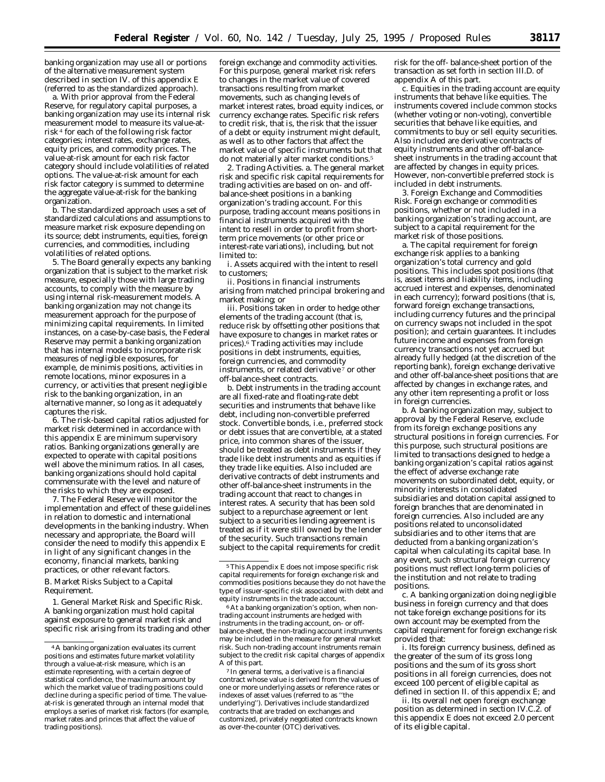banking organization may use all or portions of the alternative measurement system described in section IV. of this appendix E (referred to as the standardized approach).

a. With prior approval from the Federal Reserve, for regulatory capital purposes, a banking organization may use its internal risk measurement model to measure its value-atrisk 4 for each of the following risk factor categories; interest rates, exchange rates, equity prices, and commodity prices. The value-at-risk amount for each risk factor category should include volatilities of related options. The value-at-risk amount for each risk factor category is summed to determine the aggregate value-at-risk for the banking organization.

b. The standardized approach uses a set of standardized calculations and assumptions to measure market risk exposure depending on its source; debt instruments, equities, foreign currencies, and commodities, including volatilities of related options.

5. The Board generally expects any banking organization that is subject to the market risk measure, especially those with large trading accounts, to comply with the measure by using internal risk-measurement models. A banking organization may not change its measurement approach for the purpose of minimizing capital requirements. In limited instances, on a case-by-case basis, the Federal Reserve may permit a banking organization that has internal models to incorporate risk measures of negligible exposures, for example, *de minimis* positions, activities in remote locations, minor exposures in a currency, or activities that present negligible risk to the banking organization, in an alternative manner, so long as it adequately captures the risk.

6. The risk-based capital ratios adjusted for market risk determined in accordance with this appendix E are *minimum* supervisory ratios. Banking organizations generally are expected to operate with capital positions well above the minimum ratios. In all cases, banking organizations should hold capital commensurate with the level and nature of the risks to which they are exposed.

7. The Federal Reserve will monitor the implementation and effect of these guidelines in relation to domestic and international developments in the banking industry. When necessary and appropriate, the Board will consider the need to modify this appendix E in light of any significant changes in the economy, financial markets, banking practices, or other relevant factors.

B. Market Risks Subject to a Capital Requirement.

1. *General Market Risk and Specific Risk.* A banking organization must hold capital against exposure to general market risk and specific risk arising from its trading and other

foreign exchange and commodity activities. For this purpose, general market risk refers to changes in the market value of covered transactions resulting from market movements, such as changing levels of market interest rates, broad equity indices, or currency exchange rates. Specific risk refers to credit risk, that is, the risk that the issuer of a debt or equity instrument might default, as well as to other factors that affect the market value of specific instruments but that do not materially alter market conditions.<sup>5</sup>

2. *Trading Activities*. a. The general market risk and specific risk capital requirements for trading activities are based on on- and offbalance-sheet positions in a banking organization's trading account. For this purpose, trading account means positions in financial instruments acquired with the intent to resell in order to profit from shortterm price movements (or other price or interest-rate variations), including, but not limited to:

i. Assets acquired with the intent to resell to customers;

ii. Positions in financial instruments arising from matched principal brokering and market making; or

iii. Positions taken in order to hedge other elements of the trading account (that is, reduce risk by offsetting other positions that have exposure to changes in market rates or prices).6 Trading activities may include positions in debt instruments, equities, foreign currencies, and commodity instruments, or related derivative<sup>7</sup> or other off-balance-sheet contracts.

b. Debt instruments in the trading account are all fixed-rate and floating-rate debt securities and instruments that behave like debt, including non-convertible preferred stock. Convertible bonds, i.e., preferred stock or debt issues that are convertible, at a stated price, into common shares of the issuer, should be treated as debt instruments if they trade like debt instruments and as equities if they trade like equities. Also included are derivative contracts of debt instruments and other off-balance-sheet instruments in the trading account that react to changes in interest rates. A security that has been sold subject to a repurchase agreement or lent subject to a securities lending agreement is treated as if it were still owned by the lender of the security. Such transactions remain subject to the capital requirements for credit

6At a banking organization's option, when nontrading account instruments are hedged with instruments in the trading account, on- or offbalance-sheet, the non-trading account instruments may be included in the measure for general market risk. Such non-trading account instruments remain subject to the credit risk capital charges of appendix A of this part.

7 In general terms, a derivative is a financial contract whose value is derived from the values of one or more underlying assets or reference rates or indexes of asset values (referred to as ''the underlying''). Derivatives include standardized contracts that are traded on exchanges and customized, privately negotiated contracts known as over-the-counter (OTC) derivatives.

risk for the off- balance-sheet portion of the transaction as set forth in section III.D. of appendix A of this part.

c. Equities in the trading account are equity instruments that behave like equities. The instruments covered include common stocks (whether voting or non-voting), convertible securities that behave like equities, and commitments to buy or sell equity securities. Also included are derivative contracts of equity instruments and other off-balancesheet instruments in the trading account that are affected by changes in equity prices. However, non-convertible preferred stock is included in debt instruments.

3. *Foreign Exchange and Commodities Risk.* Foreign exchange or commodities positions, whether or not included in a banking organization's trading account, are subject to a capital requirement for the market risk of those positions.

a. The capital requirement for foreign exchange risk applies to a banking organization's total currency and gold positions. This includes spot positions (that is, asset items and liability items, including accrued interest and expenses, denominated in each currency); forward positions (that is, forward foreign exchange transactions, including currency futures and the principal on currency swaps not included in the spot position); and certain guarantees. It includes future income and expenses from foreign currency transactions not yet accrued but already fully hedged (at the discretion of the reporting bank), foreign exchange derivative and other off-balance-sheet positions that are affected by changes in exchange rates, and any other item representing a profit or loss in foreign currencies.

b. A banking organization may, subject to approval by the Federal Reserve, exclude from its foreign exchange positions any structural positions in foreign currencies. For this purpose, such structural positions are limited to transactions designed to hedge a banking organization's capital ratios against the effect of adverse exchange rate movements on subordinated debt, equity, or minority interests in consolidated subsidiaries and dotation capital assigned to foreign branches that are denominated in foreign currencies. Also included are any positions related to unconsolidated subsidiaries and to other items that are deducted from a banking organization's capital when calculating its capital base. In any event, such structural foreign currency positions must reflect long-term policies of the institution and not relate to trading positions.

c. A banking organization doing negligible business in foreign currency and that does not take foreign exchange positions for its own account may be exempted from the capital requirement for foreign exchange risk provided that:

i. Its foreign currency business, defined as the greater of the sum of its gross long positions and the sum of its gross short positions in all foreign currencies, does not exceed 100 percent of eligible capital as defined in section II. of this appendix E; and

ii. Its overall net open foreign exchange position as determined in section IV.C.2. of this appendix E does not exceed 2.0 percent of its eligible capital.

<sup>4</sup>A banking organization evaluates its current positions and estimates future market volatility through a value-at-risk measure, which is an estimate representing, with a certain degree of statistical confidence, the maximum amount by which the market value of trading positions could decline during a specific period of time. The valueat-risk is generated through an internal model that employs a series of market risk factors (for example, market rates and princes that affect the value of trading positions).

<sup>5</sup>This Appendix E does not impose specific risk capital requirements for foreign exchange risk and commodities positions because they do not have the type of issuer-specific risk associated with debt and equity instruments in the trade account.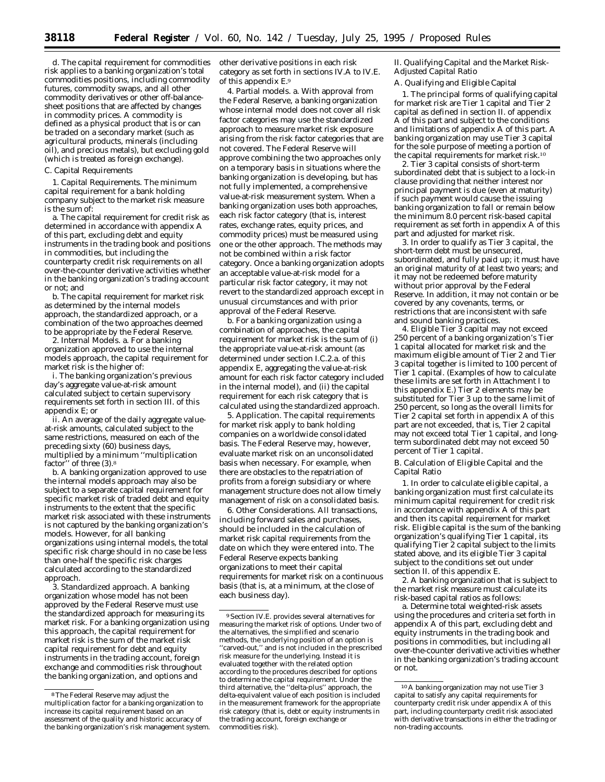d. The capital requirement for commodities risk applies to a banking organization's total commodities positions, including commodity futures, commodity swaps, and all other commodity derivatives or other off-balancesheet positions that are affected by changes in commodity prices. A commodity is defined as a physical product that is or can be traded on a secondary market (such as agricultural products, minerals (including oil), and precious metals), but excluding gold (which is treated as foreign exchange).

#### C. Capital Requirements

1. *Capital Requirements.* The minimum capital requirement for a bank holding company subject to the market risk measure is the sum of:

a. The capital requirement for credit risk as determined in accordance with appendix A of this part, *excluding* debt and equity instruments in the trading book and positions in commodities, but *including* the counterparty credit risk requirements on all over-the-counter derivative activities whether in the banking organization's trading account or not; and

b. The capital requirement for market risk as determined by the internal models approach, the standardized approach, or a combination of the two approaches deemed to be appropriate by the Federal Reserve.

2. *Internal Models.* a. For a banking organization approved to use the internal models approach, the capital requirement for market risk is the higher of:

i. The banking organization's previous day's aggregate value-at-risk amount calculated subject to certain supervisory requirements set forth in section III. of this appendix E; or

ii. An average of the daily aggregate valueat-risk amounts, calculated subject to the same restrictions, measured on each of the preceding sixty (60) business days, multiplied by a minimum ''multiplication factor" of three  $(3)$ .<sup>8</sup>

b. A banking organization approved to use the internal models approach may also be subject to a separate capital requirement for specific market risk of traded debt and equity instruments to the extent that the specific market risk associated with these instruments is not captured by the banking organization's models. However, for all banking organizations using internal models, the total specific risk charge should in no case be less than one-half the specific risk charges calculated according to the standardized approach.

3. *Standardized approach*. A banking organization whose model has not been approved by the Federal Reserve must use the standardized approach for measuring its market risk. For a banking organization using this approach, the capital requirement for market risk is the sum of the market risk capital requirement for debt and equity instruments in the trading account, foreign exchange and commodities risk throughout the banking organization, and options and

other derivative positions in each risk category as set forth in sections IV.A to IV.E. of this appendix E.9

4. *Partial models*. a. With approval from the Federal Reserve, a banking organization whose internal model does not cover all risk factor categories may use the standardized approach to measure market risk exposure arising from the risk factor categories that are not covered. The Federal Reserve will approve combining the two approaches only on a temporary basis in situations where the banking organization is developing, but has not fully implemented, a comprehensive value-at-risk measurement system. When a banking organization uses both approaches, each risk factor category (that is, interest rates, exchange rates, equity prices, and commodity prices) must be measured using one or the other approach. The methods may not be combined within a risk factor category. Once a banking organization adopts an acceptable value-at-risk model for a particular risk factor category, it may not revert to the standardized approach except in unusual circumstances and with prior approval of the Federal Reserve.

b. For a banking organization using a combination of approaches, the capital requirement for market risk is the sum of (i) the appropriate value-at-risk amount (as determined under section I.C.2.a. of this appendix E, aggregating the value-at-risk amount for each risk factor category included in the internal model), and (ii) the capital requirement for each risk category that is calculated using the standardized approach.

5. *Application.* The capital requirements for market risk apply to bank holding companies on a worldwide consolidated basis. The Federal Reserve may, however, evaluate market risk on an unconsolidated basis when necessary. For example, when there are obstacles to the repatriation of profits from a foreign subsidiary or where management structure does not allow timely management of risk on a consolidated basis.

6. *Other Considerations.* All transactions, including forward sales and purchases, should be included in the calculation of market risk capital requirements from the date on which they were entered into. The Federal Reserve expects banking organizations to meet their capital requirements for market risk on a continuous basis (that is, at a minimum, at the close of each business day).

# *II. Qualifying Capital and the Market Risk-Adjusted Capital Ratio*

#### A. Qualifying and Eligible Capital

1. The principal forms of qualifying capital for market risk are Tier 1 capital and Tier 2 capital as defined in section II. of appendix A of this part and subject to the conditions and limitations of appendix A of this part. A banking organization may use Tier 3 capital for the sole purpose of meeting a portion of the capital requirements for market risk.10

2. Tier 3 capital consists of short-term subordinated debt that is subject to a lock-in clause providing that neither interest nor principal payment is due (even at maturity) if such payment would cause the issuing banking organization to fall or remain below the minimum 8.0 percent risk-based capital requirement as set forth in appendix A of this part and adjusted for market risk.

3. In order to qualify as Tier 3 capital, the short-term debt must be unsecured, subordinated, and fully paid up; it must have an original maturity of at least two years; and it may not be redeemed before maturity without prior approval by the Federal Reserve. In addition, it may not contain or be covered by any covenants, terms, or restrictions that are inconsistent with safe and sound banking practices.

4. Eligible Tier 3 capital may not exceed 250 percent of a banking organization's Tier 1 capital allocated for market risk and the maximum eligible amount of Tier 2 and Tier 3 capital together is limited to 100 percent of Tier 1 capital. (Examples of how to calculate these limits are set forth in Attachment I to this appendix E.) Tier 2 elements may be substituted for Tier 3 up to the same limit of 250 percent, so long as the overall limits for Tier 2 capital set forth in appendix A of this part are not exceeded, that is, Tier 2 capital may not exceed total Tier 1 capital, and longterm subordinated debt may not exceed 50 percent of Tier 1 capital.

B. Calculation of Eligible Capital and the Capital Ratio

1. In order to calculate eligible capital, a banking organization must first calculate its minimum capital requirement for credit risk in accordance with appendix A of this part and then its capital requirement for market risk. Eligible capital is the sum of the banking organization's qualifying Tier 1 capital, its qualifying Tier 2 capital subject to the limits stated above, and its eligible Tier 3 capital subject to the conditions set out under section II. of this appendix E.

2. A banking organization that is subject to the market risk measure must calculate its risk-based capital ratios as follows:

a. Determine total weighted-risk assets using the procedures and criteria set forth in appendix A of this part, excluding debt and equity instruments in the trading book and positions in commodities, but including all over-the-counter derivative activities whether in the banking organization's trading account or not.

<sup>8</sup>The Federal Reserve may adjust the multiplication factor for a banking organization to increase its capital requirement based on an assessment of the quality and historic accuracy of the banking organization's risk management system.

<sup>9</sup>Section IV.E. provides several alternatives for measuring the market risk of options. Under two of the alternatives, the simplified and scenario methods, the underlying position of an option is "carved-out," and is not included in the prescribed risk measure for the underlying. Instead it is evaluated together with the related option according to the procedures described for options to determine the capital requirement. Under the third alternative, the ''delta-plus'' approach, the delta-equivalent value of each position is included in the measurement framework for the appropriate risk category (that is, debt or equity instruments in the trading account, foreign exchange or commodities risk).

<sup>10</sup>A banking organization may not use Tier 3 capital to satisfy any capital requirements for counterparty credit risk under appendix A of this part, including counterparty credit risk associated with derivative transactions in either the trading or non-trading accounts.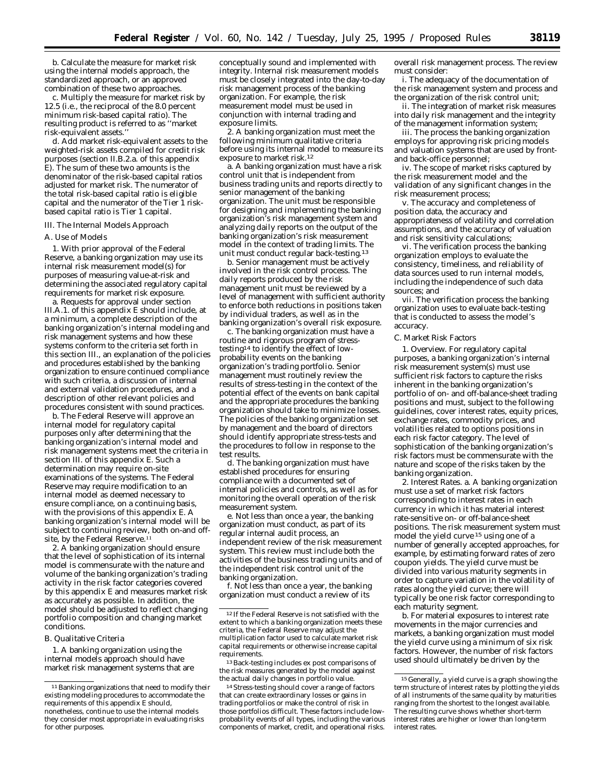b. Calculate the measure for market risk using the internal models approach, the standardized approach, or an approved combination of these two approaches.

c. Multiply the measure for market risk by 12.5 (i.e., the reciprocal of the 8.0 percent minimum risk-based capital ratio). The resulting product is referred to as ''market risk-equivalent assets.''

d. Add market risk-equivalent assets to the weighted-risk assets compiled for credit risk purposes (section II.B.2.a. of this appendix E). The sum of these two amounts is the denominator of the risk-based capital ratios adjusted for market risk. The numerator of the total risk-based capital ratio is eligible capital and the numerator of the Tier 1 riskbased capital ratio is Tier 1 capital.

#### *III. The Internal Models Approach*

#### A. Use of Models

1. With prior approval of the Federal Reserve, a banking organization may use its internal risk measurement model(s) for purposes of measuring value-at-risk and determining the associated regulatory capital requirements for market risk exposure.

a. Requests for approval under section III.A.1. of this appendix E should include, at a minimum, a complete description of the banking organization's internal modeling and risk management systems and how these systems conform to the criteria set forth in this section III., an explanation of the policies and procedures established by the banking organization to ensure continued compliance with such criteria, a discussion of internal and external validation procedures, and a description of other relevant policies and procedures consistent with sound practices.

b. The Federal Reserve will approve an internal model for regulatory capital purposes only after determining that the banking organization's internal model and risk management systems meet the criteria in section III. of this appendix E. Such a determination may require on-site examinations of the systems. The Federal Reserve may require modification to an internal model as deemed necessary to ensure compliance, on a continuing basis, with the provisions of this appendix E. A banking organization's internal model will be subject to continuing review, both on-and offsite, by the Federal Reserve.<sup>11</sup>

2. A banking organization should ensure that the level of sophistication of its internal model is commensurate with the nature and volume of the banking organization's trading activity in the risk factor categories covered by this appendix E and measures market risk as accurately as possible. In addition, the model should be adjusted to reflect changing portfolio composition and changing market conditions.

#### B. Qualitative Criteria

1. A banking organization using the internal models approach should have market risk management systems that are

conceptually sound and implemented with integrity. Internal risk measurement models must be closely integrated into the day-to-day risk management process of the banking organization. For example, the risk measurement model must be used in conjunction with internal trading and exposure limits.

2. A banking organization must meet the following minimum qualitative criteria before using its internal model to measure its exposure to market risk.12

a. A banking organization must have a risk control unit that is independent from business trading units and reports directly to senior management of the banking organization. The unit must be responsible for designing and implementing the banking organization's risk management system and analyzing daily reports on the output of the banking organization's risk measurement model in the context of trading limits. The unit must conduct regular back-testing.13

b. Senior management must be actively involved in the risk control process. The daily reports produced by the risk management unit must be reviewed by a level of management with sufficient authority to enforce both reductions in positions taken by individual traders, as well as in the banking organization's overall risk exposure.

c. The banking organization must have a routine and rigorous program of stresstesting14 to identify the effect of lowprobability events on the banking organization's trading portfolio. Senior management must routinely review the results of stress-testing in the context of the potential effect of the events on bank capital and the appropriate procedures the banking organization should take to minimize losses. The policies of the banking organization set by management and the board of directors should identify appropriate stress-tests and the procedures to follow in response to the test results.

d. The banking organization must have established procedures for ensuring compliance with a documented set of internal policies and controls, as well as for monitoring the overall operation of the risk measurement system.

e. Not less than once a year, the banking organization must conduct, as part of its regular internal audit process, an independent review of the risk measurement system. This review must include both the activities of the business trading units and of the independent risk control unit of the banking organization.

f. Not less than once a year, the banking organization must conduct a review of its

13Back-testing includes *ex post* comparisons of the risk measures generated by the model against the actual daily changes in portfolio value.

overall risk management process. The review must consider:

i. The adequacy of the documentation of the risk management system and process and the organization of the risk control unit;

ii. The integration of market risk measures into daily risk management and the integrity of the management information system;

iii. The process the banking organization employs for approving risk pricing models and valuation systems that are used by frontand back-office personnel;

iv. The scope of market risks captured by the risk measurement model and the validation of any significant changes in the risk measurement process;

v. The accuracy and completeness of position data, the accuracy and appropriateness of volatility and correlation assumptions, and the accuracy of valuation and risk sensitivity calculations;

vi. The verification process the banking organization employs to evaluate the consistency, timeliness, and reliability of data sources used to run internal models, including the independence of such data sources; and

vii. The verification process the banking organization uses to evaluate back-testing that is conducted to assess the model's accuracy.

C. Market Risk Factors

1. *Overview.* For regulatory capital purposes, a banking organization's internal risk measurement system(s) must use sufficient risk factors to capture the risks inherent in the banking organization's portfolio of on- and off-balance-sheet trading positions and must, subject to the following guidelines, cover interest rates, equity prices, exchange rates, commodity prices, and volatilities related to options positions in each risk factor category. The level of sophistication of the banking organization's risk factors must be commensurate with the nature and scope of the risks taken by the banking organization.

2. *Interest Rates.* a. A banking organization must use a set of market risk factors corresponding to interest rates in each currency in which it has material interest rate-sensitive on- or off-balance-sheet positions. The risk measurement system must model the yield curve 15 using one of a number of generally accepted approaches, for example, by estimating forward rates of zero coupon yields. The yield curve must be divided into various maturity segments in order to capture variation in the volatility of rates along the yield curve; there will typically be one risk factor corresponding to each maturity segment.

b. For material exposures to interest rate movements in the major currencies and markets, a banking organization must model the yield curve using a minimum of six risk factors. However, the number of risk factors used should ultimately be driven by the

<sup>&</sup>lt;sup>11</sup> Banking organizations that need to modify their existing modeling procedures to accommodate the requirements of this appendix E should, nonetheless, continue to use the internal models they consider most appropriate in evaluating risks for other purposes.

<sup>12</sup> If the Federal Reserve is not satisfied with the extent to which a banking organization meets these criteria, the Federal Reserve may adjust the multiplication factor used to calculate market risk capital requirements or otherwise increase capital requirements.

<sup>14</sup>Stress-testing should cover a range of factors that can create extraordinary losses or gains in trading portfolios or make the control of risk in those portfolios difficult. These factors include lowprobability events of all types, including the various components of market, credit, and operational risks.

<sup>15</sup> Generally, a yield curve is a graph showing the term structure of interest rates by plotting the yields of all instruments of the same quality by maturities ranging from the shortest to the longest available. The resulting curve shows whether short-term interest rates are higher or lower than long-term interest rates.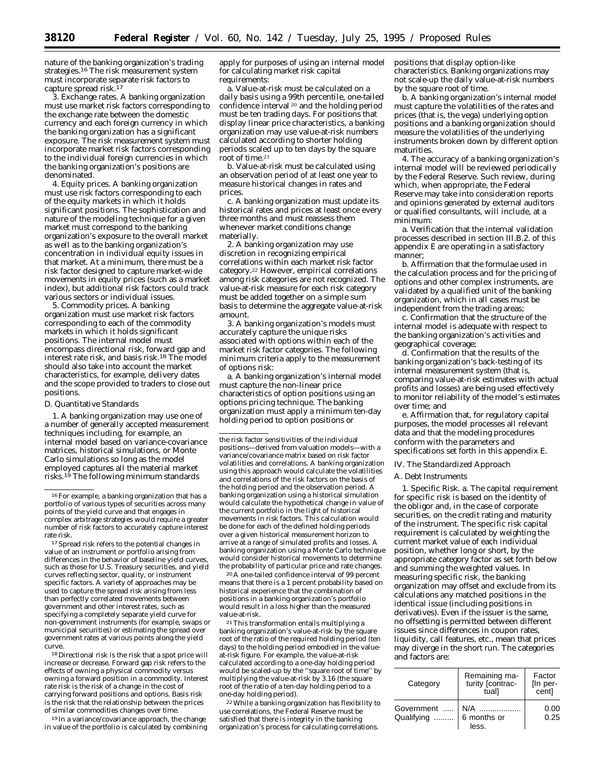nature of the banking organization's trading strategies.<sup>16</sup> The risk measurement system must incorporate separate risk factors to capture spread risk.17

3. *Exchange rates.* A banking organization must use market risk factors corresponding to the exchange rate between the domestic currency and each foreign currency in which the banking organization has a significant exposure. The risk measurement system must incorporate market risk factors corresponding to the individual foreign currencies in which the banking organization's positions are denominated.

4. *Equity prices.* A banking organization must use risk factors corresponding to each of the equity markets in which it holds significant positions. The sophistication and nature of the modeling technique for a given market must correspond to the banking organization's exposure to the overall market as well as to the banking organization's concentration in individual equity issues in that market. At a minimum, there must be a risk factor designed to capture market-wide movements in equity prices (such as a market index), but additional risk factors could track various sectors or individual issues.

5. *Commodity prices.* A banking organization must use market risk factors corresponding to each of the commodity markets in which it holds significant positions. The internal model must encompass directional risk, forward gap and interest rate risk, and basis risk.18 The model should also take into account the market characteristics, for example, delivery dates and the scope provided to traders to close out positions.

# D. Quantitative Standards

1. A banking organization may use one of a number of generally accepted measurement techniques including, for example, an internal model based on variance-covariance matrices, historical simulations, or Monte Carlo simulations so long as the model employed captures all the material market risks.19 The following minimum standards

<sup>17</sup> Spread risk refers to the potential changes in value of an instrument or portfolio arising from differences in the behavior of baseline yield curves, such as those for U.S. Treasury securities, and yield curves reflecting sector, quality, or instrument specific factors. A variety of approaches may be used to capture the spread risk arising from less than perfectly correlated movements between government and other interest rates, such as specifying a completely separate yield curve for non-government instruments (for example, swaps or municipal securities) or estimating the spread over government rates at various points along the yield curve.

18 Directional risk is the risk that a spot price will increase or decrease. Forward gap risk refers to the effects of owning a physical commodity versus owning a forward position in a commodity. Interest rate risk is the risk of a change in the cost of carrying forward positions and options. Basis risk is the risk that the relationship between the prices of similar commodities changes over time.

19 In a variance/covariance approach, the change in value of the portfolio is calculated by combining

apply for purposes of using an internal model for calculating market risk capital requirements:

a. Value-at-risk must be calculated on a daily basis using a 99th percentile, one-tailed confidence interval 20 and the holding period must be ten trading days. For positions that display linear price characteristics, a banking organization may use value-at-risk numbers calculated according to shorter holding periods scaled up to ten days by the square root of time.21

b. Value-at-risk must be calculated using an observation period of at least one year to measure historical changes in rates and prices.

c. A banking organization must update its historical rates and prices at least once every three months and must reassess them whenever market conditions change materially.

2. A banking organization may use discretion in recognizing empirical correlations within each market risk factor category.22 However, empirical correlations among risk categories are not recognized. The value-at-risk measure for each risk category must be added together on a simple sum basis to determine the aggregate value-at-risk amount.

3. A banking organization's models must accurately capture the unique risks associated with options within each of the market risk factor categories. The following minimum criteria apply to the measurement of options risk:

a. A banking organization's internal model must capture the non-linear price characteristics of option positions using an options pricing technique. The banking organization must apply a minimum ten-day holding period to option positions or

the risk factor sensitivities of the individual positions—derived from valuation models—with a variance/covariance matrix based on risk factor volatilities and correlations. A banking organization using this approach would calculate the volatilities and correlations of the risk factors on the basis of the holding period and the observation period. A banking organization using a historical simulation would calculate the hypothetical change in value of the current portfolio in the light of historical movements in risk factors. This calculation would be done for each of the defined holding periods over a given historical measurement horizon to arrive at a range of simulated profits and losses. A banking organization using a Monte Carlo technique would consider historical movements to determine the probability of particular price and rate changes.

20A one-tailed confidence interval of 99 percent means that there is a 1 percent probability based on historical experience that the combination of positions in a banking organization's portfolio would result in a loss higher than the measured value-at-risk.

21This transformation entails multiplying a banking organization's value-at-risk by the square root of the ratio of the required holding period (ten days) to the holding period embodied in the valueat-risk figure. For example, the value-at-risk calculated according to a one-day holding period would be scaled-up by the ''square root of time'' by multiplying the value-at-risk by 3.16 (the square root of the ratio of a ten-day holding period to a one-day holding period).

22While a banking organization has flexibility to use correlations, the Federal Reserve must be satisfied that there is integrity in the banking organization's process for calculating correlations.

positions that display option-like characteristics. Banking organizations may not scale-up the daily value-at-risk numbers by the square root of time.

b. A banking organization's internal model must capture the volatilities of the rates and prices (that is, the vega) underlying option positions and a banking organization should measure the volatilities of the underlying instruments broken down by different option maturities.

4. The accuracy of a banking organization's internal model will be reviewed periodically by the Federal Reserve. Such review, during which, when appropriate, the Federal Reserve may take into consideration reports and opinions generated by external auditors or qualified consultants, will include, at a minimum:

a. Verification that the internal validation processes described in section III.B.2. of this appendix E are operating in a satisfactory manner;

b. Affirmation that the formulae used in the calculation process and for the pricing of options and other complex instruments, are validated by a qualified unit of the banking organization, which in all cases must be independent from the trading areas;

c. Confirmation that the structure of the internal model is adequate with respect to the banking organization's activities and geographical coverage;

d. Confirmation that the results of the banking organization's back-testing of its internal measurement system (that is, comparing value-at-risk estimates with actual profits and losses) are being used effectively to monitor reliability of the model's estimates over time; and

e. Affirmation that, for regulatory capital purposes, the model processes all relevant data and that the modeling procedures conform with the parameters and specifications set forth in this appendix E.

#### *IV. The Standardized Approach*

#### A. Debt Instruments

1. *Specific Risk.* a. The capital requirement for specific risk is based on the identity of the obligor and, in the case of corporate securities, on the credit rating and maturity of the instrument. The specific risk capital requirement is calculated by weighting the current market value of each individual position, whether long or short, by the appropriate category factor as set forth below and summing the weighted values. In measuring specific risk, the banking organization may offset and exclude from its calculations any matched positions in the *identical* issue (including positions in derivatives). Even if the issuer is the same, no offsetting is permitted between different issues since differences in coupon rates, liquidity, call features, etc., mean that prices may diverge in the short run. The categories and factors are:

| Category                 | Remaining ma-<br>turity [contrac-<br>tuall | Factor<br>[In per-<br>cent] |
|--------------------------|--------------------------------------------|-----------------------------|
| Government<br>Qualifying | $N/A$<br>6 months or<br>less.              | 0.00<br>0.25                |

<sup>16</sup>For example, a banking organization that has a portfolio of various types of securities across many points of the yield curve and that engages in complex arbitrage strategies would require a greater number of risk factors to accurately capture interest rate risk.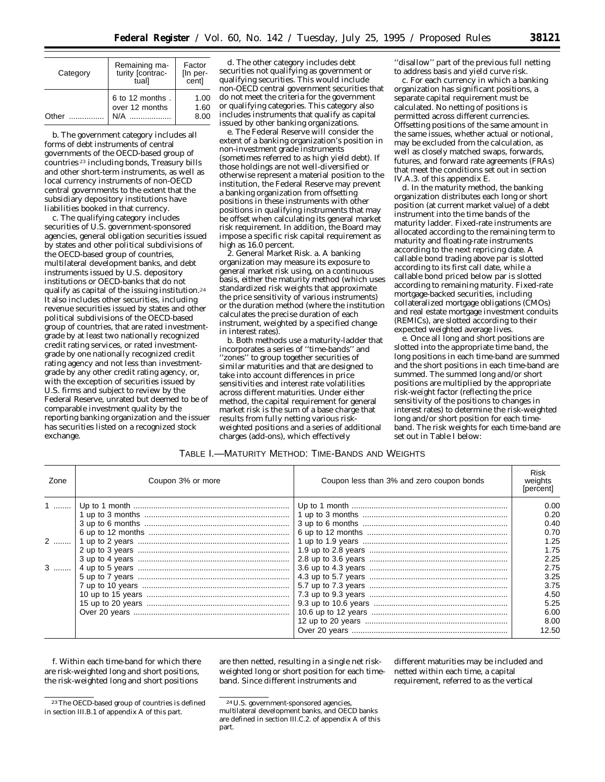| Category | Remaining ma-<br>turity [contrac-<br>tual] | Factor<br>[In per-<br>cent] |
|----------|--------------------------------------------|-----------------------------|
| Other    | 6 to 12 months.<br>over 12 months<br>N/A   | 1.00<br>1.60<br>8.00        |

b. The *government* category includes all forms of debt instruments of central governments of the OECD-based group of countries 23 including bonds, Treasury bills and other short-term instruments, as well as local currency instruments of non-OECD central governments to the extent that the subsidiary depository institutions have liabilities booked in that currency.

c. The *qualifying* category includes securities of U.S. government-sponsored agencies, general obligation securities issued by states and other political subdivisions of the OECD-based group of countries, multilateral development banks, and debt instruments issued by U.S. depository institutions or OECD-banks that do not qualify as capital of the issuing institution.24 It also includes other securities, including revenue securities issued by states and other political subdivisions of the OECD-based group of countries, that are rated investmentgrade by at least two nationally recognized credit rating services, or rated investmentgrade by one nationally recognized credit rating agency and not less than investmentgrade by any other credit rating agency, or, with the exception of securities issued by U.S. firms and subject to review by the Federal Reserve, unrated but deemed to be of comparable investment quality by the reporting banking organization *and* the issuer has securities listed on a recognized stock exchange.

d. The *other* category includes debt securities not qualifying as government or qualifying securities. This would include non-OECD central government securities that do not meet the criteria for the government or qualifying categories. This category also includes instruments that qualify as capital issued by other banking organizations.

e. The Federal Reserve will consider the extent of a banking organization's position in non-investment grade instruments (sometimes referred to as high yield debt). If those holdings are not well-diversified or otherwise represent a material position to the institution, the Federal Reserve may prevent a banking organization from offsetting positions in these instruments with other positions in qualifying instruments that may be offset when calculating its general market risk requirement. In addition, the Board may impose a specific risk capital requirement as high as 16.0 percent.

2. *General Market Risk.* a. A banking organization may measure its exposure to general market risk using, on a continuous basis, either the maturity method (which uses standardized risk weights that approximate the price sensitivity of various instruments) or the duration method (where the institution calculates the precise duration of each instrument, weighted by a specified change in interest rates).

b. Both methods use a maturity-ladder that incorporates a series of ''time-bands'' and ''zones'' to group together securities of similar maturities and that are designed to take into account differences in price sensitivities and interest rate volatilities across different maturities. Under either method, the capital requirement for general market risk is the sum of a base charge that results from fully netting various riskweighted positions and a series of additional charges (add-ons), which effectively

''disallow'' part of the previous full netting to address basis and yield curve risk.

c. For each currency in which a banking organization has significant positions, a separate capital requirement must be calculated. No netting of positions is permitted across different currencies. Offsetting positions of the same amount in the same issues, whether actual or notional, may be excluded from the calculation, as well as closely matched swaps, forwards, futures, and forward rate agreements (FRAs) that meet the conditions set out in section IV.A.3. of this appendix E.

d. In the *maturity method*, the banking organization distributes each long or short position (at current market value) of a debt instrument into the time bands of the maturity ladder. Fixed-rate instruments are allocated according to the remaining term to maturity and floating-rate instruments according to the next repricing date. A callable bond trading above par is slotted according to its first call date, while a callable bond priced below par is slotted according to remaining maturity. Fixed-rate mortgage-backed securities, including collateralized mortgage obligations (CMOs) and real estate mortgage investment conduits (REMICs), are slotted according to their expected weighted average lives.

e. Once all long and short positions are slotted into the appropriate time band, the long positions in each time-band are summed and the short positions in each time-band are summed. The summed long and/or short positions are multiplied by the appropriate risk-weight factor (reflecting the price sensitivity of the positions to changes in interest rates) to determine the risk-weighted long and/or short position for each timeband. The risk weights for each time-band are set out in Table I below:

#### TABLE I.—MATURITY METHOD: TIME-BANDS AND WEIGHTS

| Zone | Coupon 3% or more | Coupon less than 3% and zero coupon bonds | <b>Risk</b><br>weights<br>[percent] |
|------|-------------------|-------------------------------------------|-------------------------------------|
| 1    |                   |                                           | 0.00                                |
|      |                   |                                           | 0.20                                |
|      |                   |                                           | 0.40                                |
|      |                   |                                           | 0.70                                |
| 2    |                   |                                           | 1.25                                |
|      |                   |                                           | 1.75                                |
|      |                   |                                           | 2.25                                |
|      |                   |                                           | 2.75                                |
|      |                   |                                           | 3.25                                |
|      |                   |                                           | 3.75                                |
|      |                   |                                           | 4.50                                |
|      |                   |                                           | 5.25                                |
|      |                   |                                           | 6.00<br>8.00<br>12.50               |

f. Within each time-band for which there are risk-weighted long and short positions, the risk-weighted long and short positions

are then netted, resulting in a single net riskweighted long or short position for each timeband. Since different instruments and

different maturities may be included and netted within each time, a capital requirement, referred to as the vertical

<sup>23</sup>The OECD-based group of countries is defined in section III.B.1 of appendix A of this part.

<sup>24</sup>U.S. government-sponsored agencies, multilateral development banks, and OECD banks are defined in section III.C.2. of appendix A of this part.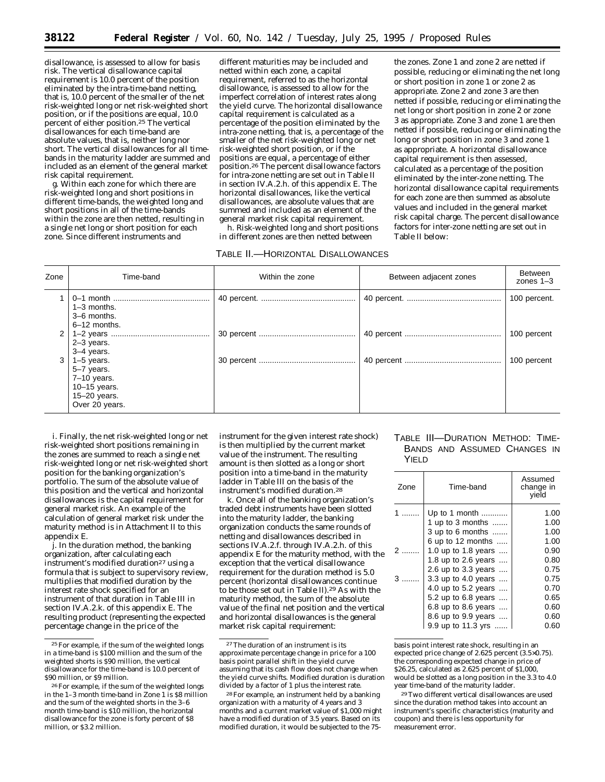disallowance, is assessed to allow for basis risk. The vertical disallowance capital requirement is 10.0 percent of the position eliminated by the intra-time-band netting, that is, 10.0 percent of the smaller of the net risk-weighted long or net risk-weighted short position, or if the positions are equal, 10.0 percent of either position.25 The vertical disallowances for each time-band are absolute values, that is, neither long nor short. The vertical disallowances for all timebands in the maturity ladder are summed and included as an element of the general market risk capital requirement.

g. Within each zone for which there are risk-weighted long and short positions in different time-bands, the weighted long and short positions in all of the time-bands within the zone are then netted, resulting in a single net long or short position for each zone. Since different instruments and

different maturities may be included and netted within each zone, a capital requirement, referred to as the horizontal disallowance, is assessed to allow for the imperfect correlation of interest rates along the yield curve. The horizontal disallowance capital requirement is calculated as a percentage of the position eliminated by the intra-zone netting, that is, a percentage of the smaller of the net risk-weighted long or net risk-weighted short position, or if the positions are equal, a percentage of either position.26 The percent disallowance factors for intra-zone netting are set out in Table II in section IV.A.2.h. of this appendix E. The horizontal disallowances, like the vertical disallowances, are absolute values that are summed and included as an element of the general market risk capital requirement. h. Risk-weighted long and short positions

in different zones are then netted between

TABLE II.—HORIZONTAL DISALLOWANCES

the zones. Zone 1 and zone 2 are netted if possible, reducing or eliminating the net long or short position in zone 1 or zone 2 as appropriate. Zone 2 and zone 3 are then netted if possible, reducing or eliminating the net long or short position in zone 2 or zone 3 as appropriate. Zone 3 and zone 1 are then netted if possible, reducing or eliminating the long or short position in zone 3 and zone 1 as appropriate. A horizontal disallowance capital requirement is then assessed, calculated as a percentage of the position eliminated by the inter-zone netting. The horizontal disallowance capital requirements for each zone are then summed as absolute values and included in the general market risk capital charge. The percent disallowance factors for inter-zone netting are set out in Table II below:

| Zone | Time-band                                                                                       | Within the zone | Between adjacent zones | Between<br>zones $1-3$ |
|------|-------------------------------------------------------------------------------------------------|-----------------|------------------------|------------------------|
|      | $1-3$ months.<br>3-6 months.<br>$6-12$ months.                                                  |                 |                        | 100 percent.           |
| 2    | $2-3$ years.<br>3-4 years.                                                                      |                 |                        | 100 percent            |
| 3    | $1-5$ years.<br>5-7 years.<br>$7-10$ years.<br>$10-15$ years.<br>15-20 years.<br>Over 20 years. |                 |                        | 100 percent            |

i. Finally, the net risk-weighted long or net risk-weighted short positions remaining in the zones are summed to reach a single net risk-weighted long or net risk-weighted short position for the banking organization's portfolio. The sum of the absolute value of this position and the vertical and horizontal disallowances is the capital requirement for general market risk. An example of the calculation of general market risk under the maturity method is in Attachment II to this appendix E.

j. In the *duration method*, the banking organization, after calculating each instrument's modified duration<sup>27</sup> using a formula that is subject to supervisory review, multiplies that modified duration by the interest rate shock specified for an instrument of that duration in Table III in section IV.A.2.k. of this appendix E. The resulting product (representing the expected percentage change in the price of the

instrument for the given interest rate shock) is then multiplied by the current market value of the instrument. The resulting amount is then slotted as a long or short position into a time-band in the maturity ladder in Table III on the basis of the instrument's modified duration.28

k. Once all of the banking organization's traded debt instruments have been slotted into the maturity ladder, the banking organization conducts the same rounds of netting and disallowances described in sections IV.A.2.f. through IV.A.2.h. of this appendix E for the maturity method, with the exception that the vertical disallowance requirement for the duration method is 5.0 percent (horizontal disallowances continue to be those set out in Table II).29 As with the maturity method, the sum of the absolute value of the final net position and the vertical and horizontal disallowances is the general market risk capital requirement:

# TABLE III—DURATION METHOD: TIME-BANDS AND ASSUMED CHANGES IN YIELD

| Time-band<br>Zone |                           | Assumed<br>change in<br>vield |
|-------------------|---------------------------|-------------------------------|
|                   | Up to 1 month             | 1.00                          |
|                   | 1 up to 3 months $\ldots$ | 1.00                          |
|                   | 3 up to 6 months          | 1.00                          |
|                   | 6 up to 12 months         | 1.00                          |
| $\mathcal{P}$     | 1.0 up to 1.8 years       | 0.90                          |
|                   | 1.8 up to 2.6 years       | 0.80                          |
|                   | 2.6 up to 3.3 years       | 0.75                          |
|                   | 3.3 up to 4.0 years       | 0.75                          |
|                   | 4.0 up to 5.2 years       | 0.70                          |
|                   | 5.2 up to 6.8 years       | 0.65                          |
|                   | 6.8 up to 8.6 years       | 0.60                          |
|                   | 8.6 up to 9.9 years       | 0.60                          |
|                   | 9.9 up to 11.3 yrs        | 0.60                          |

basis point interest rate shock, resulting in an expected price change of 2.625 percent (3.5×0.75). the corresponding expected change in price of \$26.25, calculated as 2.625 percent of \$1,000, would be slotted as a long position in the 3.3 to 4.0 year time-band of the maturity ladder.

29Two different vertical disallowances are used since the duration method takes into account an instrument's specific characteristics (maturity and coupon) and there is less opportunity for measurement error.

<sup>25</sup>For example, if the sum of the weighted longs in a time-band is \$100 million and the sum of the weighted shorts is \$90 million, the vertical disallowance for the time-band is 10.0 percent of \$90 million, or \$9 million.

<sup>26</sup>For example, if the sum of the weighted longs in the 1–3 month time-band in Zone 1 is \$8 million and the sum of the weighted shorts in the 3–6 month time-band is \$10 million, the horizontal disallowance for the zone is forty percent of \$8 million, or \$3.2 million.

 $\rm ^{27}The$  duration of an instrument is its approximate percentage change in price for a 100 basis point parallel shift in the yield curve assuming that its cash flow does not change when the yield curve shifts. Modified duration is duration divided by a factor of 1 plus the interest rate.

<sup>28</sup>For example, an instrument held by a banking organization with a maturity of 4 years and 3 months and a current market value of \$1,000 might have a modified duration of 3.5 years. Based on its modified duration, it would be subjected to the 75-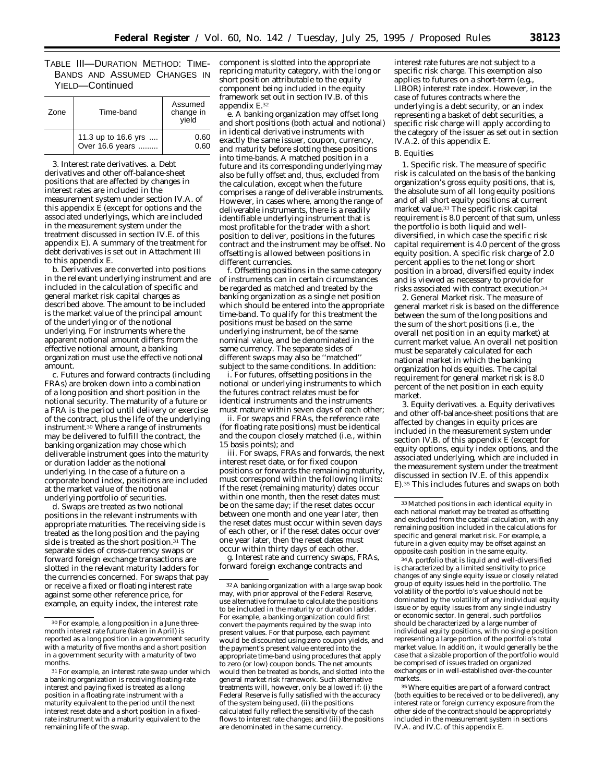TABLE III—DURATION METHOD: TIME-BANDS AND ASSUMED CHANGES IN YIELD—Continued

| Zone | Time-band                              | Assumed<br>change in<br>vield |  |
|------|----------------------------------------|-------------------------------|--|
|      | 11.3 up to 16.6 yrs<br>Over 16.6 years | 0.60<br>0.60                  |  |

3. *Interest rate derivatives.* a. Debt derivatives and other off-balance-sheet positions that are affected by changes in interest rates are included in the measurement system under section IV.A. of this appendix  $\tilde{E}$  (except for options and the associated underlyings, which are included in the measurement system under the treatment discussed in section IV.E. of this appendix E). A summary of the treatment for debt derivatives is set out in Attachment III to this appendix E.

b. Derivatives are converted into positions in the relevant underlying instrument and are included in the calculation of specific and general market risk capital charges as described above. The amount to be included is the market value of the principal amount of the underlying or of the notional underlying. For instruments where the apparent notional amount differs from the effective notional amount, a banking organization must use the effective notional amount.

c. Futures and forward contracts (including FRAs) are broken down into a combination of a long position and short position in the notional security. The maturity of a future or a FRA is the period until delivery or exercise of the contract, plus the life of the underlying instrument.30 Where a range of instruments may be delivered to fulfill the contract, the banking organization may chose which deliverable instrument goes into the maturity or duration ladder as the notional underlying. In the case of a future on a corporate bond index, positions are included at the market value of the notional underlying portfolio of securities.

d. Swaps are treated as two notional positions in the relevant instruments with appropriate maturities. The receiving side is treated as the long position and the paying side is treated as the short position. $31$  The separate sides of cross-currency swaps or forward foreign exchange transactions are slotted in the relevant maturity ladders for the currencies concerned. For swaps that pay or receive a fixed or floating interest rate against some other reference price, for example, an equity index, the interest rate

component is slotted into the appropriate repricing maturity category, with the long or short position attributable to the equity component being included in the equity framework set out in section IV.B. of this appendix E.32

e. A banking organization may offset long and short positions (both actual and notional) in identical derivative instruments with exactly the same issuer, coupon, currency, and maturity before slotting these positions into time-bands. A matched position in a future and its corresponding underlying may also be fully offset and, thus, excluded from the calculation, except when the future comprises a range of deliverable instruments. However, in cases where, among the range of deliverable instruments, there is a readily identifiable underlying instrument that is most profitable for the trader with a short position to deliver, positions in the futures contract and the instrument may be offset. No offsetting is allowed between positions in different currencies.

f. Offsetting positions in the same category of instruments can in certain circumstances be regarded as matched and treated by the banking organization as a single net position which should be entered into the appropriate time-band. To qualify for this treatment the positions must be based on the same underlying instrument, be of the same nominal value, and be denominated in the same currency. The separate sides of different swaps may also be ''matched'' subject to the same conditions. In addition:

i. For futures, offsetting positions in the notional or underlying instruments to which the futures contract relates must be for identical instruments and the instruments must mature within seven days of each other;

ii. For swaps and FRAs, the reference rate (for floating rate positions) must be identical and the coupon closely matched (i.e., within 15 basis points); and

iii. For swaps, FRAs and forwards, the next interest reset date, or for fixed coupon positions or forwards the remaining maturity, must correspond within the following limits: If the reset (remaining maturity) dates occur within one month, then the reset dates must be on the same day; if the reset dates occur between one month and one year later, then the reset dates must occur within seven days of each other, or if the reset dates occur over one year later, then the reset dates must occur within thirty days of each other.

g. Interest rate and currency swaps, FRAs, forward foreign exchange contracts and

interest rate futures are not subject to a specific risk charge. This exemption also applies to futures on a short-term (e.g., LIBOR) interest rate index. However, in the case of futures contracts where the underlying is a debt security, or an index representing a basket of debt securities, a specific risk charge will apply according to the category of the issuer as set out in section IV.A.2. of this appendix E.

#### B. Equities

1. *Specific risk.* The measure of specific risk is calculated on the basis of the banking organization's gross equity positions, that is, the absolute sum of all long equity positions and of all short equity positions at current market value.33 The specific risk capital requirement is 8.0 percent of that sum, unless the portfolio is both liquid and welldiversified, in which case the specific risk capital requirement is 4.0 percent of the gross equity position. A specific risk charge of 2.0 percent applies to the net long or short position in a broad, diversified equity index and is viewed as necessary to provide for risks associated with contract execution.34

2. *General Market risk.* The measure of general market risk is based on the difference between the sum of the long positions and the sum of the short positions (i.e., the overall net position in an equity market) at current market value. An overall net position must be separately calculated for each national market in which the banking organization holds equities. The capital requirement for general market risk is 8.0 percent of the net position in each equity market.

3. *Equity derivatives.* a. Equity derivatives and other off-balance-sheet positions that are affected by changes in equity prices are included in the measurement system under section IV.B. of this appendix E (except for equity options, equity index options, and the associated underlying, which are included in the measurement system under the treatment discussed in section IV.E. of this appendix E).35 This includes futures and swaps on both

34A portfolio that is liquid and well-diversified is characterized by a limited sensitivity to price changes of any single equity issue or closely related group of equity issues held in the portfolio. The volatility of the portfolio's value should not be dominated by the volatility of any individual equity issue or by equity issues from any single industry or economic sector. In general, such portfolios should be characterized by a large number of individual equity positions, with no single position representing a large portion of the portfolio's total market value. In addition, it would generally be the case that a sizable proportion of the portfolio would be comprised of issues traded on organized exchanges or in well-established over-the-counter markets.

35Where equities are part of a forward contract (both equities to be received or to be delivered), any interest rate or foreign currency exposure from the other side of the contract should be appropriately included in the measurement system in sections IV.A. and IV.C. of this appendix E.

<sup>30</sup>For example, a long position in a June threemonth interest rate future (taken in April) is reported as a long position in a government security with a maturity of five months and a short position in a government security with a maturity of two months.

<sup>31</sup>For example, an interest rate swap under which a banking organization is receiving floating-rate interest and paying fixed is treated as a long position in a floating rate instrument with a maturity equivalent to the period until the next interest reset date and a short position in a fixedrate instrument with a maturity equivalent to the remaining life of the swap.

<sup>32</sup>A banking organization with a large swap book may, with prior approval of the Federal Reserve, use alternative formulae to calculate the positions to be included in the maturity or duration ladder. For example, a banking organization could first convert the payments required by the swap into present values. For that purpose, each payment would be discounted using zero coupon yields, and the payment's present value entered into the appropriate time-band using procedures that apply to zero (or low) coupon bonds. The net amounts would then be treated as bonds, and slotted into the general market risk framework. Such alternative treatments will, however, only be allowed if: (i) the Federal Reserve is fully satisfied with the accuracy of the system being used, (ii) the positions calculated fully reflect the sensitivity of the cash flows to interest rate changes; and (iii) the positions are denominated in the same currency.

<sup>33</sup>Matched positions in each identical equity in each national market may be treated as offsetting and excluded from the capital calculation, with any remaining position included in the calculations for specific and general market risk. For example, a future in a given equity may be offset against an opposite cash position in the same equity.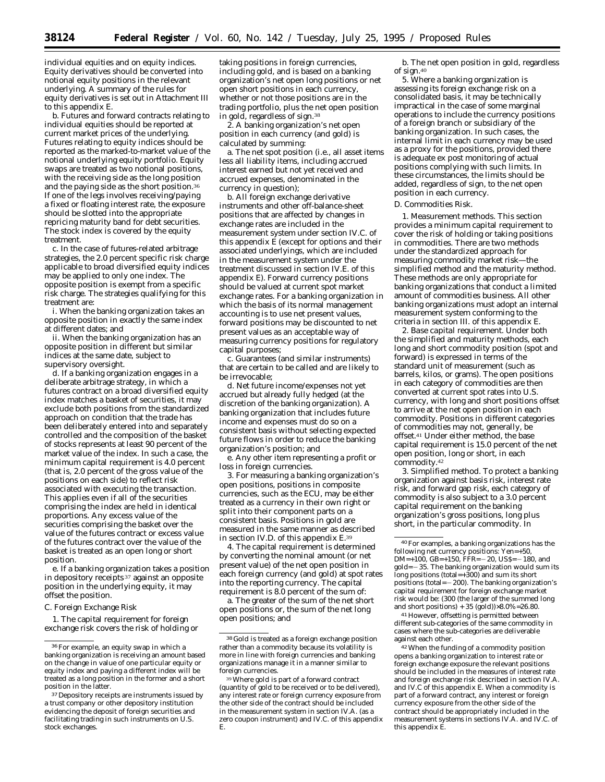individual equities and on equity indices. Equity derivatives should be converted into notional equity positions in the relevant underlying. A summary of the rules for equity derivatives is set out in Attachment III to this appendix E.

b. Futures and forward contracts relating to individual equities should be reported at current market prices of the underlying. Futures relating to equity indices should be reported as the marked-to-market value of the notional underlying equity portfolio. Equity swaps are treated as two notional positions, with the receiving side as the long position and the paying side as the short position.36 If one of the legs involves receiving/paying a fixed or floating interest rate, the exposure should be slotted into the appropriate repricing maturity band for debt securities. The stock index is covered by the equity treatment.

c. In the case of futures-related arbitrage strategies, the 2.0 percent specific risk charge applicable to broad diversified equity indices may be applied to only one index. The opposite position is exempt from a specific risk charge. The strategies qualifying for this treatment are:

i. When the banking organization takes an opposite position in exactly the same index at different dates; and

ii. When the banking organization has an opposite position in different but similar indices at the same date, subject to supervisory oversight.

d. If a banking organization engages in a deliberate arbitrage strategy, in which a futures contract on a broad diversified equity index matches a basket of securities, it may exclude both positions from the standardized approach on condition that the trade has been deliberately entered into and separately controlled and the composition of the basket of stocks represents at least 90 percent of the market value of the index. In such a case, the minimum capital requirement is 4.0 percent (that is, 2.0 percent of the gross value of the positions on each side) to reflect risk associated with executing the transaction. This applies even if all of the securities comprising the index are held in identical proportions. Any excess value of the securities comprising the basket over the value of the futures contract or excess value of the futures contract over the value of the basket is treated as an open long or short position.

e. If a banking organization takes a position in depository receipts 37 against an opposite position in the underlying equity, it may offset the position.

C. Foreign Exchange Risk

1. The capital requirement for foreign exchange risk covers the risk of holding or

taking positions in foreign currencies, including gold, and is based on a banking organization's net open long positions or net open short positions in each currency, whether or not those positions are in the trading portfolio, plus the net open position in gold, regardless of sign.38

2. A banking organization's net open position in each currency (and gold) is calculated by summing:

a. The net spot position (i.e., all asset items less all liability items, including accrued interest earned but not yet received and accrued expenses, denominated in the currency in question);

b. All foreign exchange derivative instruments and other off-balance-sheet positions that are affected by changes in exchange rates are included in the measurement system under section IV.C. of this appendix  $\hat{E}$  (except for options and their associated underlyings, which are included in the measurement system under the treatment discussed in section IV.E. of this appendix E). Forward currency positions should be valued at current spot market exchange rates. For a banking organization in which the basis of its normal management accounting is to use net present values, forward positions may be discounted to net present values as an acceptable way of measuring currency positions for regulatory capital purposes;

c. Guarantees (and similar instruments) that are certain to be called and are likely to be irrevocable;

d. Net future income/expenses not yet accrued but already fully hedged (at the discretion of the banking organization). A banking organization that includes future income and expenses must do so on a consistent basis without selecting expected future flows in order to reduce the banking organization's position; and

e. Any other item representing a profit or loss in foreign currencies.

3. For measuring a banking organization's open positions, positions in composite currencies, such as the ECU, may be either treated as a currency in their own right or split into their component parts on a consistent basis. Positions in gold are measured in the same manner as described in section IV.D. of this appendix E.39

4. The capital requirement is determined by converting the nominal amount (or net present value) of the net open position in each foreign currency (and gold) at spot rates into the reporting currency. The capital requirement is 8.0 percent of the sum of:

a. The greater of the sum of the net short open positions or, the sum of the net long open positions; and

b. The net open position in gold, regardless of sign.40

5. Where a banking organization is assessing its foreign exchange risk on a consolidated basis, it may be technically impractical in the case of some marginal operations to include the currency positions of a foreign branch or subsidiary of the banking organization. In such cases, the internal limit in each currency may be used as a proxy for the positions, provided there is adequate ex post monitoring of actual positions complying with such limits. In these circumstances, the limits should be added, regardless of sign, to the net open position in each currency.

D. Commodities Risk.

1. *Measurement methods.* This section provides a minimum capital requirement to cover the risk of holding or taking positions in commodities. There are two methods under the standardized approach for measuring commodity market risk—the simplified method and the maturity method. These methods are only appropriate for banking organizations that conduct a limited amount of commodities business. All other banking organizations must adopt an internal measurement system conforming to the criteria in section III. of this appendix E.

2. *Base capital requirement.* Under both the simplified and maturity methods, each long and short commodity position (spot and forward) is expressed in terms of the standard unit of measurement (such as barrels, kilos, or grams). The open positions in each category of commodities are then converted at current spot rates into U.S. currency, with long and short positions offset to arrive at the net open position in each commodity. Positions in different categories of commodities may not, generally, be offset.41 Under either method, the base capital requirement is 15.0 percent of the net open position, long or short, in each commodity.42

3. *Simplified method.* To protect a banking organization against basis risk, interest rate risk, and forward gap risk, each category of commodity is also subject to a 3.0 percent capital requirement on the banking organization's gross positions, long plus short, in the particular commodity. In

<sup>41</sup> However, offsetting is permitted between different sub-categories of the same commodity in cases where the sub-categories are deliverable against each other.

42When the funding of a commodity position opens a banking organization to interest rate or foreign exchange exposure the relevant positions should be included in the measures of interest rate and foreign exchange risk described in section IV.A. and IV.C of this appendix E. When a commodity is part of a forward contract, any interest or foreign currency exposure from the other side of the contract should be appropriately included in the measurement systems in sections IV.A. and IV.C. of this appendix E.

<sup>36</sup>For example, an equity swap in which a banking organization is receiving an amount based on the change in value of one particular equity or equity index and paying a different index will be treated as a long position in the former and a short position in the latter.

<sup>37</sup> Depository receipts are instruments issued by a trust company or other depository institution evidencing the deposit of foreign securities and facilitating trading in such instruments on U.S. stock exchanges.

 $^{\rm 38}\,$  Gold is treated as a foreign exchange position rather than a commodity because its volatility is more in line with foreign currencies and banking organizations manage it in a manner similar to foreign currencies.

<sup>39</sup>Where gold is part of a forward contract (quantity of gold to be received or to be delivered), any interest rate or foreign currency exposure from the other side of the contract should be included in the measurement system in section IV.A. (as a zero coupon instrument) and IV.C. of this appendix E.

<sup>40</sup>For examples, a banking organizations has the following net currency positions: Yen=+50, DM=+100, GB=+150,  $\overline{FFR}$ = -20, US\$= -180, and  $gold = -35$ . The banking organization would sum its long positions (total=+300) and sum its short positions (total= $-200$ ). The banking organization's capital requirement for foreign exchange market risk would be: (300 (the larger of the summed long and short positions) + 35 (gold)) $\times8.0\%$ =26.80.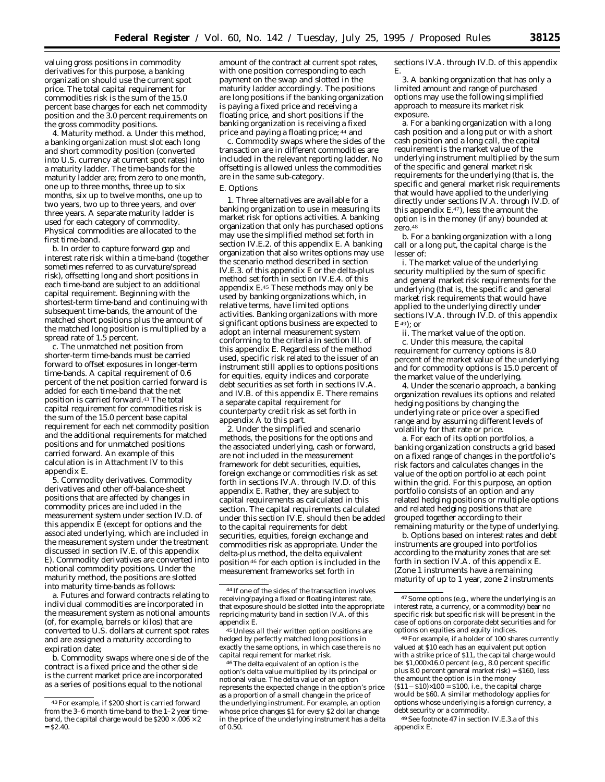valuing gross positions in commodity derivatives for this purpose, a banking organization should use the current spot price. The total capital requirement for commodities risk is the sum of the 15.0 percent base charges for each net commodity position and the 3.0 percent requirements on the gross commodity positions.

4. *Maturity method.* a. Under this method, a banking organization must slot each long and short commodity position (converted into U.S. currency at current spot rates) into a maturity ladder. The time-bands for the maturity ladder are; from zero to one month, one up to three months, three up to six months, six up to twelve months, one up to two years, two up to three years, and over three years. A separate maturity ladder is used for each category of commodity. Physical commodities are allocated to the first time-band.

b. In order to capture forward gap and interest rate risk within a time-band (together sometimes referred to as curvature/spread risk), offsetting long and short positions in each time-band are subject to an additional capital requirement. Beginning with the shortest-term time-band and continuing with subsequent time-bands, the amount of the matched short positions plus the amount of the matched long position is multiplied by a spread rate of 1.5 percent.

c. The unmatched net position from shorter-term time-bands must be carried forward to offset exposures in longer-term time-bands. A capital requirement of 0.6 percent of the net position carried forward is added for each time-band that the net position is carried forward.43 The total capital requirement for commodities risk is the sum of the 15.0 percent base capital requirement for each net commodity position and the additional requirements for matched positions and for unmatched positions carried forward. An example of this calculation is in Attachment IV to this appendix E.

5. *Commodity derivatives*. Commodity derivatives and other off-balance-sheet positions that are affected by changes in commodity prices are included in the measurement system under section IV.D. of this appendix E (except for options and the associated underlying, which are included in the measurement system under the treatment discussed in section IV.E. of this appendix E). Commodity derivatives are converted into notional commodity positions. Under the maturity method, the positions are slotted into maturity time-bands as follows:

a. Futures and forward contracts relating to individual commodities are incorporated in the measurement system as notional amounts (of, for example, barrels or kilos) that are converted to U.S. dollars at current spot rates and are assigned a maturity according to expiration date;

b. Commodity swaps where one side of the contract is a fixed price and the other side is the current market price are incorporated as a series of positions equal to the notional

amount of the contract at current spot rates, with one position corresponding to each payment on the swap and slotted in the maturity ladder accordingly. The positions are long positions if the banking organization is paying a fixed price and receiving a floating price, and short positions if the banking organization is receiving a fixed price and paying a floating price; 44 and

c. Commodity swaps where the sides of the transaction are in different commodities are included in the relevant reporting ladder. No offsetting is allowed unless the commodities are in the same sub-category.

# E. Options

1. Three alternatives are available for a banking organization to use in measuring its market risk for options activities. A banking organization that only has purchased options may use the simplified method set forth in section IV.E.2. of this appendix E. A banking organization that also writes options may use the scenario method described in section IV.E.3. of this appendix E or the delta-plus method set forth in section IV.E.4. of this appendix E.45 These methods may only be used by banking organizations which, in relative terms, have limited options activities. Banking organizations with more significant options business are expected to adopt an internal measurement system conforming to the criteria in section III. of this appendix E. Regardless of the method used, specific risk related to the issuer of an instrument still applies to options positions for equities, equity indices and corporate debt securities as set forth in sections IV.A. and IV.B. of this appendix E. There remains a separate capital requirement for counterparty credit risk as set forth in appendix A to this part.

2. Under the simplified and scenario methods, the positions for the options and the associated underlying, cash or forward, are not included in the measurement framework for debt securities, equities foreign exchange or commodities risk as set forth in sections IV.A. through IV.D. of this appendix E. Rather, they are subject to capital requirements as calculated in this section. The capital requirements calculated under this section IV.E. should then be added to the capital requirements for debt securities, equities, foreign exchange and commodities risk as appropriate. Under the delta-plus method, the delta equivalent position 46 for each option is included in the measurement frameworks set forth in

45 Unless all their written option positions are hedged by perfectly matched long positions in exactly the same options, in which case there is no capital requirement for market risk.

46The delta equivalent of an option is the option's delta value multiplied by its principal or notional value. The delta value of an option represents the expected change in the option's price as a proportion of a small change in the price of the underlying instrument. For example, an option whose price changes \$1 for every \$2 dollar change in the price of the underlying instrument has a delta of 0.50.

sections IV.A. through IV.D. of this appendix E.

3. A banking organization that has only a limited amount and range of purchased options may use the following simplified approach to measure its market risk exposure.

a. For a banking organization with a long cash position and a long put or with a short cash position and a long call, the capital requirement is the market value of the underlying instrument multiplied by the sum of the specific and general market risk requirements for the underlying (that is, the specific and general market risk requirements that would have applied to the underlying directly under sections IV.A. through IV.D. of this appendix E.47), less the amount the option is in the money (if any) bounded at  $\frac{1}{2}$ ero. 48

b. For a banking organization with a long call or a long put, the capital charge is the lesser of:

i. The market value of the underlying security multiplied by the sum of specific and general market risk requirements for the underlying (that is, the specific and general market risk requirements that would have applied to the underlying directly under sections IV.A. through IV.D. of this appendix E<sup>49</sup>); or

ii. The market value of the option. c. Under this measure, the capital requirement for currency options is 8.0 percent of the market value of the underlying and for commodity options is 15.0 percent of the market value of the underlying.

4. Under the scenario approach, a banking organization revalues its options and related hedging positions by changing the underlying rate or price over a specified range and by assuming different levels of volatility for that rate or price.

a. For each of its option portfolios, a banking organization constructs a grid based on a fixed range of changes in the portfolio's risk factors and calculates changes in the value of the option portfolio at each point within the grid. For this purpose, an option portfolio consists of an option and any related hedging positions or multiple options and related hedging positions that are grouped together according to their remaining maturity or the type of underlying.

b. Options based on interest rates and debt instruments are grouped into portfolios according to the maturity zones that are set forth in section IV.A. of this appendix E. (Zone 1 instruments have a remaining maturity of up to 1 year, zone 2 instruments

48For example, if a holder of 100 shares currently valued at \$10 each has an equivalent put option with a strike price of \$11, the capital charge would be: \$1,000×16.0 percent (e.g., 8.0 percent specific plus 8.0 percent general market risk) = \$160, less the amount the option is in the money  $(811 - $10) \times 100 = $100$ , i.e., the capital charge

would be \$60. A similar methodology applies for options whose underlying is a foreign currency, a debt security or a commodity.

49See footnote 47 in section IV.E.3.a of this appendix E.

<sup>43</sup>For example, if \$200 short is carried forward from the 3–6 month time-band to the 1–2 year timeband, the capital charge would be  $$200 \times 0.06 \times 2$  $=$  \$2.40.

<sup>44</sup> If one of the sides of the transaction involves receiving/paying a fixed or floating interest rate, that exposure should be slotted into the appropriate repricing maturity band in section IV.A. of this appendix E.

<sup>47</sup>Some options (e.g., where the underlying is an interest rate, a currency, or a commodity) bear no specific risk but specific risk will be present in the case of options on corporate debt securities and for options on equities and equity indices.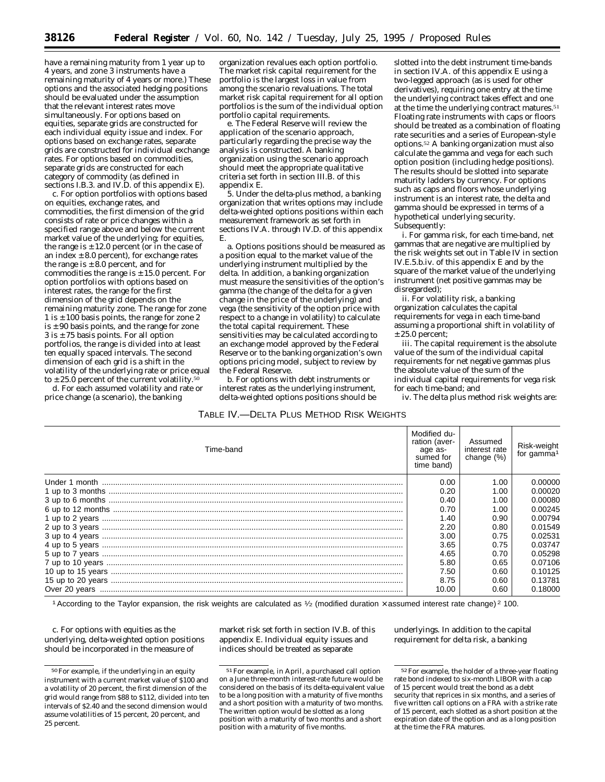have a remaining maturity from 1 year up to 4 years, and zone 3 instruments have a remaining maturity of 4 years or more.) These options and the associated hedging positions should be evaluated under the assumption that the relevant interest rates move simultaneously. For options based on equities, separate grids are constructed for each individual equity issue and index. For options based on exchange rates, separate grids are constructed for individual exchange rates. For options based on commodities, separate grids are constructed for each category of commodity (as defined in sections I.B.3. and IV.D. of this appendix E).

c. For option portfolios with options based on equities, exchange rates, and commodities, the first dimension of the grid consists of rate or price changes within a specified range above and below the current market value of the underlying; for equities, the range is  $\pm$  12.0 percent (or in the case of an index  $\pm$  8.0 percent), for exchange rates the range is  $\pm 8.0$  percent, and for commodities the range is  $\pm$  15.0 percent. For option portfolios with options based on interest rates, the range for the first dimension of the grid depends on the remaining maturity zone. The range for zone 1 is  $\pm$  100 basis points, the range for zone 2 is  $\pm$  90 basis points, and the range for zone  $3$  is  $\pm$  75 basis points. For all option portfolios, the range is divided into at least ten equally spaced intervals. The second dimension of each grid is a shift in the volatility of the underlying rate or price equal to  $\pm$  25.0 percent of the current volatility.<sup>50</sup>

d. For each assumed volatility and rate or price change (a scenario), the banking

organization revalues each option portfolio. The market risk capital requirement for the portfolio is the largest loss in value from among the scenario revaluations. The total market risk capital requirement for all option portfolios is the sum of the individual option portfolio capital requirements.

e. The Federal Reserve will review the application of the scenario approach, particularly regarding the precise way the analysis is constructed. A banking organization using the scenario approach should meet the appropriate qualitative criteria set forth in section III.B. of this appendix E.

5. Under the delta-plus method, a banking organization that writes options may include delta-weighted options positions within each measurement framework as set forth in sections IV.A. through IV.D. of this appendix E.

a. Options positions should be measured as a position equal to the market value of the underlying instrument multiplied by the delta. In addition, a banking organization must measure the sensitivities of the option's gamma (the change of the delta for a given change in the price of the underlying) and vega (the sensitivity of the option price with respect to a change in volatility) to calculate the total capital requirement. These sensitivities may be calculated according to an exchange model approved by the Federal Reserve or to the banking organization's own options pricing model, subject to review by the Federal Reserve.

b. For options with debt instruments or interest rates as the underlying instrument, delta-weighted options positions should be

# TABLE IV.—DELTA PLUS METHOD RISK WEIGHTS

slotted into the debt instrument time-bands in section IV.A. of this appendix E using a two-legged approach (as is used for other derivatives), requiring one entry at the time the underlying contract takes effect and one at the time the underlying contract matures.51 Floating rate instruments with caps or floors should be treated as a combination of floating rate securities and a series of European-style options.52 A banking organization must also calculate the gamma and vega for each such option position (including hedge positions). The results should be slotted into separate maturity ladders by currency. For options such as caps and floors whose underlying instrument is an interest rate, the delta and gamma should be expressed in terms of a hypothetical underlying security. Subsequently:

i. For gamma risk, for each time-band, net gammas that are negative are multiplied by the risk weights set out in Table IV in section IV.E.5.b.iv. of this appendix E and by the square of the market value of the underlying instrument (net positive gammas may be disregarded);

ii. For volatility risk, a banking organization calculates the capital requirements for vega in each time-band assuming a proportional shift in volatility of  $± 25.0$  percent:

iii. The capital requirement is the absolute value of the sum of the individual capital requirements for net negative gammas plus the absolute value of the sum of the individual capital requirements for vega risk for each time-band; and

iv. The delta plus method risk weights are:

| Time-band | Modified du-<br>ration (aver-<br>age as-<br>sumed for<br>time band) | Assumed<br>interest rate<br>change (%) | Risk-weight<br>for gamma <sup>1</sup> |
|-----------|---------------------------------------------------------------------|----------------------------------------|---------------------------------------|
|           | 0.00                                                                | 1.00                                   | 0.00000                               |
|           | 0.20                                                                | 1.00                                   | 0.00020                               |
|           | 0.40                                                                | 1.00                                   | 0.00080                               |
|           | 0.70                                                                | 1.00                                   | 0.00245                               |
|           | 1.40                                                                | 0.90                                   | 0.00794                               |
|           | 2.20                                                                | 0.80                                   | 0.01549                               |
|           | 3.00                                                                | 0.75                                   | 0.02531                               |
|           | 3.65                                                                | 0.75                                   | 0.03747                               |
|           | 4.65                                                                | 0.70                                   | 0.05298                               |
|           | 5.80                                                                | 0.65                                   | 0.07106                               |
|           | 7.50                                                                | 0.60                                   | 0.10125                               |
|           | 8.75                                                                | 0.60                                   | 0.13781                               |
|           | 10.00                                                               | 0.60                                   | 0.18000                               |

1 According to the Taylor expansion, the risk weights are calculated as  $1/2$  (modified duration  $\times$  assumed interest rate change)  $2$  100.

c. For options with equities as the underlying, delta-weighted option positions should be incorporated in the measure of

market risk set forth in section IV.B. of this appendix E. Individual equity issues and indices should be treated as separate

underlyings. In addition to the capital requirement for delta risk, a banking

<sup>50</sup>For example, if the underlying in an equity instrument with a current market value of \$100 and a volatility of 20 percent, the first dimension of the grid would range from \$88 to \$112, divided into ten intervals of \$2.40 and the second dimension would assume volatilities of 15 percent, 20 percent, and 25 percent.

<sup>51</sup>For example, in April, a purchased call option on a June three-month interest-rate future would be considered on the basis of its delta-equivalent value to be a long position with a maturity of five months and a short position with a maturity of two months. The written option would be slotted as a long position with a maturity of two months and a short position with a maturity of five months.

<sup>52</sup>For example, the holder of a three-year floating rate bond indexed to six-month LIBOR with a cap of 15 percent would treat the bond as a debt security that reprices in six months, and a series of five written call options on a FRA with a strike rate of 15 percent, each slotted as a short position at the expiration date of the option and as a long position at the time the FRA matures.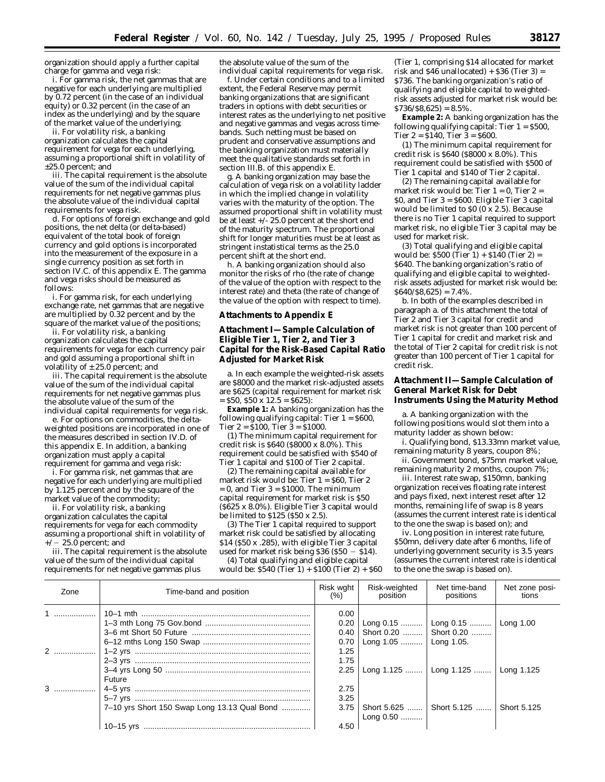organization should apply a further capital charge for gamma and vega risk:

i. For gamma risk, the net gammas that are negative for each underlying are multiplied by 0.72 percent (in the case of an individual equity) or 0.32 percent (in the case of an index as the underlying) and by the square of the market value of the underlying;

ii. For volatility risk, a banking organization calculates the capital requirement for vega for each underlying, assuming a proportional shift in volatility of ±25.0 percent; and

iii. The capital requirement is the absolute value of the sum of the individual capital requirements for net negative gammas plus the absolute value of the individual capital requirements for vega risk.

d. For options of foreign exchange and gold positions, the net delta (or delta-based) equivalent of the total book of foreign currency and gold options is incorporated into the measurement of the exposure in a single currency position as set forth in section IV.C. of this appendix E. The gamma and vega risks should be measured as follows:

i. For gamma risk, for each underlying exchange rate, net gammas that are negative are multiplied by 0.32 percent and by the square of the market value of the positions;

ii. For volatility risk, a banking organization calculates the capital requirements for vega for each currency pair and gold assuming a proportional shift in volatility of  $\pm 25.0$  percent; and

iii. The capital requirement is the absolute value of the sum of the individual capital requirements for net negative gammas plus the absolute value of the sum of the individual capital requirements for vega risk.

e. For options on commodities, the deltaweighted positions are incorporated in one of the measures described in section IV.D. of this appendix E. In addition, a banking organization must apply a capital requirement for gamma and vega risk:

i. For gamma risk, net gammas that are negative for each underlying are multiplied by 1.125 percent and by the square of the market value of the commodity;

ii. For volatility risk, a banking organization calculates the capital requirements for vega for each commodity assuming a proportional shift in volatility of  $+/- 25.0$  percent; and

iii. The capital requirement is the absolute value of the sum of the individual capital requirements for net negative gammas plus

the absolute value of the sum of the individual capital requirements for vega risk.

f. Under certain conditions and to a limited extent, the Federal Reserve may permit banking organizations that are significant traders in options with debt securities or interest rates as the underlying to net positive and negative gammas and vegas across timebands. Such netting must be based on prudent and conservative assumptions and the banking organization must materially meet the qualitative standards set forth in section III.B. of this appendix E.

g. A banking organization may base the calculation of vega risk on a volatility ladder in which the implied change in volatility varies with the maturity of the option. The assumed proportional shift in volatility must be at least  $+\sqrt{-25.0}$  percent at the short end of the maturity spectrum. The proportional shift for longer maturities must be at least as stringent instatistical terms as the 25.0 percent shift at the short end.

h. A banking organization should also monitor the risks of rho (the rate of change of the value of the option with respect to the interest rate) and theta (the rate of change of the value of the option with respect to time).

# **Attachments to Appendix E**

# **Attachment I—Sample Calculation of Eligible Tier 1, Tier 2, and Tier 3 Capital for the Risk-Based Capital Ratio Adjusted for Market Risk**

a. In each example the weighted-risk assets are \$8000 and the market risk-adjusted assets are \$625 (capital requirement for market risk  $=$  \$50, \$50 x 12.5 = \$625):

**Example 1:** A banking organization has the following qualifying capital: Tier  $1 = $600$ , Tier  $2 = 100$ , Tier  $3 = 1000$ .

(1) The minimum capital requirement for credit risk is \$640 (\$8000 x 8.0%). This requirement could be satisfied with \$540 of Tier 1 capital and \$100 of Tier 2 capital.

(2) The remaining capital available for market risk would be: Tier  $1 = $60$ . Tier 2  $= 0$ , and Tier  $3 = $1000$ . The minimum capital requirement for market risk is \$50 (\$625 x 8.0%). Eligible Tier 3 capital would be limited to \$125 (\$50 x 2.5).

(3) The Tier 1 capital required to support market risk could be satisfied by allocating \$14 (\$50 x .285), with eligible Tier 3 capital used for market risk being \$36 (\$50  $-$  \$14).

(4) Total qualifying and eligible capital would be:  $$540$  (Tier 1) +  $$100$  (Tier 2) +  $$60$ 

(Tier 1, comprising \$14 allocated for market risk and  $$46$  unallocated) +  $$36$  (Tier 3) = \$736. The banking organization's ratio of qualifying and eligible capital to weightedrisk assets adjusted for market risk would be:  $$736/$8,625$ ) = 8.5%.

**Example 2:** A banking organization has the following qualifying capital: Tier  $1 = $500$ , Tier  $2 = 8140$ , Tier  $3 = 8600$ .

(1) The minimum capital requirement for credit risk is \$640 (\$8000 x 8.0%). This requirement could be satisfied with \$500 of Tier 1 capital and \$140 of Tier 2 capital.

(2) The remaining capital available for market risk would be: Tier  $1 = 0$ , Tier  $2 = 1$ \$0, and Tier 3 = \$600. Eligible Tier 3 capital would be limited to \$0 (0 x 2.5). Because there is no Tier 1 capital required to support market risk, no eligible Tier 3 capital may be used for market risk.

(3) Total qualifying and eligible capital would be:  $$500$  (Tier 1) +  $$140$  (Tier 2) = \$640. The banking organization's ratio of qualifying and eligible capital to weightedrisk assets adjusted for market risk would be:  $$640/\$8,625$  = 7.4%.

b. In both of the examples described in paragraph a. of this attachment the total of Tier 2 and Tier 3 capital for credit and market risk is not greater than 100 percent of Tier 1 capital for credit and market risk and the total of Tier 2 capital for credit risk is not greater than 100 percent of Tier 1 capital for credit risk.

# **Attachment II—Sample Calculation of General Market Risk for Debt Instruments Using the Maturity Method**

a. A banking organization with the following positions would slot them into a maturity ladder as shown below:

i. Qualifying bond, \$13.33mn market value, remaining maturity 8 years, coupon 8%;

ii. Government bond, \$75mn market value, remaining maturity 2 months, coupon 7%;

iii. Interest rate swap, \$150mn, banking organization receives floating rate interest and pays fixed, next interest reset after 12 months, remaining life of swap is 8 years (assumes the current interest rate is identical to the one the swap is based on); and

iv. Long position in interest rate future, \$50mn, delivery date after 6 months, life of underlying government security is 3.5 years (assumes the current interest rate is identical to the one the swap is based on).

| Zone | Time-band and position                       | Risk wght<br>(% )    | Risk-weighted<br>position                                     | Net time-band<br>positions             | Net zone posi-<br>tions |
|------|----------------------------------------------|----------------------|---------------------------------------------------------------|----------------------------------------|-------------------------|
| 1 1  |                                              | 0.00<br>0.20<br>0.70 | $0.40$   Short 0.20    Short 0.20<br>Long 1.05    Long 1.05.  | Long 0.15    Long 0.15    Long 1.00    |                         |
|      | Future                                       | 1.25<br>1.75<br>2.25 |                                                               | Long 1.125    Long 1.125    Long 1.125 |                         |
|      | 7-10 yrs Short 150 Swap Long 13.13 Qual Bond | 2.75<br>3.25         | 3.75   Short 5.625    Short 5.125    Short 5.125<br>Long 0.50 |                                        |                         |
|      |                                              | 4.50                 |                                                               |                                        |                         |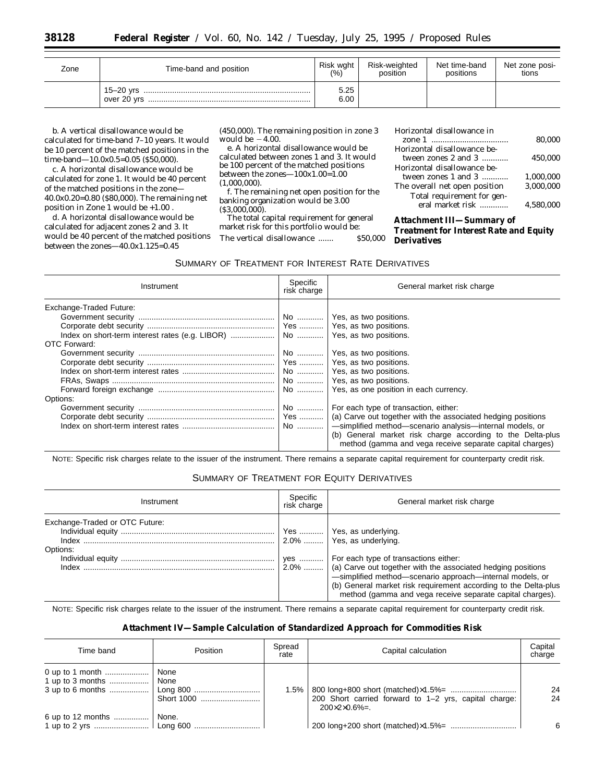| Zone | Time-band and position               |              | Risk wght<br>Risk-weighted<br>position | Net time-band<br>positions | Net zone posi-<br>tions |
|------|--------------------------------------|--------------|----------------------------------------|----------------------------|-------------------------|
|      | . 15–20 yrs ……………………………………………………………… | 5.25<br>6.00 |                                        |                            |                         |

b. A vertical disallowance would be calculated for time-band 7–10 years. It would be 10 percent of the matched positions in the time-band—10.0x0.5=0.05 (\$50,000).

c. A horizontal disallowance would be calculated for zone 1. It would be 40 percent of the matched positions in the zone— 40.0x0.20=0.80 (\$80,000). The remaining net position in Zone 1 would be +1.00 .

d. A horizontal disallowance would be calculated for adjacent zones 2 and 3. It would be 40 percent of the matched positions between the zones $-40.0x1.125=0.45$ 

(450,000). The remaining position in zone 3 would be  $-4.00$ .

e. A horizontal disallowance would be calculated between zones 1 and 3. It would be 100 percent of the matched positions between the zones—100x1.00=1.00 (1,000,000).

f. The remaining net open position for the banking organization would be 3.00  $($ \$3,000,000 $)$ .

The total capital requirement for general market risk for this portfolio would be: The vertical disallowance ....... \$50,000

Horizontal disallowance in

|                               | 80.000    |
|-------------------------------|-----------|
| Horizontal disallowance be-   |           |
| tween zones 2 and 3           | 450.000   |
| Horizontal disallowance be-   |           |
| tween zones 1 and 3           | 1.000.000 |
| The overall net open position | 3.000.000 |
| Total requirement for gen-    |           |
| eral market risk              | 4.580.000 |
|                               |           |

# **Attachment III—Summary of Treatment for Interest Rate and Equity Derivatives**

# SUMMARY OF TREATMENT FOR INTEREST RATE DERIVATIVES

| Instrument                                          | Specific<br>risk charge | General market risk charge                                                                                                                                                                                   |
|-----------------------------------------------------|-------------------------|--------------------------------------------------------------------------------------------------------------------------------------------------------------------------------------------------------------|
| Exchange-Traded Future:<br>OTC Forward:<br>Options: | No                      | No    Yes, as two positions.<br>No    Yes, as two positions.<br>No    Yes, as two positions.<br>For each type of transaction, either:<br>Yes    (a) Carve out together with the associated hedging positions |
|                                                     | No                      | -simplified method-scenario analysis-internal models, or<br>(b) General market risk charge according to the Delta-plus<br>method (gamma and vega receive separate capital charges)                           |

NOTE: Specific risk charges relate to the issuer of the instrument. There remains a separate capital requirement for counterparty credit risk.

# SUMMARY OF TREATMENT FOR EQUITY DERIVATIVES

| Instrument                                 | Specific<br>risk charge | General market risk charge                                                                                                                                                                                                                                                                                                                                               |
|--------------------------------------------|-------------------------|--------------------------------------------------------------------------------------------------------------------------------------------------------------------------------------------------------------------------------------------------------------------------------------------------------------------------------------------------------------------------|
| Exchange-Traded or OTC Future:<br>Options: | yes                     | Yes    Yes, as underlying.<br>2.0%    Yes, as underlying.<br>For each type of transactions either:<br>$2.0\%$   (a) Carve out together with the associated hedging positions<br>-simplified method-scenario approach-internal models, or<br>(b) General market risk requirement according to the Delta-plus<br>method (gamma and vega receive separate capital charges). |

NOTE: Specific risk charges relate to the issuer of the instrument. There remains a separate capital requirement for counterparty credit risk.

# **Attachment IV—Sample Calculation of Standardized Approach for Commodities Risk**

| Time band         | Position                 | Spread<br>rate | Capital calculation                                                                    | Capital<br>charge |
|-------------------|--------------------------|----------------|----------------------------------------------------------------------------------------|-------------------|
|                   | None<br>None<br>Long 800 | ا 1.5%         | 200 Short carried forward to 1–2 yrs, capital charge:<br>$200 \times 2 \times 0.6\% =$ | 24<br>24          |
| 6 up to 12 months | None.                    |                |                                                                                        |                   |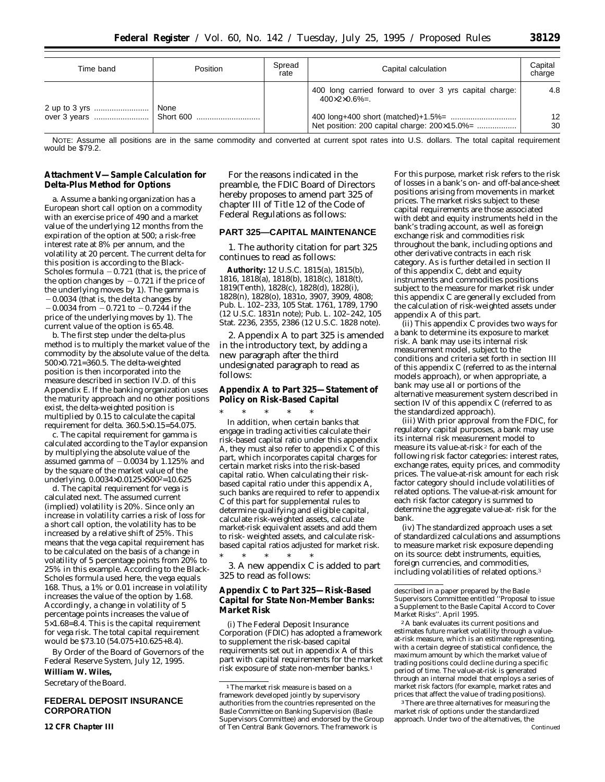| Time band | Position | Spread<br>rate | Capital calculation                                                                     | Capital<br>charge |
|-----------|----------|----------------|-----------------------------------------------------------------------------------------|-------------------|
|           | None     |                | 400 long carried forward to over 3 yrs capital charge:<br>$400 \times 2 \times 0.6\% =$ | 4.8               |
|           |          |                | Net position: 200 capital charge: 200×15.0%=                                            | 12<br>30          |

NOTE: Assume all positions are in the same commodity and converted at current spot rates into U.S. dollars. The total capital requirement would be \$79.2.

# **Attachment V—Sample Calculation for Delta-Plus Method for Options**

a. Assume a banking organization has a European short call option on a commodity with an exercise price of 490 and a market value of the underlying 12 months from the expiration of the option at 500; a risk-free interest rate at 8% per annum, and the volatility at 20 percent. The current delta for this position is according to the Black-Scholes formula  $-0.721$  (that is, the price of the option changes by  $-0.721$  if the price of the underlying moves by 1). The gamma is  $-0.0034$  (that is, the delta changes by  $-0.0034$  from  $-0.721$  to  $-0.7244$  if the price of the underlying moves by 1). The current value of the option is 65.48.

b. The first step under the delta-plus method is to multiply the market value of the commodity by the absolute value of the delta. 500×0.721=360.5. The delta-weighted position is then incorporated into the measure described in section IV.D. of this Appendix E. If the banking organization uses the maturity approach and no other positions exist, the delta-weighted position is multiplied by 0.15 to calculate the capital requirement for delta. 360.5×0.15=54.075.

c. The capital requirement for gamma is calculated according to the Taylor expansion by multiplying the absolute value of the assumed gamma of  $-0.0034$  by 1.125% and by the square of the market value of the underlying. 0.0034×0.0125×500<sup>2</sup>=10.625

d. The capital requirement for vega is calculated next. The assumed current (implied) volatility is 20%. Since only an increase in volatility carries a risk of loss for a short call option, the volatility has to be increased by a relative shift of 25%. This means that the vega capital requirement has to be calculated on the basis of a change in volatility of 5 percentage points from 20% to 25% in this example. According to the Black-Scholes formula used here, the vega equals 168. Thus, a 1% or 0.01 increase in volatility increases the value of the option by 1.68. Accordingly, a change in volatility of 5 percentage points increases the value of  $5\times1.68=8.4$ . This is the capital requirement for vega risk. The total capital requirement would be \$73.10 (54.075+10.625+8.4).

By Order of the Board of Governors of the Federal Reserve System, July 12, 1995.

# **William W. Wiles,**

*Secretary of the Board.*

# **FEDERAL DEPOSIT INSURANCE CORPORATION**

**12 CFR Chapter III**

For the reasons indicated in the preamble, the FDIC Board of Directors hereby proposes to amend part 325 of chapter III of Title 12 of the Code of Federal Regulations as follows:

# **PART 325—CAPITAL MAINTENANCE**

1. The authority citation for part 325 continues to read as follows:

**Authority:** 12 U.S.C. 1815(a), 1815(b), 1816, 1818(a), 1818(b), 1818(c), 1818(t), 1819(Tenth), 1828(c), 1828(d), 1828(i), 1828(n), 1828(o), 1831o, 3907, 3909, 4808; Pub. L. 102–233, 105 Stat. 1761, 1789, 1790 (12 U.S.C. 1831n note); Pub. L. 102–242, 105 Stat. 2236, 2355, 2386 (12 U.S.C. 1828 note).

2. Appendix A to part 325 is amended in the introductory text, by adding a new paragraph after the third undesignated paragraph to read as follows:

# **Appendix A to Part 325—Statement of Policy on Risk-Based Capital**

\* \* \* \* \* In addition, when certain banks that engage in trading activities calculate their risk-based capital ratio under this appendix A, they must also refer to appendix C of this part, which incorporates capital charges for certain market risks into the risk-based capital ratio. When calculating their riskbased capital ratio under this appendix A, such banks are required to refer to appendix C of this part for supplemental rules to determine qualifying and eligible capital, calculate risk-weighted assets, calculate market-risk equivalent assets and add them to risk- weighted assets, and calculate riskbased capital ratios adjusted for market risk. \* \* \* \* \*

3. A new appendix C is added to part 325 to read as follows:

# **Appendix C to Part 325—Risk-Based Capital for State Non-Member Banks: Market Risk**

(i) The Federal Deposit Insurance Corporation (FDIC) has adopted a framework to supplement the risk-based capital requirements set out in appendix A of this part with capital requirements for the market risk exposure of state non-member banks.1

For this purpose, market risk refers to the risk of losses in a bank's on- and off-balance-sheet positions arising from movements in market prices. The market risks subject to these capital requirements are those associated with debt and equity instruments held in the bank's trading account, as well as foreign exchange risk and commodities risk throughout the bank, including options and other derivative contracts in each risk category. As is further detailed in section II of this appendix C, debt and equity instruments and commodities positions subject to the measure for market risk under this appendix C are generally excluded from the calculation of risk-weighted assets under appendix A of this part.

(ii) This appendix C provides two ways for a bank to determine its exposure to market risk. A bank may use its internal risk measurement model, subject to the conditions and criteria set forth in section III of this appendix C (referred to as the internal models approach), or when appropriate, a bank may use all or portions of the alternative measurement system described in section IV of this appendix C (referred to as the standardized approach).

(iii) With prior approval from the FDIC, for regulatory capital purposes, a bank may use its internal risk measurement model to measure its value-at-risk 2 for each of the following risk factor categories: interest rates, exchange rates, equity prices, and commodity prices. The value-at-risk amount for each risk factor category should include volatilities of related options. The value-at-risk amount for each risk factor category is summed to determine the aggregate value-at- risk for the bank.

(iv) The standardized approach uses a set of standardized calculations and assumptions to measure market risk exposure depending on its source: debt instruments, equities, foreign currencies, and commodities, including volatilities of related options.3

2A bank evaluates its current positions and estimates future market volatility through a valueat-risk measure, which is an estimate representing, with a certain degree of statistical confidence, the maximum amount by which the market value of trading positions could decline during a specific period of time. The value-at-risk is generated through an internal model that employs a series of market risk factors (for example, market rates and prices that affect the value of trading positions).

3There are three alternatives for measuring the market risk of options under the standardized approach. Under two of the alternatives, the Continued

<sup>&</sup>lt;sup>1</sup>The market risk measure is based on a framework developed jointly by supervisory authorities from the countries represented on the Basle Committee on Banking Supervision (Basle Supervisors Committee) and endorsed by the Group of Ten Central Bank Governors. The framework is

described in a paper prepared by the Basle Supervisors Committee entitled ''Proposal to issue a Supplement to the Basle Capital Accord to Cover Market Risks''. April 1995.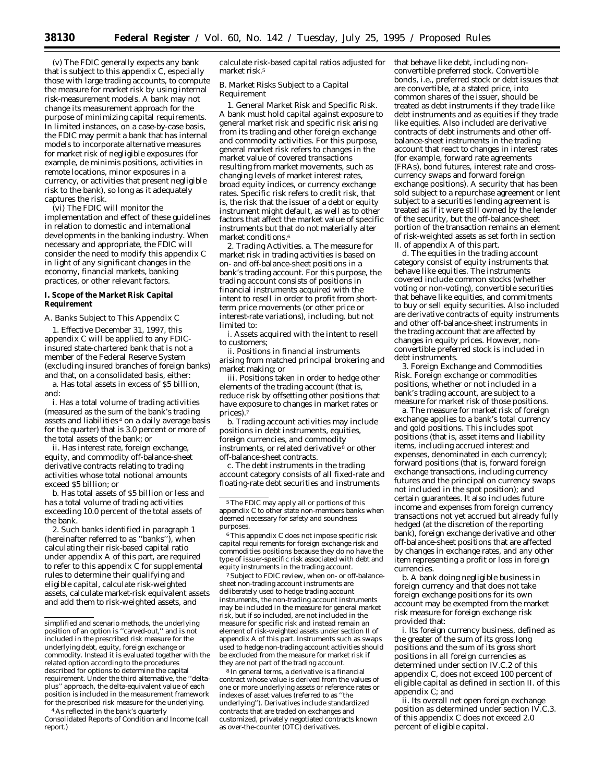(v) The FDIC generally expects any bank that is subject to this appendix C, especially those with large trading accounts, to compute the measure for market risk by using internal risk-measurement models. A bank may not change its measurement approach for the purpose of minimizing capital requirements. In limited instances, on a case-by-case basis, the FDIC may permit a bank that has internal models to incorporate alternative measures for market risk of negligible exposures (for example, *de minimis* positions, activities in remote locations, minor exposures in a currency, or activities that present negligible risk to the bank), so long as it adequately captures the risk.

(vi) The FDIC will monitor the implementation and effect of these guidelines in relation to domestic and international developments in the banking industry. When necessary and appropriate, the FDIC will consider the need to modify this appendix C in light of any significant changes in the economy, financial markets, banking practices, or other relevant factors.

#### **I. Scope of the Market Risk Capital Requirement**

*A. Banks Subject to This Appendix C*

1. Effective December 31, 1997, this appendix C will be applied to any FDICinsured state-chartered bank that is not a member of the Federal Reserve System (excluding insured branches of foreign banks) and that, on a consolidated basis, either:

a. Has total assets in excess of \$5 billion, and:

i. Has a total volume of trading activities (measured as the sum of the bank's trading assets and liabilities 4 on a daily average basis for the quarter) that is 3.0 percent or more of the total assets of the bank; or

ii. Has interest rate, foreign exchange, equity, and commodity off-balance-sheet derivative contracts relating to trading activities whose total notional amounts exceed \$5 billion; or

b. Has total assets of \$5 billion or less and has a total volume of trading activities exceeding 10.0 percent of the total assets of the bank.

2. Such banks identified in paragraph 1 (hereinafter referred to as ''banks''), when calculating their risk-based capital ratio under appendix A of this part, are required to refer to this appendix C for supplemental rules to determine their qualifying and eligible capital, calculate risk-weighted assets, calculate market-risk equivalent assets and add them to risk-weighted assets, and

calculate risk-based capital ratios adjusted for market risk.<sup>5</sup>

#### *B. Market Risks Subject to a Capital Requirement*

1. *General Market Risk and Specific Risk*. A bank must hold capital against exposure to general market risk and specific risk arising from its trading and other foreign exchange and commodity activities. For this purpose, general market risk refers to changes in the market value of covered transactions resulting from market movements, such as changing levels of market interest rates, broad equity indices, or currency exchange rates. Specific risk refers to credit risk, that is, the risk that the issuer of a debt or equity instrument might default, as well as to other factors that affect the market value of specific instruments but that do not materially alter market conditions.6

2. *Trading Activities*. a. The measure for market risk in trading activities is based on on- and off-balance-sheet positions in a bank's trading account. For this purpose, the trading account consists of positions in financial instruments acquired with the intent to resell in order to profit from shortterm price movements (or other price or interest-rate variations), including, but not limited to:

i. Assets acquired with the intent to resell to customers;

ii. Positions in financial instruments arising from matched principal brokering and market making; or

iii. Positions taken in order to hedge other elements of the trading account (that is, reduce risk by offsetting other positions that have exposure to changes in market rates or prices).

b. Trading account activities may include positions in debt instruments, equities, foreign currencies, and commodity instruments, or related derivative 8 or other off-balance-sheet contracts.

c. The debt instruments in the trading account category consists of all fixed-rate and floating-rate debt securities and instruments

 $^{\rm 6}$  This appendix C does not impose specific risk capital requirements for foreign exchange risk and commodities positions because they do no have the type of issuer-specific risk associated with debt and equity instruments in the trading account.

7Subject to FDIC review, when on- or off-balancesheet non-trading account instruments are deliberately used to hedge trading account instruments, the non-trading account instruments may be included in the measure for general market risk, but if so included, are not included in the measure for specific risk and instead remain an element of risk-weighted assets under section II of appendix A of this part. Instruments such as swaps used to hedge non-trading account activities should be excluded from the measure for market risk if they are not part of the trading account.

8 In general terms, a derivative is a financial contract whose value is derived from the values of one or more underlying assets or reference rates or indexes of asset values (referred to as ''the underlying''). Derivatives include standardized contracts that are traded on exchanges and customized, privately negotiated contracts known as over-the-counter (OTC) derivatives.

that behave like debt, including nonconvertible preferred stock. Convertible bonds, i.e., preferred stock or debt issues that are convertible, at a stated price, into common shares of the issuer, should be treated as debt instruments if they trade like debt instruments and as equities if they trade like equities. Also included are derivative contracts of debt instruments and other offbalance-sheet instruments in the trading account that react to changes in interest rates (for example, forward rate agreements (FRAs), bond futures, interest rate and crosscurrency swaps and forward foreign exchange positions). A security that has been sold subject to a repurchase agreement or lent subject to a securities lending agreement is treated as if it were still owned by the lender of the security, but the off-balance-sheet portion of the transaction remains an element of risk-weighted assets as set forth in section II. of appendix A of this part.

d. The equities in the trading account category consist of equity instruments that behave like equities. The instruments covered include common stocks (whether voting or non-voting), convertible securities that behave like equities, and commitments to buy or sell equity securities. Also included are derivative contracts of equity instruments and other off-balance-sheet instruments in the trading account that are affected by changes in equity prices. However, nonconvertible preferred stock is included in debt instruments.

3. *Foreign Exchange and Commodities Risk*. Foreign exchange or commodities positions, whether or not included in a bank's trading account, are subject to a measure for market risk of those positions.

a. The measure for market risk of foreign exchange applies to a bank's total currency and gold positions. This includes spot positions (that is, asset items and liability items, including accrued interest and expenses, denominated in each currency); forward positions (that is, forward foreign exchange transactions, including currency futures and the principal on currency swaps not included in the spot position); and certain guarantees. It also includes future income and expenses from foreign currency transactions not yet accrued but already fully hedged (at the discretion of the reporting bank), foreign exchange derivative and other off-balance-sheet positions that are affected by changes in exchange rates, and any other item representing a profit or loss in foreign currencies.

b. A bank doing negligible business in foreign currency and that does not take foreign exchange positions for its own account may be exempted from the market risk measure for foreign exchange risk provided that:

i. Its foreign currency business, defined as the greater of the sum of its gross long positions and the sum of its gross short positions in all foreign currencies as determined under section IV.C.2 of this appendix C, does not exceed 100 percent of eligible capital as defined in section II. of this appendix C; and

ii. Its overall net open foreign exchange position as determined under section IV.C.3. of this appendix C does not exceed 2.0 percent of eligible capital.

simplified and scenario methods, the underlying position of an option is ''carved-out,'' and is not included in the prescribed risk measure for the underlying debt, equity, foreign exchange or commodity. Instead it is evaluated together with the related option according to the procedures described for options to determine the capital requirement. Under the third alternative, the ''deltaplus'' approach, the delta-equivalent value of each position is included in the measurement framework for the prescribed risk measure for the underlying.

<sup>4</sup>As reflected in the bank's quarterly Consolidated Reports of Condition and Income (call report.)

<sup>5</sup>The FDIC may apply all or portions of this appendix C to other state non-members banks when deemed necessary for safety and soundness purposes.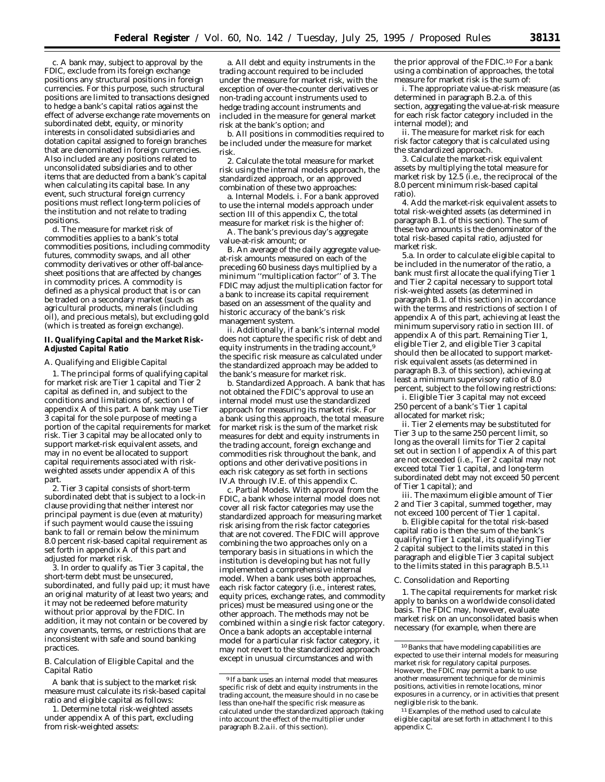c. A bank may, subject to approval by the FDIC, exclude from its foreign exchange positions any structural positions in foreign currencies. For this purpose, such structural positions are limited to transactions designed to hedge a bank's capital ratios against the effect of adverse exchange rate movements on subordinated debt, equity, or minority interests in consolidated subsidiaries and dotation capital assigned to foreign branches that are denominated in foreign currencies. Also included are any positions related to unconsolidated subsidiaries and to other items that are deducted from a bank's capital when calculating its capital base. In any event, such structural foreign currency positions must reflect long-term policies of the institution and not relate to trading positions.

d. The measure for market risk of commodities applies to a bank's total commodities positions, including commodity futures, commodity swaps, and all other commodity derivatives or other off-balancesheet positions that are affected by changes in commodity prices. A commodity is defined as a physical product that is or can be traded on a secondary market (such as agricultural products, minerals (including oil), and precious metals), but excluding gold (which is treated as foreign exchange).

#### **II. Qualifying Capital and the Market Risk-Adjusted Capital Ratio**

## *A. Qualifying and Eligible Capital*

1. The principal forms of qualifying capital for market risk are Tier 1 capital and Tier 2 capital as defined in, and subject to the conditions and limitations of, section I of appendix A of this part. A bank may use Tier 3 capital for the sole purpose of meeting a portion of the capital requirements for market risk. Tier 3 capital may be allocated only to support market-risk equivalent assets, and may in no event be allocated to support capital requirements associated with riskweighted assets under appendix A of this part.

2. Tier 3 capital consists of short-term subordinated debt that is subject to a lock-in clause providing that neither interest nor principal payment is due (even at maturity) if such payment would cause the issuing bank to fall or remain below the minimum 8.0 percent risk-based capital requirement as set forth in appendix A of this part and adjusted for market risk.

3. In order to qualify as Tier 3 capital, the short-term debt must be unsecured, subordinated, and fully paid up; it must have an original maturity of at least two years; and it may not be redeemed before maturity without prior approval by the FDIC. In addition, it may not contain or be covered by any covenants, terms, or restrictions that are inconsistent with safe and sound banking practices.

#### *B. Calculation of Eligible Capital and the Capital Ratio*

A bank that is subject to the market risk measure must calculate its risk-based capital ratio and eligible capital as follows:

1. Determine total risk-weighted assets under appendix A of this part, excluding from risk-weighted assets:

a. All debt and equity instruments in the trading account required to be included under the measure for market risk, with the exception of over-the-counter derivatives or non-trading account instruments used to hedge trading account instruments and included in the measure for general market risk at the bank's option; and

b. All positions in commodities required to be included under the measure for market risk.

2. Calculate the total measure for market risk using the internal models approach, the standardized approach, or an approved combination of these two approaches:

a. *Internal Models*. i. For a bank approved to use the internal models approach under section III of this appendix C, the total measure for market risk is the higher of:

A. The bank's previous day's aggregate value-at-risk amount; or

B. An average of the daily aggregate valueat-risk amounts measured on each of the preceding 60 business days multiplied by a minimum ''multiplication factor'' of 3. The FDIC may adjust the multiplication factor for a bank to increase its capital requirement based on an assessment of the quality and historic accuracy of the bank's risk management system.

ii. Additionally, if a bank's internal model does not capture the specific risk of debt and equity instruments in the trading account,<sup>9</sup> the specific risk measure as calculated under the standardized approach may be added to the bank's measure for market risk.

b. *Standardized Approach*. A bank that has not obtained the FDIC's approval to use an internal model must use the standardized approach for measuring its market risk. For a bank using this approach, the total measure for market risk is the sum of the market risk measures for debt and equity instruments in the trading account, foreign exchange and commodities risk throughout the bank, and options and other derivative positions in each risk category as set forth in sections IV.A through IV.E. of this appendix C.

c. *Partial Models*. With approval from the FDIC, a bank whose internal model does not cover all risk factor categories may use the standardized approach for measuring market risk arising from the risk factor categories that are not covered. The FDIC will approve combining the two approaches only on a temporary basis in situations in which the institution is developing but has not fully implemented a comprehensive internal model. When a bank uses both approaches, each risk factor category (i.e., interest rates, equity prices, exchange rates, and commodity prices) must be measured using one or the other approach. The methods may not be combined within a single risk factor category. Once a bank adopts an acceptable internal model for a particular risk factor category, it may not revert to the standardized approach except in unusual circumstances and with

the prior approval of the FDIC.10 For a bank using a combination of approaches, the total measure for market risk is the sum of:

i. The appropriate value-at-risk measure (as determined in paragraph B.2.a. of this section, aggregating the value-at-risk measure for each risk factor category included in the internal model); and

ii. The measure for market risk for each risk factor category that is calculated using the standardized approach.

3. Calculate the market-risk equivalent assets by multiplying the total measure for market risk by 12.5 (i.e., the reciprocal of the 8.0 percent minimum risk-based capital ratio).

4. Add the market-risk equivalent assets to total risk-weighted assets (as determined in paragraph B.1. of this section). The sum of these two amounts is the denominator of the total risk-based capital ratio, adjusted for market risk.

5.a. In order to calculate eligible capital to be included in the numerator of the ratio, a bank must first allocate the qualifying Tier 1 and Tier 2 capital necessary to support total risk-weighted assets (as determined in paragraph B.1. of this section) in accordance with the terms and restrictions of section I of appendix A of this part, achieving at least the minimum supervisory ratio in section III. of appendix A of this part. Remaining Tier 1, eligible Tier 2, and eligible Tier 3 capital should then be allocated to support marketrisk equivalent assets (as determined in paragraph B.3. of this section), achieving at least a minimum supervisory ratio of 8.0 percent, subject to the following restrictions:

i. Eligible Tier 3 capital may not exceed 250 percent of a bank's Tier 1 capital allocated for market risk;

ii. Tier 2 elements may be substituted for Tier 3 up to the same 250 percent limit, so long as the overall limits for Tier 2 capital set out in section I of appendix A of this part are not exceeded (i.e., Tier 2 capital may not exceed total Tier 1 capital, and long-term subordinated debt may not exceed 50 percent of Tier 1 capital); and

iii. The maximum eligible amount of Tier 2 and Tier 3 capital, summed together, may not exceed 100 percent of Tier 1 capital.

b. Eligible capital for the total risk-based capital ratio is then the sum of the bank's qualifying Tier 1 capital, its qualifying Tier 2 capital subject to the limits stated in this paragraph and eligible Tier 3 capital subject to the limits stated in this paragraph B.5.11

#### *C. Consolidation and Reporting*

1. The capital requirements for market risk apply to banks on a worldwide consolidated basis. The FDIC may, however, evaluate market risk on an unconsolidated basis when necessary (for example, when there are

<sup>9</sup> If a bank uses an internal model that measures specific risk of debt and equity instruments in the trading account, the measure should in no case be less than one-half the specific risk measure as calculated under the standardized approach (taking into account the effect of the multiplier under paragraph B.2.a.ii. of this section).

<sup>10</sup>Banks that have modeling capabilities are expected to use their internal models for measuring market risk for regulatory capital purposes. However, the FDIC may permit a bank to use another measurement technique for *de minimis* positions, activities in remote locations, minor exposures in a currency, or in activities that present negligible risk to the bank.

<sup>&</sup>lt;sup>11</sup> Examples of the method used to calculate eligible capital are set forth in attachment I to this appendix C.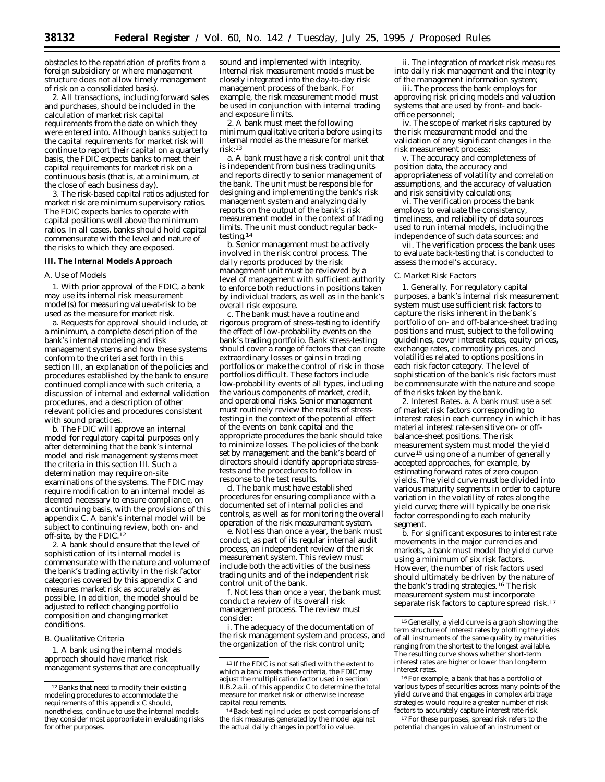obstacles to the repatriation of profits from a foreign subsidiary or where management structure does not allow timely management of risk on a consolidated basis).

2. All transactions, including forward sales and purchases, should be included in the calculation of market risk capital requirements from the date on which they were entered into. Although banks subject to the capital requirements for market risk will continue to report their capital on a quarterly basis, the FDIC expects banks to meet their capital requirements for market risk on a continuous basis (that is, at a minimum, at the close of each business day).

3. The risk-based capital ratios adjusted for market risk are minimum supervisory ratios. The FDIC expects banks to operate with capital positions well above the minimum ratios. In all cases, banks should hold capital commensurate with the level and nature of the risks to which they are exposed.

#### **III. The Internal Models Approach**

#### *A. Use of Models*

1. With prior approval of the FDIC, a bank may use its internal risk measurement model(s) for measuring value-at-risk to be used as the measure for market risk.

a. Requests for approval should include, at a minimum, a complete description of the bank's internal modeling and risk management systems and how these systems conform to the criteria set forth in this section III, an explanation of the policies and procedures established by the bank to ensure continued compliance with such criteria, a discussion of internal and external validation procedures, and a description of other relevant policies and procedures consistent with sound practices.

b. The FDIC will approve an internal model for regulatory capital purposes only after determining that the bank's internal model and risk management systems meet the criteria in this section III. Such a determination may require on-site examinations of the systems. The FDIC may require modification to an internal model as deemed necessary to ensure compliance, on a continuing basis, with the provisions of this appendix C. A bank's internal model will be subject to continuing review, both on- and off-site, by the FDIC.12

2. A bank should ensure that the level of sophistication of its internal model is commensurate with the nature and volume of the bank's trading activity in the risk factor categories covered by this appendix C and measures market risk as accurately as possible. In addition, the model should be adjusted to reflect changing portfolio composition and changing market conditions.

#### *B. Qualitative Criteria*

1. A bank using the internal models approach should have market risk management systems that are conceptually

sound and implemented with integrity. Internal risk measurement models must be closely integrated into the day-to-day risk management process of the bank. For example, the risk measurement model must be used in conjunction with internal trading and exposure limits.

2. A bank must meet the following minimum qualitative criteria before using its internal model as the measure for market risk:13

a. A bank must have a risk control unit that is independent from business trading units and reports directly to senior management of the bank. The unit must be responsible for designing and implementing the bank's risk management system and analyzing daily reports on the output of the bank's risk measurement model in the context of trading limits. The unit must conduct regular backtesting.14

b. Senior management must be actively involved in the risk control process. The daily reports produced by the risk management unit must be reviewed by a level of management with sufficient authority to enforce both reductions in positions taken by individual traders, as well as in the bank's overall risk exposure.

c. The bank must have a routine and rigorous program of stress-testing to identify the effect of low-probability events on the bank's trading portfolio. Bank stress-testing should cover a range of factors that can create extraordinary losses or gains in trading portfolios or make the control of risk in those portfolios difficult. These factors include low-probability events of all types, including the various components of market, credit, and operational risks. Senior management must routinely review the results of stresstesting in the context of the potential effect of the events on bank capital and the appropriate procedures the bank should take to minimize losses. The policies of the bank set by management and the bank's board of directors should identify appropriate stresstests and the procedures to follow in response to the test results.

d. The bank must have established procedures for ensuring compliance with a documented set of internal policies and controls, as well as for monitoring the overall operation of the risk measurement system.

e. Not less than once a year, the bank must conduct, as part of its regular internal audit process, an independent review of the risk measurement system. This review must include both the activities of the business trading units and of the independent risk control unit of the bank.

f. Not less than once a year, the bank must conduct a review of its overall risk management process. The review must consider:

i. The adequacy of the documentation of the risk management system and process, and the organization of the risk control unit;

ii. The integration of market risk measures into daily risk management and the integrity of the management information system;

iii. The process the bank employs for approving risk pricing models and valuation systems that are used by front- and backoffice personnel;

iv. The scope of market risks captured by the risk measurement model and the validation of any significant changes in the risk measurement process;

v. The accuracy and completeness of position data, the accuracy and appropriateness of volatility and correlation assumptions, and the accuracy of valuation and risk sensitivity calculations;

vi. The verification process the bank employs to evaluate the consistency, timeliness, and reliability of data sources used to run internal models, including the independence of such data sources; and

vii. The verification process the bank uses to evaluate back-testing that is conducted to assess the model's accuracy.

# *C. Market Risk Factors*

1. *Generally*. For regulatory capital purposes, a bank's internal risk measurement system must use sufficient risk factors to capture the risks inherent in the bank's portfolio of on- and off-balance-sheet trading positions and must, subject to the following guidelines, cover interest rates, equity prices, exchange rates, commodity prices, and volatilities related to options positions in each risk factor category. The level of sophistication of the bank's risk factors must be commensurate with the nature and scope of the risks taken by the bank.

2. *Interest Rates*. a. A bank must use a set of market risk factors corresponding to interest rates in each currency in which it has material interest rate-sensitive on- or offbalance-sheet positions. The risk measurement system must model the yield curve 15 using one of a number of generally accepted approaches, for example, by estimating forward rates of zero coupon yields. The yield curve must be divided into various maturity segments in order to capture variation in the volatility of rates along the yield curve; there will typically be one risk factor corresponding to each maturity segment.

b. For significant exposures to interest rate movements in the major currencies and markets, a bank must model the yield curve using a minimum of six risk factors. However, the number of risk factors used should ultimately be driven by the nature of the bank's trading strategies.16 The risk measurement system must incorporate separate risk factors to capture spread risk.17

17For these purposes, spread risk refers to the potential changes in value of an instrument or

<sup>&</sup>lt;sup>12</sup> Banks that need to modify their existing modeling procedures to accommodate the requirements of this appendix C should, nonetheless, continue to use the internal models they consider most appropriate in evaluating risks for other purposes.

<sup>13</sup> If the FDIC is not satisfied with the extent to which a bank meets these criteria, the FDIC may adjust the multiplication factor used in section II.B.2.a.ii. of this appendix C to determine the total measure for market risk or otherwise increase capital requirements.

<sup>14</sup>Back-testing includes *ex post* comparisions of the risk measures generated by the model against the actual daily changes in portfolio value.

<sup>15</sup> Generally, a yield curve is a graph showing the term structure of interest rates by plotting the yields of all instruments of the same quality by maturities ranging from the shortest to the longest available. The resulting curve shows whether short-term interest rates are higher or lower than long-term interest rates.

<sup>16</sup>For example, a bank that has a portfolio of various types of securities across many points of the yield curve and that engages in complex arbitrage strategies would require a greater number of risk factors to accurately capture interest rate risk.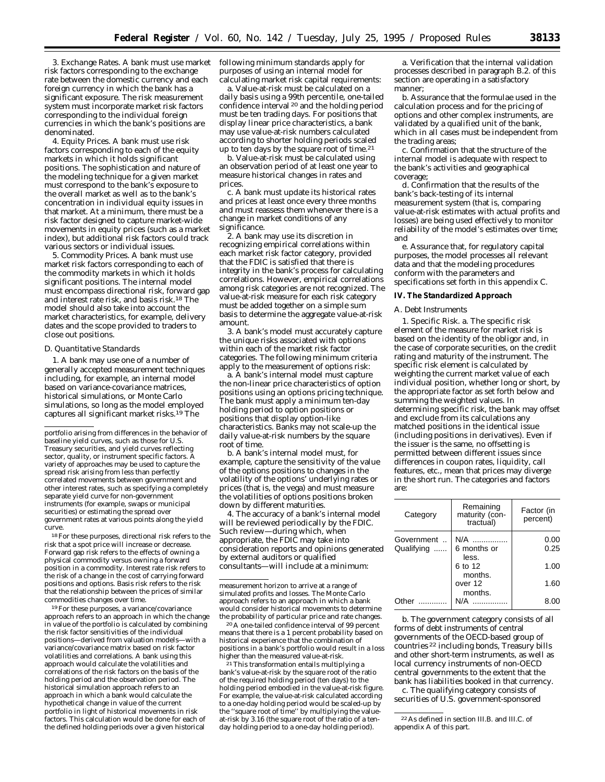3. *Exchange Rates*. A bank must use market risk factors corresponding to the exchange rate between the domestic currency and each foreign currency in which the bank has a significant exposure. The risk measurement system must incorporate market risk factors corresponding to the individual foreign currencies in which the bank's positions are denominated.

4. *Equity Prices*. A bank must use risk factors corresponding to each of the equity markets in which it holds significant positions. The sophistication and nature of the modeling technique for a given market must correspond to the bank's exposure to the overall market as well as to the bank's concentration in individual equity issues in that market. At a minimum, there must be a risk factor designed to capture market-wide movements in equity prices (such as a market index), but additional risk factors could track various sectors or individual issues.

5. *Commodity Prices*. A bank must use market risk factors corresponding to each of the commodity markets in which it holds significant positions. The internal model must encompass directional risk, forward gap and interest rate risk, and basis risk.18 The model should also take into account the market characteristics, for example, delivery dates and the scope provided to traders to close out positions.

#### *D. Quantitative Standards*

1. A bank may use one of a number of generally accepted measurement techniques including, for example, an internal model based on variance-covariance matrices, historical simulations, or Monte Carlo simulations, so long as the model employed captures all significant market risks.19 The

18For these purposes, directional risk refers to the risk that a spot price will increase or decrease. Forward gap risk refers to the effects of owning a physical commodity versus owning a forward position in a commodity. Interest rate risk refers to the risk of a change in the cost of carrying forward positions and options. Basis risk refers to the risk that the relationship between the prices of similar commodities changes over time.

19For these purposes, a variance/covariance approach refers to an approach in which the change in value of the portfolio is calculated by combining the risk factor sensitivities of the individual positions—derived from valuation models—with a variance/covariance matrix based on risk factor volatilities and correlations. A bank using this approach would calculate the volatilities and correlations of the risk factors on the basis of the holding period and the observation period. The historical simulation approach refers to an approach in which a bank would calculate the hypothetical change in value of the current portfolio in light of historical movements in risk factors. This calculation would be done for each of the defined holding periods over a given historical

following minimum standards apply for purposes of using an internal model for calculating market risk capital requirements:

a. Value-at-risk must be calculated on a daily basis using a 99th percentile, one-tailed confidence interval 20 and the holding period must be ten trading days. For positions that display linear price characteristics, a bank may use value-at-risk numbers calculated according to shorter holding periods scaled up to ten days by the square root of time.<sup>21</sup>

b. Value-at-risk must be calculated using an observation period of at least one year to measure historical changes in rates and prices

c. A bank must update its historical rates and prices at least once every three months and must reassess them whenever there is a change in market conditions of any significance.

2. A bank may use its discretion in recognizing empirical correlations within each market risk factor category, provided that the FDIC is satisfied that there is integrity in the bank's process for calculating correlations. However, empirical correlations among risk categories are not recognized. The value-at-risk measure for each risk category must be added together on a simple sum basis to determine the aggregate value-at-risk amount.

3. A bank's model must accurately capture the unique risks associated with options within each of the market risk factor categories. The following minimum criteria apply to the measurement of options risk:

a. A bank's internal model must capture the non-linear price characteristics of option positions using an options pricing technique. The bank must apply a minimum ten-day holding period to option positions or positions that display option-like characteristics. Banks may not scale-up the daily value-at-risk numbers by the square root of time.

b. A bank's internal model must, for example, capture the sensitivity of the value of the options positions to changes in the volatility of the options' underlying rates or prices (that is, the vega) and must measure the volatilities of options positions broken down by different maturities.

4. The accuracy of a bank's internal model will be reviewed periodically by the FDIC. Such review—during which, when appropriate, the FDIC may take into consideration reports and opinions generated by external auditors or qualified consultants—will include at a minimum:

measurement horizon to arrive at a range of simulated profits and losses. The Monte Carlo approach refers to an approach in which a bank would consider historical movements to determine the probability of particular price and rate changes.

20A one-tailed confidence interval of 99 percent means that there is a 1 percent probability based on historical experience that the combination of positions in a bank's portfolio would result in a loss higher than the measured value-at-risk.

21This transformation entails multiplying a bank's value-at-risk by the square root of the ratio of the required holding period (ten days) to the holding period embodied in the value-at-risk figure. For example, the value-at-risk calculated according to a one-day holding period would be scaled-up by the "square root of time" by multiplying the valueat-risk by 3.16 (the square root of the ratio of a tenday holding period to a one-day holding period).

a. Verification that the internal validation processes described in paragraph B.2. of this section are operating in a satisfactory manner;

b. Assurance that the formulae used in the calculation process and for the pricing of options and other complex instruments, are validated by a qualified unit of the bank, which in all cases must be independent from the trading areas;

c. Confirmation that the structure of the internal model is adequate with respect to the bank's activities and geographical coverage;

d. Confirmation that the results of the bank's back-testing of its internal measurement system (that is, comparing value-at-risk estimates with actual profits and losses) are being used effectively to monitor reliability of the model's estimates over time; and

e. Assurance that, for regulatory capital purposes, the model processes all relevant data and that the modeling procedures conform with the parameters and specifications set forth in this appendix C.

#### **IV. The Standardized Approach**

#### *A. Debt Instruments*

1. *Specific Risk*. a. The specific risk element of the measure for market risk is based on the identity of the obligor and, in the case of corporate securities, on the credit rating and maturity of the instrument. The specific risk element is calculated by weighting the current market value of each individual position, whether long or short, by the appropriate factor as set forth below and summing the weighted values. In determining specific risk, the bank may offset and exclude from its calculations any matched positions in the *identical* issue (including positions in derivatives). Even if the issuer is the same, no offsetting is permitted between different issues since differences in coupon rates, liquidity, call features, etc., mean that prices may diverge in the short run. The categories and factors are:

| Category   | Remaining<br>maturity (con-<br>tractual) | Factor (in<br>percent) |
|------------|------------------------------------------|------------------------|
| Government | N/A                                      | 0.00                   |
| Qualifying | 6 months or<br>less.                     | 0.25                   |
|            | 6 to 12                                  | 1.00                   |
|            | months.<br>over 12                       | 1.60                   |
|            | months.                                  |                        |
| )th≏r      |                                          |                        |

b. The *government* category consists of all forms of debt instruments of central governments of the OECD-based group of countries 22 including bonds, Treasury bills and other short-term instruments, as well as local currency instruments of non-OECD central governments to the extent that the bank has liabilities booked in that currency.

c. The *qualifying* category consists of securities of U.S. government-sponsored

portfolio arising from differences in the behavior of baseline yield curves, such as those for U.S. Treasury securities, and yield curves reflecting sector, quality, or instrument specific factors. A variety of approaches may be used to capture the spread risk arising from less than perfectly correlated movements between government and other interest rates, such as specifying a completely separate yield curve for non-government instruments (for example, swaps or municipal securities) or estimating the spread over government rates at various points along the yield curve.

<sup>22</sup>As defined in section III.B. and III.C. of appendix A of this part.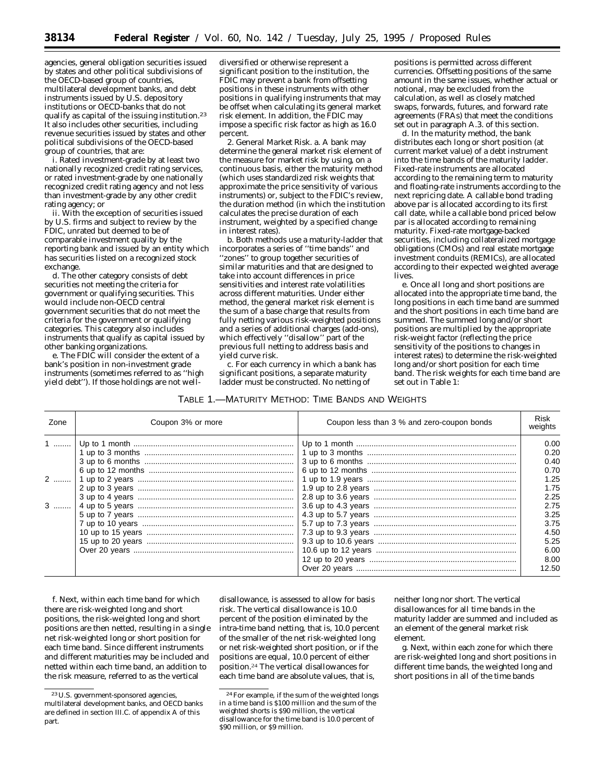agencies, general obligation securities issued by states and other political subdivisions of the OECD-based group of countries, multilateral development banks, and debt instruments issued by U.S. depository institutions or OECD-banks that do not qualify as capital of the issuing institution.23 It also includes other securities, including revenue securities issued by states and other political subdivisions of the OECD-based group of countries, that are:

i. Rated investment-grade by at least two nationally recognized credit rating services, or rated investment-grade by one nationally recognized credit rating agency and not less than investment-grade by any other credit rating agency; or

ii. With the exception of securities issued by U.S. firms and subject to review by the FDIC, unrated but deemed to be of comparable investment quality by the reporting bank and issued by an entity which has securities listed on a recognized stock exchange.

d. The *other* category consists of debt securities not meeting the criteria for government or qualifying securities. This would include non-OECD central government securities that do not meet the criteria for the government or qualifying categories. This category also includes instruments that qualify as capital issued by other banking organizations.

e. The FDIC will consider the extent of a bank's position in non-investment grade instruments (sometimes referred to as ''high yield debt''). If those holdings are not well-

diversified or otherwise represent a significant position to the institution, the FDIC may prevent a bank from offsetting positions in these instruments with other positions in qualifying instruments that may be offset when calculating its general market risk element. In addition, the FDIC may impose a specific risk factor as high as 16.0 percent.

2. *General Market Risk.* a. A bank may determine the general market risk element of the measure for market risk by using, on a continuous basis, either the maturity method (which uses standardized risk weights that approximate the price sensitivity of various instruments) or, subject to the FDIC's review, the duration method (in which the institution calculates the precise duration of each instrument, weighted by a specified change in interest rates).

b. Both methods use a maturity-ladder that incorporates a series of ''time bands'' and ''zones'' to group together securities of similar maturities and that are designed to take into account differences in price sensitivities and interest rate volatilities across different maturities. Under either method, the general market risk element is the sum of a base charge that results from fully netting various risk-weighted positions and a series of additional charges (add-ons), which effectively ''disallow'' part of the previous full netting to address basis and yield curve risk.

c. For each currency in which a bank has significant positions, a separate maturity ladder must be constructed. No netting of

| Table 1.—Maturity Method: Time Bands and Weights |  |  |
|--------------------------------------------------|--|--|
|--------------------------------------------------|--|--|

positions is permitted across different currencies. Offsetting positions of the same amount in the same issues, whether actual or notional, may be excluded from the calculation, as well as closely matched swaps, forwards, futures, and forward rate agreements (FRAs) that meet the conditions set out in paragraph A.3. of this section.

d. In the *maturity method*, the bank distributes each long or short position (at current market value) of a debt instrument into the time bands of the maturity ladder. Fixed-rate instruments are allocated according to the remaining term to maturity and floating-rate instruments according to the next repricing date. A callable bond trading above par is allocated according to its first call date, while a callable bond priced below par is allocated according to remaining maturity. Fixed-rate mortgage-backed securities, including collateralized mortgage obligations (CMOs) and real estate mortgage investment conduits (REMICs), are allocated according to their expected weighted average lives.

e. Once all long and short positions are allocated into the appropriate time band, the long positions in each time band are summed and the short positions in each time band are summed. The summed long and/or short positions are multiplied by the appropriate risk-weight factor (reflecting the price sensitivity of the positions to changes in interest rates) to determine the risk-weighted long and/or short position for each time band. The risk weights for each time band are set out in Table 1:

| Zone            | Coupon 3% or more | Coupon less than 3 % and zero-coupon bonds | Risk<br>weights                                                                                      |
|-----------------|-------------------|--------------------------------------------|------------------------------------------------------------------------------------------------------|
| $1$<br>2<br>$3$ |                   |                                            | 0.00<br>0.20<br>0.40<br>0.70<br>1.25<br>1.75<br>2.25<br>2.75<br>3.25<br>3.75<br>4.50<br>5.25<br>6.00 |
|                 |                   |                                            | 8.00<br>12.50                                                                                        |

f. Next, within each time band for which there are risk-weighted long and short positions, the risk-weighted long and short positions are then netted, resulting in a single net risk-weighted long or short position for each time band. Since different instruments and different maturities may be included and netted within each time band, an addition to the risk measure, referred to as the vertical

disallowance, is assessed to allow for basis risk. The vertical disallowance is 10.0 percent of the position eliminated by the intra-time band netting, that is, 10.0 percent of the smaller of the net risk-weighted long or net risk-weighted short position, or if the positions are equal, 10.0 percent of either position.24 The vertical disallowances for each time band are absolute values, that is,

neither long nor short. The vertical disallowances for all time bands in the maturity ladder are summed and included as an element of the general market risk element.

g. Next, within each zone for which there are risk-weighted long and short positions in different time bands, the weighted long and short positions in all of the time bands

<sup>23</sup>U.S. government-sponsored agencies, multilateral development banks, and OECD banks are defined in section III.C. of appendix A of this part.

<sup>24</sup>For example, if the sum of the weighted longs in a time band is \$100 million and the sum of the weighted shorts is \$90 million, the vertical disallowance for the time band is 10.0 percent of \$90 million, or \$9 million.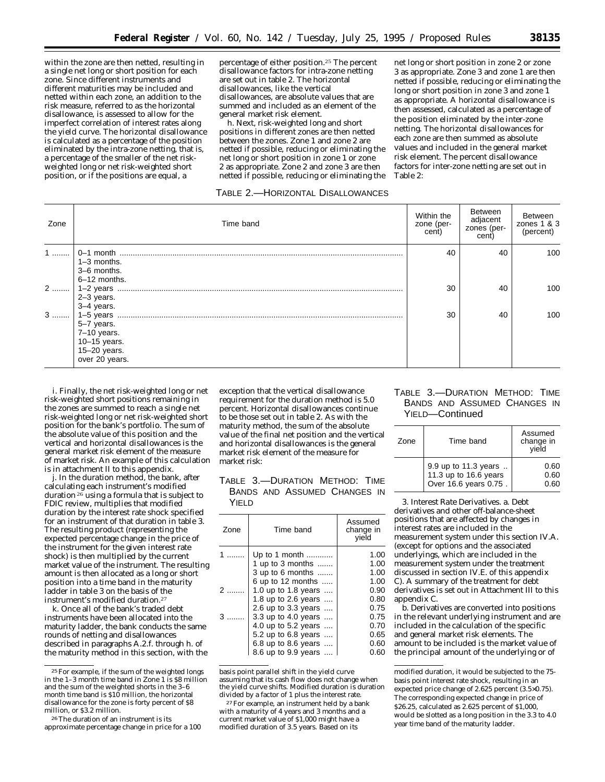within the zone are then netted, resulting in a single net long or short position for each zone. Since different instruments and different maturities may be included and netted within each zone, an addition to the risk measure, referred to as the horizontal disallowance, is assessed to allow for the imperfect correlation of interest rates along the yield curve. The horizontal disallowance is calculated as a percentage of the position eliminated by the intra-zone netting, that is, a percentage of the smaller of the net riskweighted long or net risk-weighted short position, or if the positions are equal, a

percentage of either position.25 The percent disallowance factors for intra-zone netting are set out in table 2. The horizontal disallowances, like the vertical disallowances, are absolute values that are summed and included as an element of the general market risk element.

h. Next, risk-weighted long and short positions in different zones are then netted between the zones. Zone 1 and zone 2 are netted if possible, reducing or eliminating the net long or short position in zone 1 or zone 2 as appropriate. Zone 2 and zone 3 are then netted if possible, reducing or eliminating the

# TABLE 2.—HORIZONTAL DISALLOWANCES

net long or short position in zone 2 or zone 3 as appropriate. Zone 3 and zone 1 are then netted if possible, reducing or eliminating the long or short position in zone 3 and zone 1 as appropriate. A horizontal disallowance is then assessed, calculated as a percentage of the position eliminated by the inter-zone netting. The horizontal disallowances for each zone are then summed as absolute values and included in the general market risk element. The percent disallowance factors for inter-zone netting are set out in Table 2:

| Zone | Time band                                      | Within the<br>zone (per-<br>cent) | Between<br>adjacent<br>zones (per-<br>cent) | Between<br>zones $1 & 3$<br>(percent) |
|------|------------------------------------------------|-----------------------------------|---------------------------------------------|---------------------------------------|
| $1$  | $1-3$ months.<br>3-6 months.                   | 40                                | 40                                          | 100                                   |
| 2    | 6-12 months.<br>$2-3$ years.<br>3-4 years.     | 30                                | 40                                          | 100                                   |
| $3$  | 5-7 years.<br>$7-10$ years.                    | 30                                | 40                                          | 100                                   |
|      | 10-15 years.<br>15-20 years.<br>over 20 years. |                                   |                                             |                                       |

i. Finally, the net risk-weighted long or net risk-weighted short positions remaining in the zones are summed to reach a single net risk-weighted long or net risk-weighted short position for the bank's portfolio. The sum of the absolute value of this position and the vertical and horizontal disallowances is the general market risk element of the measure of market risk. An example of this calculation is in attachment II to this appendix.

j. In the *duration method,* the bank, after calculating each instrument's modified duration  $26$  using a formula that is subject to FDIC review, multiplies that modified duration by the interest rate shock specified for an instrument of that duration in table 3. The resulting product (representing the expected percentage change in the price of the instrument for the given interest rate shock) is then multiplied by the current market value of the instrument. The resulting amount is then allocated as a long or short position into a time band in the maturity ladder in table 3 on the basis of the instrument's modified duration.27

k. Once all of the bank's traded debt instruments have been allocated into the maturity ladder, the bank conducts the same rounds of netting and disallowances described in paragraphs A.2.f. through h. of the maturity method in this section, with the

exception that the vertical disallowance requirement for the duration method is 5.0 percent. Horizontal disallowances continue to be those set out in table 2. As with the maturity method, the sum of the absolute value of the final net position and the vertical and horizontal disallowances is the general market risk element of the measure for market risk:

TABLE 3.—DURATION METHOD: TIME BANDS AND ASSUMED CHANGES IN YIELD

| Zone | Time band                             | Assumed<br>change in<br>vield |
|------|---------------------------------------|-------------------------------|
|      | Up to 1 month<br>1 up to 3 months     | 1.00<br>1.00<br>1.00          |
|      | 3 up to 6 months<br>6 up to 12 months | 1.00                          |
| 2    | 1.0 up to 1.8 years                   | 0.90                          |
|      | 1.8 up to 2.6 years                   | 0.80                          |
|      | 2.6 up to 3.3 years                   | 0.75                          |
|      | 3.3 up to 4.0 years                   | 0.75                          |
|      | 4.0 up to 5.2 years                   | 0.70                          |
|      | 5.2 up to 6.8 years                   | 0.65                          |
|      | 6.8 up to 8.6 years                   | 0.60                          |
|      | 8.6 up to 9.9 years                   | 0.60                          |
|      |                                       |                               |

basis point parallel shift in the yield curve assuming that its cash flow does not change when the yield curve shifts. Modified duration is duration divided by a factor of 1 plus the interest rate.

27For example, an instrument held by a bank with a maturity of 4 years and 3 months and a current market value of \$1,000 might have a modified duration of 3.5 years. Based on its

# TABLE 3.—DURATION METHOD: TIME BANDS AND ASSUMED CHANGES IN YIELD—Continued

| Zone | Time band                                                              | Assumed<br>change in<br>vield |
|------|------------------------------------------------------------------------|-------------------------------|
|      | 9.9 up to 11.3 years<br>11.3 up to 16.6 years<br>Over 16.6 years 0.75. | 0.60<br>0.60<br>0.60          |

3. *Interest Rate Derivatives.* a. Debt derivatives and other off-balance-sheet positions that are affected by changes in interest rates are included in the measurement system under this section IV.A. (except for options and the associated underlyings, which are included in the measurement system under the treatment discussed in section IV.E. of this appendix C). A summary of the treatment for debt derivatives is set out in Attachment III to this appendix C.

b. Derivatives are converted into positions in the relevant underlying instrument and are included in the calculation of the specific and general market risk elements. The amount to be included is the market value of the principal amount of the underlying or of

<sup>25</sup>For example, if the sum of the weighted longs in the 1–3 month time band in Zone 1 is \$8 million and the sum of the weighted shorts in the 3–6 month time band is \$10 million, the horizontal disallowance for the zone is forty percent of \$8 million, or \$3.2 million.

<sup>26</sup>The duration of an instrument is its approximate percentage change in price for a 100

modified duration, it would be subjected to the 75 basis point interest rate shock, resulting in an expected price change of 2.625 percent (3.5×0.75). The corresponding expected change in price of \$26.25, calculated as 2.625 percent of \$1,000, would be slotted as a long position in the 3.3 to 4.0 year time band of the maturity ladder.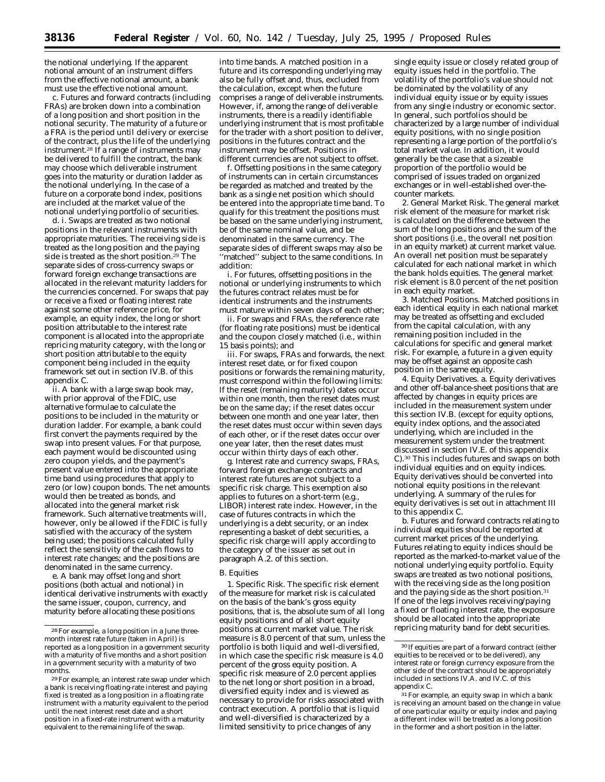the notional underlying. If the apparent notional amount of an instrument differs from the effective notional amount, a bank must use the effective notional amount.

c. Futures and forward contracts (including FRAs) are broken down into a combination of a long position and short position in the notional security. The maturity of a future or a FRA is the period until delivery or exercise of the contract, plus the life of the underlying instrument.<sup>28</sup> If a range of instruments may be delivered to fulfill the contract, the bank may choose which deliverable instrument goes into the maturity or duration ladder as the notional underlying. In the case of a future on a corporate bond index, positions are included at the market value of the notional underlying portfolio of securities.

d. i. Swaps are treated as two notional positions in the relevant instruments with appropriate maturities. The receiving side is treated as the long position and the paying side is treated as the short position.29 The separate sides of cross-currency swaps or forward foreign exchange transactions are allocated in the relevant maturity ladders for the currencies concerned. For swaps that pay or receive a fixed or floating interest rate against some other reference price, for example, an equity index, the long or short position attributable to the interest rate component is allocated into the appropriate repricing maturity category, with the long or short position attributable to the equity component being included in the equity framework set out in section IV.B. of this appendix C.

ii. A bank with a large swap book may, with prior approval of the FDIC, use alternative formulae to calculate the positions to be included in the maturity or duration ladder. For example, a bank could first convert the payments required by the swap into present values. For that purpose, each payment would be discounted using zero coupon yields, and the payment's present value entered into the appropriate time band using procedures that apply to zero (or low) coupon bonds. The net amounts would then be treated as bonds, and allocated into the general market risk framework. Such alternative treatments will, however, only be allowed if the FDIC is fully satisfied with the accuracy of the system being used; the positions calculated fully reflect the sensitivity of the cash flows to interest rate changes; and the positions are denominated in the same currency.

e. A bank may offset long and short positions (both actual and notional) in identical derivative instruments with exactly the same issuer, coupon, currency, and maturity before allocating these positions

into time bands. A matched position in a future and its corresponding underlying may also be fully offset and, thus, excluded from the calculation, except when the future comprises a range of deliverable instruments. However, if, among the range of deliverable instruments, there is a readily identifiable underlying instrument that is most profitable for the trader with a short position to deliver, positions in the futures contract and the instrument may be offset. Positions in different currencies are not subject to offset.

f. Offsetting positions in the same category of instruments can in certain circumstances be regarded as matched and treated by the bank as a single net position which should be entered into the appropriate time band. To qualify for this treatment the positions must be based on the same underlying instrument, be of the same nominal value, and be denominated in the same currency. The separate sides of different swaps may also be ''matched'' subject to the same conditions. In addition:

i. For futures, offsetting positions in the notional or underlying instruments to which the futures contract relates must be for identical instruments and the instruments must mature within seven days of each other;

ii. For swaps and FRAs, the reference rate (for floating rate positions) must be identical and the coupon closely matched (i.e., within 15 basis points); and

iii. For swaps, FRAs and forwards, the next interest reset date, or for fixed coupon positions or forwards the remaining maturity, must correspond within the following limits: If the reset (remaining maturity) dates occur within one month, then the reset dates must be on the same day; if the reset dates occur between one month and one year later, then the reset dates must occur within seven days of each other, or if the reset dates occur over one year later, then the reset dates must occur within thirty days of each other.

g. Interest rate and currency swaps, FRAs, forward foreign exchange contracts and interest rate futures are not subject to a specific risk charge. This exemption also applies to futures on a short-term (e.g., LIBOR) interest rate index. However, in the case of futures contracts in which the underlying is a debt security, or an index representing a basket of debt securities, a specific risk charge will apply according to the category of the issuer as set out in paragraph A.2. of this section.

#### *B. Equities*

1. *Specific Risk.* The specific risk element of the measure for market risk is calculated on the basis of the bank's gross equity positions, that is, the absolute sum of all long equity positions and of all short equity positions at current market value. The risk measure is 8.0 percent of that sum, unless the portfolio is both liquid and well-diversified, in which case the specific risk measure is 4.0 percent of the gross equity position. A specific risk measure of 2.0 percent applies to the net long or short position in a broad, diversified equity index and is viewed as necessary to provide for risks associated with contract execution. A portfolio that is liquid and well-diversified is characterized by a limited sensitivity to price changes of any

single equity issue or closely related group of equity issues held in the portfolio. The volatility of the portfolio's value should not be dominated by the volatility of any individual equity issue or by equity issues from any single industry or economic sector. In general, such portfolios should be characterized by a large number of individual equity positions, with no single position representing a large portion of the portfolio's total market value. In addition, it would generally be the case that a sizeable proportion of the portfolio would be comprised of issues traded on organized exchanges or in well-established over-thecounter markets.

2. *General Market Risk.* The general market risk element of the measure for market risk is calculated on the difference between the sum of the long positions and the sum of the short positions (i.e., the overall net position in an equity market) at current market value. An overall net position must be separately calculated for each national market in which the bank holds equities. The general market risk element is 8.0 percent of the net position in each equity market.

3. *Matched Positions.* Matched positions in each identical equity in each national market may be treated as offsetting and excluded from the capital calculation, with any remaining position included in the calculations for specific and general market risk. For example, a future in a given equity may be offset against an opposite cash position in the same equity.

4. *Equity Derivatives.* a. Equity derivatives and other off-balance-sheet positions that are affected by changes in equity prices are included in the measurement system under this section IV.B. (except for equity options, equity index options, and the associated underlying, which are included in the measurement system under the treatment discussed in section IV.E. of this appendix C).30 This includes futures and swaps on both individual equities and on equity indices. Equity derivatives should be converted into notional equity positions in the relevant underlying. A summary of the rules for equity derivatives is set out in attachment III to this appendix C.

b. Futures and forward contracts relating to individual equities should be reported at current market prices of the underlying. Futures relating to equity indices should be reported as the marked-to-market value of the notional underlying equity portfolio. Equity swaps are treated as two notional positions, with the receiving side as the long position and the paying side as the short position.31 If one of the legs involves receiving/paying a fixed or floating interest rate, the exposure should be allocated into the appropriate repricing maturity band for debt securities.

<sup>28</sup>For example, a long position in a June threemonth interest rate future (taken in April) is reported as a long position in a government security with a maturity of five months and a short position in a government security with a maturity of two months.

<sup>29</sup>For example, an interest rate swap under which a bank is receiving floating-rate interest and paying fixed is treated as a long position in a floating rate instrument with a maturity equivalent to the period until the next interest reset date and a short position in a fixed-rate instrument with a maturity equivalent to the remaining life of the swap.

<sup>30</sup> If equities are part of a forward contract (either equities to be received or to be delivered), any interest rate or foreign currency exposure from the other side of the contract should be appropriately included in sections IV.A. and IV.C. of this appendix C.

<sup>31</sup>For example, an equity swap in which a bank is receiving an amount based on the change in value of one particular equity or equity index and paying a different index will be treated as a long position in the former and a short position in the latter.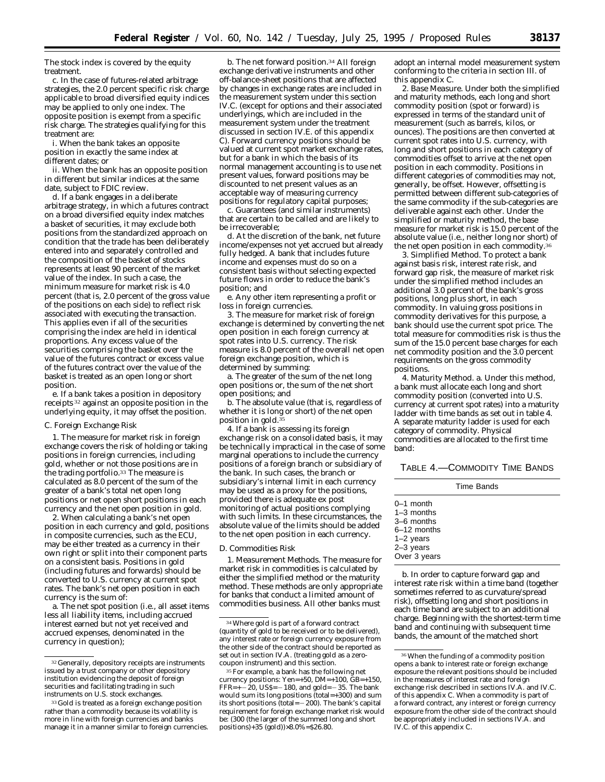The stock index is covered by the equity treatment.

c. In the case of futures-related arbitrage strategies, the 2.0 percent specific risk charge applicable to broad diversified equity indices may be applied to only one index. The opposite position is exempt from a specific risk charge. The strategies qualifying for this treatment are:

i. When the bank takes an opposite position in exactly the same index at different dates; or

ii. When the bank has an opposite position in different but similar indices at the same date, subject to FDIC review.

d. If a bank engages in a deliberate arbitrage strategy, in which a futures contract on a broad diversified equity index matches a basket of securities, it may exclude both positions from the standardized approach on condition that the trade has been deliberately entered into and separately controlled and the composition of the basket of stocks represents at least 90 percent of the market value of the index. In such a case, the minimum measure for market risk is 4.0 percent (that is, 2.0 percent of the gross value of the positions on each side) to reflect risk associated with executing the transaction. This applies even if all of the securities comprising the index are held in identical proportions. Any excess value of the securities comprising the basket over the value of the futures contract or excess value of the futures contract over the value of the basket is treated as an open long or short position.

e. If a bank takes a position in depository receipts 32 against an opposite position in the underlying equity, it may offset the position.

#### *C. Foreign Exchange Risk*

1. The measure for market risk in foreign exchange covers the risk of holding or taking positions in foreign currencies, including gold, whether or not those positions are in the trading portfolio.33 The measure is calculated as 8.0 percent of the sum of the greater of a bank's total net open long positions or net open short positions in each currency and the net open position in gold.

2. When calculating a bank's net open position in each currency and gold, positions in composite currencies, such as the ECU, may be either treated as a currency in their own right or split into their component parts on a consistent basis. Positions in gold (including futures and forwards) should be converted to U.S. currency at current spot rates. The bank's net open position in each currency is the sum of:

a. The net spot position (i.e., all asset items less all liability items, including accrued interest earned but not yet received and accrued expenses, denominated in the currency in question);

b. The net forward position.<sup>34</sup> All foreign exchange derivative instruments and other off-balance-sheet positions that are affected by changes in exchange rates are included in the measurement system under this section IV.C. (except for options and their associated underlyings, which are included in the measurement system under the treatment discussed in section IV.E. of this appendix C). Forward currency positions should be valued at current spot market exchange rates, but for a bank in which the basis of its normal management accounting is to use net present values, forward positions may be discounted to net present values as an acceptable way of measuring currency positions for regulatory capital purposes;

c. Guarantees (and similar instruments) that are certain to be called and are likely to be irrecoverable;

d. At the discretion of the bank, net future income/expenses not yet accrued but already fully hedged. A bank that includes future income and expenses must do so on a consistent basis without selecting expected future flows in order to reduce the bank's position; and

e. Any other item representing a profit or loss in foreign currencies.

3. The measure for market risk of foreign exchange is determined by converting the net open position in each foreign currency at spot rates into U.S. currency. The risk measure is 8.0 percent of the overall net open foreign exchange position, which is determined by summing:

a. The greater of the sum of the net long open positions or, the sum of the net short open positions; and

b. The absolute value (that is, regardless of whether it is long or short) of the net open position in gold.<sup>35</sup>

4. If a bank is assessing its foreign exchange risk on a consolidated basis, it may be technically impractical in the case of some marginal operations to include the currency positions of a foreign branch or subsidiary of the bank. In such cases, the branch or subsidiary's internal limit in each currency may be used as a proxy for the positions, provided there is adequate *ex post* monitoring of actual positions complying with such limits. In these circumstances, the absolute value of the limits should be added to the net open position in each currency.

#### *D. Commodities Risk*

1. *Measurement Methods.* The measure for market risk in commodities is calculated by either the simplified method or the maturity method. These methods are only appropriate for banks that conduct a limited amount of commodities business. All other banks must

adopt an internal model measurement system conforming to the criteria in section III. of this appendix C.

2. *Base Measure.* Under both the simplified and maturity methods, each long and short commodity position (spot or forward) is expressed in terms of the standard unit of measurement (such as barrels, kilos, or ounces). The positions are then converted at current spot rates into U.S. currency, with long and short positions in each category of commodities offset to arrive at the net open position in each commodity. Positions in different categories of commodities may not, generally, be offset. However, offsetting is permitted between different sub-categories of the same commodity if the sub-categories are deliverable against each other. Under the simplified or maturity method, the base measure for market risk is 15.0 percent of the absolute value (i.e., neither long nor short) of the net open position in each commodity.<sup>3</sup>

3. *Simplified Method*. To protect a bank against basis risk, interest rate risk, and forward gap risk, the measure of market risk under the simplified method includes an additional 3.0 percent of the bank's gross positions, long plus short, in each commodity. In valuing gross positions in commodity derivatives for this purpose, a bank should use the current spot price. The total measure for commodities risk is thus the sum of the 15.0 percent base charges for each net commodity position and the 3.0 percent requirements on the gross commodity positions.

4. *Maturity Method.* a. Under this method, a bank must allocate each long and short commodity position (converted into U.S. currency at current spot rates) into a maturity ladder with time bands as set out in table 4. A separate maturity ladder is used for each category of commodity. Physical commodities are allocated to the first time band:

TABLE 4.—COMMODITY TIME BANDS

|                                                                                                        | Time Bands |
|--------------------------------------------------------------------------------------------------------|------------|
| $0-1$ month<br>$1-3$ months<br>3–6 months<br>$6-12$ months<br>$1-2$ years<br>2-3 years<br>Over 3 years |            |

b. In order to capture forward gap and interest rate risk within a time band (together sometimes referred to as curvature/spread risk), offsetting long and short positions in each time band are subject to an additional charge. Beginning with the shortest-term time band and continuing with subsequent time bands, the amount of the matched short

<sup>32</sup> Generally, depository receipts are instruments issued by a trust company or other depository institution evidencing the deposit of foreign securities and facilitating trading in such instruments on U.S. stock exchanges.

<sup>33</sup> Gold is treated as a foreign exchange position rather than a commodity because its volatility is more in line with foreign currencies and banks manage it in a manner similar to foreign currencies.

<sup>34</sup>Where gold is part of a forward contract (quantity of gold to be received or to be delivered), any interest rate or foreign currency exposure from the other side of the contract should be reported as set out in section IV.A. (treating gold as a zerocoupon instrument) and this section.

<sup>35</sup>For example, a bank has the following net currency positions: Yen=+50, DM=+100, GB=+150,  $FFR=+-20$ , US\$=  $-180$ , and gold=  $-35$ . The bank would sum its long positions (total=+300) and sum its short positions (total= $-200$ ). The bank's capital requirement for foreign exchange market risk would be: (300 (the larger of the summed long and short positions)+35 (gold))×8.0%=\$26.80.

<sup>36</sup>When the funding of a commodity position opens a bank to interest rate or foreign exchange exposure the relevant positions should be included in the measures of interest rate and foreign exchange risk described in sections IV.A. and IV.C. of this appendix C. When a commodity is part of a forward contract, any interest or foreign currency exposure from the other side of the contract should be appropriately included in sections IV.A. and IV.C. of this appendix C.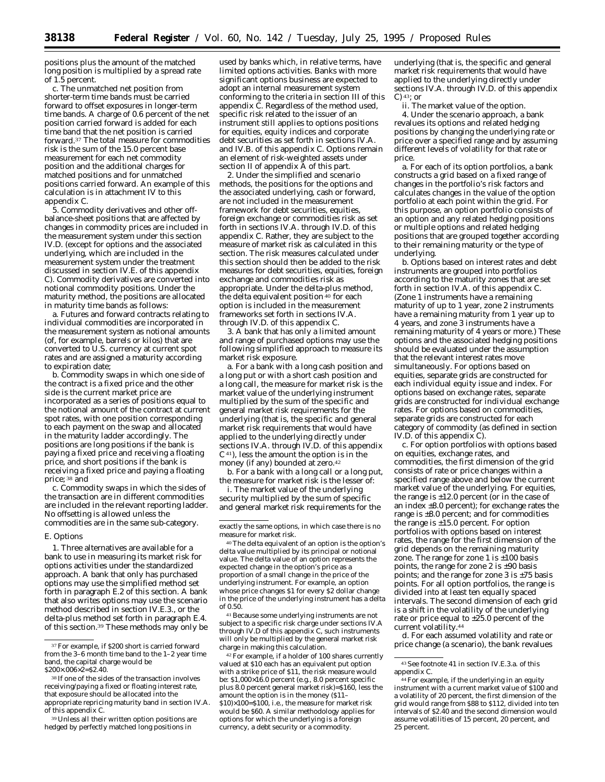positions plus the amount of the matched long position is multiplied by a spread rate of 1.5 percent.

c. The unmatched net position from shorter-term time bands must be carried forward to offset exposures in longer-term time bands. A charge of 0.6 percent of the net position carried forward is added for each time band that the net position is carried forward.37 The total measure for commodities risk is the sum of the 15.0 percent base measurement for each net commodity position and the additional charges for matched positions and for unmatched positions carried forward. An example of this calculation is in attachment IV to this appendix C.

5. Commodity derivatives and other offbalance-sheet positions that are affected by changes in commodity prices are included in the measurement system under this section IV.D. (except for options and the associated underlying, which are included in the measurement system under the treatment discussed in section IV.E. of this appendix C). Commodity derivatives are converted into notional commodity positions. Under the maturity method, the positions are allocated in maturity time bands as follows:

a. Futures and forward contracts relating to individual commodities are incorporated in the measurement system as notional amounts (of, for example, barrels or kilos) that are converted to U.S. currency at current spot rates and are assigned a maturity according to expiration date;

b. Commodity swaps in which one side of the contract is a fixed price and the other side is the current market price are incorporated as a series of positions equal to the notional amount of the contract at current spot rates, with one position corresponding to each payment on the swap and allocated in the maturity ladder accordingly. The positions are long positions if the bank is paying a fixed price and receiving a floating price, and short positions if the bank is receiving a fixed price and paying a floating price; 38 and

c. Commodity swaps in which the sides of the transaction are in different commodities are included in the relevant reporting ladder. No offsetting is allowed unless the commodities are in the same sub-category.

#### *E. Options*

1. Three alternatives are available for a bank to use in measuring its market risk for options activities under the standardized approach. A bank that only has purchased options may use the simplified method set forth in paragraph E.2 of this section. A bank that also writes options may use the scenario method described in section IV.E.3., or the delta-plus method set forth in paragraph E.4. of this section.39 These methods may only be

39Unless all their written option positions are hedged by perfectly matched long positions in

used by banks which, in relative terms, have limited options activities. Banks with more significant options business are expected to adopt an internal measurement system conforming to the criteria in section III of this appendix C. Regardless of the method used, specific risk related to the issuer of an instrument still applies to options positions for equities, equity indices and corporate debt securities as set forth in sections IV.A. and IV.B. of this appendix C. Options remain an element of risk-weighted assets under section II of appendix A of this part.

2. Under the simplified and scenario methods, the positions for the options and the associated underlying, cash or forward, are not included in the measurement framework for debt securities, equities, foreign exchange or commodities risk as set forth in sections IV.A. through IV.D. of this appendix C. Rather, they are subject to the measure of market risk as calculated in this section. The risk measures calculated under this section should then be added to the risk measures for debt securities, equities, foreign exchange and commodities risk as appropriate. Under the delta-plus method, the delta equivalent position<sup>40</sup> for each option is included in the measurement frameworks set forth in sections IV.A. through IV.D. of this appendix C.

3. A bank that has only a limited amount and range of purchased options may use the following simplified approach to measure its market risk exposure.

a. For a bank with a long cash position and a long put or with a short cash position and a long call, the measure for market risk is the market value of the underlying instrument multiplied by the sum of the specific and general market risk requirements for the underlying (that is, the specific and general market risk requirements that would have applied to the underlying directly under sections IV.A. through IV.D. of this appendix C41), less the amount the option is in the money (if any) bounded at zero.<sup>42</sup>

b. For a bank with a long call or a long put, the measure for market risk is the lesser of:

i. The market value of the underlying security multiplied by the sum of specific and general market risk requirements for the

40The delta equivalent of an option is the option's delta value multiplied by its principal or notional value. The delta value of an option represents the expected change in the option's price as a proportion of a small change in the price of the underlying instrument. For example, an option whose price changes \$1 for every \$2 dollar change in the price of the underlying instrument has a delta of 0.50.

41Because some underlying instruments are not subject to a specific risk charge under sections IV.A through IV.D of this appendix C, such instruments will only be multiplied by the general market risk charge in making this calculation.

42For example, if a holder of 100 shares currently valued at \$10 each has an equivalent put option with a strike price of \$11, the risk measure would be: \$1,000×16.0 percent (e.g., 8.0 percent specific plus 8.0 percent general market risk)=\$160, less the amount the option is in the money (\$11– \$10)×100=\$100, i.e., the measure for market risk would be \$60. A similar methodology applies for options for which the underlying is a foreign currency, a debt security or a commodity.

underlying (that is, the specific and general market risk requirements that would have applied to the underlying directly under sections IV.A. through IV.D. of this appendix C)  $43$ ; or

ii. The market value of the option. 4. Under the scenario approach, a bank revalues its options and related hedging positions by changing the underlying rate or price over a specified range and by assuming different levels of volatility for that rate or price.

a. For each of its option portfolios, a bank constructs a grid based on a fixed range of changes in the portfolio's risk factors and calculates changes in the value of the option portfolio at each point within the grid. For this purpose, an option portfolio consists of an option and any related hedging positions or multiple options and related hedging positions that are grouped together according to their remaining maturity or the type of underlying.

b. Options based on interest rates and debt instruments are grouped into portfolios according to the maturity zones that are set forth in section IV.A. of this appendix C. (Zone 1 instruments have a remaining maturity of up to 1 year, zone 2 instruments have a remaining maturity from 1 year up to 4 years, and zone 3 instruments have a remaining maturity of 4 years or more.) These options and the associated hedging positions should be evaluated under the assumption that the relevant interest rates move simultaneously. For options based on equities, separate grids are constructed for each individual equity issue and index. For options based on exchange rates, separate grids are constructed for individual exchange rates. For options based on commodities, separate grids are constructed for each category of commodity (as defined in section IV.D. of this appendix C).

c. For option portfolios with options based on equities, exchange rates, and commodities, the first dimension of the grid consists of rate or price changes within a specified range above and below the current market value of the underlying. For equities, the range is  $\pm 12.0$  percent (or in the case of an index  $\pm 8.0$  percent); for exchange rates the range is ±8.0 percent; and for commodities the range is  $\pm 15.0$  percent. For option portfolios with options based on interest rates, the range for the first dimension of the grid depends on the remaining maturity zone. The range for zone 1 is  $\pm 100$  basis points, the range for zone 2 is ±90 basis points; and the range for zone  $3$  is  $\pm 75$  basis points. For all option portfolios, the range is divided into at least ten equally spaced intervals. The second dimension of each grid is a shift in the volatility of the underlying rate or price equal to ±25.0 percent of the current volatility.44

d. For each assumed volatility and rate or price change (a scenario), the bank revalues

<sup>&</sup>lt;sup>37</sup> For example, if \$200 short is carried forward from the 3–6 month time band to the 1–2 year time band, the capital charge would be \$200×.006×2=\$2.40.

<sup>38</sup> If one of the sides of the transaction involves receiving/paying a fixed or floating interest rate, that exposure should be allocated into the appropriate repricing maturity band in section IV.A. of this appendix C.

exactly the same options, in which case there is no measure for market risk.

<sup>43</sup>See footnote 41 in section IV.E.3.a. of this appendix C.

<sup>44</sup>For example, if the underlying in an equity instrument with a current market value of \$100 and a volatility of 20 percent, the first dimension of the grid would range from \$88 to \$112, divided into ten intervals of \$2.40 and the second dimension would assume volatilities of 15 percent, 20 percent, and 25 percent.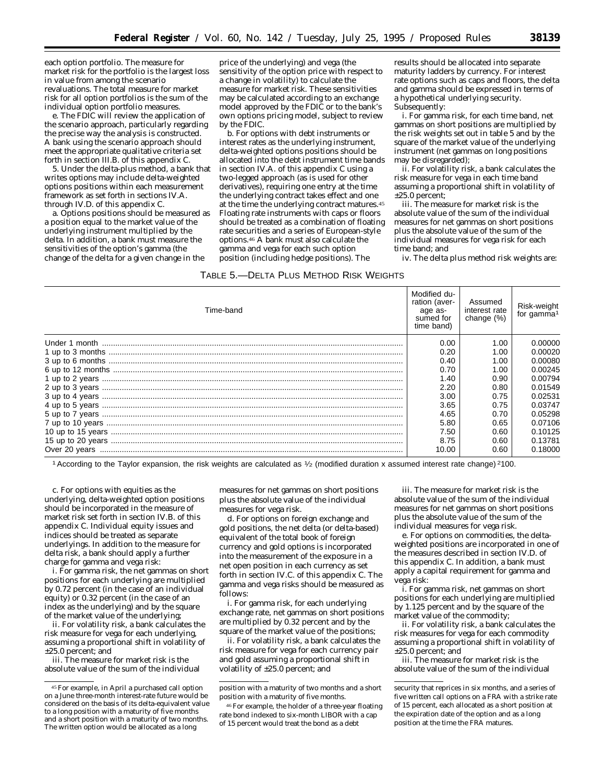each option portfolio. The measure for market risk for the portfolio is the largest loss in value from among the scenario revaluations. The total measure for market risk for all option portfolios is the sum of the individual option portfolio measures.

e. The FDIC will review the application of the scenario approach, particularly regarding the precise way the analysis is constructed. A bank using the scenario approach should meet the appropriate qualitative criteria set forth in section III.B. of this appendix C.

5. Under the delta-plus method, a bank that writes options may include delta-weighted options positions within each measurement framework as set forth in sections IV.A. through IV.D. of this appendix C.

a. Options positions should be measured as a position equal to the market value of the underlying instrument multiplied by the delta. In addition, a bank must measure the sensitivities of the option's gamma (the change of the delta for a given change in the

price of the underlying) and vega (the sensitivity of the option price with respect to a change in volatility) to calculate the measure for market risk. These sensitivities may be calculated according to an exchange model approved by the FDIC or to the bank's own options pricing model, subject to review by the FDIC.

b. For options with debt instruments or interest rates as the underlying instrument, delta-weighted options positions should be allocated into the debt instrument time bands in section IV.A. of this appendix C using a two-legged approach (as is used for other derivatives), requiring one entry at the time the underlying contract takes effect and one at the time the underlying contract matures.45 Floating rate instruments with caps or floors should be treated as a combination of floating rate securities and a series of European-style options.46 A bank must also calculate the gamma and vega for each such option position (including hedge positions). The

# TABLE 5.—DELTA PLUS METHOD RISK WEIGHTS

results should be allocated into separate maturity ladders by currency. For interest rate options such as caps and floors, the delta and gamma should be expressed in terms of a hypothetical underlying security. Subsequently:

i. For gamma risk, for each time band, net gammas on short positions are multiplied by the risk weights set out in table 5 and by the square of the market value of the underlying instrument (net gammas on long positions may be disregarded);

ii. For volatility risk, a bank calculates the risk measure for vega in each time band assuming a proportional shift in volatility of  $±25.0$  percent:

iii. The measure for market risk is the absolute value of the sum of the individual measures for net gammas on short positions plus the absolute value of the sum of the individual measures for vega risk for each time band; and

iv. The delta plus method risk weights are:

| <b>PLLIA I LUU INLIIIUP INUN IVLIUIIIU</b> |                                                                     |                                        |                                       |
|--------------------------------------------|---------------------------------------------------------------------|----------------------------------------|---------------------------------------|
| Time-band                                  | Modified du-<br>ration (aver-<br>age as-<br>sumed for<br>time band) | Assumed<br>interest rate<br>change (%) | Risk-weight<br>for gamma <sup>1</sup> |
|                                            | 0.00                                                                | 1.00                                   | 0.00000                               |
|                                            | 0.20                                                                | 1.00                                   | 0.00020                               |
|                                            | 0.40                                                                | 1.00                                   | 0.00080                               |
|                                            | 0.70                                                                | 1.00                                   | 0.00245                               |
|                                            | 1.40                                                                | 0.90                                   | 0.00794                               |
|                                            | 2.20                                                                | 0.80                                   | 0.01549                               |
|                                            | 3.00                                                                | 0.75                                   | 0.02531                               |
|                                            | 3.65                                                                | 0.75                                   | 0.03747                               |
|                                            | 4.65                                                                | 0.70                                   | 0.05298                               |
|                                            | 5.80                                                                | 0.65                                   | 0.07106                               |
|                                            | 7.50                                                                | 0.60                                   | 0.10125                               |
|                                            | 8.75                                                                | 0.60                                   | 0.13781                               |
|                                            | 10.00                                                               | 0.60                                   | 0.18000                               |

1According to the Taylor expansion, the risk weights are calculated as 1⁄2 (modified duration x assumed interest rate change) 2100.

c. For options with equities as the underlying, delta-weighted option positions should be incorporated in the measure of market risk set forth in section IV.B. of this appendix C. Individual equity issues and indices should be treated as separate underlyings. In addition to the measure for delta risk, a bank should apply a further charge for gamma and vega risk:

i. For gamma risk, the net gammas on short positions for each underlying are multiplied by 0.72 percent (in the case of an individual equity) or 0.32 percent (in the case of an index as the underlying) and by the square of the market value of the underlying;

ii. For volatility risk, a bank calculates the risk measure for vega for each underlying, assuming a proportional shift in volatility of ±25.0 percent; and

iii. The measure for market risk is the absolute value of the sum of the individual measures for net gammas on short positions plus the absolute value of the individual measures for vega risk.

d. For options on foreign exchange and gold positions, the net delta (or delta-based) equivalent of the total book of foreign currency and gold options is incorporated into the measurement of the exposure in a net open position in each currency as set forth in section IV.C. of this appendix C. The gamma and vega risks should be measured as follows:

i. For gamma risk, for each underlying exchange rate, net gammas on short positions are multiplied by 0.32 percent and by the square of the market value of the positions;

ii. For volatility risk, a bank calculates the risk measure for vega for each currency pair and gold assuming a proportional shift in volatility of ±25.0 percent; and

iii. The measure for market risk is the absolute value of the sum of the individual measures for net gammas on short positions plus the absolute value of the sum of the individual measures for vega risk.

e. For options on commodities, the deltaweighted positions are incorporated in one of the measures described in section IV.D. of this appendix C. In addition, a bank must apply a capital requirement for gamma and vega risk:

i. For gamma risk, net gammas on short positions for each underlying are multiplied by 1.125 percent and by the square of the market value of the commodity;

ii. For volatility risk, a bank calculates the risk measures for vega for each commodity assuming a proportional shift in volatility of ±25.0 percent; and

iii. The measure for market risk is the absolute value of the sum of the individual

<sup>45</sup>For example, in April a purchased call option on a June three-month interest-rate future would be considered on the basis of its delta-equivalent value to a long position with a maturity of five months and a short position with a maturity of two months. The written option would be allocated as a long

position with a maturity of two months and a short position with a maturity of five months.

<sup>46</sup>For example, the holder of a three-year floating rate bond indexed to six-month LIBOR with a cap of 15 percent would treat the bond as a debt

security that reprices in six months, and a series of five written call options on a FRA with a strike rate of 15 percent, each allocated as a short position at the expiration date of the option and as a long position at the time the FRA matures.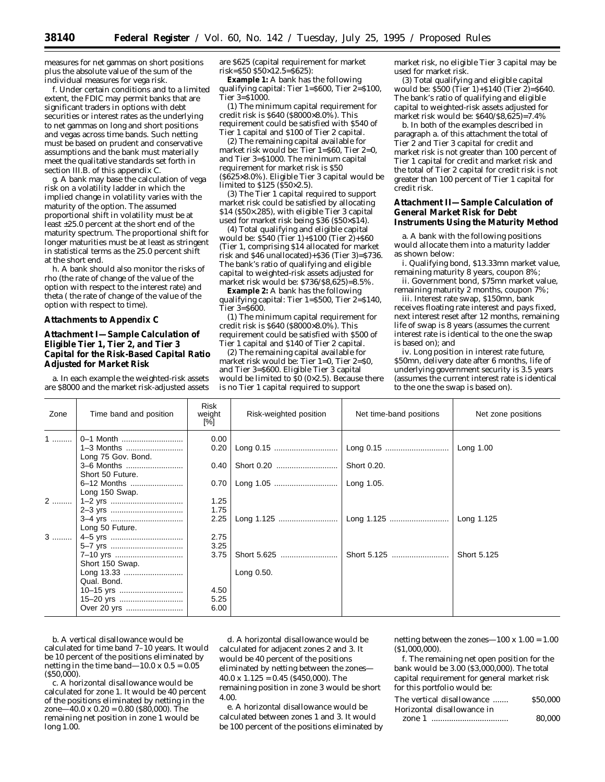measures for net gammas on short positions plus the absolute value of the sum of the individual measures for vega risk.

f. Under certain conditions and to a limited extent, the FDIC may permit banks that are significant traders in options with debt securities or interest rates as the underlying to net gammas on long and short positions and vegas across time bands. Such netting must be based on prudent and conservative assumptions and the bank must materially meet the qualitative standards set forth in section III.B. of this appendix C.

g. A bank may base the calculation of vega risk on a volatility ladder in which the implied change in volatility varies with the maturity of the option. The assumed proportional shift in volatility must be at least ±25.0 percent at the short end of the maturity spectrum. The proportional shift for longer maturities must be at least as stringent in statistical terms as the 25.0 percent shift at the short end.

h. A bank should also monitor the risks of rho (the rate of change of the value of the option with respect to the interest rate) and theta ( the rate of change of the value of the option with respect to time).

#### **Attachments to Appendix C**

# **Attachment I—Sample Calculation of Eligible Tier 1, Tier 2, and Tier 3 Capital for the Risk-Based Capital Ratio Adjusted for Market Risk**

a. In each example the weighted-risk assets are \$8000 and the market risk-adjusted assets are \$625 (capital requirement for market risk=\$50 \$50×12.5=\$625):

**Example 1:** A bank has the following qualifying capital: Tier 1=\$600, Tier 2=\$100, Tier 3=\$1000.

(1) The minimum capital requirement for credit risk is \$640 (\$8000×8.0%). This requirement could be satisfied with \$540 of Tier 1 capital and \$100 of Tier 2 capital.

(2) The remaining capital available for market risk would be: Tier 1=\$60, Tier 2=0, and Tier 3=\$1000. The minimum capital requirement for market risk is \$50 (\$625×8.0%). Eligible Tier 3 capital would be limited to \$125 (\$50×2.5).

(3) The Tier 1 capital required to support market risk could be satisfied by allocating \$14 (\$50×.285), with eligible Tier 3 capital used for market risk being \$36 (\$50×\$14).

(4) Total qualifying and eligible capital would be: \$540 (Tier 1)+\$100 (Tier 2)+\$60 (Tier 1, comprising \$14 allocated for market risk and \$46 unallocated)+\$36 (Tier 3)=\$736. The bank's ratio of qualifying and eligible capital to weighted-risk assets adjusted for market risk would be: \$736/\$8,625)=8.5%.

**Example 2:** A bank has the following qualifying capital: Tier 1=\$500, Tier 2=\$140, Tier 3=\$600.

(1) The minimum capital requirement for credit risk is \$640 (\$8000×8.0%). This requirement could be satisfied with \$500 of Tier 1 capital and \$140 of Tier 2 capital.

(2) The remaining capital available for market risk would be: Tier 1=0, Tier 2=\$0, and Tier 3=\$600. Eligible Tier 3 capital would be limited to  $\overline{50}$  (0×2.5). Because there is no Tier 1 capital required to support

market risk, no eligible Tier 3 capital may be used for market risk.

(3) Total qualifying and eligible capital would be: \$500 (Tier 1)+\$140 (Tier 2)=\$640. The bank's ratio of qualifying and eligible capital to weighted-risk assets adjusted for market risk would be: \$640/\$8,625)=7.4%

b. In both of the examples described in paragraph a. of this attachment the total of Tier 2 and Tier 3 capital for credit and market risk is not greater than 100 percent of Tier 1 capital for credit and market risk and the total of Tier 2 capital for credit risk is not greater than 100 percent of Tier 1 capital for credit risk.

# **Attachment II—Sample Calculation of General Market Risk for Debt Instruments Using the Maturity Method**

a. A bank with the following positions would allocate them into a maturity ladder as shown below:

i. Qualifying bond, \$13.33mn market value, remaining maturity 8 years, coupon 8%;

ii. Government bond, \$75mn market value, remaining maturity 2 months, coupon 7%;

iii. Interest rate swap, \$150mn, bank receives floating rate interest and pays fixed, next interest reset after 12 months, remaining life of swap is 8 years (assumes the current interest rate is identical to the one the swap is based on); and

iv. Long position in interest rate future, \$50mn, delivery date after 6 months, life of underlying government security is 3.5 years (assumes the current interest rate is identical to the one the swap is based on).

| Zone | Time band and position | Risk<br>weight<br>$[\%]$ | Risk-weighted position | Net time-band positions | Net zone positions |
|------|------------------------|--------------------------|------------------------|-------------------------|--------------------|
| $1$  | 0-1 Month              | 0.00                     |                        |                         |                    |
|      | 1–3 Months             | 0.20                     |                        |                         | Long 1.00          |
|      | Long 75 Gov. Bond.     |                          |                        |                         |                    |
|      | 3-6 Months             | 0.40                     |                        | Short 0.20.             |                    |
|      | Short 50 Future.       |                          |                        |                         |                    |
|      | 6-12 Months            | 0.70                     |                        | Long 1.05.              |                    |
|      | Long 150 Swap.         |                          |                        |                         |                    |
| $2$  |                        | 1.25                     |                        |                         |                    |
|      |                        | 1.75                     |                        |                         |                    |
|      | 3-4 yrs                | 2.25                     |                        |                         | Long 1.125         |
|      | Long 50 Future.        |                          |                        |                         |                    |
| $3$  |                        | 2.75                     |                        |                         |                    |
|      |                        | 3.25                     |                        |                         |                    |
|      | 7-10 yrs               | 3.75                     |                        | Short 5.125             | Short 5.125        |
|      | Short 150 Swap.        |                          |                        |                         |                    |
|      | Long 13.33             |                          | Long 0.50.             |                         |                    |
|      | Qual. Bond.            |                          |                        |                         |                    |
|      | 10-15 yrs              | 4.50                     |                        |                         |                    |
|      |                        | 5.25                     |                        |                         |                    |
|      |                        | 6.00                     |                        |                         |                    |

b. A vertical disallowance would be calculated for time band 7–10 years. It would be 10 percent of the positions eliminated by netting in the time band—10.0 x  $0.5 = 0.05$ (\$50,000).

c. A horizontal disallowance would be calculated for zone 1. It would be 40 percent of the positions eliminated by netting in the zone—40.0 x  $0.20 = 0.80$  (\$80,000). The remaining net position in zone 1 would be long 1.00.

d. A horizontal disallowance would be calculated for adjacent zones 2 and 3. It would be 40 percent of the positions eliminated by netting between the zones— 40.0 x 1.125 = 0.45 (\$450,000). The remaining position in zone 3 would be short 4.00.

e. A horizontal disallowance would be calculated between zones 1 and 3. It would be 100 percent of the positions eliminated by netting between the zones— $100 \times 1.00 = 1.00$ (\$1,000,000).

f. The remaining net open position for the bank would be 3.00 (\$3,000,000). The total capital requirement for general market risk for this portfolio would be:

| The vertical disallowance  | \$50,000 |
|----------------------------|----------|
| Horizontal disallowance in |          |
|                            | 80.000   |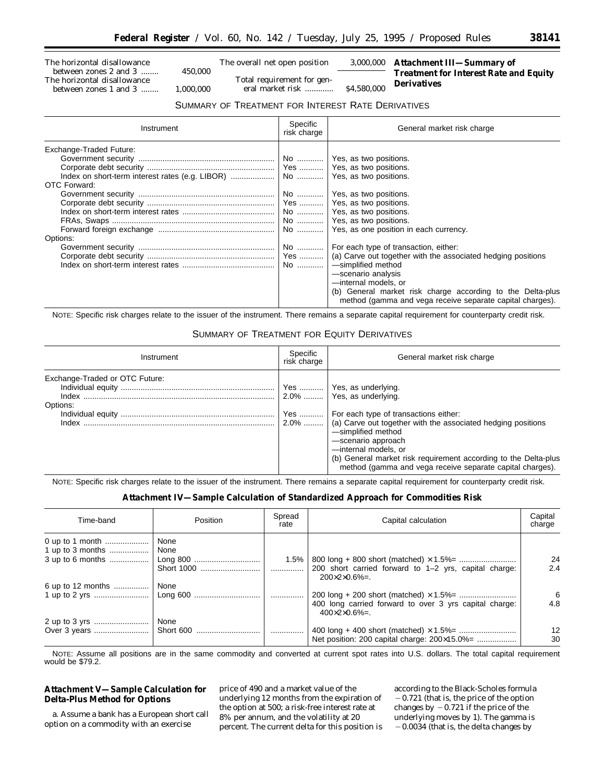The horizontal disallowance between zones 2 and 3 ........ 450,000 The horizontal disallowance between zones 1 and 3 ........ 1,000,000

The overall net open position 3,000,000

Total requirement for general market risk ............. \$4,580,000

**Attachment III—Summary of Treatment for Interest Rate and Equity Derivatives**

# SUMMARY OF TREATMENT FOR INTEREST RATE DERIVATIVES

| Instrument                                          | Specific<br>risk charge   | General market risk charge                                                                                                                                                                                                                                                                                                                                                                                                                                                                                            |
|-----------------------------------------------------|---------------------------|-----------------------------------------------------------------------------------------------------------------------------------------------------------------------------------------------------------------------------------------------------------------------------------------------------------------------------------------------------------------------------------------------------------------------------------------------------------------------------------------------------------------------|
| Exchange-Traded Future:<br>OTC Forward:<br>Options: | No ………… l<br>Yes   <br>No | No    Yes, as two positions.<br>No    Yes, as two positions.<br>Yes    Yes, as two positions.<br>No    Yes, as two positions.<br>No    Yes, as two positions.<br>No    Yes, as one position in each currency.<br>For each type of transaction, either:<br>(a) Carve out together with the associated hedging positions<br>-simplified method<br>-scenario analysis<br>-internal models, or<br>(b) General market risk charge according to the Delta-plus<br>method (gamma and vega receive separate capital charges). |

NOTE: Specific risk charges relate to the issuer of the instrument. There remains a separate capital requirement for counterparty credit risk.

# SUMMARY OF TREATMENT FOR EQUITY DERIVATIVES

| Instrument                                          | Specific<br>risk charge | General market risk charge                                                                                                                                                                                                                                                                                                                                                              |
|-----------------------------------------------------|-------------------------|-----------------------------------------------------------------------------------------------------------------------------------------------------------------------------------------------------------------------------------------------------------------------------------------------------------------------------------------------------------------------------------------|
| Exchange-Traded or OTC Future:<br>Options:<br>Index |                         | Yes    Yes, as underlying.<br>$2.0\%$   Yes. as underlying.<br>Yes    For each type of transactions either:<br>2.0%    (a) Carve out together with the associated hedging positions<br>-simplified method<br>-scenario approach<br>-internal models, or<br>(b) General market risk requirement according to the Delta-plus<br>method (gamma and vega receive separate capital charges). |

NOTE: Specific risk charges relate to the issuer of the instrument. There remains a separate capital requirement for counterparty credit risk.

# **Attachment IV—Sample Calculation of Standardized Approach for Commodities Risk**

| Time-band         | Position          | Spread<br>rate | Capital calculation                                                                    | Capital<br>charge |
|-------------------|-------------------|----------------|----------------------------------------------------------------------------------------|-------------------|
|                   | None<br>None      | $1.5\%$<br>.   | 200 short carried forward to 1-2 yrs, capital charge:<br>$200 \times 2 \times 0.6\% =$ | 24<br>2.4         |
| 6 up to 12 months | None              | .              | 400 long carried forward to over 3 yrs capital charge:<br>$400\times2\times0.6\%$ =.   | 6<br>4.8          |
|                   | None<br>Short 600 | .              | Net position: 200 capital charge: 200×15.0%=                                           | 12<br>30          |

NOTE: Assume all positions are in the same commodity and converted at current spot rates into U.S. dollars. The total capital requirement would be \$79.2.

# **Attachment V—Sample Calculation for Delta-Plus Method for Options**

a. Assume a bank has a European short call option on a commodity with an exercise

price of 490 and a market value of the underlying 12 months from the expiration of the option at 500; a risk-free interest rate at 8% per annum, and the volatility at 20 percent. The current delta for this position is according to the Black-Scholes formula  $-0.721$  (that is, the price of the option changes by  $-0.721$  if the price of the underlying moves by 1). The gamma is  $-0.0034$  (that is, the delta changes by